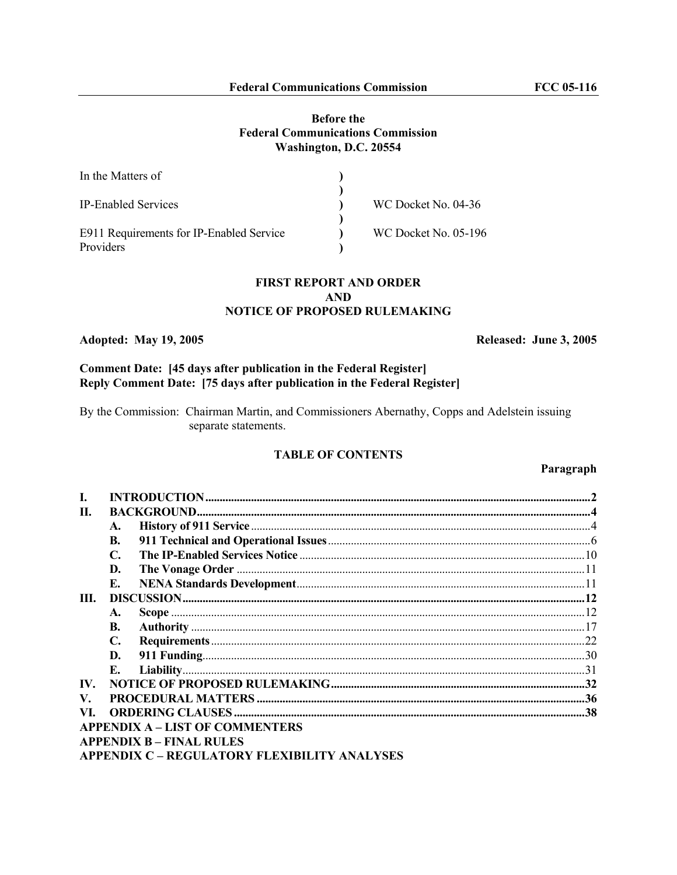## **Before the Federal Communications Commission Washington, D.C. 20554**

| In the Matters of                        |                             |  |
|------------------------------------------|-----------------------------|--|
|                                          |                             |  |
| <b>IP-Enabled Services</b>               | WC Docket No. 04-36         |  |
|                                          |                             |  |
| E911 Requirements for IP-Enabled Service | <b>WC Docket No. 05-196</b> |  |
| Providers                                |                             |  |

## **FIRST REPORT AND ORDER AND NOTICE OF PROPOSED RULEMAKING**

### **Adopted: May 19, 2005 Released: June 3, 2005**

# **Comment Date: [45 days after publication in the Federal Register] Reply Comment Date: [75 days after publication in the Federal Register]**

By the Commission: Chairman Martin, and Commissioners Abernathy, Copps and Adelstein issuing separate statements.

## **TABLE OF CONTENTS**

### **Paragraph**

| П.  |                                              |  |
|-----|----------------------------------------------|--|
|     | A.                                           |  |
|     | <b>B.</b>                                    |  |
|     | $\mathbf{C}$ .                               |  |
|     | D.                                           |  |
|     | Е.                                           |  |
| Ш.  |                                              |  |
|     | A.                                           |  |
|     | <b>B.</b>                                    |  |
|     | C.                                           |  |
|     | D.                                           |  |
|     | Е.                                           |  |
| IV. |                                              |  |
| V.  |                                              |  |
| VI. |                                              |  |
|     | <b>APPENDIX A – LIST OF COMMENTERS</b>       |  |
|     | <b>APPENDIX B – FINAL RULES</b>              |  |
|     | APPENDIX C - REGULATORY FLEXIBILITY ANALYSES |  |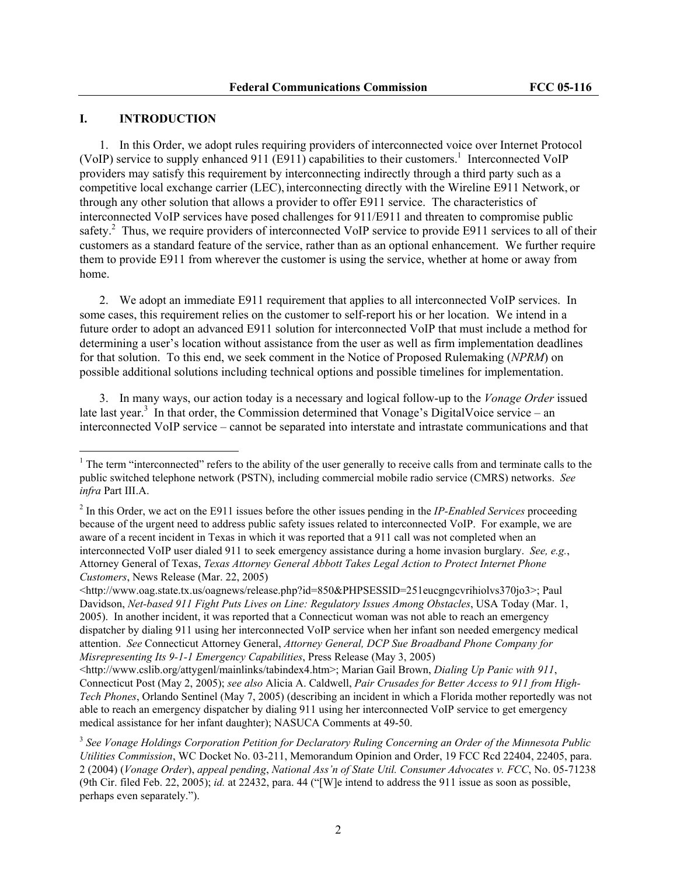## **I. INTRODUCTION**

 $\overline{a}$ 

1. In this Order, we adopt rules requiring providers of interconnected voice over Internet Protocol (VoIP) service to supply enhanced 911 (E911) capabilities to their customers.<sup>1</sup> Interconnected VoIP providers may satisfy this requirement by interconnecting indirectly through a third party such as a competitive local exchange carrier (LEC), interconnecting directly with the Wireline E911 Network, or through any other solution that allows a provider to offer E911 service. The characteristics of interconnected VoIP services have posed challenges for 911/E911 and threaten to compromise public safety.<sup>2</sup> Thus, we require providers of interconnected VoIP service to provide E911 services to all of their customers as a standard feature of the service, rather than as an optional enhancement. We further require them to provide E911 from wherever the customer is using the service, whether at home or away from home.

2. We adopt an immediate E911 requirement that applies to all interconnected VoIP services. In some cases, this requirement relies on the customer to self-report his or her location. We intend in a future order to adopt an advanced E911 solution for interconnected VoIP that must include a method for determining a user's location without assistance from the user as well as firm implementation deadlines for that solution. To this end, we seek comment in the Notice of Proposed Rulemaking (*NPRM*) on possible additional solutions including technical options and possible timelines for implementation.

3. In many ways, our action today is a necessary and logical follow-up to the *Vonage Order* issued late last year.<sup>3</sup> In that order, the Commission determined that Vonage's DigitalVoice service – an interconnected VoIP service – cannot be separated into interstate and intrastate communications and that

 $1$ <sup>1</sup> The term "interconnected" refers to the ability of the user generally to receive calls from and terminate calls to the public switched telephone network (PSTN), including commercial mobile radio service (CMRS) networks. *See infra* Part III.A.

<sup>2</sup> In this Order, we act on the E911 issues before the other issues pending in the *IP-Enabled Services* proceeding because of the urgent need to address public safety issues related to interconnected VoIP. For example, we are aware of a recent incident in Texas in which it was reported that a 911 call was not completed when an interconnected VoIP user dialed 911 to seek emergency assistance during a home invasion burglary. *See, e.g.*, Attorney General of Texas, *Texas Attorney General Abbott Takes Legal Action to Protect Internet Phone Customers*, News Release (Mar. 22, 2005)

<sup>&</sup>lt;http://www.oag.state.tx.us/oagnews/release.php?id=850&PHPSESSID=251eucgngcvrihiolvs370jo3>; Paul Davidson, *Net-based 911 Fight Puts Lives on Line: Regulatory Issues Among Obstacles*, USA Today (Mar. 1, 2005). In another incident, it was reported that a Connecticut woman was not able to reach an emergency dispatcher by dialing 911 using her interconnected VoIP service when her infant son needed emergency medical attention. *See* Connecticut Attorney General, *Attorney General, DCP Sue Broadband Phone Company for Misrepresenting Its 9-1-1 Emergency Capabilities*, Press Release (May 3, 2005)

<sup>&</sup>lt;http://www.cslib.org/attygenl/mainlinks/tabindex4.htm>; Marian Gail Brown, *Dialing Up Panic with 911*, Connecticut Post (May 2, 2005); *see also* Alicia A. Caldwell, *Pair Crusades for Better Access to 911 from High-Tech Phones*, Orlando Sentinel (May 7, 2005) (describing an incident in which a Florida mother reportedly was not able to reach an emergency dispatcher by dialing 911 using her interconnected VoIP service to get emergency medical assistance for her infant daughter); NASUCA Comments at 49-50.

<sup>3</sup> *See Vonage Holdings Corporation Petition for Declaratory Ruling Concerning an Order of the Minnesota Public Utilities Commission*, WC Docket No. 03-211, Memorandum Opinion and Order, 19 FCC Rcd 22404, 22405, para. 2 (2004) (*Vonage Order*), *appeal pending*, *National Ass'n of State Util. Consumer Advocates v. FCC*, No. 05-71238 (9th Cir. filed Feb. 22, 2005); *id.* at 22432, para. 44 ("[W]e intend to address the 911 issue as soon as possible, perhaps even separately.").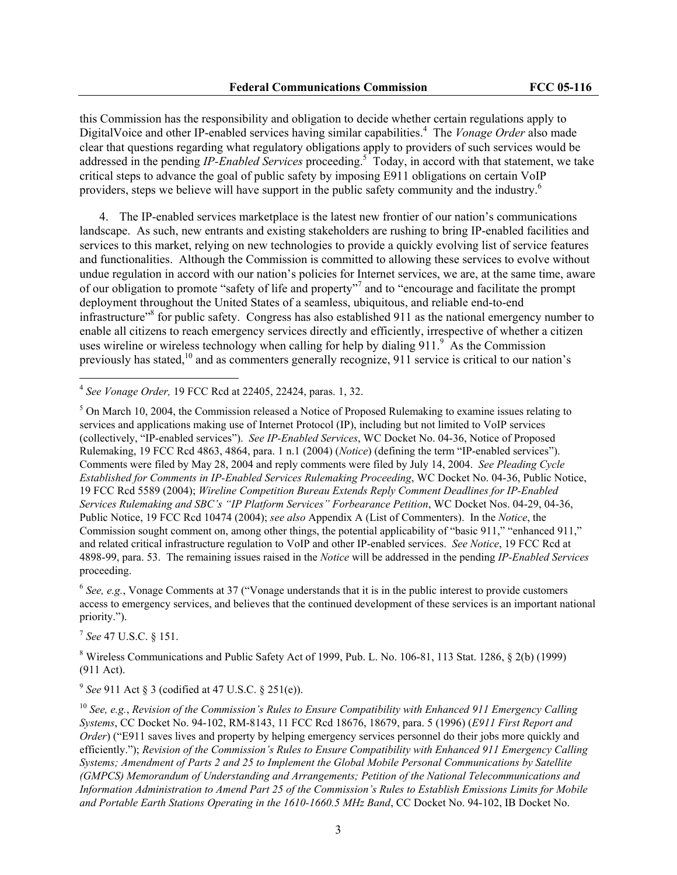this Commission has the responsibility and obligation to decide whether certain regulations apply to DigitalVoice and other IP-enabled services having similar capabilities.<sup>4</sup> The *Vonage Order* also made clear that questions regarding what regulatory obligations apply to providers of such services would be addressed in the pending *IP-Enabled Services* proceeding.<sup>5</sup> Today, in accord with that statement, we take critical steps to advance the goal of public safety by imposing E911 obligations on certain VoIP providers, steps we believe will have support in the public safety community and the industry.<sup>6</sup>

4. The IP-enabled services marketplace is the latest new frontier of our nation's communications landscape. As such, new entrants and existing stakeholders are rushing to bring IP-enabled facilities and services to this market, relying on new technologies to provide a quickly evolving list of service features and functionalities. Although the Commission is committed to allowing these services to evolve without undue regulation in accord with our nation's policies for Internet services, we are, at the same time, aware of our obligation to promote "safety of life and property"<sup>7</sup> and to "encourage and facilitate the prompt deployment throughout the United States of a seamless, ubiquitous, and reliable end-to-end infrastructure<sup>38</sup> for public safety. Congress has also established 911 as the national emergency number to enable all citizens to reach emergency services directly and efficiently, irrespective of whether a citizen uses wireline or wireless technology when calling for help by dialing  $911<sup>9</sup>$  As the Commission previously has stated,<sup>10</sup> and as commenters generally recognize, 911 service is critical to our nation's

<sup>4</sup> *See Vonage Order,* 19 FCC Rcd at 22405, 22424, paras. 1, 32.

<sup>5</sup> On March 10, 2004, the Commission released a Notice of Proposed Rulemaking to examine issues relating to services and applications making use of Internet Protocol (IP), including but not limited to VoIP services (collectively, "IP-enabled services"). *See IP-Enabled Services*, WC Docket No. 04-36, Notice of Proposed Rulemaking, 19 FCC Rcd 4863, 4864, para. 1 n.1 (2004) (*Notice*) (defining the term "IP-enabled services"). Comments were filed by May 28, 2004 and reply comments were filed by July 14, 2004. *See Pleading Cycle Established for Comments in IP-Enabled Services Rulemaking Proceeding*, WC Docket No. 04-36, Public Notice, 19 FCC Rcd 5589 (2004); *Wireline Competition Bureau Extends Reply Comment Deadlines for IP-Enabled Services Rulemaking and SBC's "IP Platform Services" Forbearance Petition*, WC Docket Nos. 04-29, 04-36, Public Notice, 19 FCC Rcd 10474 (2004); *see also* Appendix A (List of Commenters). In the *Notice*, the Commission sought comment on, among other things, the potential applicability of "basic 911," "enhanced 911," and related critical infrastructure regulation to VoIP and other IP-enabled services. *See Notice*, 19 FCC Rcd at 4898-99, para. 53. The remaining issues raised in the *Notice* will be addressed in the pending *IP-Enabled Services* proceeding.

<sup>6</sup> See, e.g., Vonage Comments at 37 ("Vonage understands that it is in the public interest to provide customers access to emergency services, and believes that the continued development of these services is an important national priority.").

<sup>7</sup> *See* 47 U.S.C. § 151.

 $\overline{a}$ 

<sup>8</sup> Wireless Communications and Public Safety Act of 1999, Pub. L. No. 106-81, 113 Stat. 1286,  $\S$  2(b) (1999) (911 Act).

<sup>9</sup> *See* 911 Act § 3 (codified at 47 U.S.C. § 251(e)).

<sup>10</sup> *See, e.g.*, *Revision of the Commission's Rules to Ensure Compatibility with Enhanced 911 Emergency Calling Systems*, CC Docket No. 94-102, RM-8143, 11 FCC Rcd 18676, 18679, para. 5 (1996) (*E911 First Report and Order*) ("E911 saves lives and property by helping emergency services personnel do their jobs more quickly and efficiently."); *Revision of the Commission's Rules to Ensure Compatibility with Enhanced 911 Emergency Calling Systems; Amendment of Parts 2 and 25 to Implement the Global Mobile Personal Communications by Satellite (GMPCS) Memorandum of Understanding and Arrangements; Petition of the National Telecommunications and Information Administration to Amend Part 25 of the Commission's Rules to Establish Emissions Limits for Mobile and Portable Earth Stations Operating in the 1610-1660.5 MHz Band*, CC Docket No. 94-102, IB Docket No.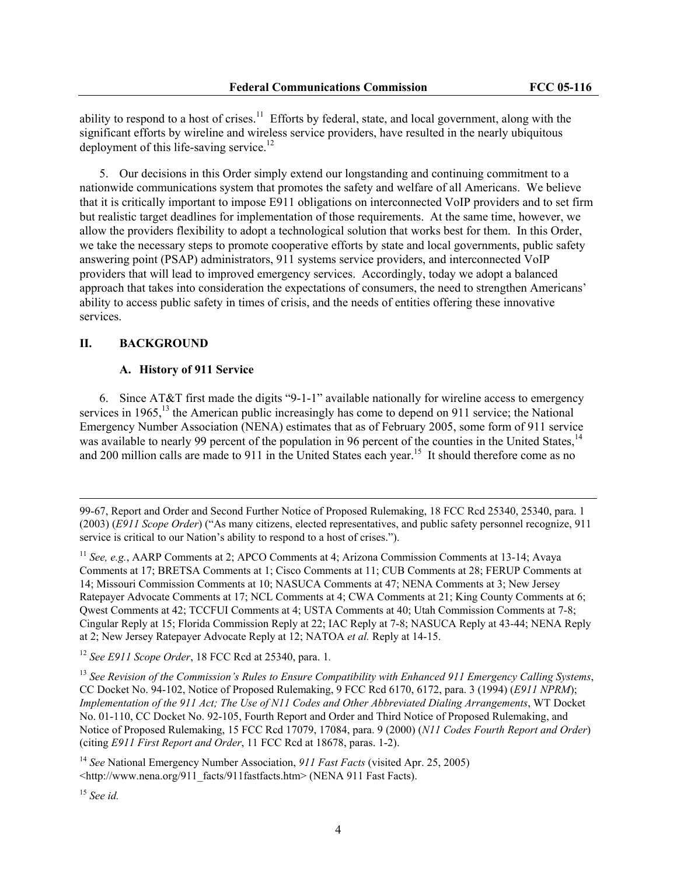ability to respond to a host of crises.<sup>11</sup> Efforts by federal, state, and local government, along with the significant efforts by wireline and wireless service providers, have resulted in the nearly ubiquitous deployment of this life-saving service.<sup>12</sup>

5. Our decisions in this Order simply extend our longstanding and continuing commitment to a nationwide communications system that promotes the safety and welfare of all Americans. We believe that it is critically important to impose E911 obligations on interconnected VoIP providers and to set firm but realistic target deadlines for implementation of those requirements. At the same time, however, we allow the providers flexibility to adopt a technological solution that works best for them. In this Order, we take the necessary steps to promote cooperative efforts by state and local governments, public safety answering point (PSAP) administrators, 911 systems service providers, and interconnected VoIP providers that will lead to improved emergency services. Accordingly, today we adopt a balanced approach that takes into consideration the expectations of consumers, the need to strengthen Americans' ability to access public safety in times of crisis, and the needs of entities offering these innovative services.

## **II. BACKGROUND**

#### **A. History of 911 Service**

6. Since AT&T first made the digits "9-1-1" available nationally for wireline access to emergency services in 1965,<sup>13</sup> the American public increasingly has come to depend on 911 service; the National Emergency Number Association (NENA) estimates that as of February 2005, some form of 911 service was available to nearly 99 percent of the population in 96 percent of the counties in the United States, <sup>14</sup> and 200 million calls are made to 911 in the United States each year.<sup>15</sup> It should therefore come as no

<sup>12</sup> *See E911 Scope Order*, 18 FCC Rcd at 25340, para. 1*.* 

<sup>13</sup> *See Revision of the Commission's Rules to Ensure Compatibility with Enhanced 911 Emergency Calling Systems*, CC Docket No. 94-102, Notice of Proposed Rulemaking, 9 FCC Rcd 6170, 6172, para. 3 (1994) (*E911 NPRM*); *Implementation of the 911 Act; The Use of N11 Codes and Other Abbreviated Dialing Arrangements*, WT Docket No. 01-110, CC Docket No. 92-105, Fourth Report and Order and Third Notice of Proposed Rulemaking, and Notice of Proposed Rulemaking, 15 FCC Rcd 17079, 17084, para. 9 (2000) (*N11 Codes Fourth Report and Order*) (citing *E911 First Report and Order*, 11 FCC Rcd at 18678, paras. 1-2).

<sup>14</sup> *See* National Emergency Number Association, *911 Fast Facts* (visited Apr. 25, 2005) <http://www.nena.org/911\_facts/911fastfacts.htm> (NENA 911 Fast Facts).

<sup>15</sup> *See id.*

 $\overline{\phantom{a}}$ 

<sup>99-67,</sup> Report and Order and Second Further Notice of Proposed Rulemaking, 18 FCC Rcd 25340, 25340, para. 1 (2003) (*E911 Scope Order*) ("As many citizens, elected representatives, and public safety personnel recognize, 911 service is critical to our Nation's ability to respond to a host of crises.").

<sup>11</sup> *See, e.g.*, AARP Comments at 2; APCO Comments at 4; Arizona Commission Comments at 13-14; Avaya Comments at 17; BRETSA Comments at 1; Cisco Comments at 11; CUB Comments at 28; FERUP Comments at 14; Missouri Commission Comments at 10; NASUCA Comments at 47; NENA Comments at 3; New Jersey Ratepayer Advocate Comments at 17; NCL Comments at 4; CWA Comments at 21; King County Comments at 6; Qwest Comments at 42; TCCFUI Comments at 4; USTA Comments at 40; Utah Commission Comments at 7-8; Cingular Reply at 15; Florida Commission Reply at 22; IAC Reply at 7-8; NASUCA Reply at 43-44; NENA Reply at 2; New Jersey Ratepayer Advocate Reply at 12; NATOA *et al.* Reply at 14-15.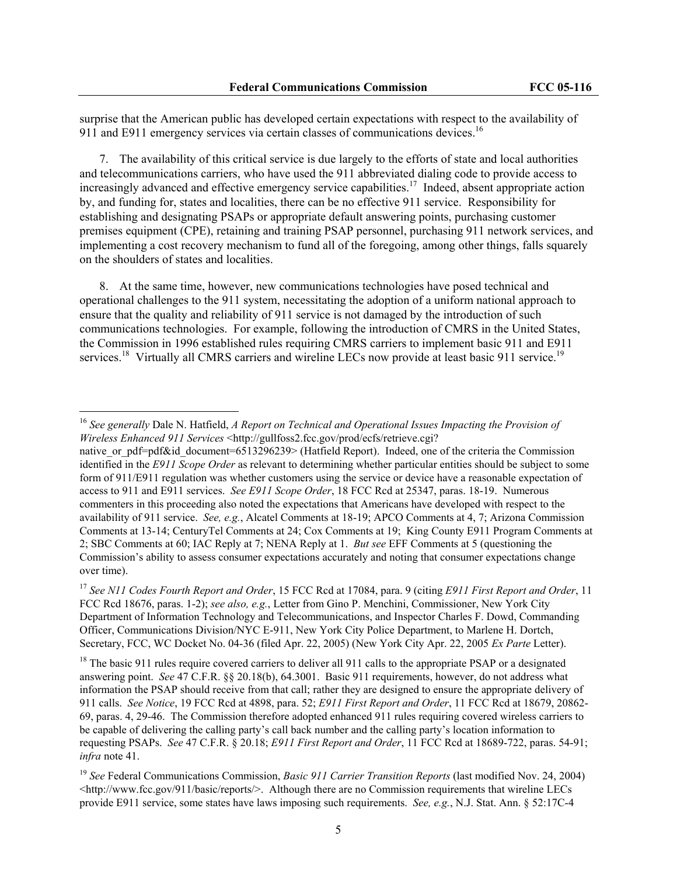surprise that the American public has developed certain expectations with respect to the availability of 911 and E911 emergency services via certain classes of communications devices.<sup>16</sup>

7. The availability of this critical service is due largely to the efforts of state and local authorities and telecommunications carriers, who have used the 911 abbreviated dialing code to provide access to increasingly advanced and effective emergency service capabilities.<sup>17</sup> Indeed, absent appropriate action by, and funding for, states and localities, there can be no effective 911 service. Responsibility for establishing and designating PSAPs or appropriate default answering points, purchasing customer premises equipment (CPE), retaining and training PSAP personnel, purchasing 911 network services, and implementing a cost recovery mechanism to fund all of the foregoing, among other things, falls squarely on the shoulders of states and localities.

8. At the same time, however, new communications technologies have posed technical and operational challenges to the 911 system, necessitating the adoption of a uniform national approach to ensure that the quality and reliability of 911 service is not damaged by the introduction of such communications technologies. For example, following the introduction of CMRS in the United States, the Commission in 1996 established rules requiring CMRS carriers to implement basic 911 and E911 services.<sup>18</sup> Virtually all CMRS carriers and wireline LECs now provide at least basic 911 service.<sup>19</sup>

<sup>16</sup> *See generally* Dale N. Hatfield, *A Report on Technical and Operational Issues Impacting the Provision of Wireless Enhanced 911 Services* <http://gullfoss2.fcc.gov/prod/ecfs/retrieve.cgi?

native or pdf=pdf&id document=6513296239> (Hatfield Report). Indeed, one of the criteria the Commission identified in the *E911 Scope Order* as relevant to determining whether particular entities should be subject to some form of 911/E911 regulation was whether customers using the service or device have a reasonable expectation of access to 911 and E911 services. *See E911 Scope Order*, 18 FCC Rcd at 25347, paras. 18-19. Numerous commenters in this proceeding also noted the expectations that Americans have developed with respect to the availability of 911 service. *See, e.g.*, Alcatel Comments at 18-19; APCO Comments at 4, 7; Arizona Commission Comments at 13-14; CenturyTel Comments at 24; Cox Comments at 19; King County E911 Program Comments at 2; SBC Comments at 60; IAC Reply at 7; NENA Reply at 1. *But see* EFF Comments at 5 (questioning the Commission's ability to assess consumer expectations accurately and noting that consumer expectations change over time).

<sup>17</sup> *See N11 Codes Fourth Report and Order*, 15 FCC Rcd at 17084, para. 9 (citing *E911 First Report and Order*, 11 FCC Rcd 18676, paras. 1-2); *see also, e.g.*, Letter from Gino P. Menchini, Commissioner, New York City Department of Information Technology and Telecommunications, and Inspector Charles F. Dowd, Commanding Officer, Communications Division/NYC E-911, New York City Police Department, to Marlene H. Dortch, Secretary, FCC, WC Docket No. 04-36 (filed Apr. 22, 2005) (New York City Apr. 22, 2005 *Ex Parte* Letter).

<sup>&</sup>lt;sup>18</sup> The basic 911 rules require covered carriers to deliver all 911 calls to the appropriate PSAP or a designated answering point. *See* 47 C.F.R. §§ 20.18(b), 64.3001. Basic 911 requirements, however, do not address what information the PSAP should receive from that call; rather they are designed to ensure the appropriate delivery of 911 calls. *See Notice*, 19 FCC Rcd at 4898, para. 52; *E911 First Report and Order*, 11 FCC Rcd at 18679, 20862- 69, paras. 4, 29-46. The Commission therefore adopted enhanced 911 rules requiring covered wireless carriers to be capable of delivering the calling party's call back number and the calling party's location information to requesting PSAPs. *See* 47 C.F.R. § 20.18; *E911 First Report and Order*, 11 FCC Rcd at 18689-722, paras. 54-91; *infra* note 41.

<sup>19</sup> *See* Federal Communications Commission, *Basic 911 Carrier Transition Reports* (last modified Nov. 24, 2004)  $\langle \text{http://www.fcc.gov/911/basic/ceptors/>}.$  Although there are no Commission requirements that wireline LECs provide E911 service, some states have laws imposing such requirements. *See, e.g.*, N.J. Stat. Ann. § 52:17C-4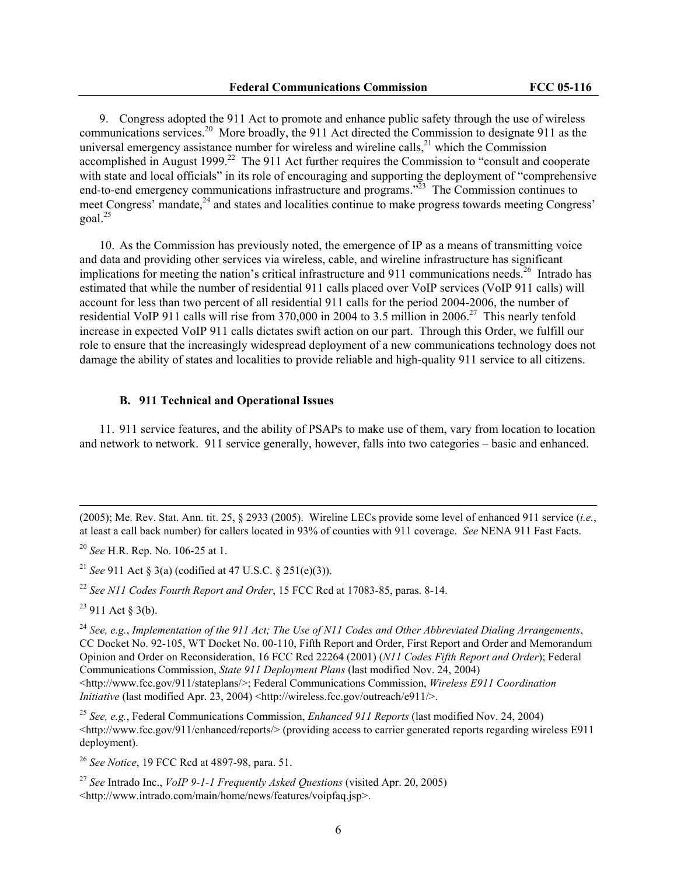9. Congress adopted the 911 Act to promote and enhance public safety through the use of wireless communications services.<sup>20</sup> More broadly, the 911 Act directed the Commission to designate 911 as the universal emergency assistance number for wireless and wireline calls, $^{21}$  which the Commission accomplished in August 1999.<sup>22</sup> The 911 Act further requires the Commission to "consult and cooperate" with state and local officials" in its role of encouraging and supporting the deployment of "comprehensive end-to-end emergency communications infrastructure and programs.<sup>323</sup> The Commission continues to meet Congress' mandate,<sup>24</sup> and states and localities continue to make progress towards meeting Congress'  $goal.<sup>25</sup>$ 

10. As the Commission has previously noted, the emergence of IP as a means of transmitting voice and data and providing other services via wireless, cable, and wireline infrastructure has significant implications for meeting the nation's critical infrastructure and 911 communications needs.<sup>26</sup> Intrado has estimated that while the number of residential 911 calls placed over VoIP services (VoIP 911 calls) will account for less than two percent of all residential 911 calls for the period 2004-2006, the number of residential VoIP 911 calls will rise from 370,000 in 2004 to 3.5 million in 2006.<sup>27</sup> This nearly tenfold increase in expected VoIP 911 calls dictates swift action on our part. Through this Order, we fulfill our role to ensure that the increasingly widespread deployment of a new communications technology does not damage the ability of states and localities to provide reliable and high-quality 911 service to all citizens.

## **B. 911 Technical and Operational Issues**

11. 911 service features, and the ability of PSAPs to make use of them, vary from location to location and network to network. 911 service generally, however, falls into two categories – basic and enhanced.

<sup>20</sup> *See* H.R. Rep. No. 106-25 at 1.

<sup>21</sup> *See* 911 Act § 3(a) (codified at 47 U.S.C. § 251(e)(3)).

<sup>22</sup> *See N11 Codes Fourth Report and Order*, 15 FCC Rcd at 17083-85, paras. 8-14.

 $23$  911 Act  $\frac{1}{2}$  3(b).

 $\overline{\phantom{a}}$ 

<sup>24</sup> *See, e.g.*, *Implementation of the 911 Act; The Use of N11 Codes and Other Abbreviated Dialing Arrangements*, CC Docket No. 92-105, WT Docket No. 00-110, Fifth Report and Order, First Report and Order and Memorandum Opinion and Order on Reconsideration, 16 FCC Rcd 22264 (2001) (*N11 Codes Fifth Report and Order*); Federal Communications Commission, *State 911 Deployment Plans* (last modified Nov. 24, 2004) <http://www.fcc.gov/911/stateplans/>; Federal Communications Commission, *Wireless E911 Coordination Initiative* (last modified Apr. 23, 2004) <http://wireless.fcc.gov/outreach/e911/>.

<sup>25</sup> *See, e.g.*, Federal Communications Commission, *Enhanced 911 Reports* (last modified Nov. 24, 2004)  $\langle$ http://www.fcc.gov/911/enhanced/reports/ $>$  (providing access to carrier generated reports regarding wireless E911 deployment).

<sup>26</sup> *See Notice*, 19 FCC Rcd at 4897-98, para. 51.

<sup>27</sup> *See* Intrado Inc., *VoIP 9-1-1 Frequently Asked Questions* (visited Apr. 20, 2005) <http://www.intrado.com/main/home/news/features/voipfaq.jsp>.

<sup>(2005);</sup> Me. Rev. Stat. Ann. tit. 25, § 2933 (2005). Wireline LECs provide some level of enhanced 911 service (*i.e.*, at least a call back number) for callers located in 93% of counties with 911 coverage. *See* NENA 911 Fast Facts.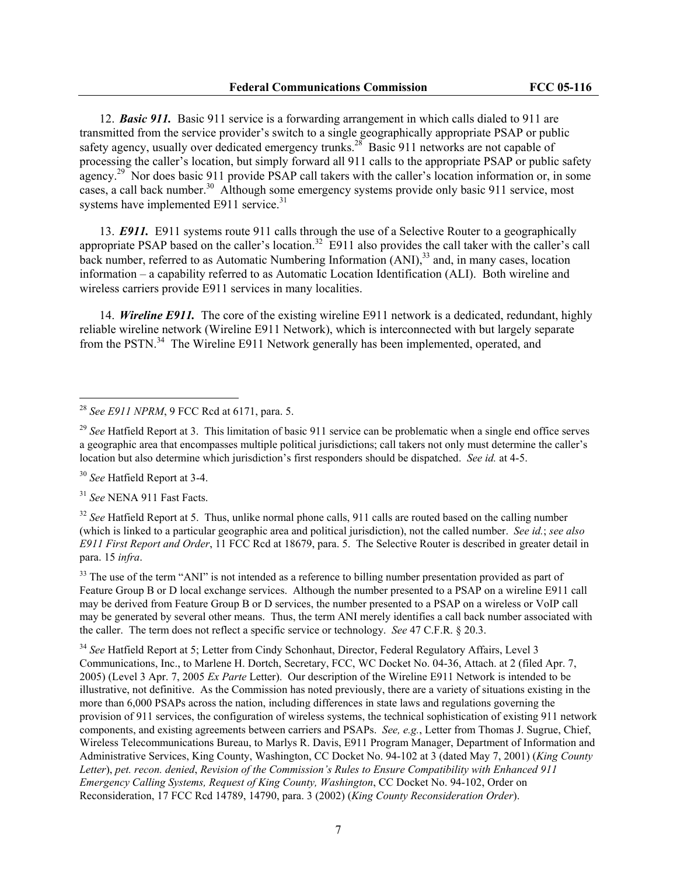12. *Basic 911.* Basic 911 service is a forwarding arrangement in which calls dialed to 911 are transmitted from the service provider's switch to a single geographically appropriate PSAP or public safety agency, usually over dedicated emergency trunks.<sup>28</sup> Basic 911 networks are not capable of processing the caller's location, but simply forward all 911 calls to the appropriate PSAP or public safety agency.<sup>29</sup> Nor does basic 911 provide PSAP call takers with the caller's location information or, in some cases, a call back number.<sup>30</sup> Although some emergency systems provide only basic 911 service, most systems have implemented E911 service.<sup>31</sup>

13. *E911.* E911 systems route 911 calls through the use of a Selective Router to a geographically appropriate PSAP based on the caller's location.<sup>32</sup> E911 also provides the call taker with the caller's call back number, referred to as Automatic Numbering Information  $(ANI)$ ,  $33$  and, in many cases, location information – a capability referred to as Automatic Location Identification (ALI). Both wireline and wireless carriers provide E911 services in many localities.

14. *Wireline E911.* The core of the existing wireline E911 network is a dedicated, redundant, highly reliable wireline network (Wireline E911 Network), which is interconnected with but largely separate from the PSTN.<sup>34</sup> The Wireline E911 Network generally has been implemented, operated, and

<sup>30</sup> *See* Hatfield Report at 3-4.

 $\overline{a}$ 

<sup>31</sup> *See* NENA 911 Fast Facts.

<sup>32</sup> See Hatfield Report at 5. Thus, unlike normal phone calls, 911 calls are routed based on the calling number (which is linked to a particular geographic area and political jurisdiction), not the called number. *See id.*; *see also E911 First Report and Order*, 11 FCC Rcd at 18679, para. 5. The Selective Router is described in greater detail in para. 15 *infra*.

 $33$  The use of the term "ANI" is not intended as a reference to billing number presentation provided as part of Feature Group B or D local exchange services. Although the number presented to a PSAP on a wireline E911 call may be derived from Feature Group B or D services, the number presented to a PSAP on a wireless or VoIP call may be generated by several other means. Thus, the term ANI merely identifies a call back number associated with the caller. The term does not reflect a specific service or technology. *See* 47 C.F.R. § 20.3.

<sup>34</sup> *See* Hatfield Report at 5; Letter from Cindy Schonhaut, Director, Federal Regulatory Affairs, Level 3 Communications, Inc., to Marlene H. Dortch, Secretary, FCC, WC Docket No. 04-36, Attach. at 2 (filed Apr. 7, 2005) (Level 3 Apr. 7, 2005 *Ex Parte* Letter). Our description of the Wireline E911 Network is intended to be illustrative, not definitive. As the Commission has noted previously, there are a variety of situations existing in the more than 6,000 PSAPs across the nation, including differences in state laws and regulations governing the provision of 911 services, the configuration of wireless systems, the technical sophistication of existing 911 network components, and existing agreements between carriers and PSAPs. *See, e.g.*, Letter from Thomas J. Sugrue, Chief, Wireless Telecommunications Bureau, to Marlys R. Davis, E911 Program Manager, Department of Information and Administrative Services, King County, Washington, CC Docket No. 94-102 at 3 (dated May 7, 2001) (*King County Letter*), *pet. recon. denied*, *Revision of the Commission's Rules to Ensure Compatibility with Enhanced 911 Emergency Calling Systems, Request of King County, Washington*, CC Docket No. 94-102, Order on Reconsideration, 17 FCC Rcd 14789, 14790, para. 3 (2002) (*King County Reconsideration Order*).

<sup>28</sup> *See E911 NPRM*, 9 FCC Rcd at 6171, para. 5.

<sup>&</sup>lt;sup>29</sup> See Hatfield Report at 3. This limitation of basic 911 service can be problematic when a single end office serves a geographic area that encompasses multiple political jurisdictions; call takers not only must determine the caller's location but also determine which jurisdiction's first responders should be dispatched. *See id.* at 4-5.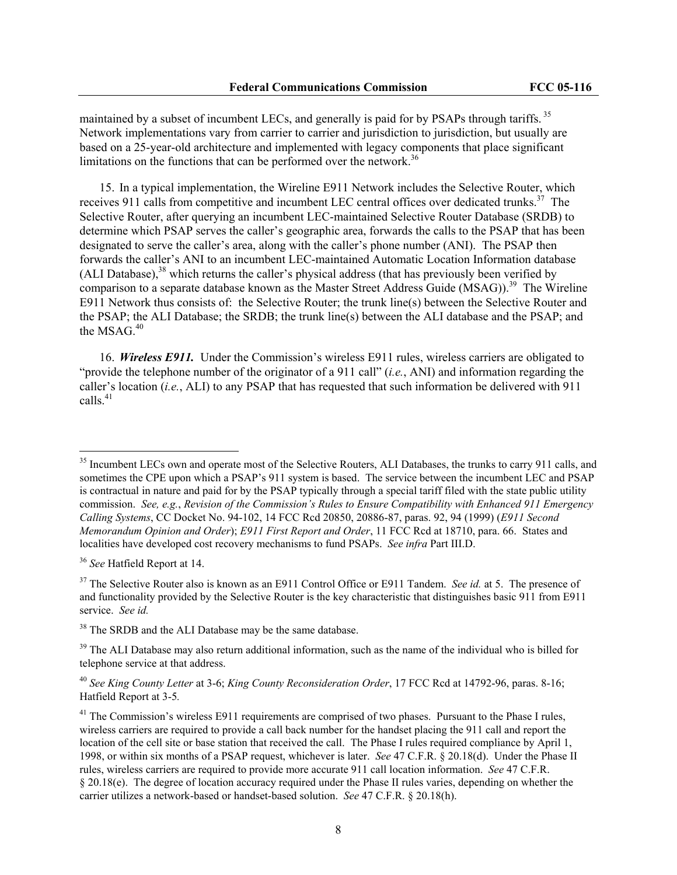maintained by a subset of incumbent LECs, and generally is paid for by PSAPs through tariffs.<sup>35</sup> Network implementations vary from carrier to carrier and jurisdiction to jurisdiction, but usually are based on a 25-year-old architecture and implemented with legacy components that place significant limitations on the functions that can be performed over the network.<sup>36</sup>

15. In a typical implementation, the Wireline E911 Network includes the Selective Router, which receives 911 calls from competitive and incumbent LEC central offices over dedicated trunks.<sup>37</sup> The Selective Router, after querying an incumbent LEC-maintained Selective Router Database (SRDB) to determine which PSAP serves the caller's geographic area, forwards the calls to the PSAP that has been designated to serve the caller's area, along with the caller's phone number (ANI). The PSAP then forwards the caller's ANI to an incumbent LEC-maintained Automatic Location Information database (ALI Database),  $38$  which returns the caller's physical address (that has previously been verified by comparison to a separate database known as the Master Street Address Guide (MSAG)).<sup>39</sup> The Wireline E911 Network thus consists of: the Selective Router; the trunk line(s) between the Selective Router and the PSAP; the ALI Database; the SRDB; the trunk line(s) between the ALI database and the PSAP; and the MSAG.<sup>40</sup>

16. *Wireless E911.* Under the Commission's wireless E911 rules, wireless carriers are obligated to "provide the telephone number of the originator of a 911 call" (*i.e.*, ANI) and information regarding the caller's location (*i.e.*, ALI) to any PSAP that has requested that such information be delivered with 911 calls. $41$ 

<sup>&</sup>lt;sup>35</sup> Incumbent LECs own and operate most of the Selective Routers, ALI Databases, the trunks to carry 911 calls, and sometimes the CPE upon which a PSAP's 911 system is based. The service between the incumbent LEC and PSAP is contractual in nature and paid for by the PSAP typically through a special tariff filed with the state public utility commission. *See, e.g.*, *Revision of the Commission's Rules to Ensure Compatibility with Enhanced 911 Emergency Calling Systems*, CC Docket No. 94-102, 14 FCC Rcd 20850, 20886-87, paras. 92, 94 (1999) (*E911 Second Memorandum Opinion and Order*); *E911 First Report and Order*, 11 FCC Rcd at 18710, para. 66. States and localities have developed cost recovery mechanisms to fund PSAPs. *See infra* Part III.D.

<sup>36</sup> *See* Hatfield Report at 14.

<sup>&</sup>lt;sup>37</sup> The Selective Router also is known as an E911 Control Office or E911 Tandem. *See id.* at 5. The presence of and functionality provided by the Selective Router is the key characteristic that distinguishes basic 911 from E911 service. *See id.*

<sup>&</sup>lt;sup>38</sup> The SRDB and the ALI Database may be the same database.

<sup>&</sup>lt;sup>39</sup> The ALI Database may also return additional information, such as the name of the individual who is billed for telephone service at that address.

<sup>40</sup> *See King County Letter* at 3-6; *King County Reconsideration Order*, 17 FCC Rcd at 14792-96, paras. 8-16; Hatfield Report at 3-5*.*

<sup>&</sup>lt;sup>41</sup> The Commission's wireless E911 requirements are comprised of two phases. Pursuant to the Phase I rules, wireless carriers are required to provide a call back number for the handset placing the 911 call and report the location of the cell site or base station that received the call. The Phase I rules required compliance by April 1, 1998, or within six months of a PSAP request, whichever is later. *See* 47 C.F.R. § 20.18(d). Under the Phase II rules, wireless carriers are required to provide more accurate 911 call location information. *See* 47 C.F.R. § 20.18(e). The degree of location accuracy required under the Phase II rules varies, depending on whether the carrier utilizes a network-based or handset-based solution. *See* 47 C.F.R. § 20.18(h).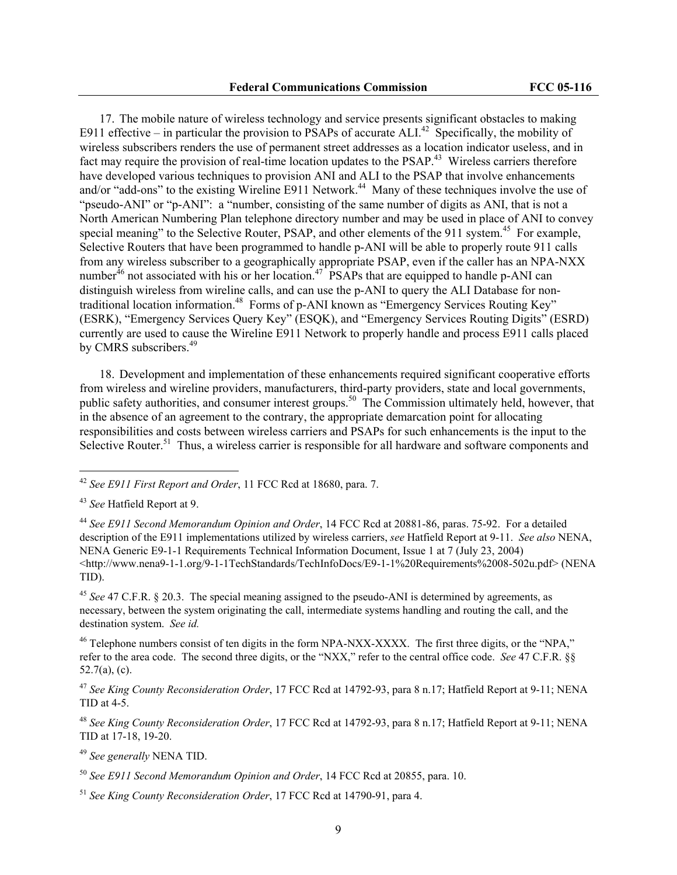17. The mobile nature of wireless technology and service presents significant obstacles to making E911 effective – in particular the provision to PSAPs of accurate ALI.<sup>42</sup> Specifically, the mobility of wireless subscribers renders the use of permanent street addresses as a location indicator useless, and in fact may require the provision of real-time location updates to the PSAP.<sup>43</sup> Wireless carriers therefore have developed various techniques to provision ANI and ALI to the PSAP that involve enhancements and/or "add-ons" to the existing Wireline E911 Network.<sup>44</sup> Many of these techniques involve the use of "pseudo-ANI" or "p-ANI": a "number, consisting of the same number of digits as ANI, that is not a North American Numbering Plan telephone directory number and may be used in place of ANI to convey special meaning" to the Selective Router, PSAP, and other elements of the 911 system.<sup>45</sup> For example, Selective Routers that have been programmed to handle p-ANI will be able to properly route 911 calls from any wireless subscriber to a geographically appropriate PSAP, even if the caller has an NPA-NXX number $46$  not associated with his or her location.<sup>47</sup> PSAPs that are equipped to handle p-ANI can distinguish wireless from wireline calls, and can use the p-ANI to query the ALI Database for nontraditional location information.<sup>48</sup> Forms of p-ANI known as "Emergency Services Routing Key" (ESRK), "Emergency Services Query Key" (ESQK), and "Emergency Services Routing Digits" (ESRD) currently are used to cause the Wireline E911 Network to properly handle and process E911 calls placed by CMRS subscribers.<sup>49</sup>

18. Development and implementation of these enhancements required significant cooperative efforts from wireless and wireline providers, manufacturers, third-party providers, state and local governments, public safety authorities, and consumer interest groups.<sup>50</sup> The Commission ultimately held, however, that in the absence of an agreement to the contrary, the appropriate demarcation point for allocating responsibilities and costs between wireless carriers and PSAPs for such enhancements is the input to the Selective Router.<sup>51</sup> Thus, a wireless carrier is responsible for all hardware and software components and

<sup>42</sup> *See E911 First Report and Order*, 11 FCC Rcd at 18680, para. 7.

<sup>43</sup> *See* Hatfield Report at 9.

<sup>44</sup> *See E911 Second Memorandum Opinion and Order*, 14 FCC Rcd at 20881-86, paras. 75-92. For a detailed description of the E911 implementations utilized by wireless carriers, *see* Hatfield Report at 9-11. *See also* NENA, NENA Generic E9-1-1 Requirements Technical Information Document, Issue 1 at 7 (July 23, 2004) <http://www.nena9-1-1.org/9-1-1TechStandards/TechInfoDocs/E9-1-1%20Requirements%2008-502u.pdf> (NENA TID).

<sup>45</sup> *See* 47 C.F.R. § 20.3. The special meaning assigned to the pseudo-ANI is determined by agreements, as necessary, between the system originating the call, intermediate systems handling and routing the call, and the destination system. *See id.*

<sup>&</sup>lt;sup>46</sup> Telephone numbers consist of ten digits in the form NPA-NXX-XXXX. The first three digits, or the "NPA," refer to the area code. The second three digits, or the "NXX," refer to the central office code. *See* 47 C.F.R. §§ 52.7(a), (c).

<sup>47</sup> *See King County Reconsideration Order*, 17 FCC Rcd at 14792-93, para 8 n.17; Hatfield Report at 9-11; NENA TID at 4-5.

<sup>48</sup> *See King County Reconsideration Order*, 17 FCC Rcd at 14792-93, para 8 n.17; Hatfield Report at 9-11; NENA TID at 17-18, 19-20.

<sup>49</sup> *See generally* NENA TID.

<sup>50</sup> *See E911 Second Memorandum Opinion and Order*, 14 FCC Rcd at 20855, para. 10.

<sup>51</sup> *See King County Reconsideration Order*, 17 FCC Rcd at 14790-91, para 4.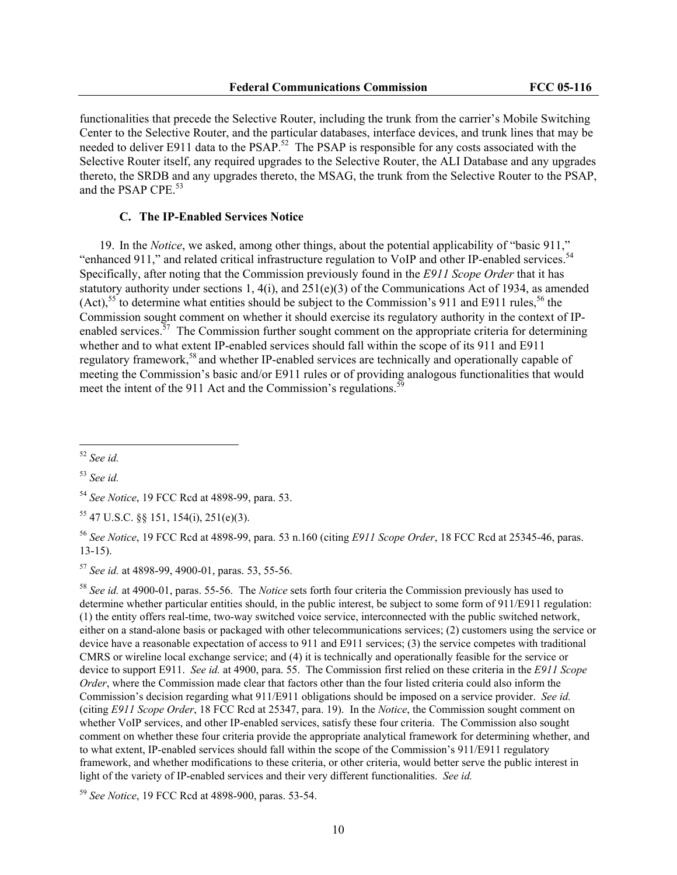functionalities that precede the Selective Router, including the trunk from the carrier's Mobile Switching Center to the Selective Router, and the particular databases, interface devices, and trunk lines that may be needed to deliver E911 data to the PSAP.<sup>52</sup> The PSAP is responsible for any costs associated with the Selective Router itself, any required upgrades to the Selective Router, the ALI Database and any upgrades thereto, the SRDB and any upgrades thereto, the MSAG, the trunk from the Selective Router to the PSAP, and the PSAP CPE.<sup>53</sup>

#### **C. The IP-Enabled Services Notice**

19. In the *Notice*, we asked, among other things, about the potential applicability of "basic 911," "enhanced 911," and related critical infrastructure regulation to VoIP and other IP-enabled services.<sup>54</sup> Specifically, after noting that the Commission previously found in the *E911 Scope Order* that it has statutory authority under sections 1, 4(i), and  $251(e)(3)$  of the Communications Act of 1934, as amended  $(Act)$ ,<sup>55</sup> to determine what entities should be subject to the Commission's 911 and E911 rules,<sup>56</sup> the Commission sought comment on whether it should exercise its regulatory authority in the context of IPenabled services.<sup> $57$ </sup> The Commission further sought comment on the appropriate criteria for determining whether and to what extent IP-enabled services should fall within the scope of its 911 and E911 regulatory framework,<sup>58</sup> and whether IP-enabled services are technically and operationally capable of meeting the Commission's basic and/or E911 rules or of providing analogous functionalities that would meet the intent of the 911 Act and the Commission's regulations.<sup>59</sup>

 $\overline{a}$ 

<sup>57</sup> *See id.* at 4898-99, 4900-01, paras. 53, 55-56.

<sup>58</sup> *See id.* at 4900-01, paras. 55-56. The *Notice* sets forth four criteria the Commission previously has used to determine whether particular entities should, in the public interest, be subject to some form of 911/E911 regulation: (1) the entity offers real-time, two-way switched voice service, interconnected with the public switched network, either on a stand-alone basis or packaged with other telecommunications services; (2) customers using the service or device have a reasonable expectation of access to 911 and E911 services; (3) the service competes with traditional CMRS or wireline local exchange service; and (4) it is technically and operationally feasible for the service or device to support E911. *See id.* at 4900, para. 55. The Commission first relied on these criteria in the *E911 Scope Order*, where the Commission made clear that factors other than the four listed criteria could also inform the Commission's decision regarding what 911/E911 obligations should be imposed on a service provider. *See id.* (citing *E911 Scope Order*, 18 FCC Rcd at 25347, para. 19). In the *Notice*, the Commission sought comment on whether VoIP services, and other IP-enabled services, satisfy these four criteria. The Commission also sought comment on whether these four criteria provide the appropriate analytical framework for determining whether, and to what extent, IP-enabled services should fall within the scope of the Commission's 911/E911 regulatory framework, and whether modifications to these criteria, or other criteria, would better serve the public interest in light of the variety of IP-enabled services and their very different functionalities. *See id.*

<sup>52</sup> *See id.*

<sup>53</sup> *See id.*

<sup>54</sup> *See Notice*, 19 FCC Rcd at 4898-99, para. 53.

 $55$  47 U.S.C. §§ 151, 154(i), 251(e)(3).

<sup>56</sup> *See Notice*, 19 FCC Rcd at 4898-99, para. 53 n.160 (citing *E911 Scope Order*, 18 FCC Rcd at 25345-46, paras. 13-15).

<sup>59</sup> *See Notice*, 19 FCC Rcd at 4898-900, paras. 53-54.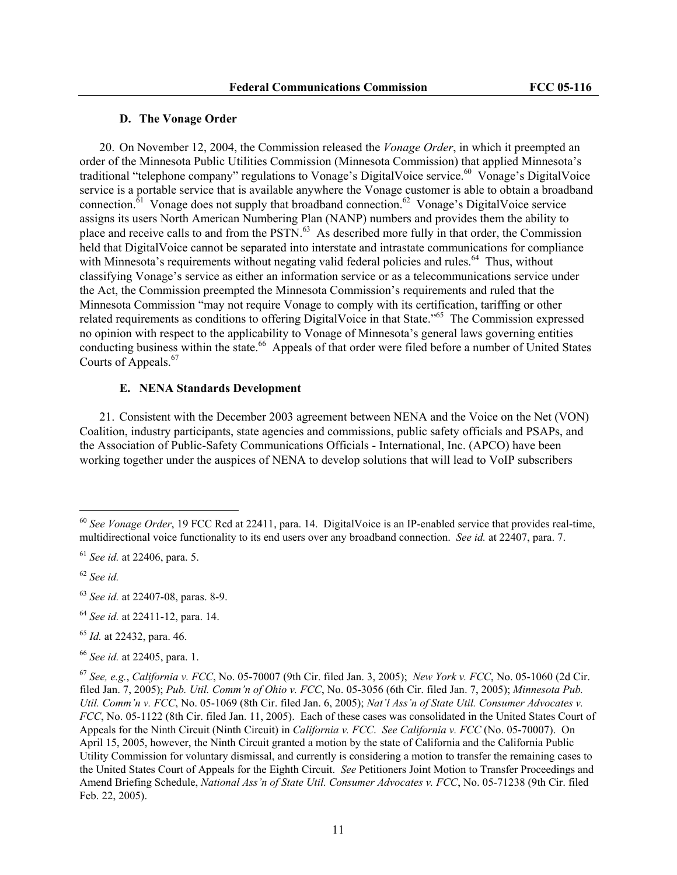#### **D. The Vonage Order**

20. On November 12, 2004, the Commission released the *Vonage Order*, in which it preempted an order of the Minnesota Public Utilities Commission (Minnesota Commission) that applied Minnesota's traditional "telephone company" regulations to Vonage's DigitalVoice service.<sup>60</sup> Vonage's DigitalVoice service is a portable service that is available anywhere the Vonage customer is able to obtain a broadband connection.<sup>61</sup> Vonage does not supply that broadband connection.<sup>62</sup> Vonage's DigitalVoice service assigns its users North American Numbering Plan (NANP) numbers and provides them the ability to place and receive calls to and from the PSTN.<sup>63</sup> As described more fully in that order, the Commission held that DigitalVoice cannot be separated into interstate and intrastate communications for compliance with Minnesota's requirements without negating valid federal policies and rules.<sup>64</sup> Thus, without classifying Vonage's service as either an information service or as a telecommunications service under the Act, the Commission preempted the Minnesota Commission's requirements and ruled that the Minnesota Commission "may not require Vonage to comply with its certification, tariffing or other related requirements as conditions to offering DigitalVoice in that State."65 The Commission expressed no opinion with respect to the applicability to Vonage of Minnesota's general laws governing entities conducting business within the state.<sup>66</sup> Appeals of that order were filed before a number of United States Courts of Appeals.<sup>67</sup>

## **E. NENA Standards Development**

21. Consistent with the December 2003 agreement between NENA and the Voice on the Net (VON) Coalition, industry participants, state agencies and commissions, public safety officials and PSAPs, and the Association of Public-Safety Communications Officials - International, Inc. (APCO) have been working together under the auspices of NENA to develop solutions that will lead to VoIP subscribers

<sup>60</sup> *See Vonage Order*, 19 FCC Rcd at 22411, para. 14. DigitalVoice is an IP-enabled service that provides real-time, multidirectional voice functionality to its end users over any broadband connection. *See id.* at 22407, para. 7.

<sup>61</sup> *See id.* at 22406, para. 5.

<sup>62</sup> *See id.*

<sup>63</sup> *See id.* at 22407-08, paras. 8-9.

<sup>64</sup> *See id.* at 22411-12, para. 14.

<sup>65</sup> *Id.* at 22432, para. 46.

<sup>66</sup> *See id.* at 22405, para. 1.

<sup>67</sup> *See, e.g.*, *California v. FCC*, No. 05-70007 (9th Cir. filed Jan. 3, 2005); *New York v. FCC*, No. 05-1060 (2d Cir. filed Jan. 7, 2005); *Pub. Util. Comm'n of Ohio v. FCC*, No. 05-3056 (6th Cir. filed Jan. 7, 2005); *Minnesota Pub. Util. Comm'n v. FCC*, No. 05-1069 (8th Cir. filed Jan. 6, 2005); *Nat'l Ass'n of State Util. Consumer Advocates v. FCC*, No. 05-1122 (8th Cir. filed Jan. 11, 2005). Each of these cases was consolidated in the United States Court of Appeals for the Ninth Circuit (Ninth Circuit) in *California v. FCC*. *See California v. FCC* (No. 05-70007). On April 15, 2005, however, the Ninth Circuit granted a motion by the state of California and the California Public Utility Commission for voluntary dismissal, and currently is considering a motion to transfer the remaining cases to the United States Court of Appeals for the Eighth Circuit. *See* Petitioners Joint Motion to Transfer Proceedings and Amend Briefing Schedule, *National Ass'n of State Util. Consumer Advocates v. FCC*, No. 05-71238 (9th Cir. filed Feb. 22, 2005).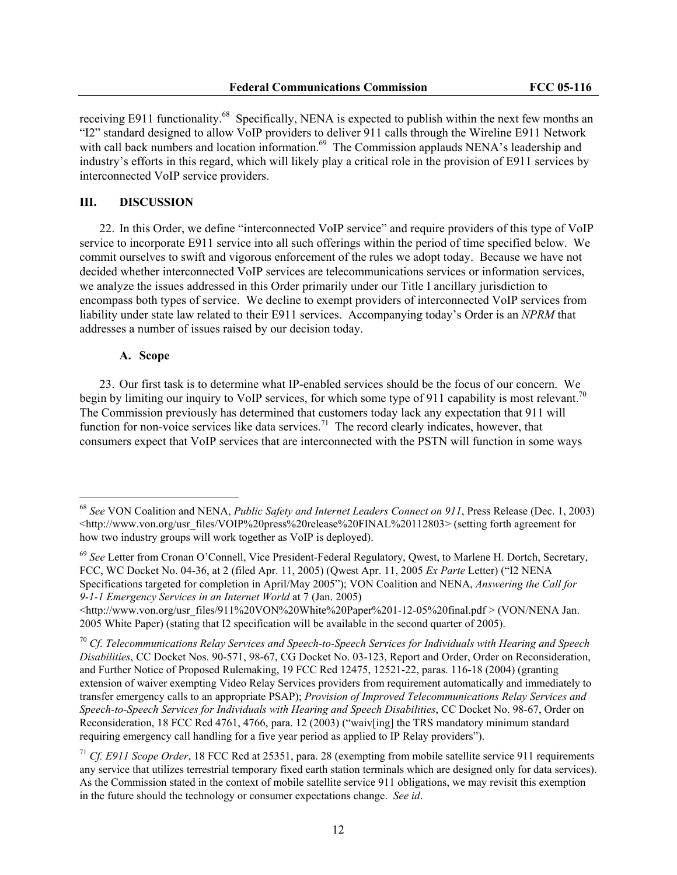receiving E911 functionality.<sup>68</sup> Specifically, NENA is expected to publish within the next few months an "I2" standard designed to allow VoIP providers to deliver 911 calls through the Wireline E911 Network with call back numbers and location information.<sup>69</sup> The Commission applauds NENA's leadership and industry's efforts in this regard, which will likely play a critical role in the provision of E911 services by interconnected VoIP service providers.

### **III. DISCUSSION**

22. In this Order, we define "interconnected VoIP service" and require providers of this type of VoIP service to incorporate E911 service into all such offerings within the period of time specified below. We commit ourselves to swift and vigorous enforcement of the rules we adopt today. Because we have not decided whether interconnected VoIP services are telecommunications services or information services, we analyze the issues addressed in this Order primarily under our Title I ancillary jurisdiction to encompass both types of service. We decline to exempt providers of interconnected VoIP services from liability under state law related to their E911 services. Accompanying today's Order is an *NPRM* that addresses a number of issues raised by our decision today.

#### **A. Scope**

 $\overline{a}$ 

23. Our first task is to determine what IP-enabled services should be the focus of our concern. We begin by limiting our inquiry to VoIP services, for which some type of 911 capability is most relevant.<sup>70</sup> The Commission previously has determined that customers today lack any expectation that 911 will function for non-voice services like data services.<sup>71</sup> The record clearly indicates, however, that consumers expect that VoIP services that are interconnected with the PSTN will function in some ways

<sup>68</sup> *See* VON Coalition and NENA, *Public Safety and Internet Leaders Connect on 911*, Press Release (Dec. 1, 2003) <http://www.von.org/usr\_files/VOIP%20press%20release%20FINAL%20112803> (setting forth agreement for how two industry groups will work together as VoIP is deployed).

<sup>69</sup> *See* Letter from Cronan O'Connell, Vice President-Federal Regulatory, Qwest, to Marlene H. Dortch, Secretary, FCC, WC Docket No. 04-36, at 2 (filed Apr. 11, 2005) (Qwest Apr. 11, 2005 *Ex Parte* Letter) ("I2 NENA Specifications targeted for completion in April/May 2005"); VON Coalition and NENA, *Answering the Call for 9-1-1 Emergency Services in an Internet World* at 7 (Jan. 2005)

<sup>&</sup>lt;http://www.von.org/usr\_files/911%20VON%20White%20Paper%201-12-05%20final.pdf > (VON/NENA Jan. 2005 White Paper) (stating that I2 specification will be available in the second quarter of 2005).

<sup>70</sup> *Cf*. *Telecommunications Relay Services and Speech-to-Speech Services for Individuals with Hearing and Speech Disabilities*, CC Docket Nos. 90-571, 98-67, CG Docket No. 03-123, Report and Order, Order on Reconsideration, and Further Notice of Proposed Rulemaking, 19 FCC Rcd 12475, 12521-22, paras. 116-18 (2004) (granting extension of waiver exempting Video Relay Services providers from requirement automatically and immediately to transfer emergency calls to an appropriate PSAP); *Provision of Improved Telecommunications Relay Services and Speech-to-Speech Services for Individuals with Hearing and Speech Disabilities*, CC Docket No. 98-67, Order on Reconsideration, 18 FCC Rcd 4761, 4766, para. 12 (2003) ("waiv[ing] the TRS mandatory minimum standard requiring emergency call handling for a five year period as applied to IP Relay providers").

<sup>71</sup> *Cf. E911 Scope Order*, 18 FCC Rcd at 25351, para. 28 (exempting from mobile satellite service 911 requirements any service that utilizes terrestrial temporary fixed earth station terminals which are designed only for data services). As the Commission stated in the context of mobile satellite service 911 obligations, we may revisit this exemption in the future should the technology or consumer expectations change. *See id*.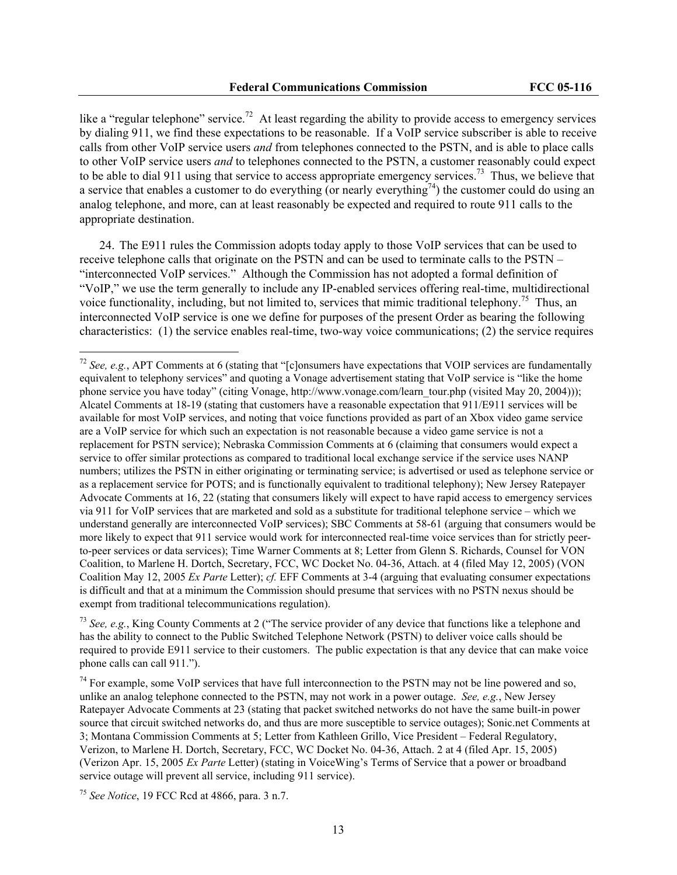like a "regular telephone" service.<sup>72</sup> At least regarding the ability to provide access to emergency services by dialing 911, we find these expectations to be reasonable. If a VoIP service subscriber is able to receive calls from other VoIP service users *and* from telephones connected to the PSTN, and is able to place calls to other VoIP service users *and* to telephones connected to the PSTN, a customer reasonably could expect to be able to dial 911 using that service to access appropriate emergency services.<sup>73</sup> Thus, we believe that a service that enables a customer to do everything (or nearly everything<sup>74</sup>) the customer could do using an analog telephone, and more, can at least reasonably be expected and required to route 911 calls to the appropriate destination.

24. The E911 rules the Commission adopts today apply to those VoIP services that can be used to receive telephone calls that originate on the PSTN and can be used to terminate calls to the PSTN – "interconnected VoIP services." Although the Commission has not adopted a formal definition of "VoIP," we use the term generally to include any IP-enabled services offering real-time, multidirectional voice functionality, including, but not limited to, services that mimic traditional telephony.<sup>75</sup> Thus, an interconnected VoIP service is one we define for purposes of the present Order as bearing the following characteristics: (1) the service enables real-time, two-way voice communications; (2) the service requires

<sup>73</sup> *See, e.g.*, King County Comments at 2 ("The service provider of any device that functions like a telephone and has the ability to connect to the Public Switched Telephone Network (PSTN) to deliver voice calls should be required to provide E911 service to their customers. The public expectation is that any device that can make voice phone calls can call 911.").

 $74$  For example, some VoIP services that have full interconnection to the PSTN may not be line powered and so, unlike an analog telephone connected to the PSTN, may not work in a power outage. *See, e.g.*, New Jersey Ratepayer Advocate Comments at 23 (stating that packet switched networks do not have the same built-in power source that circuit switched networks do, and thus are more susceptible to service outages); Sonic.net Comments at 3; Montana Commission Comments at 5; Letter from Kathleen Grillo, Vice President – Federal Regulatory, Verizon, to Marlene H. Dortch, Secretary, FCC, WC Docket No. 04-36, Attach. 2 at 4 (filed Apr. 15, 2005) (Verizon Apr. 15, 2005 *Ex Parte* Letter) (stating in VoiceWing's Terms of Service that a power or broadband service outage will prevent all service, including 911 service).

<sup>75</sup> *See Notice*, 19 FCC Rcd at 4866, para. 3 n.7.

<sup>72</sup> *See, e.g.*, APT Comments at 6 (stating that "[c]onsumers have expectations that VOIP services are fundamentally equivalent to telephony services" and quoting a Vonage advertisement stating that VoIP service is "like the home phone service you have today" (citing Vonage, http://www.vonage.com/learn\_tour.php (visited May 20, 2004))); Alcatel Comments at 18-19 (stating that customers have a reasonable expectation that 911/E911 services will be available for most VoIP services, and noting that voice functions provided as part of an Xbox video game service are a VoIP service for which such an expectation is not reasonable because a video game service is not a replacement for PSTN service); Nebraska Commission Comments at 6 (claiming that consumers would expect a service to offer similar protections as compared to traditional local exchange service if the service uses NANP numbers; utilizes the PSTN in either originating or terminating service; is advertised or used as telephone service or as a replacement service for POTS; and is functionally equivalent to traditional telephony); New Jersey Ratepayer Advocate Comments at 16, 22 (stating that consumers likely will expect to have rapid access to emergency services via 911 for VoIP services that are marketed and sold as a substitute for traditional telephone service – which we understand generally are interconnected VoIP services); SBC Comments at 58-61 (arguing that consumers would be more likely to expect that 911 service would work for interconnected real-time voice services than for strictly peerto-peer services or data services); Time Warner Comments at 8; Letter from Glenn S. Richards, Counsel for VON Coalition, to Marlene H. Dortch, Secretary, FCC, WC Docket No. 04-36, Attach. at 4 (filed May 12, 2005) (VON Coalition May 12, 2005 *Ex Parte* Letter); *cf.* EFF Comments at 3-4 (arguing that evaluating consumer expectations is difficult and that at a minimum the Commission should presume that services with no PSTN nexus should be exempt from traditional telecommunications regulation).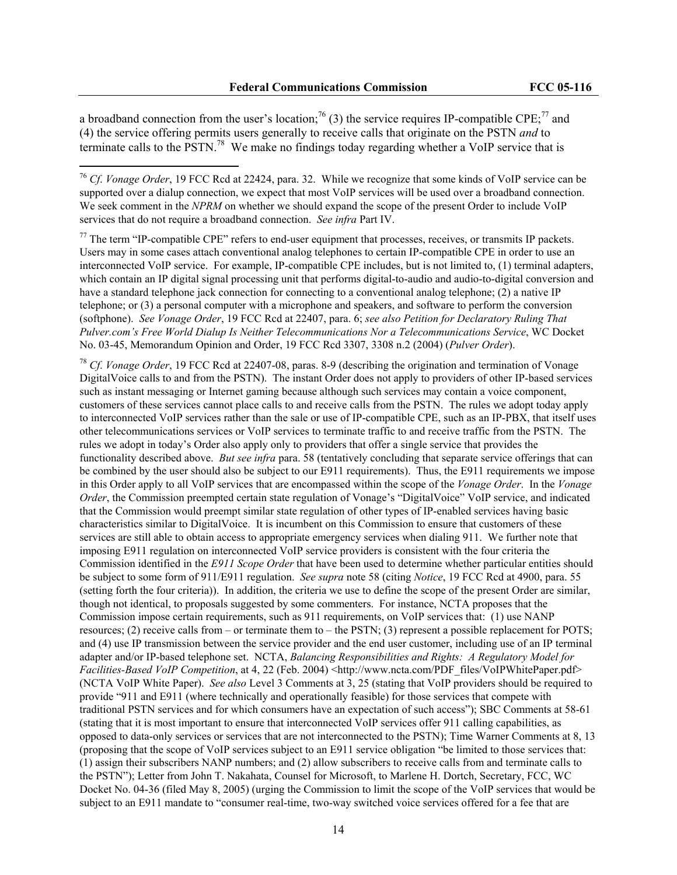a broadband connection from the user's location;<sup>76</sup> (3) the service requires IP-compatible CPE;<sup>77</sup> and (4) the service offering permits users generally to receive calls that originate on the PSTN *and* to terminate calls to the PSTN.78 We make no findings today regarding whether a VoIP service that is

 $\overline{a}$ 

 $77$  The term "IP-compatible CPE" refers to end-user equipment that processes, receives, or transmits IP packets. Users may in some cases attach conventional analog telephones to certain IP-compatible CPE in order to use an interconnected VoIP service. For example, IP-compatible CPE includes, but is not limited to, (1) terminal adapters, which contain an IP digital signal processing unit that performs digital-to-audio and audio-to-digital conversion and have a standard telephone jack connection for connecting to a conventional analog telephone; (2) a native IP telephone; or (3) a personal computer with a microphone and speakers, and software to perform the conversion (softphone). *See Vonage Order*, 19 FCC Rcd at 22407, para. 6; *see also Petition for Declaratory Ruling That Pulver.com's Free World Dialup Is Neither Telecommunications Nor a Telecommunications Service*, WC Docket No. 03-45, Memorandum Opinion and Order, 19 FCC Rcd 3307, 3308 n.2 (2004) (*Pulver Order*).

<sup>78</sup> *Cf*. *Vonage Order*, 19 FCC Rcd at 22407-08, paras. 8-9 (describing the origination and termination of Vonage DigitalVoice calls to and from the PSTN). The instant Order does not apply to providers of other IP-based services such as instant messaging or Internet gaming because although such services may contain a voice component, customers of these services cannot place calls to and receive calls from the PSTN. The rules we adopt today apply to interconnected VoIP services rather than the sale or use of IP-compatible CPE, such as an IP-PBX, that itself uses other telecommunications services or VoIP services to terminate traffic to and receive traffic from the PSTN. The rules we adopt in today's Order also apply only to providers that offer a single service that provides the functionality described above. *But see infra* para. 58 (tentatively concluding that separate service offerings that can be combined by the user should also be subject to our E911 requirements). Thus, the E911 requirements we impose in this Order apply to all VoIP services that are encompassed within the scope of the *Vonage Order*. In the *Vonage Order*, the Commission preempted certain state regulation of Vonage's "DigitalVoice" VoIP service, and indicated that the Commission would preempt similar state regulation of other types of IP-enabled services having basic characteristics similar to DigitalVoice. It is incumbent on this Commission to ensure that customers of these services are still able to obtain access to appropriate emergency services when dialing 911. We further note that imposing E911 regulation on interconnected VoIP service providers is consistent with the four criteria the Commission identified in the *E911 Scope Order* that have been used to determine whether particular entities should be subject to some form of 911/E911 regulation. *See supra* note 58 (citing *Notice*, 19 FCC Rcd at 4900, para. 55 (setting forth the four criteria)). In addition, the criteria we use to define the scope of the present Order are similar, though not identical, to proposals suggested by some commenters. For instance, NCTA proposes that the Commission impose certain requirements, such as 911 requirements, on VoIP services that: (1) use NANP resources; (2) receive calls from – or terminate them to – the PSTN; (3) represent a possible replacement for POTS; and (4) use IP transmission between the service provider and the end user customer, including use of an IP terminal adapter and/or IP-based telephone set. NCTA, *Balancing Responsibilities and Rights: A Regulatory Model for Facilities-Based VoIP Competition*, at 4, 22 (Feb. 2004) <http://www.ncta.com/PDF\_files/VoIPWhitePaper.pdf> (NCTA VoIP White Paper). *See also* Level 3 Comments at 3, 25 (stating that VoIP providers should be required to provide "911 and E911 (where technically and operationally feasible) for those services that compete with traditional PSTN services and for which consumers have an expectation of such access"); SBC Comments at 58-61 (stating that it is most important to ensure that interconnected VoIP services offer 911 calling capabilities, as opposed to data-only services or services that are not interconnected to the PSTN); Time Warner Comments at 8, 13 (proposing that the scope of VoIP services subject to an E911 service obligation "be limited to those services that: (1) assign their subscribers NANP numbers; and (2) allow subscribers to receive calls from and terminate calls to the PSTN"); Letter from John T. Nakahata, Counsel for Microsoft, to Marlene H. Dortch, Secretary, FCC, WC Docket No. 04-36 (filed May 8, 2005) (urging the Commission to limit the scope of the VoIP services that would be subject to an E911 mandate to "consumer real-time, two-way switched voice services offered for a fee that are

<sup>76</sup> *Cf*. *Vonage Order*, 19 FCC Rcd at 22424, para. 32. While we recognize that some kinds of VoIP service can be supported over a dialup connection, we expect that most VoIP services will be used over a broadband connection. We seek comment in the *NPRM* on whether we should expand the scope of the present Order to include VoIP services that do not require a broadband connection. *See infra* Part IV.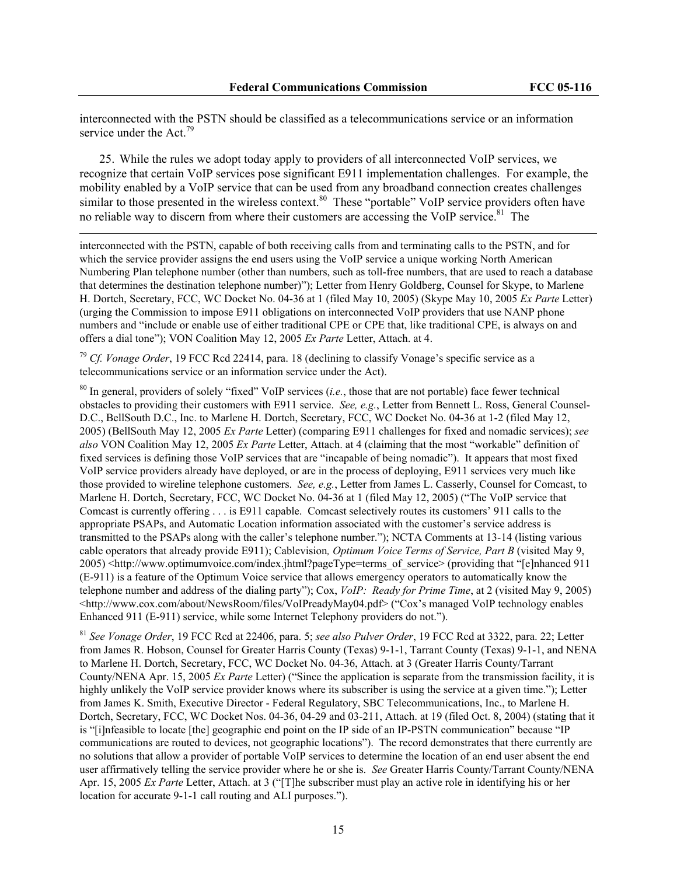interconnected with the PSTN should be classified as a telecommunications service or an information service under the Act.<sup>79</sup>

25. While the rules we adopt today apply to providers of all interconnected VoIP services, we recognize that certain VoIP services pose significant E911 implementation challenges. For example, the mobility enabled by a VoIP service that can be used from any broadband connection creates challenges similar to those presented in the wireless context.<sup>80</sup> These "portable" VoIP service providers often have no reliable way to discern from where their customers are accessing the VoIP service.<sup>81</sup> The

interconnected with the PSTN, capable of both receiving calls from and terminating calls to the PSTN, and for which the service provider assigns the end users using the VoIP service a unique working North American Numbering Plan telephone number (other than numbers, such as toll-free numbers, that are used to reach a database that determines the destination telephone number)"); Letter from Henry Goldberg, Counsel for Skype, to Marlene H. Dortch, Secretary, FCC, WC Docket No. 04-36 at 1 (filed May 10, 2005) (Skype May 10, 2005 *Ex Parte* Letter) (urging the Commission to impose E911 obligations on interconnected VoIP providers that use NANP phone numbers and "include or enable use of either traditional CPE or CPE that, like traditional CPE, is always on and offers a dial tone"); VON Coalition May 12, 2005 *Ex Parte* Letter, Attach. at 4.

<sup>79</sup> *Cf. Vonage Order*, 19 FCC Rcd 22414, para. 18 (declining to classify Vonage's specific service as a telecommunications service or an information service under the Act).

 $\overline{\phantom{a}}$ 

80 In general, providers of solely "fixed" VoIP services (*i.e.*, those that are not portable) face fewer technical obstacles to providing their customers with E911 service. *See, e.g.*, Letter from Bennett L. Ross, General Counsel-D.C., BellSouth D.C., Inc. to Marlene H. Dortch, Secretary, FCC, WC Docket No. 04-36 at 1-2 (filed May 12, 2005) (BellSouth May 12, 2005 *Ex Parte* Letter) (comparing E911 challenges for fixed and nomadic services); *see also* VON Coalition May 12, 2005 *Ex Parte* Letter, Attach. at 4 (claiming that the most "workable" definition of fixed services is defining those VoIP services that are "incapable of being nomadic"). It appears that most fixed VoIP service providers already have deployed, or are in the process of deploying, E911 services very much like those provided to wireline telephone customers. *See, e.g.*, Letter from James L. Casserly, Counsel for Comcast, to Marlene H. Dortch, Secretary, FCC, WC Docket No. 04-36 at 1 (filed May 12, 2005) ("The VoIP service that Comcast is currently offering . . . is E911 capable. Comcast selectively routes its customers' 911 calls to the appropriate PSAPs, and Automatic Location information associated with the customer's service address is transmitted to the PSAPs along with the caller's telephone number."); NCTA Comments at 13-14 (listing various cable operators that already provide E911); Cablevision*, Optimum Voice Terms of Service, Part B* (visited May 9, 2005) <http://www.optimumvoice.com/index.jhtml?pageType=terms\_of\_service> (providing that "[e]nhanced 911 (E-911) is a feature of the Optimum Voice service that allows emergency operators to automatically know the telephone number and address of the dialing party"); Cox, *VoIP: Ready for Prime Time*, at 2 (visited May 9, 2005) <http://www.cox.com/about/NewsRoom/files/VoIPreadyMay04.pdf> ("Cox's managed VoIP technology enables Enhanced 911 (E-911) service, while some Internet Telephony providers do not.").

<sup>81</sup> *See Vonage Order*, 19 FCC Rcd at 22406, para. 5; *see also Pulver Order*, 19 FCC Rcd at 3322, para. 22; Letter from James R. Hobson, Counsel for Greater Harris County (Texas) 9-1-1, Tarrant County (Texas) 9-1-1, and NENA to Marlene H. Dortch, Secretary, FCC, WC Docket No. 04-36, Attach. at 3 (Greater Harris County/Tarrant County/NENA Apr. 15, 2005 *Ex Parte* Letter) ("Since the application is separate from the transmission facility, it is highly unlikely the VoIP service provider knows where its subscriber is using the service at a given time."); Letter from James K. Smith, Executive Director - Federal Regulatory, SBC Telecommunications, Inc., to Marlene H. Dortch, Secretary, FCC, WC Docket Nos. 04-36, 04-29 and 03-211, Attach. at 19 (filed Oct. 8, 2004) (stating that it is "[i]nfeasible to locate [the] geographic end point on the IP side of an IP-PSTN communication" because "IP communications are routed to devices, not geographic locations"). The record demonstrates that there currently are no solutions that allow a provider of portable VoIP services to determine the location of an end user absent the end user affirmatively telling the service provider where he or she is. *See* Greater Harris County/Tarrant County/NENA Apr. 15, 2005 *Ex Parte* Letter, Attach. at 3 ("[T]he subscriber must play an active role in identifying his or her location for accurate 9-1-1 call routing and ALI purposes.").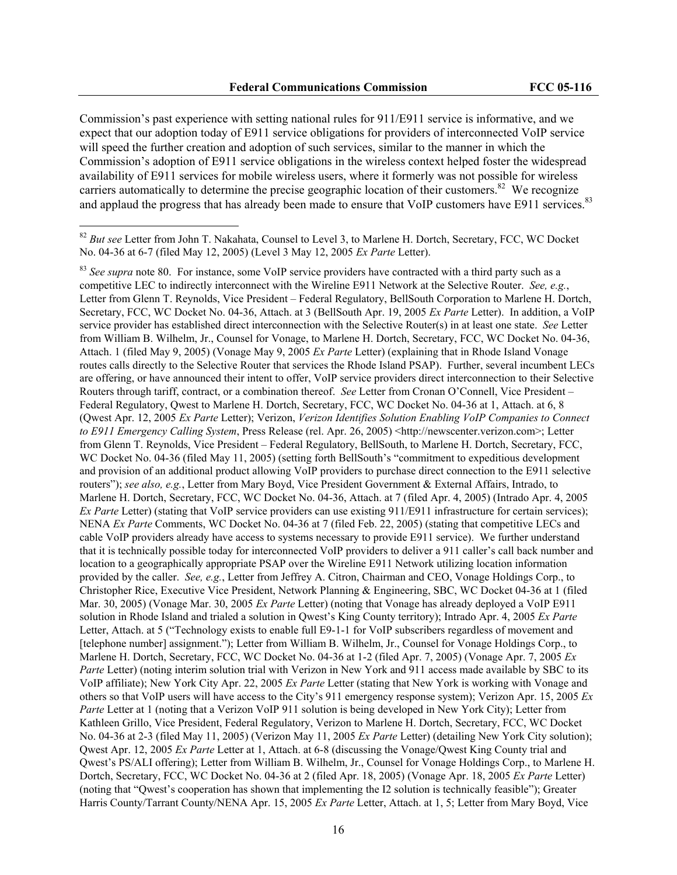Commission's past experience with setting national rules for 911/E911 service is informative, and we expect that our adoption today of E911 service obligations for providers of interconnected VoIP service will speed the further creation and adoption of such services, similar to the manner in which the Commission's adoption of E911 service obligations in the wireless context helped foster the widespread availability of E911 services for mobile wireless users, where it formerly was not possible for wireless carriers automatically to determine the precise geographic location of their customers.<sup>82</sup> We recognize and applaud the progress that has already been made to ensure that VoIP customers have E911 services.<sup>83</sup>

<sup>&</sup>lt;sup>82</sup> But see Letter from John T. Nakahata, Counsel to Level 3, to Marlene H. Dortch, Secretary, FCC, WC Docket No. 04-36 at 6-7 (filed May 12, 2005) (Level 3 May 12, 2005 *Ex Parte* Letter).

<sup>&</sup>lt;sup>83</sup> See supra note 80. For instance, some VoIP service providers have contracted with a third party such as a competitive LEC to indirectly interconnect with the Wireline E911 Network at the Selective Router. *See, e.g.*, Letter from Glenn T. Reynolds, Vice President – Federal Regulatory, BellSouth Corporation to Marlene H. Dortch, Secretary, FCC, WC Docket No. 04-36, Attach. at 3 (BellSouth Apr. 19, 2005 *Ex Parte* Letter). In addition, a VoIP service provider has established direct interconnection with the Selective Router(s) in at least one state. *See* Letter from William B. Wilhelm, Jr., Counsel for Vonage, to Marlene H. Dortch, Secretary, FCC, WC Docket No. 04-36, Attach. 1 (filed May 9, 2005) (Vonage May 9, 2005 *Ex Parte* Letter) (explaining that in Rhode Island Vonage routes calls directly to the Selective Router that services the Rhode Island PSAP). Further, several incumbent LECs are offering, or have announced their intent to offer, VoIP service providers direct interconnection to their Selective Routers through tariff, contract, or a combination thereof. *See* Letter from Cronan O'Connell, Vice President – Federal Regulatory, Qwest to Marlene H. Dortch, Secretary, FCC, WC Docket No. 04-36 at 1, Attach. at 6, 8 (Qwest Apr. 12, 2005 *Ex Parte* Letter); Verizon, *Verizon Identifies Solution Enabling VoIP Companies to Connect to E911 Emergency Calling System*, Press Release (rel. Apr. 26, 2005) <http://newscenter.verizon.com>; Letter from Glenn T. Reynolds, Vice President – Federal Regulatory, BellSouth, to Marlene H. Dortch, Secretary, FCC, WC Docket No. 04-36 (filed May 11, 2005) (setting forth BellSouth's "commitment to expeditious development" and provision of an additional product allowing VoIP providers to purchase direct connection to the E911 selective routers"); *see also, e.g.*, Letter from Mary Boyd, Vice President Government & External Affairs, Intrado, to Marlene H. Dortch, Secretary, FCC, WC Docket No. 04-36, Attach. at 7 (filed Apr. 4, 2005) (Intrado Apr. 4, 2005 *Ex Parte* Letter) (stating that VoIP service providers can use existing 911/E911 infrastructure for certain services); NENA *Ex Parte* Comments, WC Docket No. 04-36 at 7 (filed Feb. 22, 2005) (stating that competitive LECs and cable VoIP providers already have access to systems necessary to provide E911 service). We further understand that it is technically possible today for interconnected VoIP providers to deliver a 911 caller's call back number and location to a geographically appropriate PSAP over the Wireline E911 Network utilizing location information provided by the caller. *See, e.g.*, Letter from Jeffrey A. Citron, Chairman and CEO, Vonage Holdings Corp., to Christopher Rice, Executive Vice President, Network Planning & Engineering, SBC, WC Docket 04-36 at 1 (filed Mar. 30, 2005) (Vonage Mar. 30, 2005 *Ex Parte* Letter) (noting that Vonage has already deployed a VoIP E911 solution in Rhode Island and trialed a solution in Qwest's King County territory); Intrado Apr. 4, 2005 *Ex Parte* Letter, Attach. at 5 ("Technology exists to enable full E9-1-1 for VoIP subscribers regardless of movement and [telephone number] assignment."); Letter from William B. Wilhelm, Jr., Counsel for Vonage Holdings Corp., to Marlene H. Dortch, Secretary, FCC, WC Docket No. 04-36 at 1-2 (filed Apr. 7, 2005) (Vonage Apr. 7, 2005 *Ex Parte* Letter) (noting interim solution trial with Verizon in New York and 911 access made available by SBC to its VoIP affiliate); New York City Apr. 22, 2005 *Ex Parte* Letter (stating that New York is working with Vonage and others so that VoIP users will have access to the City's 911 emergency response system); Verizon Apr. 15, 2005 *Ex Parte* Letter at 1 (noting that a Verizon VoIP 911 solution is being developed in New York City); Letter from Kathleen Grillo, Vice President, Federal Regulatory, Verizon to Marlene H. Dortch, Secretary, FCC, WC Docket No. 04-36 at 2-3 (filed May 11, 2005) (Verizon May 11, 2005 *Ex Parte* Letter) (detailing New York City solution); Qwest Apr. 12, 2005 *Ex Parte* Letter at 1, Attach. at 6-8 (discussing the Vonage/Qwest King County trial and Qwest's PS/ALI offering); Letter from William B. Wilhelm, Jr., Counsel for Vonage Holdings Corp., to Marlene H. Dortch, Secretary, FCC, WC Docket No. 04-36 at 2 (filed Apr. 18, 2005) (Vonage Apr. 18, 2005 *Ex Parte* Letter) (noting that "Qwest's cooperation has shown that implementing the I2 solution is technically feasible"); Greater Harris County/Tarrant County/NENA Apr. 15, 2005 *Ex Parte* Letter, Attach. at 1, 5; Letter from Mary Boyd, Vice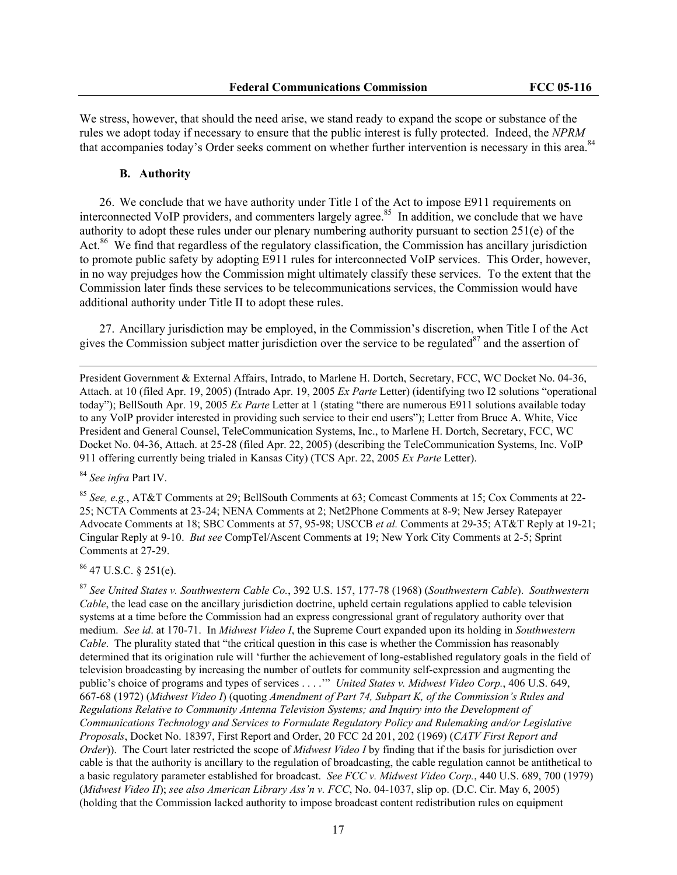We stress, however, that should the need arise, we stand ready to expand the scope or substance of the rules we adopt today if necessary to ensure that the public interest is fully protected. Indeed, the *NPRM* that accompanies today's Order seeks comment on whether further intervention is necessary in this area.<sup>84</sup>

#### **B. Authority**

26. We conclude that we have authority under Title I of the Act to impose E911 requirements on interconnected VoIP providers, and commenters largely agree.<sup>85</sup> In addition, we conclude that we have authority to adopt these rules under our plenary numbering authority pursuant to section 251(e) of the Act.<sup>86</sup> We find that regardless of the regulatory classification, the Commission has ancillary jurisdiction to promote public safety by adopting E911 rules for interconnected VoIP services. This Order, however, in no way prejudges how the Commission might ultimately classify these services. To the extent that the Commission later finds these services to be telecommunications services, the Commission would have additional authority under Title II to adopt these rules.

27. Ancillary jurisdiction may be employed, in the Commission's discretion, when Title I of the Act gives the Commission subject matter jurisdiction over the service to be regulated $^{87}$  and the assertion of

President Government & External Affairs, Intrado, to Marlene H. Dortch, Secretary, FCC, WC Docket No. 04-36, Attach. at 10 (filed Apr. 19, 2005) (Intrado Apr. 19, 2005 *Ex Parte* Letter) (identifying two I2 solutions "operational today"); BellSouth Apr. 19, 2005 *Ex Parte* Letter at 1 (stating "there are numerous E911 solutions available today to any VoIP provider interested in providing such service to their end users"); Letter from Bruce A. White, Vice President and General Counsel, TeleCommunication Systems, Inc., to Marlene H. Dortch, Secretary, FCC, WC Docket No. 04-36, Attach. at 25-28 (filed Apr. 22, 2005) (describing the TeleCommunication Systems, Inc. VoIP 911 offering currently being trialed in Kansas City) (TCS Apr. 22, 2005 *Ex Parte* Letter).

<sup>84</sup> *See infra* Part IV.

 $\overline{\phantom{a}}$ 

<sup>85</sup> *See, e.g.*, AT&T Comments at 29; BellSouth Comments at 63; Comcast Comments at 15; Cox Comments at 22- 25; NCTA Comments at 23-24; NENA Comments at 2; Net2Phone Comments at 8-9; New Jersey Ratepayer Advocate Comments at 18; SBC Comments at 57, 95-98; USCCB *et al.* Comments at 29-35; AT&T Reply at 19-21; Cingular Reply at 9-10. *But see* CompTel/Ascent Comments at 19; New York City Comments at 2-5; Sprint Comments at 27-29.

 $86$  47 U.S.C. § 251(e).

<sup>87</sup> *See United States v. Southwestern Cable Co.*, 392 U.S. 157, 177-78 (1968) (*Southwestern Cable*). *Southwestern Cable*, the lead case on the ancillary jurisdiction doctrine, upheld certain regulations applied to cable television systems at a time before the Commission had an express congressional grant of regulatory authority over that medium. *See id*. at 170-71. In *Midwest Video I*, the Supreme Court expanded upon its holding in *Southwestern Cable*. The plurality stated that "the critical question in this case is whether the Commission has reasonably determined that its origination rule will 'further the achievement of long-established regulatory goals in the field of television broadcasting by increasing the number of outlets for community self-expression and augmenting the public's choice of programs and types of services . . . .'" *United States v. Midwest Video Corp.*, 406 U.S. 649, 667-68 (1972) (*Midwest Video I*) (quoting *Amendment of Part 74, Subpart K, of the Commission's Rules and Regulations Relative to Community Antenna Television Systems; and Inquiry into the Development of Communications Technology and Services to Formulate Regulatory Policy and Rulemaking and/or Legislative Proposals*, Docket No. 18397, First Report and Order, 20 FCC 2d 201, 202 (1969) (*CATV First Report and Order*)). The Court later restricted the scope of *Midwest Video I* by finding that if the basis for jurisdiction over cable is that the authority is ancillary to the regulation of broadcasting, the cable regulation cannot be antithetical to a basic regulatory parameter established for broadcast. *See FCC v. Midwest Video Corp.*, 440 U.S. 689, 700 (1979) (*Midwest Video II*); *see also American Library Ass'n v. FCC*, No. 04-1037, slip op. (D.C. Cir. May 6, 2005) (holding that the Commission lacked authority to impose broadcast content redistribution rules on equipment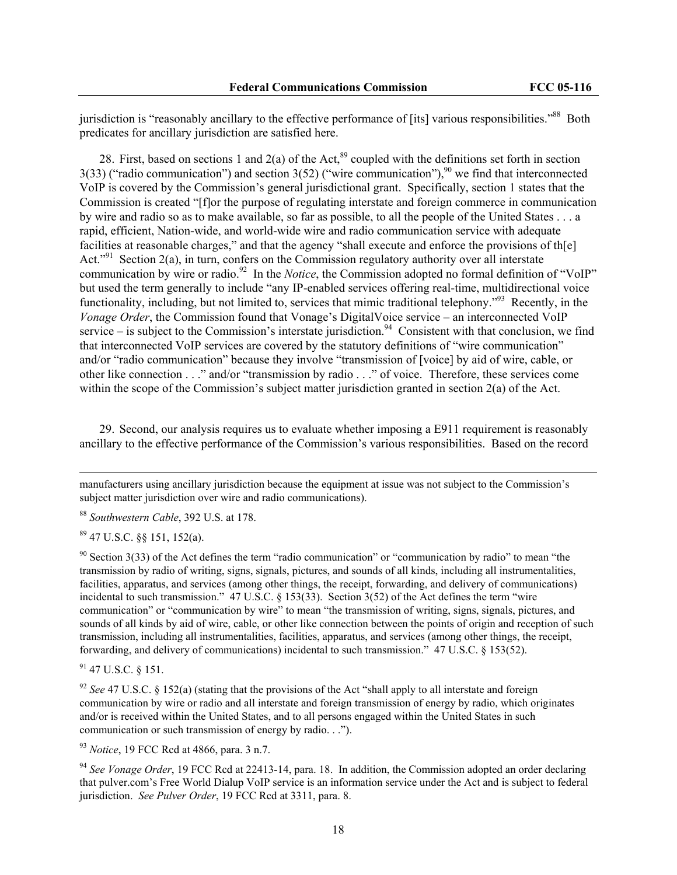jurisdiction is "reasonably ancillary to the effective performance of [its] various responsibilities."<sup>88</sup> Both predicates for ancillary jurisdiction are satisfied here.

28. First, based on sections 1 and 2(a) of the Act,<sup>89</sup> coupled with the definitions set forth in section 3(33) ("radio communication") and section  $3(52)$  ("wire communication"), <sup>90</sup> we find that interconnected VoIP is covered by the Commission's general jurisdictional grant. Specifically, section 1 states that the Commission is created "[f]or the purpose of regulating interstate and foreign commerce in communication by wire and radio so as to make available, so far as possible, to all the people of the United States . . . a rapid, efficient, Nation-wide, and world-wide wire and radio communication service with adequate facilities at reasonable charges," and that the agency "shall execute and enforce the provisions of th[e] Act."<sup>91</sup> Section 2(a), in turn, confers on the Commission regulatory authority over all interstate communication by wire or radio.<sup>92</sup> In the *Notice*, the Commission adopted no formal definition of "VoIP" but used the term generally to include "any IP-enabled services offering real-time, multidirectional voice functionality, including, but not limited to, services that mimic traditional telephony.<sup>"93</sup> Recently, in the *Vonage Order*, the Commission found that Vonage's DigitalVoice service – an interconnected VoIP service – is subject to the Commission's interstate jurisdiction.<sup>94</sup> Consistent with that conclusion, we find that interconnected VoIP services are covered by the statutory definitions of "wire communication" and/or "radio communication" because they involve "transmission of [voice] by aid of wire, cable, or other like connection . . ." and/or "transmission by radio . . ." of voice. Therefore, these services come within the scope of the Commission's subject matter jurisdiction granted in section 2(a) of the Act.

29. Second, our analysis requires us to evaluate whether imposing a E911 requirement is reasonably ancillary to the effective performance of the Commission's various responsibilities. Based on the record

manufacturers using ancillary jurisdiction because the equipment at issue was not subject to the Commission's subject matter jurisdiction over wire and radio communications).

<sup>88</sup> *Southwestern Cable*, 392 U.S. at 178.

89 47 U.S.C. §§ 151, 152(a).

 $\overline{\phantom{a}}$ 

 $90$  Section 3(33) of the Act defines the term "radio communication" or "communication by radio" to mean "the transmission by radio of writing, signs, signals, pictures, and sounds of all kinds, including all instrumentalities, facilities, apparatus, and services (among other things, the receipt, forwarding, and delivery of communications) incidental to such transmission." 47 U.S.C. § 153(33). Section 3(52) of the Act defines the term "wire communication" or "communication by wire" to mean "the transmission of writing, signs, signals, pictures, and sounds of all kinds by aid of wire, cable, or other like connection between the points of origin and reception of such transmission, including all instrumentalities, facilities, apparatus, and services (among other things, the receipt, forwarding, and delivery of communications) incidental to such transmission." 47 U.S.C. § 153(52).

91 47 U.S.C. § 151.

<sup>92</sup> *See* 47 U.S.C. § 152(a) (stating that the provisions of the Act "shall apply to all interstate and foreign communication by wire or radio and all interstate and foreign transmission of energy by radio, which originates and/or is received within the United States, and to all persons engaged within the United States in such communication or such transmission of energy by radio. . .").

<sup>93</sup> *Notice*, 19 FCC Rcd at 4866, para. 3 n.7.

<sup>94</sup> *See Vonage Order*, 19 FCC Rcd at 22413-14, para. 18.In addition, the Commission adopted an order declaring that pulver.com's Free World Dialup VoIP service is an information service under the Act and is subject to federal jurisdiction. *See Pulver Order*, 19 FCC Rcd at 3311, para. 8.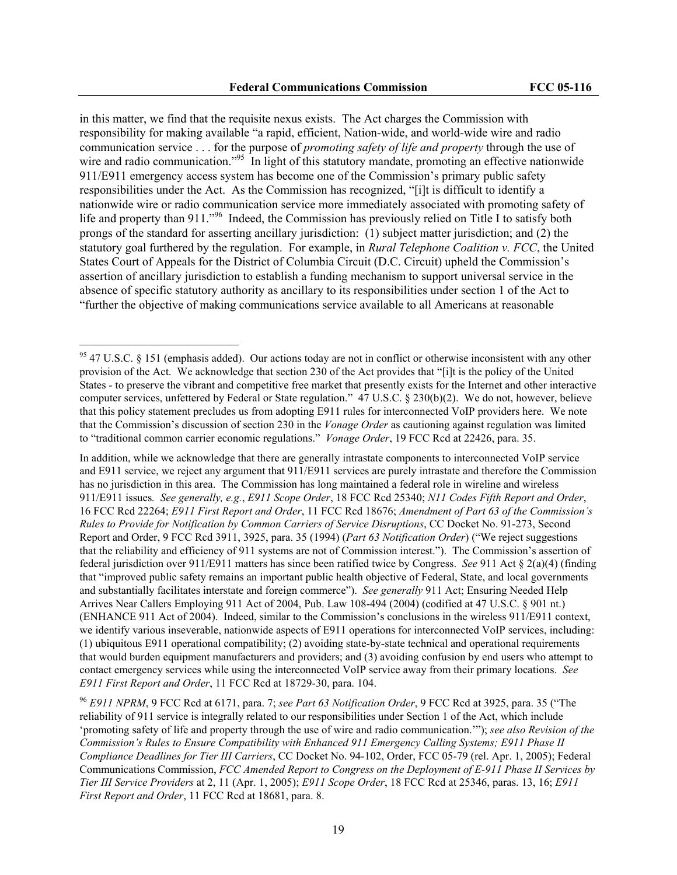in this matter, we find that the requisite nexus exists. The Act charges the Commission with responsibility for making available "a rapid, efficient, Nation-wide, and world-wide wire and radio communication service . . . for the purpose of *promoting safety of life and property* through the use of wire and radio communication.<sup>"95</sup> In light of this statutory mandate, promoting an effective nationwide 911/E911 emergency access system has become one of the Commission's primary public safety responsibilities under the Act. As the Commission has recognized, "[i]t is difficult to identify a nationwide wire or radio communication service more immediately associated with promoting safety of life and property than 911."<sup>96</sup> Indeed, the Commission has previously relied on Title I to satisfy both prongs of the standard for asserting ancillary jurisdiction: (1) subject matter jurisdiction; and (2) the statutory goal furthered by the regulation. For example, in *Rural Telephone Coalition v. FCC*, the United States Court of Appeals for the District of Columbia Circuit (D.C. Circuit) upheld the Commission's assertion of ancillary jurisdiction to establish a funding mechanism to support universal service in the absence of specific statutory authority as ancillary to its responsibilities under section 1 of the Act to "further the objective of making communications service available to all Americans at reasonable

 $\overline{a}$ 

In addition, while we acknowledge that there are generally intrastate components to interconnected VoIP service and E911 service, we reject any argument that 911/E911 services are purely intrastate and therefore the Commission has no jurisdiction in this area. The Commission has long maintained a federal role in wireline and wireless 911/E911 issues*. See generally, e.g.*, *E911 Scope Order*, 18 FCC Rcd 25340; *N11 Codes Fifth Report and Order*, 16 FCC Rcd 22264; *E911 First Report and Order*, 11 FCC Rcd 18676; *Amendment of Part 63 of the Commission's Rules to Provide for Notification by Common Carriers of Service Disruptions*, CC Docket No. 91-273, Second Report and Order, 9 FCC Rcd 3911, 3925, para. 35 (1994) (*Part 63 Notification Order*) ("We reject suggestions that the reliability and efficiency of 911 systems are not of Commission interest."). The Commission's assertion of federal jurisdiction over 911/E911 matters has since been ratified twice by Congress. *See* 911 Act § 2(a)(4) (finding that "improved public safety remains an important public health objective of Federal, State, and local governments and substantially facilitates interstate and foreign commerce"). *See generally* 911 Act; Ensuring Needed Help Arrives Near Callers Employing 911 Act of 2004, Pub. Law 108-494 (2004) (codified at 47 U.S.C. § 901 nt.) (ENHANCE 911 Act of 2004). Indeed, similar to the Commission's conclusions in the wireless 911/E911 context, we identify various inseverable, nationwide aspects of E911 operations for interconnected VoIP services, including: (1) ubiquitous E911 operational compatibility; (2) avoiding state-by-state technical and operational requirements that would burden equipment manufacturers and providers; and (3) avoiding confusion by end users who attempt to contact emergency services while using the interconnected VoIP service away from their primary locations. *See E911 First Report and Order*, 11 FCC Rcd at 18729-30, para. 104.

<sup>96</sup> *E911 NPRM*, 9 FCC Rcd at 6171, para. 7; *see Part 63 Notification Order*, 9 FCC Rcd at 3925, para. 35 ("The reliability of 911 service is integrally related to our responsibilities under Section 1 of the Act, which include 'promoting safety of life and property through the use of wire and radio communication.'"); *see also Revision of the Commission's Rules to Ensure Compatibility with Enhanced 911 Emergency Calling Systems; E911 Phase II Compliance Deadlines for Tier III Carriers*, CC Docket No. 94-102, Order, FCC 05-79 (rel. Apr. 1, 2005); Federal Communications Commission, *FCC Amended Report to Congress on the Deployment of E-911 Phase II Services by Tier III Service Providers* at 2, 11 (Apr. 1, 2005); *E911 Scope Order*, 18 FCC Rcd at 25346, paras. 13, 16; *E911 First Report and Order*, 11 FCC Rcd at 18681, para. 8.

<sup>&</sup>lt;sup>95</sup> 47 U.S.C. § 151 (emphasis added). Our actions today are not in conflict or otherwise inconsistent with any other provision of the Act. We acknowledge that section 230 of the Act provides that "[i]t is the policy of the United States - to preserve the vibrant and competitive free market that presently exists for the Internet and other interactive computer services, unfettered by Federal or State regulation." 47 U.S.C. § 230(b)(2). We do not, however, believe that this policy statement precludes us from adopting E911 rules for interconnected VoIP providers here. We note that the Commission's discussion of section 230 in the *Vonage Order* as cautioning against regulation was limited to "traditional common carrier economic regulations." *Vonage Order*, 19 FCC Rcd at 22426, para. 35.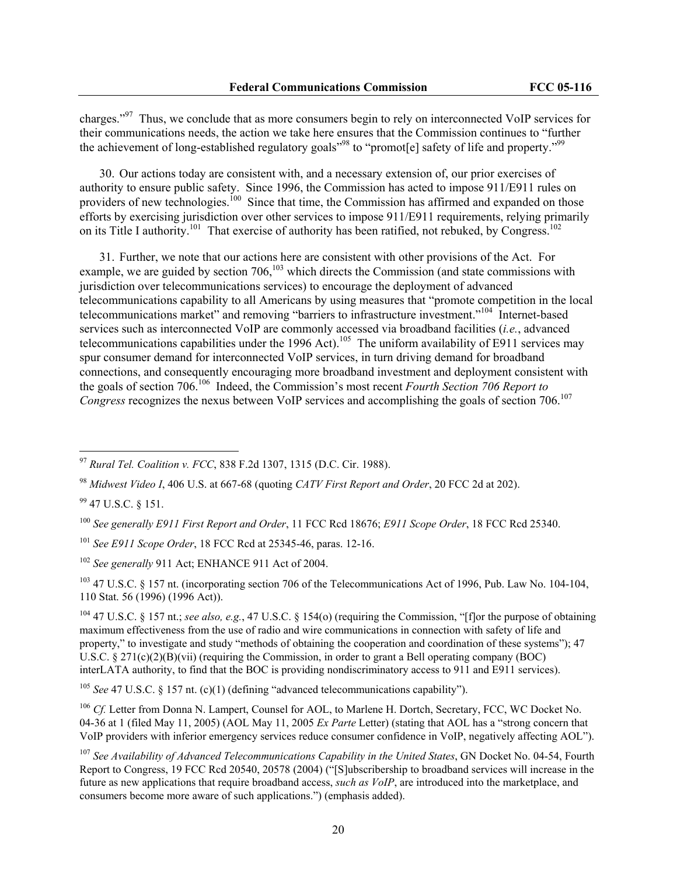charges."97 Thus, we conclude that as more consumers begin to rely on interconnected VoIP services for their communications needs, the action we take here ensures that the Commission continues to "further the achievement of long-established regulatory goals<sup>"98</sup> to "promot[e] safety of life and property."<sup>99</sup>

30. Our actions today are consistent with, and a necessary extension of, our prior exercises of authority to ensure public safety. Since 1996, the Commission has acted to impose 911/E911 rules on providers of new technologies.<sup>100</sup> Since that time, the Commission has affirmed and expanded on those efforts by exercising jurisdiction over other services to impose 911/E911 requirements, relying primarily on its Title I authority.<sup>101</sup> That exercise of authority has been ratified, not rebuked, by Congress.<sup>102</sup>

31. Further, we note that our actions here are consistent with other provisions of the Act. For example, we are guided by section  $706$ ,<sup>103</sup> which directs the Commission (and state commissions with jurisdiction over telecommunications services) to encourage the deployment of advanced telecommunications capability to all Americans by using measures that "promote competition in the local telecommunications market" and removing "barriers to infrastructure investment."104 Internet-based services such as interconnected VoIP are commonly accessed via broadband facilities (*i.e.*, advanced telecommunications capabilities under the 1996 Act).<sup>105</sup> The uniform availability of E911 services may spur consumer demand for interconnected VoIP services, in turn driving demand for broadband connections, and consequently encouraging more broadband investment and deployment consistent with the goals of section 706.106 Indeed, the Commission's most recent *Fourth Section 706 Report to Congress* recognizes the nexus between VoIP services and accomplishing the goals of section 706.<sup>107</sup>

99 47 U.S.C. § 151.

 $\overline{a}$ 

<sup>101</sup> *See E911 Scope Order*, 18 FCC Rcd at 25345-46, paras. 12-16.

<sup>102</sup> *See generally* 911 Act; ENHANCE 911 Act of 2004.

<sup>103</sup> 47 U.S.C. § 157 nt. (incorporating section 706 of the Telecommunications Act of 1996, Pub. Law No. 104-104, 110 Stat. 56 (1996) (1996 Act)).

104 47 U.S.C. § 157 nt.; *see also, e.g.*, 47 U.S.C. § 154(o) (requiring the Commission, "[f]or the purpose of obtaining maximum effectiveness from the use of radio and wire communications in connection with safety of life and property," to investigate and study "methods of obtaining the cooperation and coordination of these systems"); 47 U.S.C.  $\S 271(c)(2)(B)(vii)$  (requiring the Commission, in order to grant a Bell operating company (BOC) interLATA authority, to find that the BOC is providing nondiscriminatory access to 911 and E911 services).

<sup>105</sup> See 47 U.S.C. § 157 nt. (c)(1) (defining "advanced telecommunications capability").

<sup>106</sup> *Cf.* Letter from Donna N. Lampert, Counsel for AOL, to Marlene H. Dortch, Secretary, FCC, WC Docket No. 04-36 at 1 (filed May 11, 2005) (AOL May 11, 2005 *Ex Parte* Letter) (stating that AOL has a "strong concern that VoIP providers with inferior emergency services reduce consumer confidence in VoIP, negatively affecting AOL").

<sup>97</sup> *Rural Tel. Coalition v. FCC*, 838 F.2d 1307, 1315 (D.C. Cir. 1988).

<sup>98</sup> *Midwest Video I*, 406 U.S. at 667-68 (quoting *CATV First Report and Order*, 20 FCC 2d at 202).

<sup>100</sup> *See generally E911 First Report and Order*, 11 FCC Rcd 18676; *E911 Scope Order*, 18 FCC Rcd 25340.

<sup>107</sup> *See Availability of Advanced Telecommunications Capability in the United States*, GN Docket No. 04-54, Fourth Report to Congress, 19 FCC Rcd 20540, 20578 (2004) ("[S]ubscribership to broadband services will increase in the future as new applications that require broadband access, *such as VoIP*, are introduced into the marketplace, and consumers become more aware of such applications.") (emphasis added).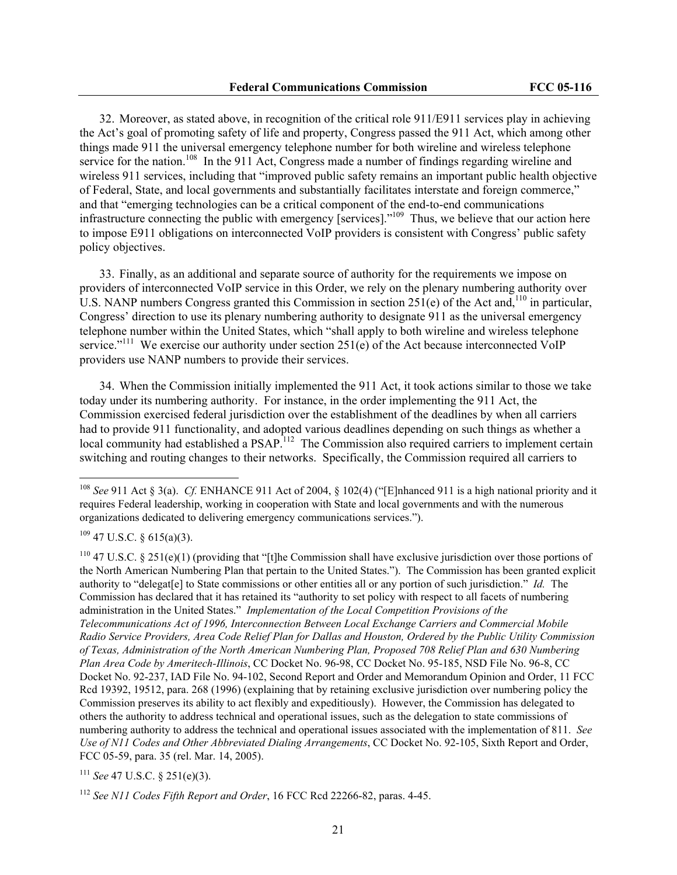32. Moreover, as stated above, in recognition of the critical role 911/E911 services play in achieving the Act's goal of promoting safety of life and property, Congress passed the 911 Act, which among other things made 911 the universal emergency telephone number for both wireline and wireless telephone service for the nation.<sup>108</sup> In the 911 Act, Congress made a number of findings regarding wireline and wireless 911 services, including that "improved public safety remains an important public health objective of Federal, State, and local governments and substantially facilitates interstate and foreign commerce," and that "emerging technologies can be a critical component of the end-to-end communications infrastructure connecting the public with emergency [services]."<sup>109</sup> Thus, we believe that our action here to impose E911 obligations on interconnected VoIP providers is consistent with Congress' public safety policy objectives.

33. Finally, as an additional and separate source of authority for the requirements we impose on providers of interconnected VoIP service in this Order, we rely on the plenary numbering authority over U.S. NANP numbers Congress granted this Commission in section  $251(e)$  of the Act and,<sup>110</sup> in particular, Congress' direction to use its plenary numbering authority to designate 911 as the universal emergency telephone number within the United States, which "shall apply to both wireline and wireless telephone service."<sup>111</sup> We exercise our authority under section  $251(e)$  of the Act because interconnected VoIP providers use NANP numbers to provide their services.

34. When the Commission initially implemented the 911 Act, it took actions similar to those we take today under its numbering authority. For instance, in the order implementing the 911 Act, the Commission exercised federal jurisdiction over the establishment of the deadlines by when all carriers had to provide 911 functionality, and adopted various deadlines depending on such things as whether a local community had established a PSAP.<sup>112</sup> The Commission also required carriers to implement certain switching and routing changes to their networks. Specifically, the Commission required all carriers to

 $109$  47 U.S.C. § 615(a)(3).

 $\overline{a}$ 

<sup>111</sup> *See* 47 U.S.C. § 251(e)(3).

<sup>108</sup> *See* 911 Act § 3(a). *Cf.* ENHANCE 911 Act of 2004, § 102(4) ("[E]nhanced 911 is a high national priority and it requires Federal leadership, working in cooperation with State and local governments and with the numerous organizations dedicated to delivering emergency communications services.").

<sup>110 47</sup> U.S.C. § 251(e)(1) (providing that "[t]he Commission shall have exclusive jurisdiction over those portions of the North American Numbering Plan that pertain to the United States."). The Commission has been granted explicit authority to "delegat[e] to State commissions or other entities all or any portion of such jurisdiction." *Id.* The Commission has declared that it has retained its "authority to set policy with respect to all facets of numbering administration in the United States." *Implementation of the Local Competition Provisions of the Telecommunications Act of 1996, Interconnection Between Local Exchange Carriers and Commercial Mobile Radio Service Providers, Area Code Relief Plan for Dallas and Houston, Ordered by the Public Utility Commission of Texas, Administration of the North American Numbering Plan, Proposed 708 Relief Plan and 630 Numbering Plan Area Code by Ameritech-Illinois*, CC Docket No. 96-98, CC Docket No. 95-185, NSD File No. 96-8, CC Docket No. 92-237, IAD File No. 94-102, Second Report and Order and Memorandum Opinion and Order, 11 FCC Rcd 19392, 19512, para. 268 (1996) (explaining that by retaining exclusive jurisdiction over numbering policy the Commission preserves its ability to act flexibly and expeditiously). However, the Commission has delegated to others the authority to address technical and operational issues, such as the delegation to state commissions of numbering authority to address the technical and operational issues associated with the implementation of 811. *See Use of N11 Codes and Other Abbreviated Dialing Arrangements*, CC Docket No. 92-105, Sixth Report and Order, FCC 05-59, para. 35 (rel. Mar. 14, 2005).

<sup>112</sup> *See N11 Codes Fifth Report and Order*, 16 FCC Rcd 22266-82, paras. 4-45.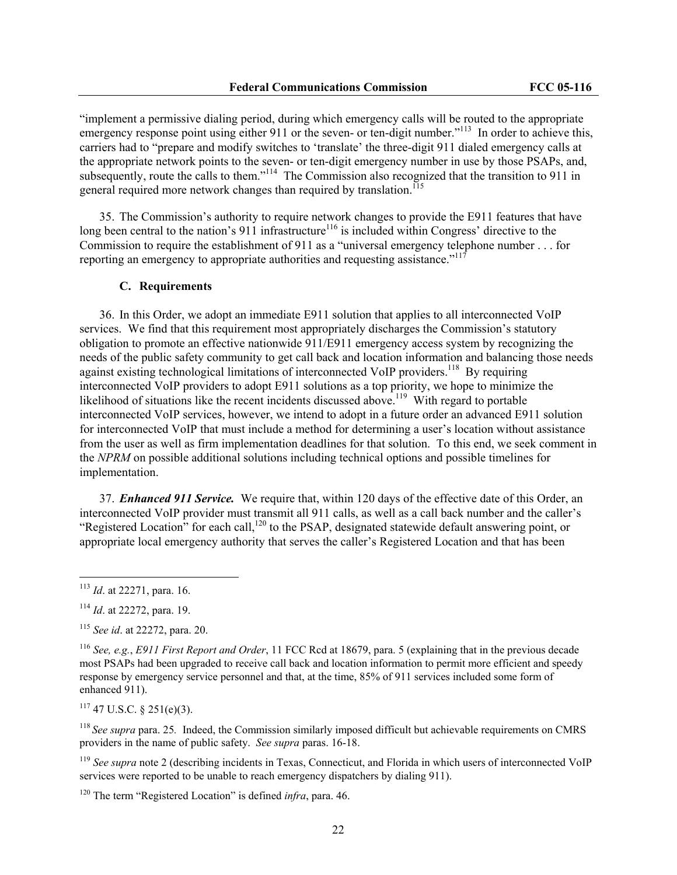"implement a permissive dialing period, during which emergency calls will be routed to the appropriate emergency response point using either 911 or the seven- or ten-digit number."<sup>113</sup> In order to achieve this, carriers had to "prepare and modify switches to 'translate' the three-digit 911 dialed emergency calls at the appropriate network points to the seven- or ten-digit emergency number in use by those PSAPs, and, subsequently, route the calls to them."<sup>114</sup> The Commission also recognized that the transition to 911 in general required more network changes than required by translation.<sup>115</sup>

35. The Commission's authority to require network changes to provide the E911 features that have long been central to the nation's 911 infrastructure<sup>116</sup> is included within Congress' directive to the Commission to require the establishment of 911 as a "universal emergency telephone number . . . for reporting an emergency to appropriate authorities and requesting assistance."<sup>11</sup>

## **C. Requirements**

36. In this Order, we adopt an immediate E911 solution that applies to all interconnected VoIP services. We find that this requirement most appropriately discharges the Commission's statutory obligation to promote an effective nationwide 911/E911 emergency access system by recognizing the needs of the public safety community to get call back and location information and balancing those needs against existing technological limitations of interconnected VoIP providers.<sup>118</sup> By requiring interconnected VoIP providers to adopt E911 solutions as a top priority, we hope to minimize the likelihood of situations like the recent incidents discussed above.<sup>119</sup> With regard to portable interconnected VoIP services, however, we intend to adopt in a future order an advanced E911 solution for interconnected VoIP that must include a method for determining a user's location without assistance from the user as well as firm implementation deadlines for that solution. To this end, we seek comment in the *NPRM* on possible additional solutions including technical options and possible timelines for implementation.

37. *Enhanced 911 Service.*We require that, within 120 days of the effective date of this Order, an interconnected VoIP provider must transmit all 911 calls, as well as a call back number and the caller's "Registered Location" for each call,<sup>120</sup> to the PSAP, designated statewide default answering point, or appropriate local emergency authority that serves the caller's Registered Location and that has been

 $\overline{a}$ 

 $117$  47 U.S.C. § 251(e)(3).

<sup>113</sup> *Id*. at 22271, para. 16.

<sup>114</sup> *Id*. at 22272, para. 19.

<sup>115</sup> *See id*. at 22272, para. 20.

<sup>116</sup> *See, e.g.*, *E911 First Report and Order*, 11 FCC Rcd at 18679, para. 5 (explaining that in the previous decade most PSAPs had been upgraded to receive call back and location information to permit more efficient and speedy response by emergency service personnel and that, at the time, 85% of 911 services included some form of enhanced 911).

<sup>&</sup>lt;sup>118</sup> See supra para. 25. Indeed, the Commission similarly imposed difficult but achievable requirements on CMRS providers in the name of public safety. *See supra* paras. 16-18.

<sup>&</sup>lt;sup>119</sup> See supra note 2 (describing incidents in Texas, Connecticut, and Florida in which users of interconnected VoIP services were reported to be unable to reach emergency dispatchers by dialing 911).

<sup>120</sup> The term "Registered Location" is defined *infra*, para. 46.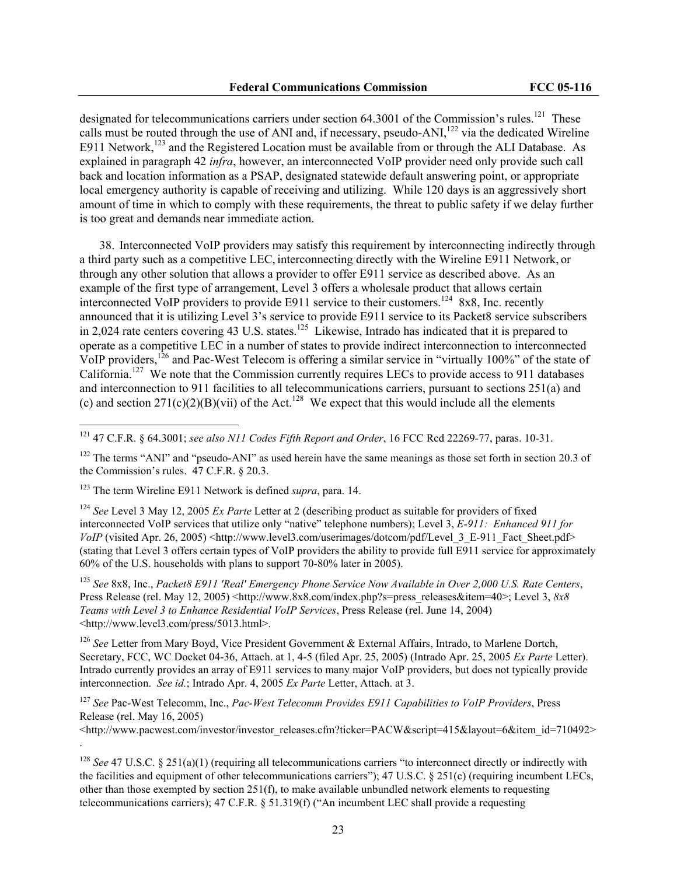designated for telecommunications carriers under section 64.3001 of the Commission's rules.<sup>121</sup> These calls must be routed through the use of ANI and, if necessary, pseudo-ANI,<sup>122</sup> via the dedicated Wireline E911 Network,<sup>123</sup> and the Registered Location must be available from or through the ALI Database. As explained in paragraph 42 *infra*, however, an interconnected VoIP provider need only provide such call back and location information as a PSAP, designated statewide default answering point, or appropriate local emergency authority is capable of receiving and utilizing. While 120 days is an aggressively short amount of time in which to comply with these requirements, the threat to public safety if we delay further is too great and demands near immediate action.

38. Interconnected VoIP providers may satisfy this requirement by interconnecting indirectly through a third party such as a competitive LEC, interconnecting directly with the Wireline E911 Network, or through any other solution that allows a provider to offer E911 service as described above. As an example of the first type of arrangement, Level 3 offers a wholesale product that allows certain interconnected VoIP providers to provide E911 service to their customers.<sup>124</sup> 8x8, Inc. recently announced that it is utilizing Level 3's service to provide E911 service to its Packet8 service subscribers in 2,024 rate centers covering 43 U.S. states.<sup>125</sup> Likewise, Intrado has indicated that it is prepared to operate as a competitive LEC in a number of states to provide indirect interconnection to interconnected VoIP providers,<sup>126</sup> and Pac-West Telecom is offering a similar service in "virtually 100%" of the state of California.127 We note that the Commission currently requires LECs to provide access to 911 databases and interconnection to 911 facilities to all telecommunications carriers, pursuant to sections 251(a) and (c) and section  $271(c)(2)(B)(vii)$  of the Act.<sup>128</sup> We expect that this would include all the elements

 $\overline{a}$ 

<sup>124</sup> *See* Level 3 May 12, 2005 *Ex Parte* Letter at 2 (describing product as suitable for providers of fixed interconnected VoIP services that utilize only "native" telephone numbers); Level 3, *E-911: Enhanced 911 for VoIP* (visited Apr. 26, 2005) <http://www.level3.com/userimages/dotcom/pdf/Level 3\_E-911\_Fact\_Sheet.pdf> (stating that Level 3 offers certain types of VoIP providers the ability to provide full E911 service for approximately 60% of the U.S. households with plans to support 70-80% later in 2005).

<sup>125</sup> *See* 8x8, Inc., *Packet8 E911 'Real' Emergency Phone Service Now Available in Over 2,000 U.S. Rate Centers*, Press Release (rel. May 12, 2005) <http://www.8x8.com/index.php?s=press\_releases&item=40>; Level 3,  $8x8$ *Teams with Level 3 to Enhance Residential VoIP Services*, Press Release (rel. June 14, 2004) <http://www.level3.com/press/5013.html>.

<sup>126</sup> See Letter from Mary Boyd, Vice President Government & External Affairs, Intrado, to Marlene Dortch, Secretary, FCC, WC Docket 04-36, Attach. at 1, 4-5 (filed Apr. 25, 2005) (Intrado Apr. 25, 2005 *Ex Parte* Letter). Intrado currently provides an array of E911 services to many major VoIP providers, but does not typically provide interconnection. *See id.*; Intrado Apr. 4, 2005 *Ex Parte* Letter, Attach. at 3.

<sup>127</sup> *See* Pac-West Telecomm, Inc., *Pac-West Telecomm Provides E911 Capabilities to VoIP Providers*, Press Release (rel. May 16, 2005)

<http://www.pacwest.com/investor/investor\_releases.cfm?ticker=PACW&script=415&layout=6&item\_id=710492> .

<sup>128</sup> *See* 47 U.S.C. § 251(a)(1) (requiring all telecommunications carriers "to interconnect directly or indirectly with the facilities and equipment of other telecommunications carriers"); 47 U.S.C. § 251(c) (requiring incumbent LECs, other than those exempted by section 251(f), to make available unbundled network elements to requesting telecommunications carriers); 47 C.F.R. § 51.319(f) ("An incumbent LEC shall provide a requesting

<sup>121 47</sup> C.F.R. § 64.3001; *see also N11 Codes Fifth Report and Order*, 16 FCC Rcd 22269-77, paras. 10-31.

 $122$  The terms "ANI" and "pseudo-ANI" as used herein have the same meanings as those set forth in section 20.3 of the Commission's rules. 47 C.F.R. § 20.3.

<sup>123</sup> The term Wireline E911 Network is defined *supra*, para. 14.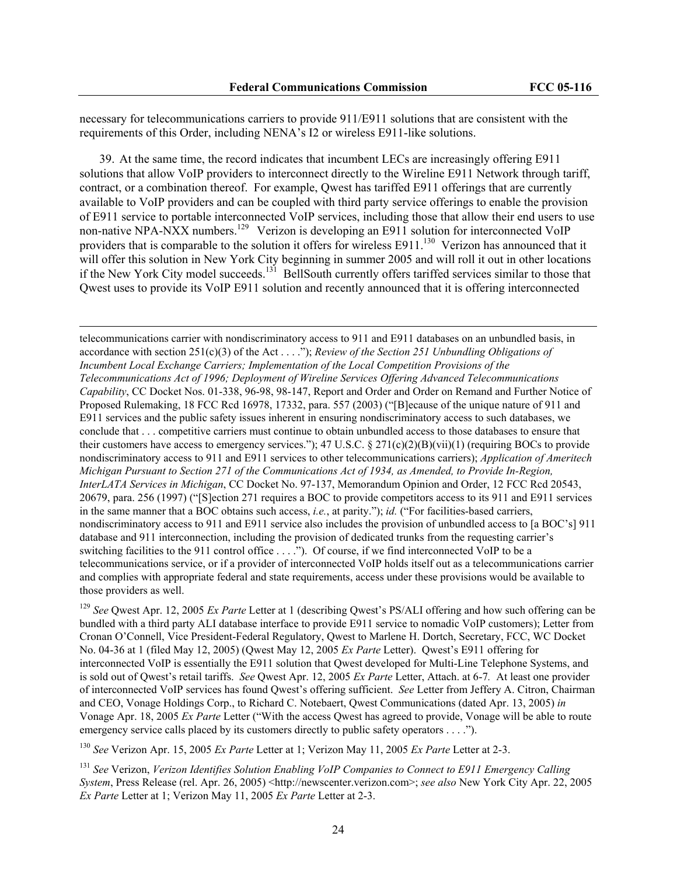necessary for telecommunications carriers to provide 911/E911 solutions that are consistent with the requirements of this Order, including NENA's I2 or wireless E911-like solutions.

39. At the same time, the record indicates that incumbent LECs are increasingly offering E911 solutions that allow VoIP providers to interconnect directly to the Wireline E911 Network through tariff, contract, or a combination thereof. For example, Qwest has tariffed E911 offerings that are currently available to VoIP providers and can be coupled with third party service offerings to enable the provision of E911 service to portable interconnected VoIP services, including those that allow their end users to use non-native NPA-NXX numbers.<sup>129</sup> Verizon is developing an E911 solution for interconnected VoIP providers that is comparable to the solution it offers for wireless E911.<sup>130</sup> Verizon has announced that it will offer this solution in New York City beginning in summer 2005 and will roll it out in other locations if the New York City model succeeds.<sup>131</sup> BellSouth currently offers tariffed services similar to those that Qwest uses to provide its VoIP E911 solution and recently announced that it is offering interconnected

 $\overline{\phantom{a}}$ 

telecommunications carrier with nondiscriminatory access to 911 and E911 databases on an unbundled basis, in accordance with section 251(c)(3) of the Act . . . ."); *Review of the Section 251 Unbundling Obligations of Incumbent Local Exchange Carriers; Implementation of the Local Competition Provisions of the Telecommunications Act of 1996; Deployment of Wireline Services Offering Advanced Telecommunications Capability*, CC Docket Nos. 01-338, 96-98, 98-147, Report and Order and Order on Remand and Further Notice of Proposed Rulemaking, 18 FCC Rcd 16978, 17332, para. 557 (2003) ("[B]ecause of the unique nature of 911 and E911 services and the public safety issues inherent in ensuring nondiscriminatory access to such databases, we conclude that . . . competitive carriers must continue to obtain unbundled access to those databases to ensure that their customers have access to emergency services."); 47 U.S.C. § 271(c)(2)(B)(vii)(1) (requiring BOCs to provide nondiscriminatory access to 911 and E911 services to other telecommunications carriers); *Application of Ameritech Michigan Pursuant to Section 271 of the Communications Act of 1934, as Amended, to Provide In-Region, InterLATA Services in Michigan*, CC Docket No. 97-137, Memorandum Opinion and Order, 12 FCC Rcd 20543, 20679, para. 256 (1997) ("[S]ection 271 requires a BOC to provide competitors access to its 911 and E911 services in the same manner that a BOC obtains such access, *i.e.*, at parity."); *id.* ("For facilities-based carriers, nondiscriminatory access to 911 and E911 service also includes the provision of unbundled access to [a BOC's] 911 database and 911 interconnection, including the provision of dedicated trunks from the requesting carrier's switching facilities to the 911 control office . . . ."). Of course, if we find interconnected VoIP to be a telecommunications service, or if a provider of interconnected VoIP holds itself out as a telecommunications carrier and complies with appropriate federal and state requirements, access under these provisions would be available to those providers as well.

<sup>129</sup> *See* Qwest Apr. 12, 2005 *Ex Parte* Letter at 1 (describing Qwest's PS/ALI offering and how such offering can be bundled with a third party ALI database interface to provide E911 service to nomadic VoIP customers); Letter from Cronan O'Connell, Vice President-Federal Regulatory, Qwest to Marlene H. Dortch, Secretary, FCC, WC Docket No. 04-36 at 1 (filed May 12, 2005) (Qwest May 12, 2005 *Ex Parte* Letter). Qwest's E911 offering for interconnected VoIP is essentially the E911 solution that Qwest developed for Multi-Line Telephone Systems, and is sold out of Qwest's retail tariffs. *See* Qwest Apr. 12, 2005 *Ex Parte* Letter, Attach. at 6-7*.* At least one provider of interconnected VoIP services has found Qwest's offering sufficient. *See* Letter from Jeffery A. Citron, Chairman and CEO, Vonage Holdings Corp., to Richard C. Notebaert, Qwest Communications (dated Apr. 13, 2005) *in* Vonage Apr. 18, 2005 *Ex Parte* Letter ("With the access Qwest has agreed to provide, Vonage will be able to route emergency service calls placed by its customers directly to public safety operators . . . .").

<sup>130</sup> *See* Verizon Apr. 15, 2005 *Ex Parte* Letter at 1; Verizon May 11, 2005 *Ex Parte* Letter at 2-3.

<sup>131</sup> *See* Verizon, *Verizon Identifies Solution Enabling VoIP Companies to Connect to E911 Emergency Calling System*, Press Release (rel. Apr. 26, 2005) <http://newscenter.verizon.com>; *see also* New York City Apr. 22, 2005 *Ex Parte* Letter at 1; Verizon May 11, 2005 *Ex Parte* Letter at 2-3.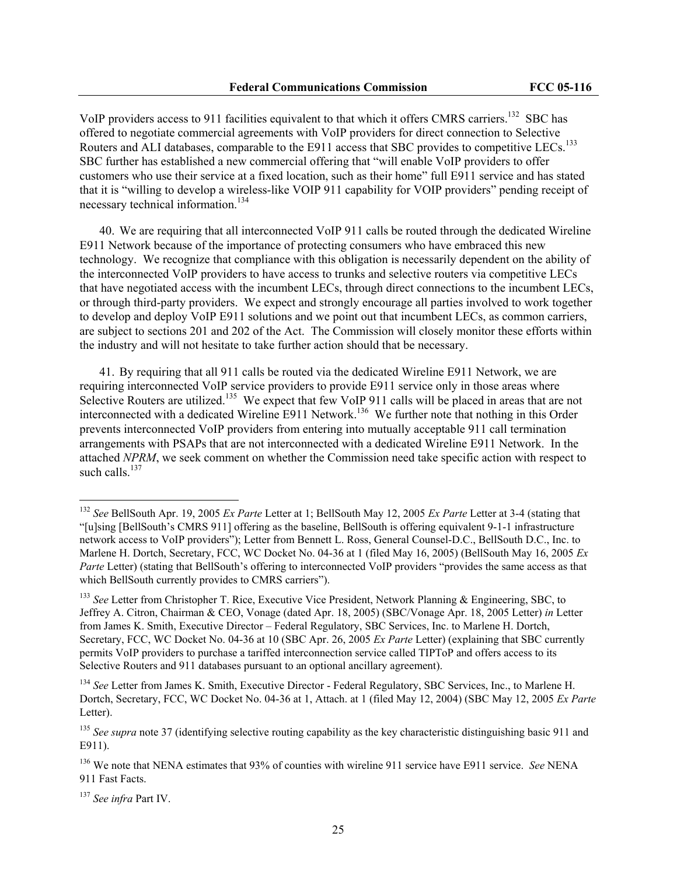VoIP providers access to 911 facilities equivalent to that which it offers CMRS carriers.<sup>132</sup> SBC has offered to negotiate commercial agreements with VoIP providers for direct connection to Selective Routers and ALI databases, comparable to the E911 access that SBC provides to competitive LECs.<sup>133</sup> SBC further has established a new commercial offering that "will enable VoIP providers to offer customers who use their service at a fixed location, such as their home" full E911 service and has stated that it is "willing to develop a wireless-like VOIP 911 capability for VOIP providers" pending receipt of necessary technical information.<sup>134</sup>

40. We are requiring that all interconnected VoIP 911 calls be routed through the dedicated Wireline E911 Network because of the importance of protecting consumers who have embraced this new technology. We recognize that compliance with this obligation is necessarily dependent on the ability of the interconnected VoIP providers to have access to trunks and selective routers via competitive LECs that have negotiated access with the incumbent LECs, through direct connections to the incumbent LECs, or through third-party providers. We expect and strongly encourage all parties involved to work together to develop and deploy VoIP E911 solutions and we point out that incumbent LECs, as common carriers, are subject to sections 201 and 202 of the Act. The Commission will closely monitor these efforts within the industry and will not hesitate to take further action should that be necessary.

41. By requiring that all 911 calls be routed via the dedicated Wireline E911 Network, we are requiring interconnected VoIP service providers to provide E911 service only in those areas where Selective Routers are utilized.<sup>135</sup> We expect that few VoIP 911 calls will be placed in areas that are not interconnected with a dedicated Wireline E911 Network.<sup>136</sup> We further note that nothing in this Order prevents interconnected VoIP providers from entering into mutually acceptable 911 call termination arrangements with PSAPs that are not interconnected with a dedicated Wireline E911 Network. In the attached *NPRM*, we seek comment on whether the Commission need take specific action with respect to such calls.<sup>137</sup>

<sup>132</sup> *See* BellSouth Apr. 19, 2005 *Ex Parte* Letter at 1; BellSouth May 12, 2005 *Ex Parte* Letter at 3-4 (stating that "[u]sing [BellSouth's CMRS 911] offering as the baseline, BellSouth is offering equivalent 9-1-1 infrastructure network access to VoIP providers"); Letter from Bennett L. Ross, General Counsel-D.C., BellSouth D.C., Inc. to Marlene H. Dortch, Secretary, FCC, WC Docket No. 04-36 at 1 (filed May 16, 2005) (BellSouth May 16, 2005 *Ex Parte* Letter) (stating that BellSouth's offering to interconnected VoIP providers "provides the same access as that which BellSouth currently provides to CMRS carriers").

<sup>&</sup>lt;sup>133</sup> See Letter from Christopher T. Rice, Executive Vice President, Network Planning & Engineering, SBC, to Jeffrey A. Citron, Chairman & CEO, Vonage (dated Apr. 18, 2005) (SBC/Vonage Apr. 18, 2005 Letter) *in* Letter from James K. Smith, Executive Director – Federal Regulatory, SBC Services, Inc. to Marlene H. Dortch, Secretary, FCC, WC Docket No. 04-36 at 10 (SBC Apr. 26, 2005 *Ex Parte* Letter) (explaining that SBC currently permits VoIP providers to purchase a tariffed interconnection service called TIPToP and offers access to its Selective Routers and 911 databases pursuant to an optional ancillary agreement).

<sup>&</sup>lt;sup>134</sup> See Letter from James K. Smith, Executive Director - Federal Regulatory, SBC Services, Inc., to Marlene H. Dortch, Secretary, FCC, WC Docket No. 04-36 at 1, Attach. at 1 (filed May 12, 2004) (SBC May 12, 2005 *Ex Parte* Letter).

<sup>&</sup>lt;sup>135</sup> See supra note 37 (identifying selective routing capability as the key characteristic distinguishing basic 911 and E911).

<sup>136</sup> We note that NENA estimates that 93% of counties with wireline 911 service have E911 service. *See* NENA 911 Fast Facts.

<sup>137</sup> *See infra* Part IV.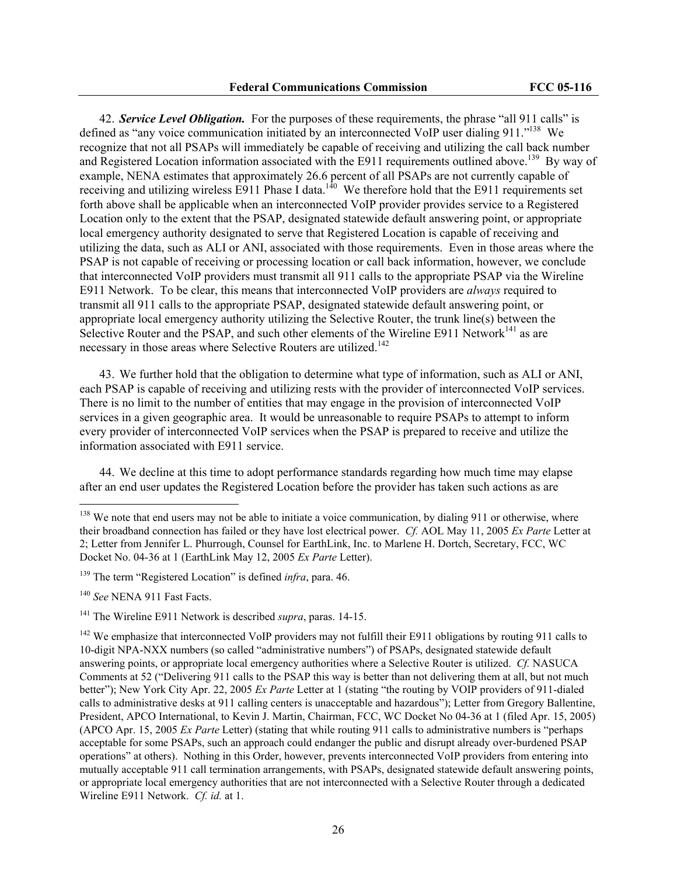42. *Service Level Obligation.* For the purposes of these requirements, the phrase "all 911 calls" is defined as "any voice communication initiated by an interconnected VoIP user dialing 911."<sup>138</sup> We recognize that not all PSAPs will immediately be capable of receiving and utilizing the call back number and Registered Location information associated with the E911 requirements outlined above.<sup>139</sup> By way of example, NENA estimates that approximately 26.6 percent of all PSAPs are not currently capable of receiving and utilizing wireless  $E911$  Phase I data.<sup>140</sup> We therefore hold that the E911 requirements set forth above shall be applicable when an interconnected VoIP provider provides service to a Registered Location only to the extent that the PSAP, designated statewide default answering point, or appropriate local emergency authority designated to serve that Registered Location is capable of receiving and utilizing the data, such as ALI or ANI, associated with those requirements. Even in those areas where the PSAP is not capable of receiving or processing location or call back information, however, we conclude that interconnected VoIP providers must transmit all 911 calls to the appropriate PSAP via the Wireline E911 Network. To be clear, this means that interconnected VoIP providers are *always* required to transmit all 911 calls to the appropriate PSAP, designated statewide default answering point, or appropriate local emergency authority utilizing the Selective Router, the trunk line(s) between the Selective Router and the PSAP, and such other elements of the Wireline E911 Network<sup>141</sup> as are necessary in those areas where Selective Routers are utilized.<sup>142</sup>

43. We further hold that the obligation to determine what type of information, such as ALI or ANI, each PSAP is capable of receiving and utilizing rests with the provider of interconnected VoIP services. There is no limit to the number of entities that may engage in the provision of interconnected VoIP services in a given geographic area. It would be unreasonable to require PSAPs to attempt to inform every provider of interconnected VoIP services when the PSAP is prepared to receive and utilize the information associated with E911 service.

44. We decline at this time to adopt performance standards regarding how much time may elapse after an end user updates the Registered Location before the provider has taken such actions as are

<sup>&</sup>lt;sup>138</sup> We note that end users may not be able to initiate a voice communication, by dialing 911 or otherwise, where their broadband connection has failed or they have lost electrical power. *Cf.* AOL May 11, 2005 *Ex Parte* Letter at 2; Letter from Jennifer L. Phurrough, Counsel for EarthLink, Inc. to Marlene H. Dortch, Secretary, FCC, WC Docket No. 04-36 at 1 (EarthLink May 12, 2005 *Ex Parte* Letter).

<sup>139</sup> The term "Registered Location" is defined *infra*, para. 46.

<sup>140</sup> *See* NENA 911 Fast Facts.

<sup>141</sup> The Wireline E911 Network is described *supra*, paras. 14-15.

<sup>&</sup>lt;sup>142</sup> We emphasize that interconnected VoIP providers may not fulfill their E911 obligations by routing 911 calls to 10-digit NPA-NXX numbers (so called "administrative numbers") of PSAPs, designated statewide default answering points, or appropriate local emergency authorities where a Selective Router is utilized. *Cf.* NASUCA Comments at 52 ("Delivering 911 calls to the PSAP this way is better than not delivering them at all, but not much better"); New York City Apr. 22, 2005 *Ex Parte* Letter at 1 (stating "the routing by VOIP providers of 911-dialed calls to administrative desks at 911 calling centers is unacceptable and hazardous"); Letter from Gregory Ballentine, President, APCO International, to Kevin J. Martin, Chairman, FCC, WC Docket No 04-36 at 1 (filed Apr. 15, 2005) (APCO Apr. 15, 2005 *Ex Parte* Letter) (stating that while routing 911 calls to administrative numbers is "perhaps acceptable for some PSAPs, such an approach could endanger the public and disrupt already over-burdened PSAP operations" at others). Nothing in this Order, however, prevents interconnected VoIP providers from entering into mutually acceptable 911 call termination arrangements, with PSAPs, designated statewide default answering points, or appropriate local emergency authorities that are not interconnected with a Selective Router through a dedicated Wireline E911 Network. *Cf. id.* at 1.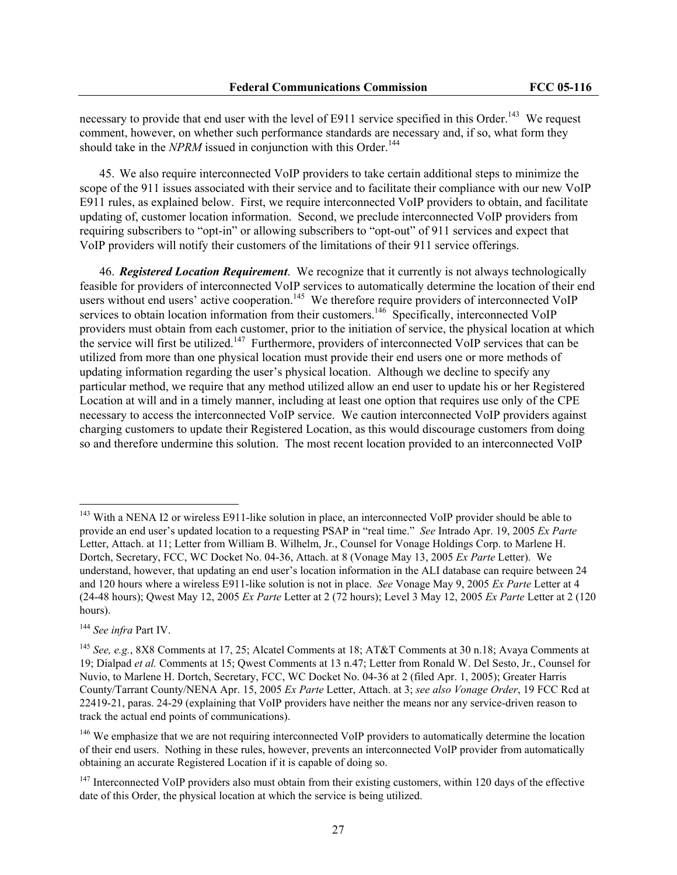necessary to provide that end user with the level of E911 service specified in this Order.<sup>143</sup> We request comment, however, on whether such performance standards are necessary and, if so, what form they should take in the *NPRM* issued in conjunction with this Order.<sup>144</sup>

45. We also require interconnected VoIP providers to take certain additional steps to minimize the scope of the 911 issues associated with their service and to facilitate their compliance with our new VoIP E911 rules, as explained below. First, we require interconnected VoIP providers to obtain, and facilitate updating of, customer location information. Second, we preclude interconnected VoIP providers from requiring subscribers to "opt-in" or allowing subscribers to "opt-out" of 911 services and expect that VoIP providers will notify their customers of the limitations of their 911 service offerings.

46. *Registered Location Requirement*. We recognize that it currently is not always technologically feasible for providers of interconnected VoIP services to automatically determine the location of their end users without end users' active cooperation.<sup>145</sup> We therefore require providers of interconnected VoIP services to obtain location information from their customers.<sup>146</sup> Specifically, interconnected VoIP providers must obtain from each customer, prior to the initiation of service, the physical location at which the service will first be utilized.<sup>147</sup> Furthermore, providers of interconnected VoIP services that can be utilized from more than one physical location must provide their end users one or more methods of updating information regarding the user's physical location. Although we decline to specify any particular method, we require that any method utilized allow an end user to update his or her Registered Location at will and in a timely manner, including at least one option that requires use only of the CPE necessary to access the interconnected VoIP service. We caution interconnected VoIP providers against charging customers to update their Registered Location, as this would discourage customers from doing so and therefore undermine this solution. The most recent location provided to an interconnected VoIP

<sup>&</sup>lt;sup>143</sup> With a NENA I2 or wireless E911-like solution in place, an interconnected VoIP provider should be able to provide an end user's updated location to a requesting PSAP in "real time." *See* Intrado Apr. 19, 2005 *Ex Parte* Letter, Attach. at 11; Letter from William B. Wilhelm, Jr., Counsel for Vonage Holdings Corp. to Marlene H. Dortch, Secretary, FCC, WC Docket No. 04-36, Attach. at 8 (Vonage May 13, 2005 *Ex Parte* Letter). We understand, however, that updating an end user's location information in the ALI database can require between 24 and 120 hours where a wireless E911-like solution is not in place. *See* Vonage May 9, 2005 *Ex Parte* Letter at 4 (24-48 hours); Qwest May 12, 2005 *Ex Parte* Letter at 2 (72 hours); Level 3 May 12, 2005 *Ex Parte* Letter at 2 (120 hours).

<sup>144</sup> *See infra* Part IV.

<sup>145</sup> *See, e.g.*, 8X8 Comments at 17, 25; Alcatel Comments at 18; AT&T Comments at 30 n.18; Avaya Comments at 19; Dialpad *et al.* Comments at 15; Qwest Comments at 13 n.47; Letter from Ronald W. Del Sesto, Jr., Counsel for Nuvio, to Marlene H. Dortch, Secretary, FCC, WC Docket No. 04-36 at 2 (filed Apr. 1, 2005); Greater Harris County/Tarrant County/NENA Apr. 15, 2005 *Ex Parte* Letter, Attach. at 3; *see also Vonage Order*, 19 FCC Rcd at 22419-21, paras. 24-29 (explaining that VoIP providers have neither the means nor any service-driven reason to track the actual end points of communications).

<sup>&</sup>lt;sup>146</sup> We emphasize that we are not requiring interconnected VoIP providers to automatically determine the location of their end users. Nothing in these rules, however, prevents an interconnected VoIP provider from automatically obtaining an accurate Registered Location if it is capable of doing so.

 $147$  Interconnected VoIP providers also must obtain from their existing customers, within 120 days of the effective date of this Order, the physical location at which the service is being utilized.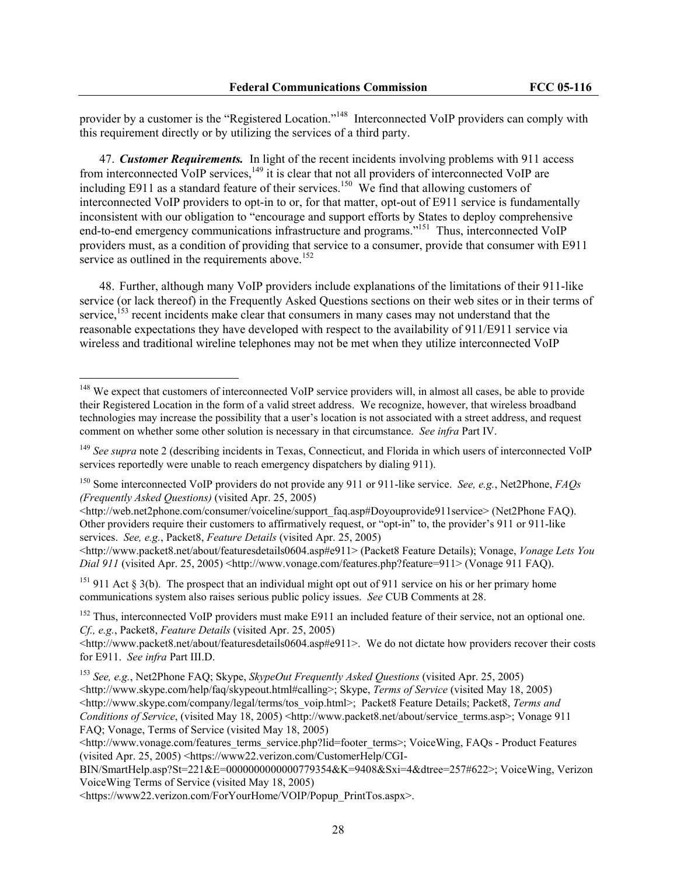provider by a customer is the "Registered Location."<sup>148</sup> Interconnected VoIP providers can comply with this requirement directly or by utilizing the services of a third party.

47. *Customer Requirements.* In light of the recent incidents involving problems with 911 access from interconnected VoIP services, $149$  it is clear that not all providers of interconnected VoIP are including E911 as a standard feature of their services.<sup>150</sup> We find that allowing customers of interconnected VoIP providers to opt-in to or, for that matter, opt-out of E911 service is fundamentally inconsistent with our obligation to "encourage and support efforts by States to deploy comprehensive end-to-end emergency communications infrastructure and programs."151 Thus, interconnected VoIP providers must, as a condition of providing that service to a consumer, provide that consumer with E911 service as outlined in the requirements above.<sup>152</sup>

48. Further, although many VoIP providers include explanations of the limitations of their 911-like service (or lack thereof) in the Frequently Asked Questions sections on their web sites or in their terms of service, $153$  recent incidents make clear that consumers in many cases may not understand that the reasonable expectations they have developed with respect to the availability of 911/E911 service via wireless and traditional wireline telephones may not be met when they utilize interconnected VoIP

<sup>&</sup>lt;sup>148</sup> We expect that customers of interconnected VoIP service providers will, in almost all cases, be able to provide their Registered Location in the form of a valid street address. We recognize, however, that wireless broadband technologies may increase the possibility that a user's location is not associated with a street address, and request comment on whether some other solution is necessary in that circumstance. *See infra* Part IV.

<sup>&</sup>lt;sup>149</sup> See supra note 2 (describing incidents in Texas, Connecticut, and Florida in which users of interconnected VoIP services reportedly were unable to reach emergency dispatchers by dialing 911).

<sup>150</sup> Some interconnected VoIP providers do not provide any 911 or 911-like service. *See, e.g.*, Net2Phone, *FAQs (Frequently Asked Questions)* (visited Apr. 25, 2005)

<sup>&</sup>lt;http://web.net2phone.com/consumer/voiceline/support\_faq.asp#Doyouprovide911service> (Net2Phone FAQ). Other providers require their customers to affirmatively request, or "opt-in" to, the provider's 911 or 911-like services. *See, e.g.*, Packet8, *Feature Details* (visited Apr. 25, 2005)

 $\lt$ http://www.packet8.net/about/featuresdetails0604.asp#e911> (Packet8 Feature Details); Vonage, *Vonage Lets You Dial 911* (visited Apr. 25, 2005) <http://www.vonage.com/features.php?feature=911> (Vonage 911 FAQ).

<sup>&</sup>lt;sup>151</sup> 911 Act § 3(b). The prospect that an individual might opt out of 911 service on his or her primary home communications system also raises serious public policy issues. *See* CUB Comments at 28.

<sup>&</sup>lt;sup>152</sup> Thus, interconnected VoIP providers must make E911 an included feature of their service, not an optional one. *Cf., e.g.*, Packet8, *Feature Details* (visited Apr. 25, 2005)

 $\text{th}(x)$ /www.packet8.net/about/featuresdetails0604.asp#e911>. We do not dictate how providers recover their costs for E911. *See infra* Part III.D.

<sup>153</sup> *See, e.g.*, Net2Phone FAQ; Skype, *SkypeOut Frequently Asked Questions* (visited Apr. 25, 2005) <http://www.skype.com/help/faq/skypeout.html#calling>; Skype, *Terms of Service* (visited May 18, 2005) <http://www.skype.com/company/legal/terms/tos\_voip.html>; Packet8 Feature Details; Packet8, *Terms and Conditions of Service*, (visited May 18, 2005) <http://www.packet8.net/about/service\_terms.asp>; Vonage 911 FAQ; Vonage, Terms of Service (visited May 18, 2005)

<sup>&</sup>lt;http://www.vonage.com/features\_terms\_service.php?lid=footer\_terms>; VoiceWing, FAQs - Product Features (visited Apr. 25, 2005) <https://www22.verizon.com/CustomerHelp/CGI-

BIN/SmartHelp.asp?St=221&E=0000000000000779354&K=9408&Sxi=4&dtree=257#622>; VoiceWing, Verizon VoiceWing Terms of Service (visited May 18, 2005)

<sup>&</sup>lt;https://www22.verizon.com/ForYourHome/VOIP/Popup\_PrintTos.aspx>.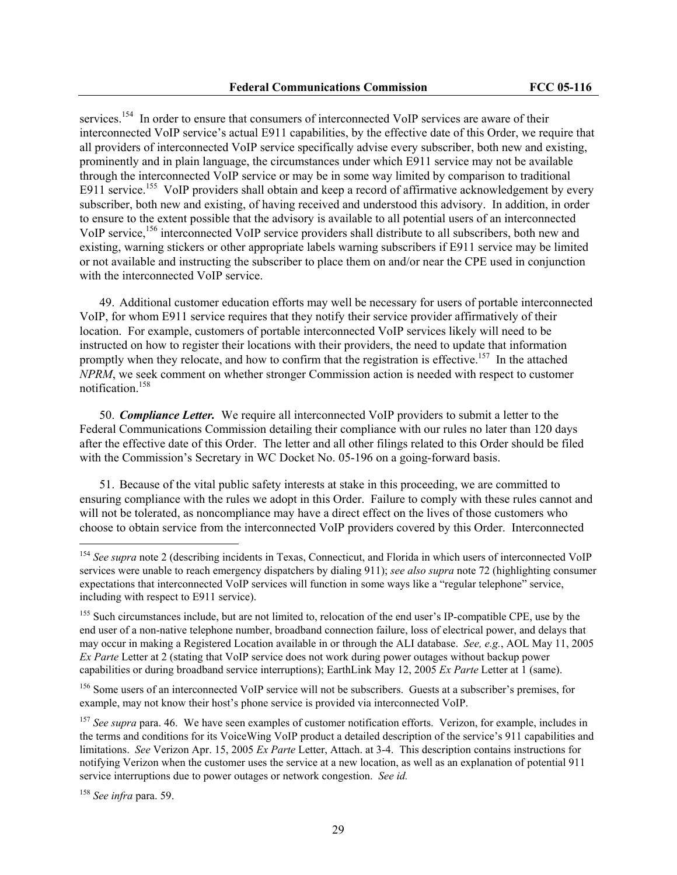services.<sup>154</sup> In order to ensure that consumers of interconnected VoIP services are aware of their interconnected VoIP service's actual E911 capabilities, by the effective date of this Order, we require that all providers of interconnected VoIP service specifically advise every subscriber, both new and existing, prominently and in plain language, the circumstances under which E911 service may not be available through the interconnected VoIP service or may be in some way limited by comparison to traditional E911 service.<sup>155</sup> VoIP providers shall obtain and keep a record of affirmative acknowledgement by every subscriber, both new and existing, of having received and understood this advisory. In addition, in order to ensure to the extent possible that the advisory is available to all potential users of an interconnected VoIP service,<sup>156</sup> interconnected VoIP service providers shall distribute to all subscribers, both new and existing, warning stickers or other appropriate labels warning subscribers if E911 service may be limited or not available and instructing the subscriber to place them on and/or near the CPE used in conjunction with the interconnected VoIP service.

49. Additional customer education efforts may well be necessary for users of portable interconnected VoIP, for whom E911 service requires that they notify their service provider affirmatively of their location. For example, customers of portable interconnected VoIP services likely will need to be instructed on how to register their locations with their providers, the need to update that information promptly when they relocate, and how to confirm that the registration is effective.<sup>157</sup> In the attached *NPRM*, we seek comment on whether stronger Commission action is needed with respect to customer notification.158

50. *Compliance Letter.* We require all interconnected VoIP providers to submit a letter to the Federal Communications Commission detailing their compliance with our rules no later than 120 days after the effective date of this Order. The letter and all other filings related to this Order should be filed with the Commission's Secretary in WC Docket No. 05-196 on a going-forward basis.

51. Because of the vital public safety interests at stake in this proceeding, we are committed to ensuring compliance with the rules we adopt in this Order. Failure to comply with these rules cannot and will not be tolerated, as noncompliance may have a direct effect on the lives of those customers who choose to obtain service from the interconnected VoIP providers covered by this Order. Interconnected

<sup>158</sup> *See infra* para. 59.

<sup>&</sup>lt;sup>154</sup> See supra note 2 (describing incidents in Texas, Connecticut, and Florida in which users of interconnected VoIP services were unable to reach emergency dispatchers by dialing 911); *see also supra* note 72 (highlighting consumer expectations that interconnected VoIP services will function in some ways like a "regular telephone" service, including with respect to E911 service).

<sup>&</sup>lt;sup>155</sup> Such circumstances include, but are not limited to, relocation of the end user's IP-compatible CPE, use by the end user of a non-native telephone number, broadband connection failure, loss of electrical power, and delays that may occur in making a Registered Location available in or through the ALI database. *See, e.g.*, AOL May 11, 2005 *Ex Parte* Letter at 2 (stating that VoIP service does not work during power outages without backup power capabilities or during broadband service interruptions); EarthLink May 12, 2005 *Ex Parte* Letter at 1 (same).

<sup>&</sup>lt;sup>156</sup> Some users of an interconnected VoIP service will not be subscribers. Guests at a subscriber's premises, for example, may not know their host's phone service is provided via interconnected VoIP.

<sup>&</sup>lt;sup>157</sup> *See supra* para. 46. We have seen examples of customer notification efforts. Verizon, for example, includes in the terms and conditions for its VoiceWing VoIP product a detailed description of the service's 911 capabilities and limitations. *See* Verizon Apr. 15, 2005 *Ex Parte* Letter, Attach. at 3-4. This description contains instructions for notifying Verizon when the customer uses the service at a new location, as well as an explanation of potential 911 service interruptions due to power outages or network congestion. *See id.*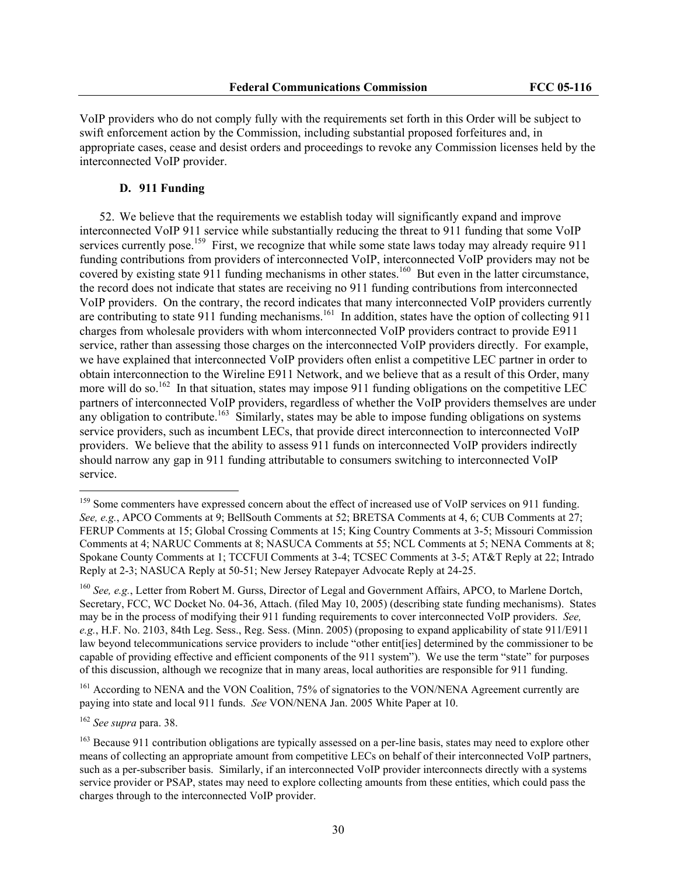VoIP providers who do not comply fully with the requirements set forth in this Order will be subject to swift enforcement action by the Commission, including substantial proposed forfeitures and, in appropriate cases, cease and desist orders and proceedings to revoke any Commission licenses held by the interconnected VoIP provider.

## **D. 911 Funding**

52. We believe that the requirements we establish today will significantly expand and improve interconnected VoIP 911 service while substantially reducing the threat to 911 funding that some VoIP services currently pose.<sup>159</sup> First, we recognize that while some state laws today may already require 911 funding contributions from providers of interconnected VoIP, interconnected VoIP providers may not be covered by existing state 911 funding mechanisms in other states.<sup>160</sup> But even in the latter circumstance, the record does not indicate that states are receiving no 911 funding contributions from interconnected VoIP providers. On the contrary, the record indicates that many interconnected VoIP providers currently are contributing to state 911 funding mechanisms.<sup>161</sup> In addition, states have the option of collecting 911 charges from wholesale providers with whom interconnected VoIP providers contract to provide E911 service, rather than assessing those charges on the interconnected VoIP providers directly. For example, we have explained that interconnected VoIP providers often enlist a competitive LEC partner in order to obtain interconnection to the Wireline E911 Network, and we believe that as a result of this Order, many more will do so.<sup>162</sup> In that situation, states may impose 911 funding obligations on the competitive LEC partners of interconnected VoIP providers, regardless of whether the VoIP providers themselves are under any obligation to contribute.<sup>163</sup> Similarly, states may be able to impose funding obligations on systems service providers, such as incumbent LECs, that provide direct interconnection to interconnected VoIP providers. We believe that the ability to assess 911 funds on interconnected VoIP providers indirectly should narrow any gap in 911 funding attributable to consumers switching to interconnected VoIP service.

<sup>161</sup> According to NENA and the VON Coalition, 75% of signatories to the VON/NENA Agreement currently are paying into state and local 911 funds. *See* VON/NENA Jan. 2005 White Paper at 10.

<sup>162</sup> *See supra* para. 38.

<sup>&</sup>lt;sup>159</sup> Some commenters have expressed concern about the effect of increased use of VoIP services on 911 funding. *See, e.g.*, APCO Comments at 9; BellSouth Comments at 52; BRETSA Comments at 4, 6; CUB Comments at 27; FERUP Comments at 15; Global Crossing Comments at 15; King Country Comments at 3-5; Missouri Commission Comments at 4; NARUC Comments at 8; NASUCA Comments at 55; NCL Comments at 5; NENA Comments at 8; Spokane County Comments at 1; TCCFUI Comments at 3-4; TCSEC Comments at 3-5; AT&T Reply at 22; Intrado Reply at 2-3; NASUCA Reply at 50-51; New Jersey Ratepayer Advocate Reply at 24-25.

<sup>160</sup> *See, e.g.*, Letter from Robert M. Gurss, Director of Legal and Government Affairs, APCO, to Marlene Dortch, Secretary, FCC, WC Docket No. 04-36, Attach. (filed May 10, 2005) (describing state funding mechanisms). States may be in the process of modifying their 911 funding requirements to cover interconnected VoIP providers. *See, e.g.*, H.F. No. 2103, 84th Leg. Sess., Reg. Sess. (Minn. 2005) (proposing to expand applicability of state 911/E911 law beyond telecommunications service providers to include "other entit[ies] determined by the commissioner to be capable of providing effective and efficient components of the 911 system"). We use the term "state" for purposes of this discussion, although we recognize that in many areas, local authorities are responsible for 911 funding.

<sup>&</sup>lt;sup>163</sup> Because 911 contribution obligations are typically assessed on a per-line basis, states may need to explore other means of collecting an appropriate amount from competitive LECs on behalf of their interconnected VoIP partners, such as a per-subscriber basis. Similarly, if an interconnected VoIP provider interconnects directly with a systems service provider or PSAP, states may need to explore collecting amounts from these entities, which could pass the charges through to the interconnected VoIP provider.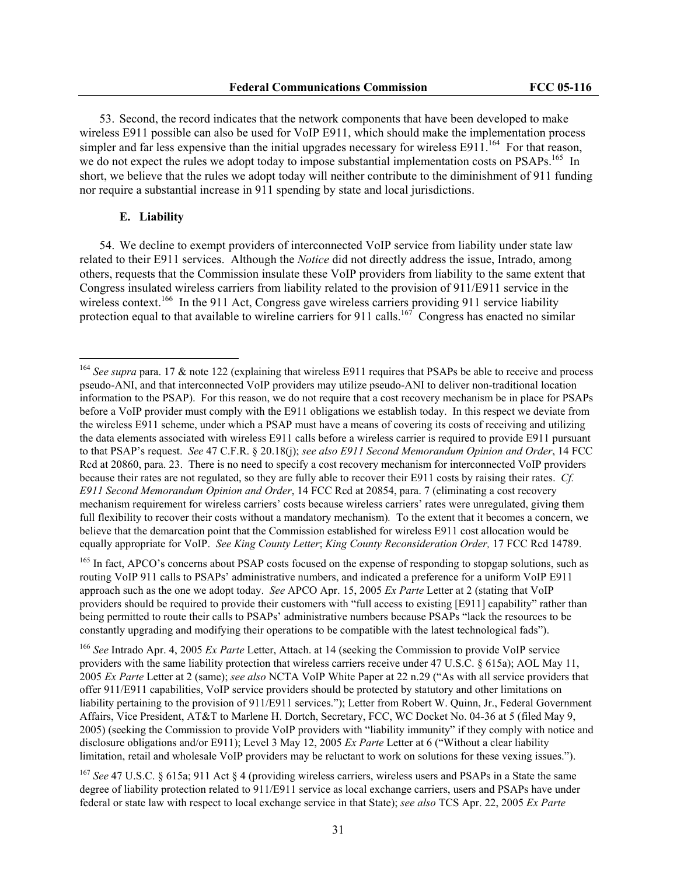53. Second, the record indicates that the network components that have been developed to make wireless E911 possible can also be used for VoIP E911, which should make the implementation process simpler and far less expensive than the initial upgrades necessary for wireless  $E911$ <sup>164</sup> For that reason, we do not expect the rules we adopt today to impose substantial implementation costs on PSAPs.<sup>165</sup> In short, we believe that the rules we adopt today will neither contribute to the diminishment of 911 funding nor require a substantial increase in 911 spending by state and local jurisdictions.

#### **E. Liability**

 $\overline{a}$ 

54. We decline to exempt providers of interconnected VoIP service from liability under state law related to their E911 services. Although the *Notice* did not directly address the issue, Intrado, among others, requests that the Commission insulate these VoIP providers from liability to the same extent that Congress insulated wireless carriers from liability related to the provision of 911/E911 service in the wireless context.<sup>166</sup> In the 911 Act, Congress gave wireless carriers providing 911 service liability protection equal to that available to wireline carriers for 911 calls.<sup>167</sup> Congress has enacted no similar

<sup>165</sup> In fact, APCO's concerns about PSAP costs focused on the expense of responding to stopgap solutions, such as routing VoIP 911 calls to PSAPs' administrative numbers, and indicated a preference for a uniform VoIP E911 approach such as the one we adopt today. *See* APCO Apr. 15, 2005 *Ex Parte* Letter at 2 (stating that VoIP providers should be required to provide their customers with "full access to existing [E911] capability" rather than being permitted to route their calls to PSAPs' administrative numbers because PSAPs "lack the resources to be constantly upgrading and modifying their operations to be compatible with the latest technological fads").

<sup>166</sup> *See* Intrado Apr. 4, 2005 *Ex Parte* Letter, Attach. at 14 (seeking the Commission to provide VoIP service providers with the same liability protection that wireless carriers receive under 47 U.S.C. § 615a); AOL May 11, 2005 *Ex Parte* Letter at 2 (same); *see also* NCTA VoIP White Paper at 22 n.29 ("As with all service providers that offer 911/E911 capabilities, VoIP service providers should be protected by statutory and other limitations on liability pertaining to the provision of 911/E911 services."); Letter from Robert W. Quinn, Jr., Federal Government Affairs, Vice President, AT&T to Marlene H. Dortch, Secretary, FCC, WC Docket No. 04-36 at 5 (filed May 9, 2005) (seeking the Commission to provide VoIP providers with "liability immunity" if they comply with notice and disclosure obligations and/or E911); Level 3 May 12, 2005 *Ex Parte* Letter at 6 ("Without a clear liability limitation, retail and wholesale VoIP providers may be reluctant to work on solutions for these vexing issues.").

<sup>167</sup> *See* 47 U.S.C. § 615a; 911 Act § 4 (providing wireless carriers, wireless users and PSAPs in a State the same degree of liability protection related to 911/E911 service as local exchange carriers, users and PSAPs have under federal or state law with respect to local exchange service in that State); *see also* TCS Apr. 22, 2005 *Ex Parte*

<sup>&</sup>lt;sup>164</sup> See supra para. 17 & note 122 (explaining that wireless E911 requires that PSAPs be able to receive and process pseudo-ANI, and that interconnected VoIP providers may utilize pseudo-ANI to deliver non-traditional location information to the PSAP). For this reason, we do not require that a cost recovery mechanism be in place for PSAPs before a VoIP provider must comply with the E911 obligations we establish today. In this respect we deviate from the wireless E911 scheme, under which a PSAP must have a means of covering its costs of receiving and utilizing the data elements associated with wireless E911 calls before a wireless carrier is required to provide E911 pursuant to that PSAP's request. *See* 47 C.F.R. § 20.18(j); *see also E911 Second Memorandum Opinion and Order*, 14 FCC Rcd at 20860, para. 23. There is no need to specify a cost recovery mechanism for interconnected VoIP providers because their rates are not regulated, so they are fully able to recover their E911 costs by raising their rates. *Cf. E911 Second Memorandum Opinion and Order*, 14 FCC Rcd at 20854, para. 7 (eliminating a cost recovery mechanism requirement for wireless carriers' costs because wireless carriers' rates were unregulated, giving them full flexibility to recover their costs without a mandatory mechanism)*.* To the extent that it becomes a concern, we believe that the demarcation point that the Commission established for wireless E911 cost allocation would be equally appropriate for VoIP. *See King County Letter*; *King County Reconsideration Order,* 17 FCC Rcd 14789.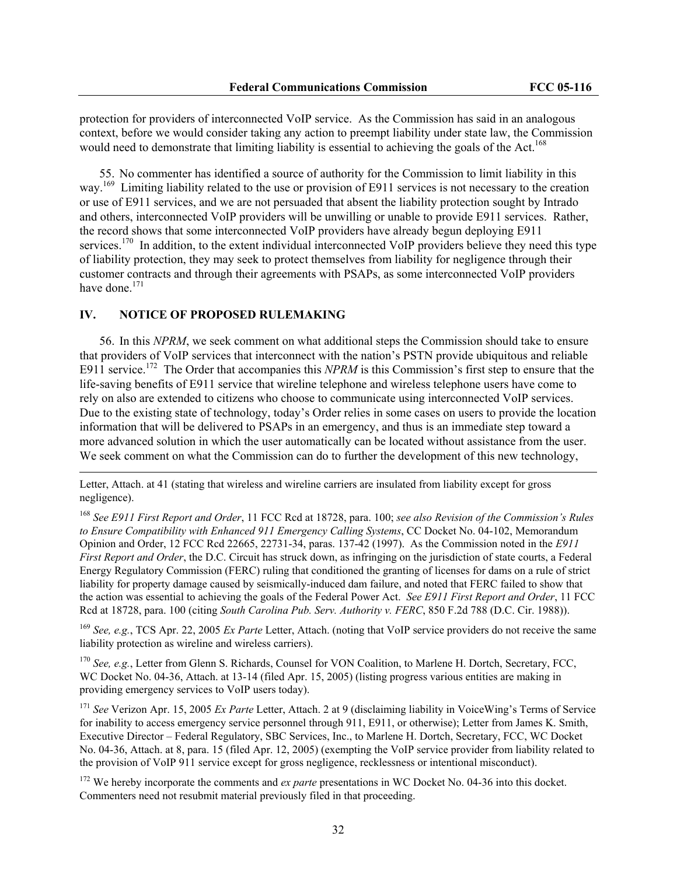protection for providers of interconnected VoIP service. As the Commission has said in an analogous context, before we would consider taking any action to preempt liability under state law, the Commission would need to demonstrate that limiting liability is essential to achieving the goals of the Act.<sup>168</sup>

55. No commenter has identified a source of authority for the Commission to limit liability in this way.<sup>169</sup> Limiting liability related to the use or provision of E911 services is not necessary to the creation or use of E911 services, and we are not persuaded that absent the liability protection sought by Intrado and others, interconnected VoIP providers will be unwilling or unable to provide E911 services. Rather, the record shows that some interconnected VoIP providers have already begun deploying E911 services.<sup>170</sup> In addition, to the extent individual interconnected VoIP providers believe they need this type of liability protection, they may seek to protect themselves from liability for negligence through their customer contracts and through their agreements with PSAPs, as some interconnected VoIP providers have done.<sup>171</sup>

#### **IV. NOTICE OF PROPOSED RULEMAKING**

 $\overline{\phantom{a}}$ 

56. In this *NPRM*, we seek comment on what additional steps the Commission should take to ensure that providers of VoIP services that interconnect with the nation's PSTN provide ubiquitous and reliable E911 service.<sup>172</sup> The Order that accompanies this *NPRM* is this Commission's first step to ensure that the life-saving benefits of E911 service that wireline telephone and wireless telephone users have come to rely on also are extended to citizens who choose to communicate using interconnected VoIP services. Due to the existing state of technology, today's Order relies in some cases on users to provide the location information that will be delivered to PSAPs in an emergency, and thus is an immediate step toward a more advanced solution in which the user automatically can be located without assistance from the user. We seek comment on what the Commission can do to further the development of this new technology,

Letter, Attach. at 41 (stating that wireless and wireline carriers are insulated from liability except for gross negligence).

<sup>168</sup> *See E911 First Report and Order*, 11 FCC Rcd at 18728, para. 100; *see also Revision of the Commission's Rules to Ensure Compatibility with Enhanced 911 Emergency Calling Systems*, CC Docket No. 04-102, Memorandum Opinion and Order, 12 FCC Rcd 22665, 22731-34, paras. 137-42 (1997). As the Commission noted in the *E911 First Report and Order*, the D.C. Circuit has struck down, as infringing on the jurisdiction of state courts, a Federal Energy Regulatory Commission (FERC) ruling that conditioned the granting of licenses for dams on a rule of strict liability for property damage caused by seismically-induced dam failure, and noted that FERC failed to show that the action was essential to achieving the goals of the Federal Power Act. *See E911 First Report and Order*, 11 FCC Rcd at 18728, para. 100 (citing *South Carolina Pub. Serv. Authority v. FERC*, 850 F.2d 788 (D.C. Cir. 1988)).

<sup>169</sup> *See, e.g.*, TCS Apr. 22, 2005 *Ex Parte* Letter, Attach. (noting that VoIP service providers do not receive the same liability protection as wireline and wireless carriers).

<sup>170</sup> *See, e.g.*, Letter from Glenn S. Richards, Counsel for VON Coalition, to Marlene H. Dortch, Secretary, FCC, WC Docket No. 04-36, Attach. at 13-14 (filed Apr. 15, 2005) (listing progress various entities are making in providing emergency services to VoIP users today).

<sup>171</sup> *See* Verizon Apr. 15, 2005 *Ex Parte* Letter, Attach. 2 at 9 (disclaiming liability in VoiceWing's Terms of Service for inability to access emergency service personnel through 911, E911, or otherwise); Letter from James K. Smith, Executive Director – Federal Regulatory, SBC Services, Inc., to Marlene H. Dortch, Secretary, FCC, WC Docket No. 04-36, Attach. at 8, para. 15 (filed Apr. 12, 2005) (exempting the VoIP service provider from liability related to the provision of VoIP 911 service except for gross negligence, recklessness or intentional misconduct).

<sup>172</sup> We hereby incorporate the comments and *ex parte* presentations in WC Docket No. 04-36 into this docket. Commenters need not resubmit material previously filed in that proceeding.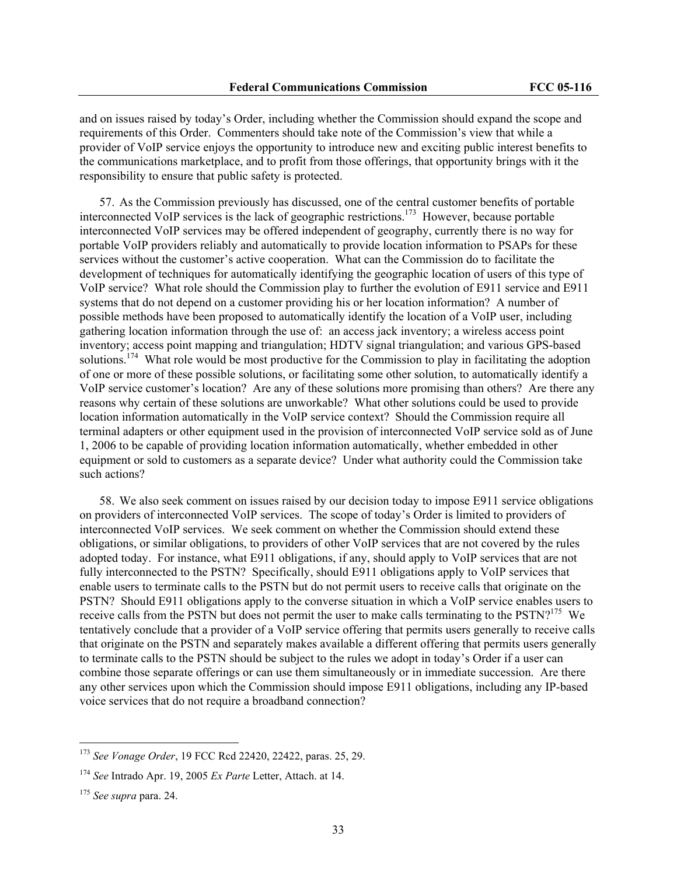and on issues raised by today's Order, including whether the Commission should expand the scope and requirements of this Order. Commenters should take note of the Commission's view that while a provider of VoIP service enjoys the opportunity to introduce new and exciting public interest benefits to the communications marketplace, and to profit from those offerings, that opportunity brings with it the responsibility to ensure that public safety is protected.

57. As the Commission previously has discussed, one of the central customer benefits of portable interconnected VoIP services is the lack of geographic restrictions.173 However, because portable interconnected VoIP services may be offered independent of geography, currently there is no way for portable VoIP providers reliably and automatically to provide location information to PSAPs for these services without the customer's active cooperation. What can the Commission do to facilitate the development of techniques for automatically identifying the geographic location of users of this type of VoIP service? What role should the Commission play to further the evolution of E911 service and E911 systems that do not depend on a customer providing his or her location information? A number of possible methods have been proposed to automatically identify the location of a VoIP user, including gathering location information through the use of: an access jack inventory; a wireless access point inventory; access point mapping and triangulation; HDTV signal triangulation; and various GPS-based solutions.<sup>174</sup> What role would be most productive for the Commission to play in facilitating the adoption of one or more of these possible solutions, or facilitating some other solution, to automatically identify a VoIP service customer's location? Are any of these solutions more promising than others? Are there any reasons why certain of these solutions are unworkable? What other solutions could be used to provide location information automatically in the VoIP service context? Should the Commission require all terminal adapters or other equipment used in the provision of interconnected VoIP service sold as of June 1, 2006 to be capable of providing location information automatically, whether embedded in other equipment or sold to customers as a separate device? Under what authority could the Commission take such actions?

58. We also seek comment on issues raised by our decision today to impose E911 service obligations on providers of interconnected VoIP services. The scope of today's Order is limited to providers of interconnected VoIP services. We seek comment on whether the Commission should extend these obligations, or similar obligations, to providers of other VoIP services that are not covered by the rules adopted today. For instance, what E911 obligations, if any, should apply to VoIP services that are not fully interconnected to the PSTN? Specifically, should E911 obligations apply to VoIP services that enable users to terminate calls to the PSTN but do not permit users to receive calls that originate on the PSTN? Should E911 obligations apply to the converse situation in which a VoIP service enables users to receive calls from the PSTN but does not permit the user to make calls terminating to the PSTN?<sup>175</sup> We tentatively conclude that a provider of a VoIP service offering that permits users generally to receive calls that originate on the PSTN and separately makes available a different offering that permits users generally to terminate calls to the PSTN should be subject to the rules we adopt in today's Order if a user can combine those separate offerings or can use them simultaneously or in immediate succession. Are there any other services upon which the Commission should impose E911 obligations, including any IP-based voice services that do not require a broadband connection?

<sup>173</sup> *See Vonage Order*, 19 FCC Rcd 22420, 22422, paras. 25, 29.

<sup>174</sup> *See* Intrado Apr. 19, 2005 *Ex Parte* Letter, Attach. at 14.

<sup>175</sup> *See supra* para. 24.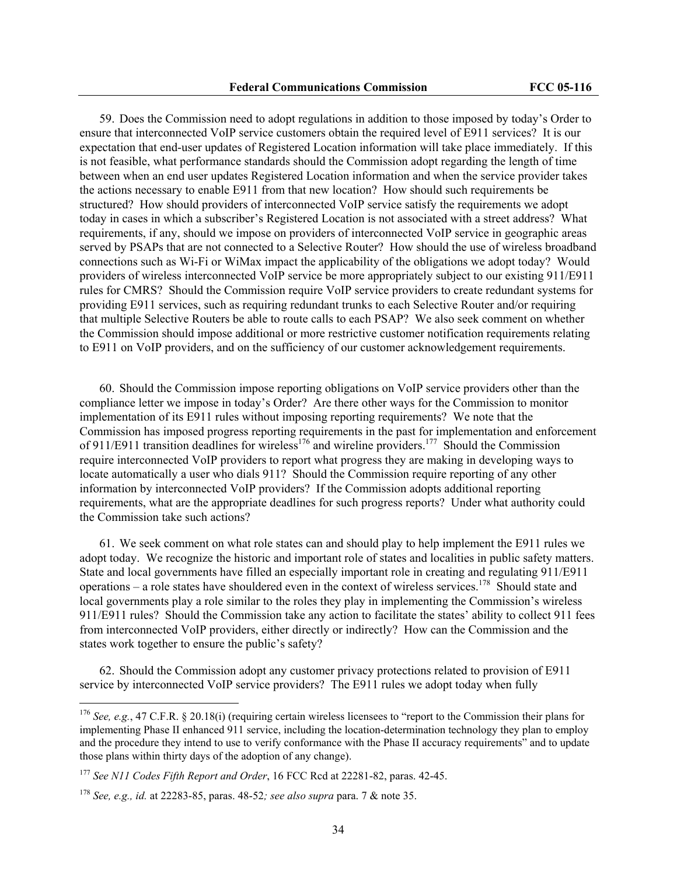59. Does the Commission need to adopt regulations in addition to those imposed by today's Order to ensure that interconnected VoIP service customers obtain the required level of E911 services? It is our expectation that end-user updates of Registered Location information will take place immediately. If this is not feasible, what performance standards should the Commission adopt regarding the length of time between when an end user updates Registered Location information and when the service provider takes the actions necessary to enable E911 from that new location? How should such requirements be structured? How should providers of interconnected VoIP service satisfy the requirements we adopt today in cases in which a subscriber's Registered Location is not associated with a street address? What requirements, if any, should we impose on providers of interconnected VoIP service in geographic areas served by PSAPs that are not connected to a Selective Router? How should the use of wireless broadband connections such as Wi-Fi or WiMax impact the applicability of the obligations we adopt today? Would providers of wireless interconnected VoIP service be more appropriately subject to our existing 911/E911 rules for CMRS? Should the Commission require VoIP service providers to create redundant systems for providing E911 services, such as requiring redundant trunks to each Selective Router and/or requiring that multiple Selective Routers be able to route calls to each PSAP? We also seek comment on whether the Commission should impose additional or more restrictive customer notification requirements relating to E911 on VoIP providers, and on the sufficiency of our customer acknowledgement requirements.

60. Should the Commission impose reporting obligations on VoIP service providers other than the compliance letter we impose in today's Order? Are there other ways for the Commission to monitor implementation of its E911 rules without imposing reporting requirements? We note that the Commission has imposed progress reporting requirements in the past for implementation and enforcement of 911/E911 transition deadlines for wireless<sup>176</sup> and wireline providers.<sup>177</sup> Should the Commission require interconnected VoIP providers to report what progress they are making in developing ways to locate automatically a user who dials 911? Should the Commission require reporting of any other information by interconnected VoIP providers? If the Commission adopts additional reporting requirements, what are the appropriate deadlines for such progress reports? Under what authority could the Commission take such actions?

61. We seek comment on what role states can and should play to help implement the E911 rules we adopt today. We recognize the historic and important role of states and localities in public safety matters. State and local governments have filled an especially important role in creating and regulating 911/E911 operations – a role states have shouldered even in the context of wireless services.<sup>178</sup> Should state and local governments play a role similar to the roles they play in implementing the Commission's wireless 911/E911 rules? Should the Commission take any action to facilitate the states' ability to collect 911 fees from interconnected VoIP providers, either directly or indirectly? How can the Commission and the states work together to ensure the public's safety?

62. Should the Commission adopt any customer privacy protections related to provision of E911 service by interconnected VoIP service providers? The E911 rules we adopt today when fully

<sup>176</sup> *See, e.g.*, 47 C.F.R. § 20.18(i) (requiring certain wireless licensees to "report to the Commission their plans for implementing Phase II enhanced 911 service, including the location-determination technology they plan to employ and the procedure they intend to use to verify conformance with the Phase II accuracy requirements" and to update those plans within thirty days of the adoption of any change).

<sup>177</sup> *See N11 Codes Fifth Report and Order*, 16 FCC Rcd at 22281-82, paras. 42-45.

<sup>178</sup> *See, e.g., id.* at 22283-85, paras. 48-52*; see also supra* para. 7 & note 35.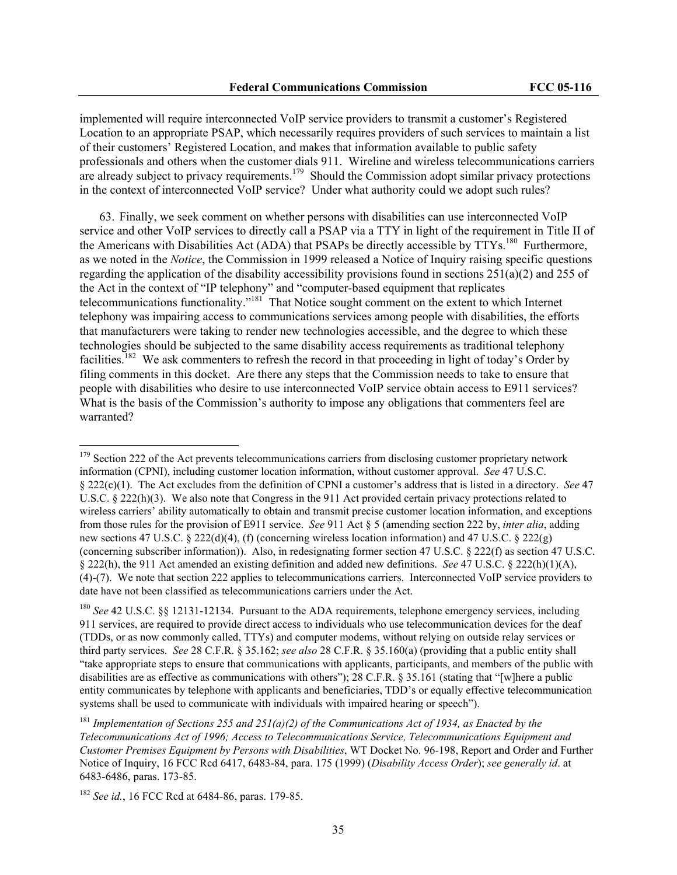implemented will require interconnected VoIP service providers to transmit a customer's Registered Location to an appropriate PSAP, which necessarily requires providers of such services to maintain a list of their customers' Registered Location, and makes that information available to public safety professionals and others when the customer dials 911. Wireline and wireless telecommunications carriers are already subject to privacy requirements.<sup>179</sup> Should the Commission adopt similar privacy protections in the context of interconnected VoIP service? Under what authority could we adopt such rules?

63. Finally, we seek comment on whether persons with disabilities can use interconnected VoIP service and other VoIP services to directly call a PSAP via a TTY in light of the requirement in Title II of the Americans with Disabilities Act (ADA) that PSAPs be directly accessible by TTYs.<sup>180</sup> Furthermore, as we noted in the *Notice*, the Commission in 1999 released a Notice of Inquiry raising specific questions regarding the application of the disability accessibility provisions found in sections 251(a)(2) and 255 of the Act in the context of "IP telephony" and "computer-based equipment that replicates telecommunications functionality."<sup>181</sup> That Notice sought comment on the extent to which Internet telephony was impairing access to communications services among people with disabilities, the efforts that manufacturers were taking to render new technologies accessible, and the degree to which these technologies should be subjected to the same disability access requirements as traditional telephony facilities.182 We ask commenters to refresh the record in that proceeding in light of today's Order by filing comments in this docket. Are there any steps that the Commission needs to take to ensure that people with disabilities who desire to use interconnected VoIP service obtain access to E911 services? What is the basis of the Commission's authority to impose any obligations that commenters feel are warranted?

<sup>&</sup>lt;sup>179</sup> Section 222 of the Act prevents telecommunications carriers from disclosing customer proprietary network information (CPNI), including customer location information, without customer approval. *See* 47 U.S.C. § 222(c)(1). The Act excludes from the definition of CPNI a customer's address that is listed in a directory. *See* 47 U.S.C. § 222(h)(3). We also note that Congress in the 911 Act provided certain privacy protections related to wireless carriers' ability automatically to obtain and transmit precise customer location information, and exceptions from those rules for the provision of E911 service. *See* 911 Act § 5 (amending section 222 by, *inter alia*, adding new sections 47 U.S.C. § 222(d)(4), (f) (concerning wireless location information) and 47 U.S.C. § 222(g) (concerning subscriber information)). Also, in redesignating former section 47 U.S.C. § 222(f) as section 47 U.S.C. § 222(h), the 911 Act amended an existing definition and added new definitions. *See* 47 U.S.C. § 222(h)(1)(A), (4)-(7). We note that section 222 applies to telecommunications carriers. Interconnected VoIP service providers to date have not been classified as telecommunications carriers under the Act.

<sup>&</sup>lt;sup>180</sup> *See* 42 U.S.C. §§ 12131-12134. Pursuant to the ADA requirements, telephone emergency services, including 911 services, are required to provide direct access to individuals who use telecommunication devices for the deaf (TDDs, or as now commonly called, TTYs) and computer modems, without relying on outside relay services or third party services. *See* 28 C.F.R. § 35.162; *see also* 28 C.F.R. § 35.160(a) (providing that a public entity shall "take appropriate steps to ensure that communications with applicants, participants, and members of the public with disabilities are as effective as communications with others"); 28 C.F.R. § 35.161 (stating that "[w]here a public entity communicates by telephone with applicants and beneficiaries, TDD's or equally effective telecommunication systems shall be used to communicate with individuals with impaired hearing or speech").

<sup>181</sup> *Implementation of Sections 255 and 251(a)(2) of the Communications Act of 1934, as Enacted by the Telecommunications Act of 1996; Access to Telecommunications Service, Telecommunications Equipment and Customer Premises Equipment by Persons with Disabilities*, WT Docket No. 96-198, Report and Order and Further Notice of Inquiry, 16 FCC Rcd 6417, 6483-84, para. 175 (1999) (*Disability Access Order*); *see generally id*. at 6483-6486, paras. 173-85.

<sup>182</sup> *See id.*, 16 FCC Rcd at 6484-86, paras. 179-85.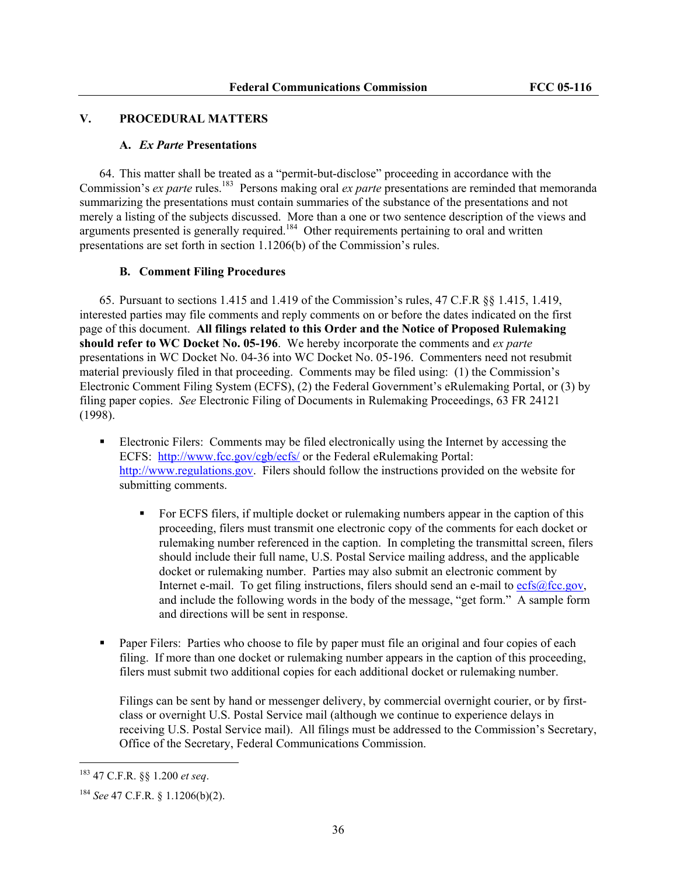### **V. PROCEDURAL MATTERS**

#### **A.** *Ex Parte* **Presentations**

64. This matter shall be treated as a "permit-but-disclose" proceeding in accordance with the Commission's *ex parte* rules.<sup>183</sup> Persons making oral *ex parte* presentations are reminded that memoranda summarizing the presentations must contain summaries of the substance of the presentations and not merely a listing of the subjects discussed. More than a one or two sentence description of the views and arguments presented is generally required.<sup>184</sup> Other requirements pertaining to oral and written presentations are set forth in section 1.1206(b) of the Commission's rules.

### **B. Comment Filing Procedures**

65. Pursuant to sections 1.415 and 1.419 of the Commission's rules, 47 C.F.R §§ 1.415, 1.419, interested parties may file comments and reply comments on or before the dates indicated on the first page of this document. **All filings related to this Order and the Notice of Proposed Rulemaking should refer to WC Docket No. 05-196**. We hereby incorporate the comments and *ex parte* presentations in WC Docket No. 04-36 into WC Docket No. 05-196. Commenters need not resubmit material previously filed in that proceeding. Comments may be filed using: (1) the Commission's Electronic Comment Filing System (ECFS), (2) the Federal Government's eRulemaking Portal, or (3) by filing paper copies. *See* Electronic Filing of Documents in Rulemaking Proceedings, 63 FR 24121 (1998).

- Electronic Filers: Comments may be filed electronically using the Internet by accessing the ECFS: http://www.fcc.gov/cgb/ecfs/ or the Federal eRulemaking Portal: http://www.regulations.gov. Filers should follow the instructions provided on the website for submitting comments.
	- For ECFS filers, if multiple docket or rulemaking numbers appear in the caption of this proceeding, filers must transmit one electronic copy of the comments for each docket or rulemaking number referenced in the caption. In completing the transmittal screen, filers should include their full name, U.S. Postal Service mailing address, and the applicable docket or rulemaking number. Parties may also submit an electronic comment by Internet e-mail. To get filing instructions, filers should send an e-mail to ecfs@fcc.gov, and include the following words in the body of the message, "get form." A sample form and directions will be sent in response.
- **Paper Filers:** Parties who choose to file by paper must file an original and four copies of each filing. If more than one docket or rulemaking number appears in the caption of this proceeding, filers must submit two additional copies for each additional docket or rulemaking number.

Filings can be sent by hand or messenger delivery, by commercial overnight courier, or by firstclass or overnight U.S. Postal Service mail (although we continue to experience delays in receiving U.S. Postal Service mail). All filings must be addressed to the Commission's Secretary, Office of the Secretary, Federal Communications Commission.

<sup>183 47</sup> C.F.R. §§ 1.200 *et seq*.

<sup>184</sup> *See* 47 C.F.R. § 1.1206(b)(2).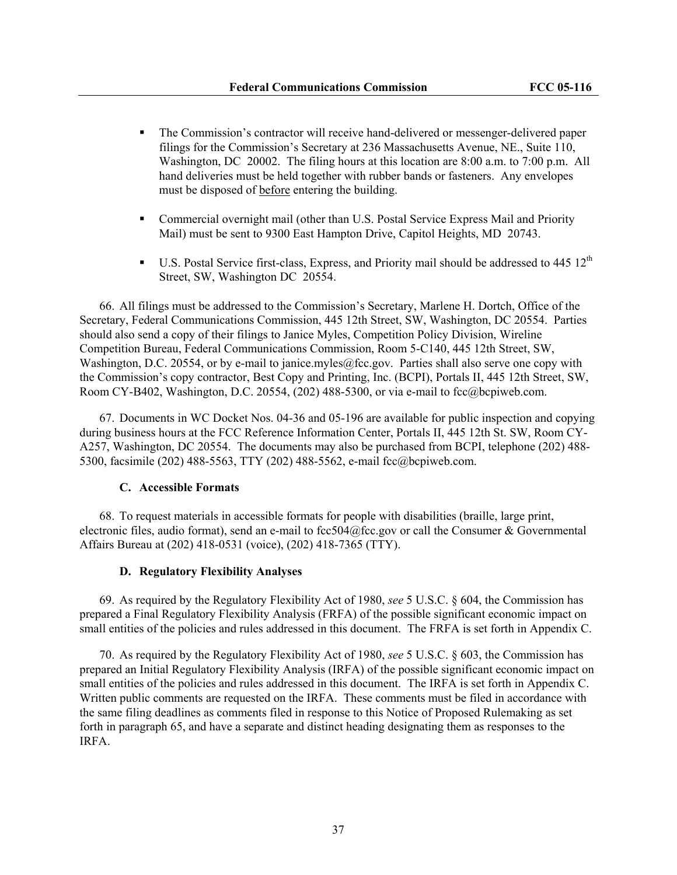- The Commission's contractor will receive hand-delivered or messenger-delivered paper filings for the Commission's Secretary at 236 Massachusetts Avenue, NE., Suite 110, Washington, DC 20002. The filing hours at this location are 8:00 a.m. to 7:00 p.m. All hand deliveries must be held together with rubber bands or fasteners. Any envelopes must be disposed of before entering the building.
- Commercial overnight mail (other than U.S. Postal Service Express Mail and Priority Mail) must be sent to 9300 East Hampton Drive, Capitol Heights, MD 20743.
- U.S. Postal Service first-class, Express, and Priority mail should be addressed to 445  $12^{th}$ Street, SW, Washington DC 20554.

66. All filings must be addressed to the Commission's Secretary, Marlene H. Dortch, Office of the Secretary, Federal Communications Commission, 445 12th Street, SW, Washington, DC 20554. Parties should also send a copy of their filings to Janice Myles, Competition Policy Division, Wireline Competition Bureau, Federal Communications Commission, Room 5-C140, 445 12th Street, SW, Washington, D.C. 20554, or by e-mail to janice.myles@fcc.gov. Parties shall also serve one copy with the Commission's copy contractor, Best Copy and Printing, Inc. (BCPI), Portals II, 445 12th Street, SW, Room CY-B402, Washington, D.C. 20554, (202) 488-5300, or via e-mail to fcc@bcpiweb.com.

67. Documents in WC Docket Nos. 04-36 and 05-196 are available for public inspection and copying during business hours at the FCC Reference Information Center, Portals II, 445 12th St. SW, Room CY-A257, Washington, DC 20554. The documents may also be purchased from BCPI, telephone (202) 488- 5300, facsimile (202) 488-5563, TTY (202) 488-5562, e-mail fcc@bcpiweb.com.

#### **C. Accessible Formats**

68. To request materials in accessible formats for people with disabilities (braille, large print, electronic files, audio format), send an e-mail to fcc504@fcc.gov or call the Consumer & Governmental Affairs Bureau at (202) 418-0531 (voice), (202) 418-7365 (TTY).

#### **D. Regulatory Flexibility Analyses**

69. As required by the Regulatory Flexibility Act of 1980, *see* 5 U.S.C. § 604, the Commission has prepared a Final Regulatory Flexibility Analysis (FRFA) of the possible significant economic impact on small entities of the policies and rules addressed in this document. The FRFA is set forth in Appendix C.

70. As required by the Regulatory Flexibility Act of 1980, *see* 5 U.S.C. § 603, the Commission has prepared an Initial Regulatory Flexibility Analysis (IRFA) of the possible significant economic impact on small entities of the policies and rules addressed in this document. The IRFA is set forth in Appendix C. Written public comments are requested on the IRFA. These comments must be filed in accordance with the same filing deadlines as comments filed in response to this Notice of Proposed Rulemaking as set forth in paragraph 65, and have a separate and distinct heading designating them as responses to the IRFA.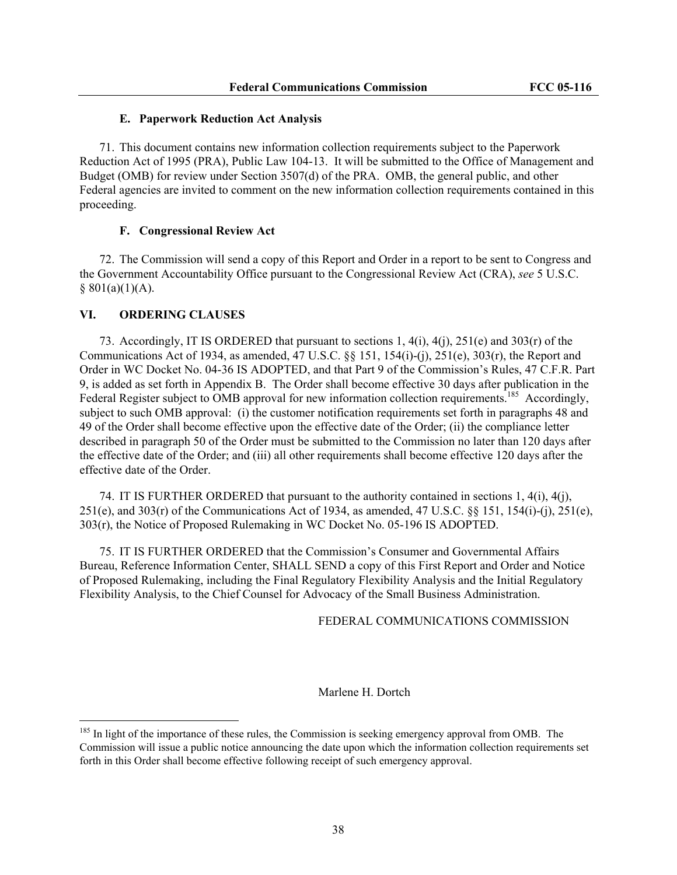#### **E. Paperwork Reduction Act Analysis**

71. This document contains new information collection requirements subject to the Paperwork Reduction Act of 1995 (PRA), Public Law 104-13. It will be submitted to the Office of Management and Budget (OMB) for review under Section 3507(d) of the PRA. OMB, the general public, and other Federal agencies are invited to comment on the new information collection requirements contained in this proceeding.

#### **F. Congressional Review Act**

72. The Commission will send a copy of this Report and Order in a report to be sent to Congress and the Government Accountability Office pursuant to the Congressional Review Act (CRA), *see* 5 U.S.C.  $§ 801(a)(1)(A).$ 

#### **VI. ORDERING CLAUSES**

 $\overline{a}$ 

73. Accordingly, IT IS ORDERED that pursuant to sections 1, 4(i), 4(j), 251(e) and 303(r) of the Communications Act of 1934, as amended, 47 U.S.C. §§ 151, 154(i)-(j), 251(e), 303(r), the Report and Order in WC Docket No. 04-36 IS ADOPTED, and that Part 9 of the Commission's Rules, 47 C.F.R. Part 9, is added as set forth in Appendix B. The Order shall become effective 30 days after publication in the Federal Register subject to OMB approval for new information collection requirements.<sup>185</sup> Accordingly, subject to such OMB approval: (i) the customer notification requirements set forth in paragraphs 48 and 49 of the Order shall become effective upon the effective date of the Order; (ii) the compliance letter described in paragraph 50 of the Order must be submitted to the Commission no later than 120 days after the effective date of the Order; and (iii) all other requirements shall become effective 120 days after the effective date of the Order.

74. IT IS FURTHER ORDERED that pursuant to the authority contained in sections 1, 4(i), 4(j), 251(e), and 303(r) of the Communications Act of 1934, as amended, 47 U.S.C. §§ 151, 154(i)-(j), 251(e), 303(r), the Notice of Proposed Rulemaking in WC Docket No. 05-196 IS ADOPTED.

75. IT IS FURTHER ORDERED that the Commission's Consumer and Governmental Affairs Bureau, Reference Information Center, SHALL SEND a copy of this First Report and Order and Notice of Proposed Rulemaking, including the Final Regulatory Flexibility Analysis and the Initial Regulatory Flexibility Analysis, to the Chief Counsel for Advocacy of the Small Business Administration.

FEDERAL COMMUNICATIONS COMMISSION

#### Marlene H. Dortch

 $185$  In light of the importance of these rules, the Commission is seeking emergency approval from OMB. The Commission will issue a public notice announcing the date upon which the information collection requirements set forth in this Order shall become effective following receipt of such emergency approval.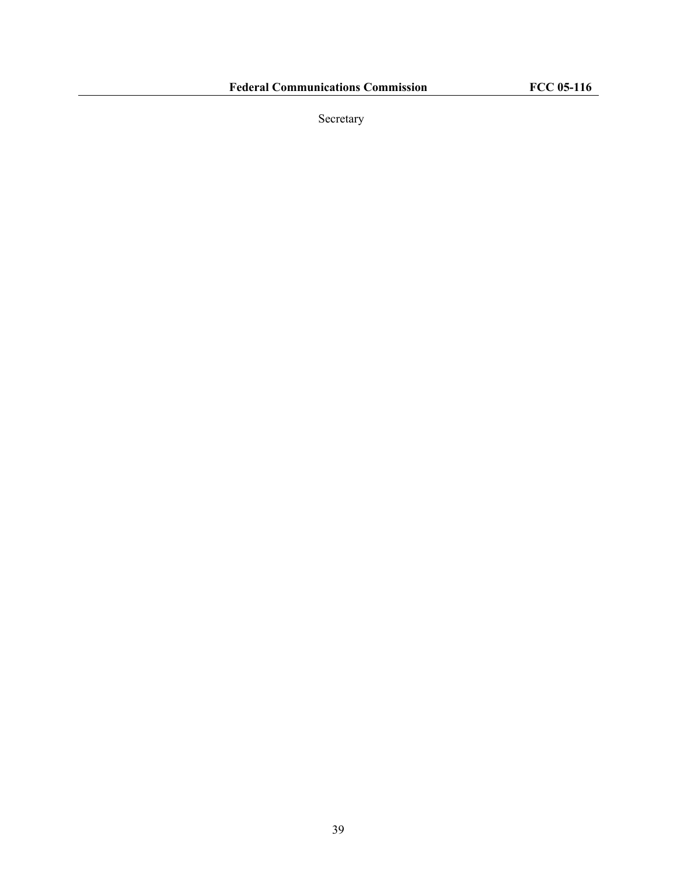Secretary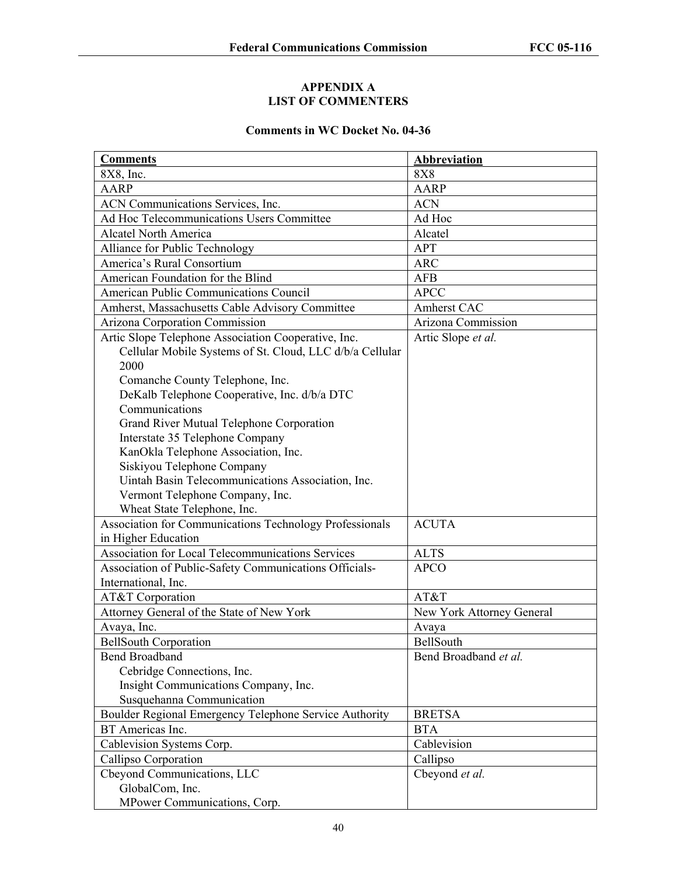## **APPENDIX A LIST OF COMMENTERS**

# **Comments in WC Docket No. 04-36**

| <b>Comments</b>                                          | Abbreviation              |
|----------------------------------------------------------|---------------------------|
| 8X8, Inc.                                                | <b>8X8</b>                |
| <b>AARP</b>                                              | <b>AARP</b>               |
| ACN Communications Services, Inc.                        | <b>ACN</b>                |
| Ad Hoc Telecommunications Users Committee                | Ad Hoc                    |
| <b>Alcatel North America</b>                             | Alcatel                   |
| Alliance for Public Technology                           | <b>APT</b>                |
| America's Rural Consortium                               | <b>ARC</b>                |
| American Foundation for the Blind                        | <b>AFB</b>                |
| American Public Communications Council                   | <b>APCC</b>               |
| Amherst, Massachusetts Cable Advisory Committee          | Amherst CAC               |
| Arizona Corporation Commission                           | Arizona Commission        |
| Artic Slope Telephone Association Cooperative, Inc.      | Artic Slope et al.        |
| Cellular Mobile Systems of St. Cloud, LLC d/b/a Cellular |                           |
| 2000                                                     |                           |
| Comanche County Telephone, Inc.                          |                           |
| DeKalb Telephone Cooperative, Inc. d/b/a DTC             |                           |
| Communications                                           |                           |
| Grand River Mutual Telephone Corporation                 |                           |
| Interstate 35 Telephone Company                          |                           |
| KanOkla Telephone Association, Inc.                      |                           |
| Siskiyou Telephone Company                               |                           |
| Uintah Basin Telecommunications Association, Inc.        |                           |
| Vermont Telephone Company, Inc.                          |                           |
| Wheat State Telephone, Inc.                              |                           |
| Association for Communications Technology Professionals  | <b>ACUTA</b>              |
| in Higher Education                                      |                           |
| Association for Local Telecommunications Services        | <b>ALTS</b>               |
| Association of Public-Safety Communications Officials-   | <b>APCO</b>               |
| International, Inc.                                      |                           |
| AT&T Corporation                                         | AT&T                      |
| Attorney General of the State of New York                | New York Attorney General |
| Avaya, Inc.                                              | Avaya                     |
| <b>BellSouth Corporation</b>                             | BellSouth                 |
| <b>Bend Broadband</b>                                    | Bend Broadband et al.     |
| Cebridge Connections, Inc.                               |                           |
| Insight Communications Company, Inc.                     |                           |
| Susquehanna Communication                                |                           |
| Boulder Regional Emergency Telephone Service Authority   | <b>BRETSA</b>             |
| BT Americas Inc.                                         | <b>BTA</b>                |
| Cablevision Systems Corp.                                | Cablevision               |
| Callipso Corporation                                     | Callipso                  |
| Cbeyond Communications, LLC                              | Cbeyond et al.            |
| GlobalCom, Inc.                                          |                           |
| MPower Communications, Corp.                             |                           |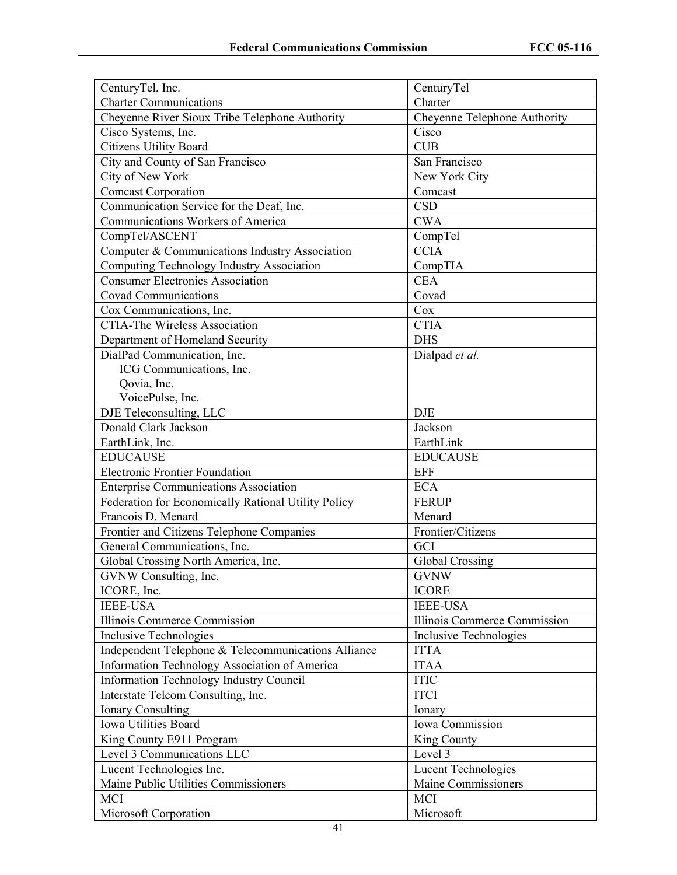| CenturyTel, Inc.                                    | CenturyTel                    |
|-----------------------------------------------------|-------------------------------|
| <b>Charter Communications</b>                       | Charter                       |
| Cheyenne River Sioux Tribe Telephone Authority      | Cheyenne Telephone Authority  |
| Cisco Systems, Inc.                                 | Cisco                         |
| <b>Citizens Utility Board</b>                       | <b>CUB</b>                    |
| City and County of San Francisco                    | San Francisco                 |
| City of New York                                    | New York City                 |
| <b>Comcast Corporation</b>                          | Comcast                       |
| Communication Service for the Deaf, Inc.            | <b>CSD</b>                    |
| Communications Workers of America                   | <b>CWA</b>                    |
| CompTel/ASCENT                                      | CompTel                       |
| Computer & Communications Industry Association      | <b>CCIA</b>                   |
| Computing Technology Industry Association           | CompTIA                       |
| <b>Consumer Electronics Association</b>             | <b>CEA</b>                    |
| <b>Covad Communications</b>                         | Covad                         |
| Cox Communications, Inc.                            | Cox                           |
| <b>CTIA-The Wireless Association</b>                | <b>CTIA</b>                   |
| Department of Homeland Security                     | <b>DHS</b>                    |
| DialPad Communication, Inc.                         | Dialpad et al.                |
| ICG Communications, Inc.                            |                               |
| Qovia, Inc.                                         |                               |
| VoicePulse, Inc.                                    |                               |
| DJE Teleconsulting, LLC                             | <b>DJE</b>                    |
| Donald Clark Jackson                                | Jackson                       |
| EarthLink, Inc.                                     | EarthLink                     |
| <b>EDUCAUSE</b>                                     | <b>EDUCAUSE</b>               |
| <b>Electronic Frontier Foundation</b>               | <b>EFF</b>                    |
| <b>Enterprise Communications Association</b>        | <b>ECA</b>                    |
| Federation for Economically Rational Utility Policy | <b>FERUP</b>                  |
| Francois D. Menard                                  | Menard                        |
| Frontier and Citizens Telephone Companies           | Frontier/Citizens             |
| General Communications, Inc.                        | GCI                           |
| Global Crossing North America, Inc.                 | Global Crossing               |
| GVNW Consulting, Inc.                               | <b>GVNW</b>                   |
| ICORE, Inc.                                         | <b>ICORE</b>                  |
| <b>IEEE-USA</b>                                     | <b>IEEE-USA</b>               |
| Illinois Commerce Commission                        | Illinois Commerce Commission  |
| Inclusive Technologies                              | <b>Inclusive Technologies</b> |
| Independent Telephone & Telecommunications Alliance | <b>ITTA</b>                   |
| Information Technology Association of America       | <b>ITAA</b>                   |
| <b>Information Technology Industry Council</b>      | <b>ITIC</b>                   |
| Interstate Telcom Consulting, Inc.                  | <b>ITCI</b>                   |
| <b>Ionary Consulting</b>                            | Ionary                        |
| Iowa Utilities Board                                | Iowa Commission               |
| King County E911 Program                            | King County                   |
| Level 3 Communications LLC                          | Level 3                       |
| Lucent Technologies Inc.                            | <b>Lucent Technologies</b>    |
| Maine Public Utilities Commissioners                | Maine Commissioners           |
| <b>MCI</b>                                          | <b>MCI</b>                    |
| Microsoft Corporation                               | Microsoft                     |
|                                                     |                               |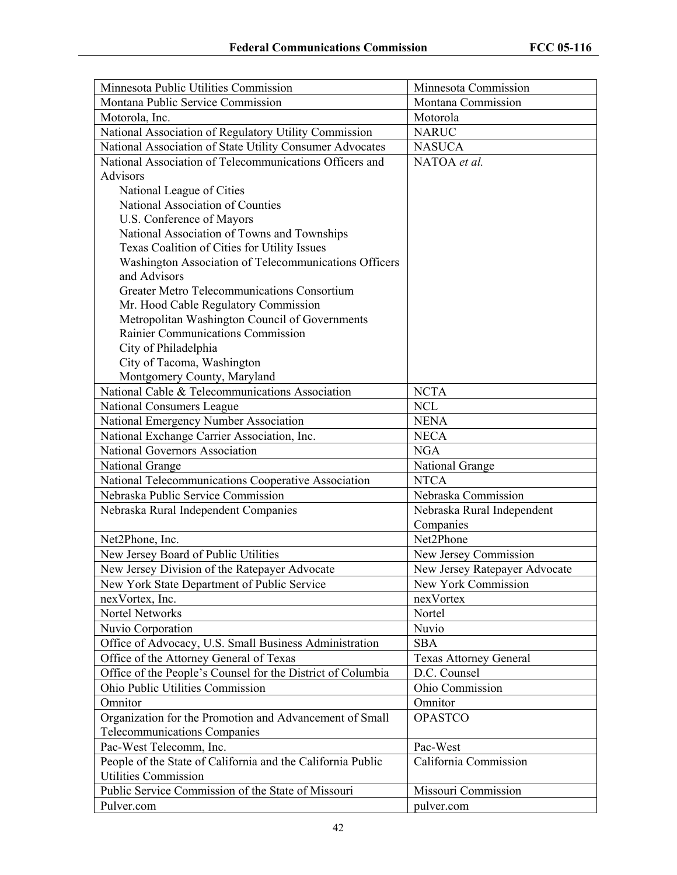| Minnesota Public Utilities Commission                       | Minnesota Commission          |
|-------------------------------------------------------------|-------------------------------|
| Montana Public Service Commission                           | Montana Commission            |
| Motorola, Inc.                                              | Motorola                      |
| National Association of Regulatory Utility Commission       | <b>NARUC</b>                  |
| National Association of State Utility Consumer Advocates    | <b>NASUCA</b>                 |
| National Association of Telecommunications Officers and     | NATOA et al.                  |
| Advisors                                                    |                               |
| National League of Cities                                   |                               |
| National Association of Counties                            |                               |
| U.S. Conference of Mayors                                   |                               |
| National Association of Towns and Townships                 |                               |
| Texas Coalition of Cities for Utility Issues                |                               |
| Washington Association of Telecommunications Officers       |                               |
| and Advisors                                                |                               |
| <b>Greater Metro Telecommunications Consortium</b>          |                               |
| Mr. Hood Cable Regulatory Commission                        |                               |
| Metropolitan Washington Council of Governments              |                               |
| Rainier Communications Commission                           |                               |
| City of Philadelphia                                        |                               |
| City of Tacoma, Washington                                  |                               |
| Montgomery County, Maryland                                 |                               |
| National Cable & Telecommunications Association             | <b>NCTA</b>                   |
| National Consumers League                                   | <b>NCL</b>                    |
| National Emergency Number Association                       | <b>NENA</b>                   |
| National Exchange Carrier Association, Inc.                 | <b>NECA</b>                   |
| National Governors Association                              | <b>NGA</b>                    |
| <b>National Grange</b>                                      | National Grange               |
| National Telecommunications Cooperative Association         | <b>NTCA</b>                   |
| Nebraska Public Service Commission                          | Nebraska Commission           |
| Nebraska Rural Independent Companies                        | Nebraska Rural Independent    |
|                                                             | Companies                     |
| Net2Phone, Inc.                                             | Net2Phone                     |
| New Jersey Board of Public Utilities                        | New Jersey Commission         |
| New Jersey Division of the Ratepayer Advocate               | New Jersey Ratepayer Advocate |
| New York State Department of Public Service                 | New York Commission           |
| nexVortex, Inc.                                             | nexVortex                     |
| Nortel Networks                                             | Nortel                        |
| Nuvio Corporation                                           | Nuvio                         |
| Office of Advocacy, U.S. Small Business Administration      | <b>SBA</b>                    |
| Office of the Attorney General of Texas                     | <b>Texas Attorney General</b> |
| Office of the People's Counsel for the District of Columbia | D.C. Counsel                  |
| Ohio Public Utilities Commission                            | Ohio Commission               |
| Omnitor                                                     | Omnitor                       |
| Organization for the Promotion and Advancement of Small     | <b>OPASTCO</b>                |
| Telecommunications Companies                                |                               |
| Pac-West Telecomm, Inc.                                     | Pac-West                      |
| People of the State of California and the California Public | California Commission         |
| <b>Utilities Commission</b>                                 |                               |
| Public Service Commission of the State of Missouri          | Missouri Commission           |
| Pulver.com                                                  | pulver.com                    |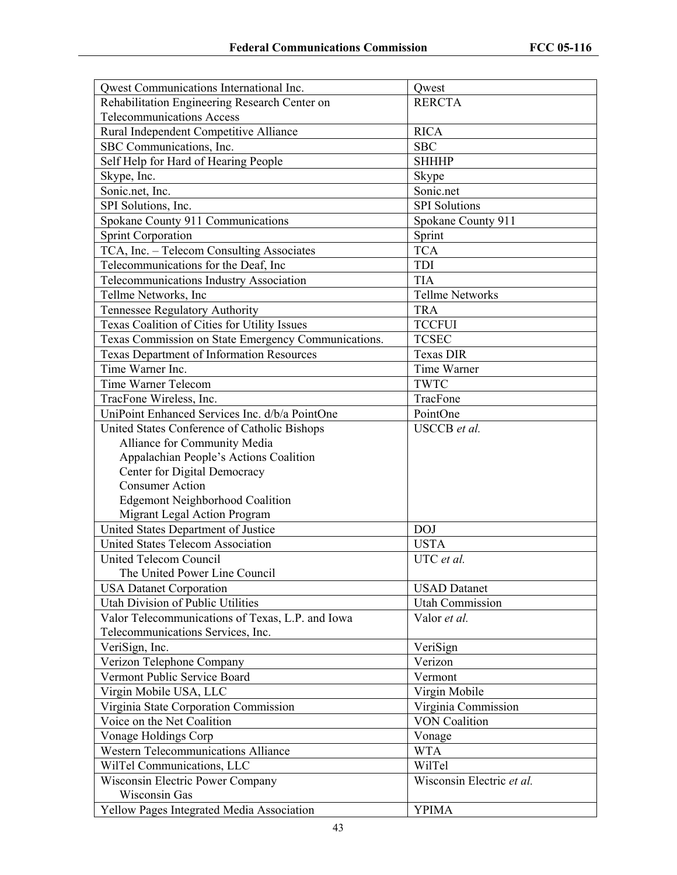| Qwest Communications International Inc.                              | Qwest                     |
|----------------------------------------------------------------------|---------------------------|
| Rehabilitation Engineering Research Center on                        | <b>RERCTA</b>             |
| <b>Telecommunications Access</b>                                     |                           |
| Rural Independent Competitive Alliance                               | <b>RICA</b>               |
| SBC Communications, Inc.                                             | <b>SBC</b>                |
| Self Help for Hard of Hearing People                                 | <b>SHHHP</b>              |
| Skype, Inc.                                                          | Skype                     |
| Sonic.net, Inc.                                                      | Sonic.net                 |
| SPI Solutions, Inc.                                                  | <b>SPI</b> Solutions      |
| Spokane County 911 Communications                                    | Spokane County 911        |
| <b>Sprint Corporation</b>                                            | Sprint                    |
| TCA, Inc. - Telecom Consulting Associates                            | <b>TCA</b>                |
| Telecommunications for the Deaf, Inc.                                | TDI                       |
| Telecommunications Industry Association                              | <b>TIA</b>                |
| Tellme Networks, Inc.                                                | <b>Tellme Networks</b>    |
| Tennessee Regulatory Authority                                       | <b>TRA</b>                |
| Texas Coalition of Cities for Utility Issues                         | <b>TCCFUI</b>             |
|                                                                      | <b>TCSEC</b>              |
| Texas Commission on State Emergency Communications.                  | <b>Texas DIR</b>          |
| <b>Texas Department of Information Resources</b><br>Time Warner Inc. |                           |
|                                                                      | Time Warner               |
| Time Warner Telecom                                                  | <b>TWTC</b>               |
| TracFone Wireless, Inc.                                              | TracFone                  |
| UniPoint Enhanced Services Inc. d/b/a PointOne                       | PointOne                  |
| United States Conference of Catholic Bishops                         | <b>USCCB</b> et al.       |
| Alliance for Community Media                                         |                           |
| Appalachian People's Actions Coalition                               |                           |
| Center for Digital Democracy                                         |                           |
| <b>Consumer Action</b>                                               |                           |
| <b>Edgemont Neighborhood Coalition</b>                               |                           |
| Migrant Legal Action Program                                         |                           |
| United States Department of Justice                                  | <b>DOJ</b>                |
| <b>United States Telecom Association</b>                             | <b>USTA</b>               |
| <b>United Telecom Council</b>                                        | UTC et al.                |
| The United Power Line Council                                        |                           |
| <b>USA Datanet Corporation</b>                                       | <b>USAD</b> Datanet       |
| Utah Division of Public Utilities                                    | <b>Utah Commission</b>    |
| Valor Telecommunications of Texas, L.P. and Iowa                     | Valor et al.              |
| Telecommunications Services, Inc.                                    |                           |
| VeriSign, Inc.                                                       | VeriSign                  |
| Verizon Telephone Company                                            | Verizon                   |
| Vermont Public Service Board                                         | Vermont                   |
| Virgin Mobile USA, LLC                                               | Virgin Mobile             |
| Virginia State Corporation Commission                                | Virginia Commission       |
| Voice on the Net Coalition                                           | <b>VON Coalition</b>      |
| Vonage Holdings Corp                                                 | Vonage                    |
| <b>Western Telecommunications Alliance</b>                           | <b>WTA</b>                |
| WilTel Communications, LLC                                           | WilTel                    |
| Wisconsin Electric Power Company                                     | Wisconsin Electric et al. |
| Wisconsin Gas                                                        |                           |
| Yellow Pages Integrated Media Association                            | <b>YPIMA</b>              |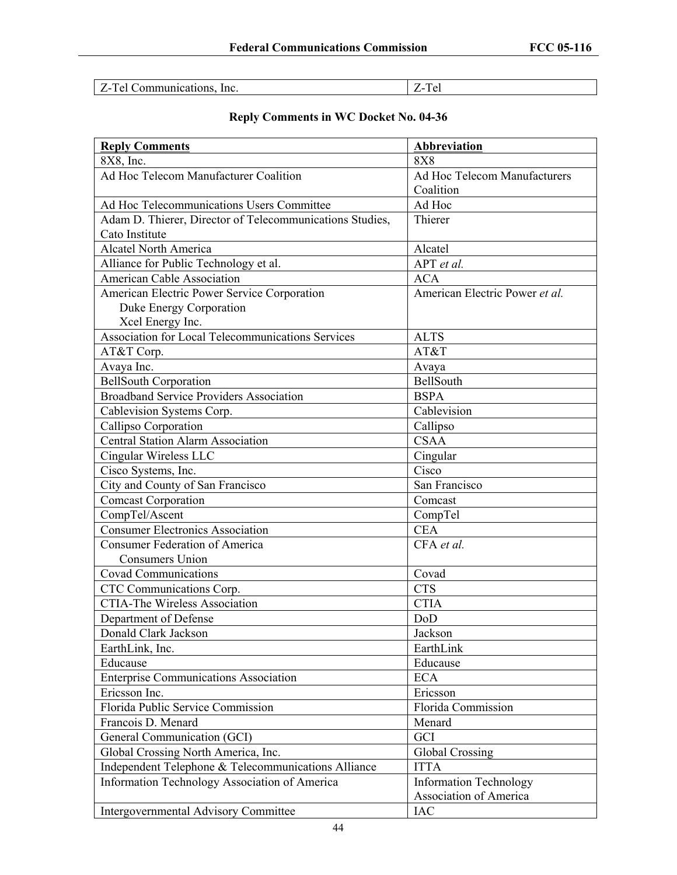| <b>Z-Tel Communications, Inc.</b> | Z-Tel |
|-----------------------------------|-------|
|-----------------------------------|-------|

# **Reply Comments in WC Docket No. 04-36**

| <b>Reply Comments</b>                                    | <b>Abbreviation</b>            |
|----------------------------------------------------------|--------------------------------|
| 8X8, Inc.                                                | <b>8X8</b>                     |
| Ad Hoc Telecom Manufacturer Coalition                    | Ad Hoc Telecom Manufacturers   |
|                                                          | Coalition                      |
| Ad Hoc Telecommunications Users Committee                | Ad Hoc                         |
| Adam D. Thierer, Director of Telecommunications Studies, | Thierer                        |
| Cato Institute                                           |                                |
| <b>Alcatel North America</b>                             | Alcatel                        |
| Alliance for Public Technology et al.                    | $\overline{APT}$ et al.        |
| <b>American Cable Association</b>                        | <b>ACA</b>                     |
| American Electric Power Service Corporation              | American Electric Power et al. |
| Duke Energy Corporation                                  |                                |
| Xcel Energy Inc.                                         |                                |
| Association for Local Telecommunications Services        | <b>ALTS</b>                    |
| AT&T Corp.                                               | AT&T                           |
| Avaya Inc.                                               | Avaya                          |
| <b>BellSouth Corporation</b>                             | BellSouth                      |
| <b>Broadband Service Providers Association</b>           | <b>BSPA</b>                    |
| Cablevision Systems Corp.                                | Cablevision                    |
| Callipso Corporation                                     | Callipso                       |
| <b>Central Station Alarm Association</b>                 | <b>CSAA</b>                    |
| Cingular Wireless LLC                                    | Cingular                       |
| Cisco Systems, Inc.                                      | Cisco                          |
| City and County of San Francisco                         | San Francisco                  |
| <b>Comcast Corporation</b>                               | Comcast                        |
| CompTel/Ascent                                           | CompTel                        |
| <b>Consumer Electronics Association</b>                  | <b>CEA</b>                     |
| <b>Consumer Federation of America</b>                    | CFA et al.                     |
| <b>Consumers Union</b>                                   |                                |
| <b>Covad Communications</b>                              | Covad                          |
| CTC Communications Corp.                                 | <b>CTS</b>                     |
| <b>CTIA-The Wireless Association</b>                     | <b>CTIA</b>                    |
| Department of Defense                                    | DoD                            |
| Donald Clark Jackson                                     | Jackson                        |
| EarthLink, Inc.                                          | EarthLink                      |
| Educause                                                 | Educause                       |
| <b>Enterprise Communications Association</b>             | <b>ECA</b>                     |
| Ericsson Inc.                                            | Ericsson                       |
| Florida Public Service Commission                        | Florida Commission             |
| Francois D. Menard                                       | Menard                         |
| General Communication (GCI)                              | GCI                            |
| Global Crossing North America, Inc.                      | <b>Global Crossing</b>         |
| Independent Telephone & Telecommunications Alliance      | <b>ITTA</b>                    |
| Information Technology Association of America            | <b>Information Technology</b>  |
|                                                          | <b>Association of America</b>  |
| Intergovernmental Advisory Committee                     | IAC                            |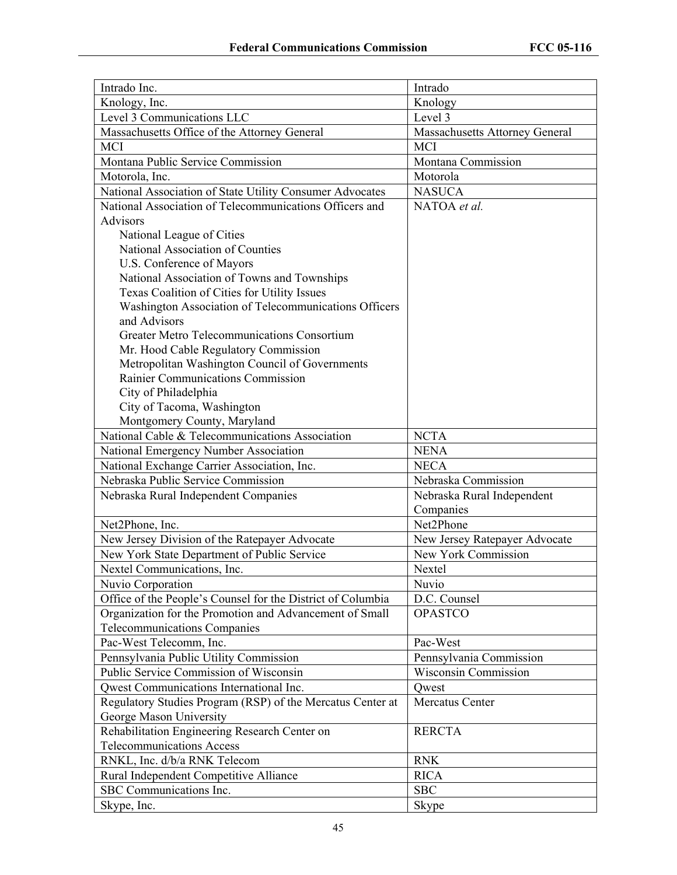| Intrado Inc.                                                | Intrado                        |
|-------------------------------------------------------------|--------------------------------|
| Knology, Inc.                                               | Knology                        |
| Level 3 Communications LLC                                  | Level 3                        |
| Massachusetts Office of the Attorney General                | Massachusetts Attorney General |
| <b>MCI</b>                                                  | <b>MCI</b>                     |
| Montana Public Service Commission                           | Montana Commission             |
| Motorola, Inc.                                              | Motorola                       |
| National Association of State Utility Consumer Advocates    | <b>NASUCA</b>                  |
| National Association of Telecommunications Officers and     | NATOA et al.                   |
| <b>Advisors</b>                                             |                                |
| National League of Cities                                   |                                |
| National Association of Counties                            |                                |
| U.S. Conference of Mayors                                   |                                |
| National Association of Towns and Townships                 |                                |
| Texas Coalition of Cities for Utility Issues                |                                |
| Washington Association of Telecommunications Officers       |                                |
| and Advisors                                                |                                |
| Greater Metro Telecommunications Consortium                 |                                |
| Mr. Hood Cable Regulatory Commission                        |                                |
| Metropolitan Washington Council of Governments              |                                |
| Rainier Communications Commission                           |                                |
| City of Philadelphia                                        |                                |
| City of Tacoma, Washington                                  |                                |
| Montgomery County, Maryland                                 |                                |
| National Cable & Telecommunications Association             | <b>NCTA</b>                    |
| National Emergency Number Association                       | <b>NENA</b>                    |
| National Exchange Carrier Association, Inc.                 | <b>NECA</b>                    |
| Nebraska Public Service Commission                          | Nebraska Commission            |
| Nebraska Rural Independent Companies                        | Nebraska Rural Independent     |
|                                                             | Companies                      |
| Net2Phone, Inc.                                             | Net2Phone                      |
| New Jersey Division of the Ratepayer Advocate               | New Jersey Ratepayer Advocate  |
| New York State Department of Public Service                 | New York Commission            |
| Nextel Communications, Inc.                                 | Nextel                         |
| Nuvio Corporation                                           | Nuvio                          |
| Office of the People's Counsel for the District of Columbia | D.C. Counsel                   |
| Organization for the Promotion and Advancement of Small     | <b>OPASTCO</b>                 |
| <b>Telecommunications Companies</b>                         |                                |
| Pac-West Telecomm, Inc.                                     | Pac-West                       |
| Pennsylvania Public Utility Commission                      | Pennsylvania Commission        |
| Public Service Commission of Wisconsin                      | Wisconsin Commission           |
| Qwest Communications International Inc.                     | Qwest                          |
| Regulatory Studies Program (RSP) of the Mercatus Center at  | Mercatus Center                |
| George Mason University                                     |                                |
| Rehabilitation Engineering Research Center on               | <b>RERCTA</b>                  |
| <b>Telecommunications Access</b>                            |                                |
| RNKL, Inc. d/b/a RNK Telecom                                | <b>RNK</b>                     |
| Rural Independent Competitive Alliance                      | <b>RICA</b>                    |
| SBC Communications Inc.                                     | <b>SBC</b>                     |
| Skype, Inc.                                                 | Skype                          |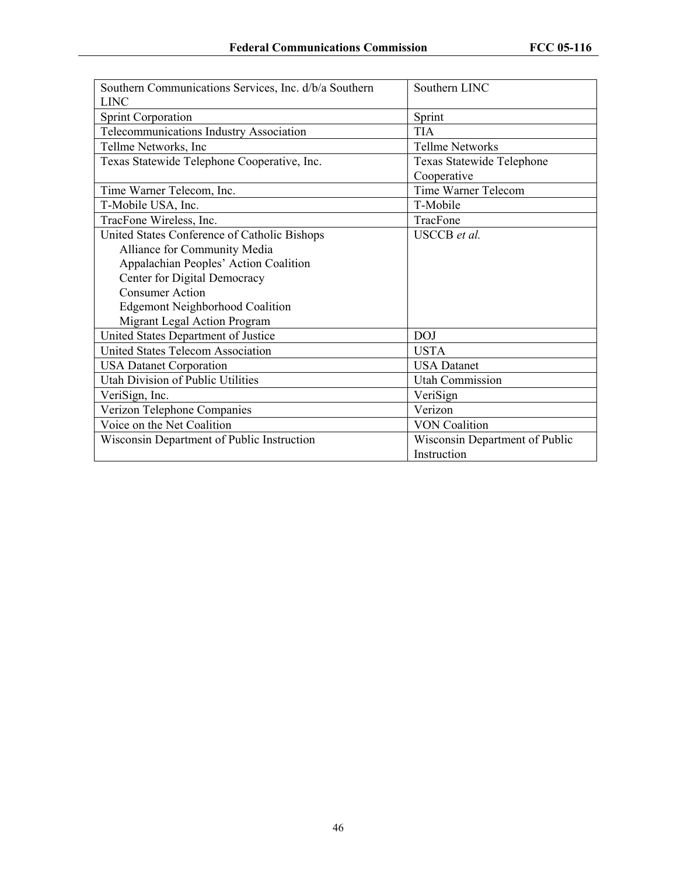| Southern Communications Services, Inc. d/b/a Southern | Southern LINC                  |
|-------------------------------------------------------|--------------------------------|
| <b>LINC</b>                                           |                                |
| <b>Sprint Corporation</b>                             | Sprint                         |
| Telecommunications Industry Association               | <b>TIA</b>                     |
| Tellme Networks, Inc                                  | <b>Tellme Networks</b>         |
| Texas Statewide Telephone Cooperative, Inc.           | Texas Statewide Telephone      |
|                                                       | Cooperative                    |
| Time Warner Telecom, Inc.                             | <b>Time Warner Telecom</b>     |
| T-Mobile USA, Inc.                                    | T-Mobile                       |
| TracFone Wireless, Inc.                               | TracFone                       |
| United States Conference of Catholic Bishops          | <b>USCCB</b> et al.            |
| Alliance for Community Media                          |                                |
| Appalachian Peoples' Action Coalition                 |                                |
| Center for Digital Democracy                          |                                |
| <b>Consumer Action</b>                                |                                |
| <b>Edgemont Neighborhood Coalition</b>                |                                |
| Migrant Legal Action Program                          |                                |
| United States Department of Justice                   | <b>DOJ</b>                     |
| <b>United States Telecom Association</b>              | <b>USTA</b>                    |
| <b>USA Datanet Corporation</b>                        | <b>USA</b> Datanet             |
| Utah Division of Public Utilities                     | <b>Utah Commission</b>         |
| VeriSign, Inc.                                        | VeriSign                       |
| Verizon Telephone Companies                           | Verizon                        |
| Voice on the Net Coalition                            | <b>VON Coalition</b>           |
| Wisconsin Department of Public Instruction            | Wisconsin Department of Public |
|                                                       | Instruction                    |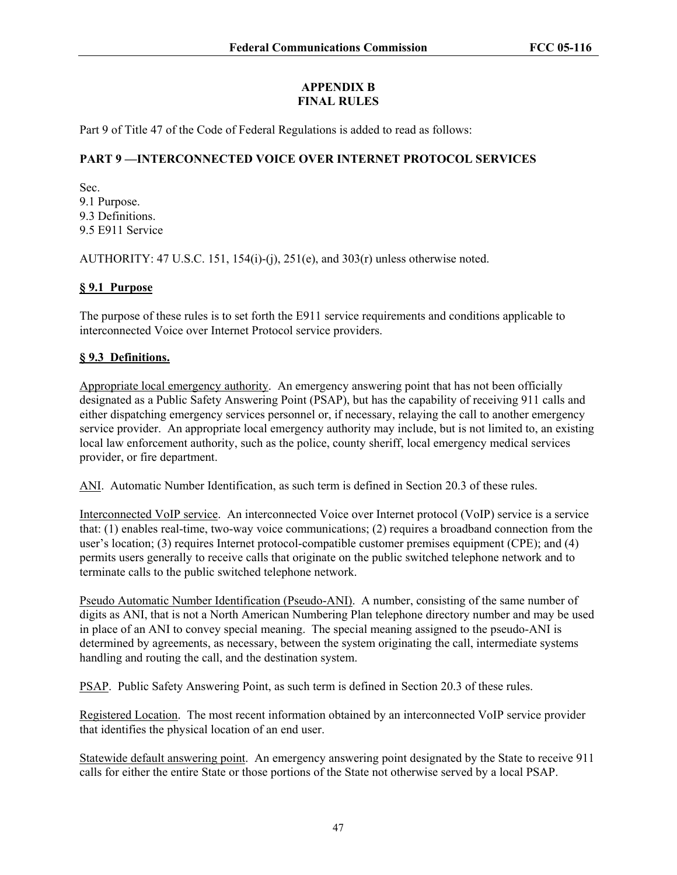# **APPENDIX B FINAL RULES**

Part 9 of Title 47 of the Code of Federal Regulations is added to read as follows:

# **PART 9 —INTERCONNECTED VOICE OVER INTERNET PROTOCOL SERVICES**

Sec. 9.1 Purpose. 9.3 Definitions. 9.5 E911 Service

AUTHORITY: 47 U.S.C. 151, 154(i)-(j), 251(e), and  $303(r)$  unless otherwise noted.

## **§ 9.1 Purpose**

The purpose of these rules is to set forth the E911 service requirements and conditions applicable to interconnected Voice over Internet Protocol service providers.

## **§ 9.3 Definitions.**

Appropriate local emergency authority. An emergency answering point that has not been officially designated as a Public Safety Answering Point (PSAP), but has the capability of receiving 911 calls and either dispatching emergency services personnel or, if necessary, relaying the call to another emergency service provider. An appropriate local emergency authority may include, but is not limited to, an existing local law enforcement authority, such as the police, county sheriff, local emergency medical services provider, or fire department.

ANI. Automatic Number Identification, as such term is defined in Section 20.3 of these rules.

Interconnected VoIP service. An interconnected Voice over Internet protocol (VoIP) service is a service that: (1) enables real-time, two-way voice communications; (2) requires a broadband connection from the user's location; (3) requires Internet protocol-compatible customer premises equipment (CPE); and (4) permits users generally to receive calls that originate on the public switched telephone network and to terminate calls to the public switched telephone network.

Pseudo Automatic Number Identification (Pseudo-ANI). A number, consisting of the same number of digits as ANI, that is not a North American Numbering Plan telephone directory number and may be used in place of an ANI to convey special meaning. The special meaning assigned to the pseudo-ANI is determined by agreements, as necessary, between the system originating the call, intermediate systems handling and routing the call, and the destination system.

PSAP. Public Safety Answering Point, as such term is defined in Section 20.3 of these rules.

Registered Location. The most recent information obtained by an interconnected VoIP service provider that identifies the physical location of an end user.

Statewide default answering point. An emergency answering point designated by the State to receive 911 calls for either the entire State or those portions of the State not otherwise served by a local PSAP.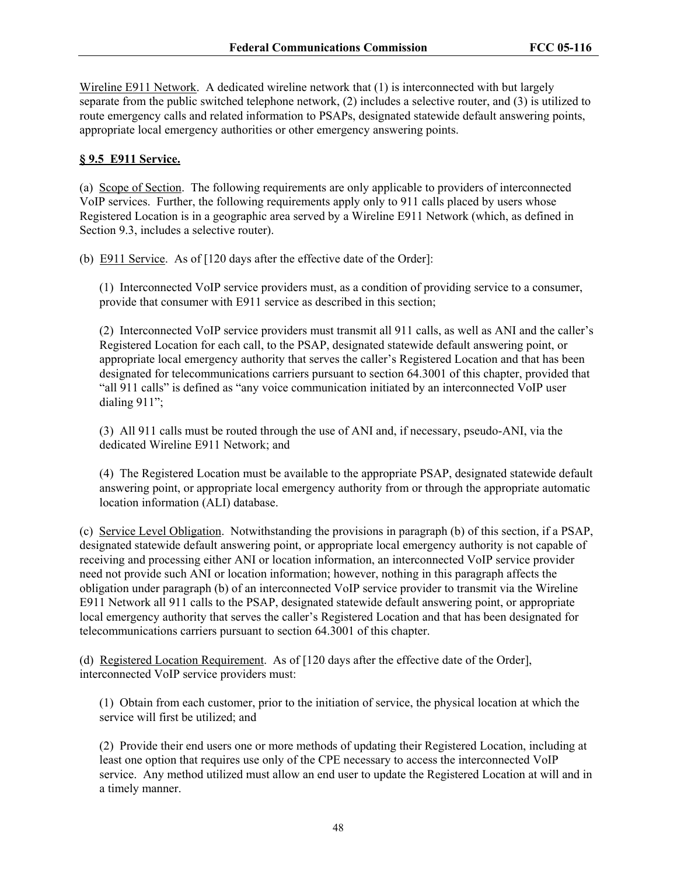Wireline E911 Network. A dedicated wireline network that (1) is interconnected with but largely separate from the public switched telephone network, (2) includes a selective router, and (3) is utilized to route emergency calls and related information to PSAPs, designated statewide default answering points, appropriate local emergency authorities or other emergency answering points.

# **§ 9.5 E911 Service.**

(a) Scope of Section. The following requirements are only applicable to providers of interconnected VoIP services. Further, the following requirements apply only to 911 calls placed by users whose Registered Location is in a geographic area served by a Wireline E911 Network (which, as defined in Section 9.3, includes a selective router).

(b) E911 Service. As of [120 days after the effective date of the Order]:

(1) Interconnected VoIP service providers must, as a condition of providing service to a consumer, provide that consumer with E911 service as described in this section;

(2) Interconnected VoIP service providers must transmit all 911 calls, as well as ANI and the caller's Registered Location for each call, to the PSAP, designated statewide default answering point, or appropriate local emergency authority that serves the caller's Registered Location and that has been designated for telecommunications carriers pursuant to section 64.3001 of this chapter, provided that "all 911 calls" is defined as "any voice communication initiated by an interconnected VoIP user dialing 911";

(3) All 911 calls must be routed through the use of ANI and, if necessary, pseudo-ANI, via the dedicated Wireline E911 Network; and

(4) The Registered Location must be available to the appropriate PSAP, designated statewide default answering point, or appropriate local emergency authority from or through the appropriate automatic location information (ALI) database.

(c) Service Level Obligation. Notwithstanding the provisions in paragraph (b) of this section, if a PSAP, designated statewide default answering point, or appropriate local emergency authority is not capable of receiving and processing either ANI or location information, an interconnected VoIP service provider need not provide such ANI or location information; however, nothing in this paragraph affects the obligation under paragraph (b) of an interconnected VoIP service provider to transmit via the Wireline E911 Network all 911 calls to the PSAP, designated statewide default answering point, or appropriate local emergency authority that serves the caller's Registered Location and that has been designated for telecommunications carriers pursuant to section 64.3001 of this chapter.

(d) Registered Location Requirement. As of [120 days after the effective date of the Order], interconnected VoIP service providers must:

(1) Obtain from each customer, prior to the initiation of service, the physical location at which the service will first be utilized; and

(2) Provide their end users one or more methods of updating their Registered Location, including at least one option that requires use only of the CPE necessary to access the interconnected VoIP service. Any method utilized must allow an end user to update the Registered Location at will and in a timely manner.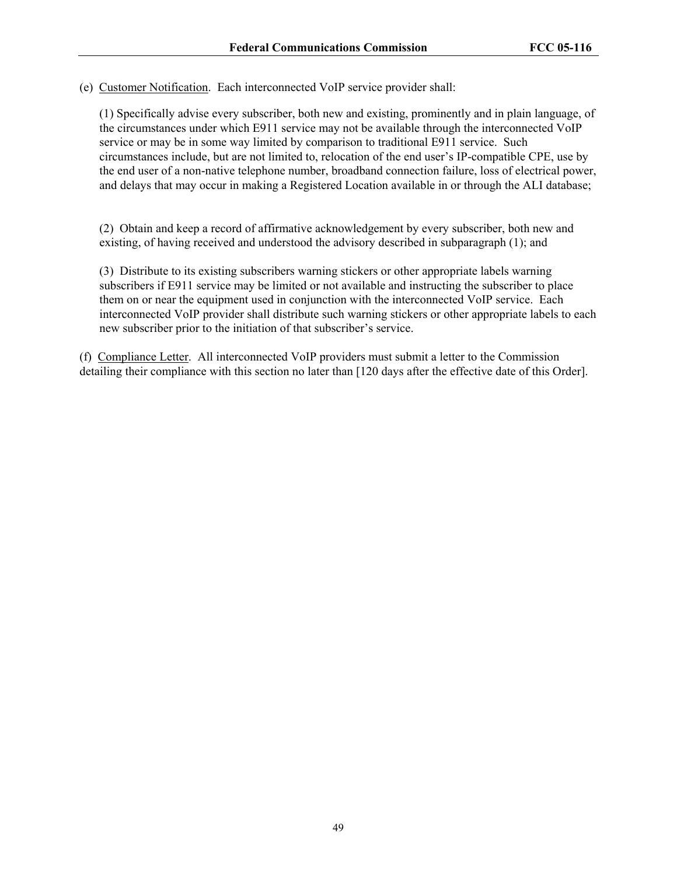(e) Customer Notification. Each interconnected VoIP service provider shall:

(1) Specifically advise every subscriber, both new and existing, prominently and in plain language, of the circumstances under which E911 service may not be available through the interconnected VoIP service or may be in some way limited by comparison to traditional E911 service. Such circumstances include, but are not limited to, relocation of the end user's IP-compatible CPE, use by the end user of a non-native telephone number, broadband connection failure, loss of electrical power, and delays that may occur in making a Registered Location available in or through the ALI database;

(2) Obtain and keep a record of affirmative acknowledgement by every subscriber, both new and existing, of having received and understood the advisory described in subparagraph (1); and

(3) Distribute to its existing subscribers warning stickers or other appropriate labels warning subscribers if E911 service may be limited or not available and instructing the subscriber to place them on or near the equipment used in conjunction with the interconnected VoIP service. Each interconnected VoIP provider shall distribute such warning stickers or other appropriate labels to each new subscriber prior to the initiation of that subscriber's service.

(f) Compliance Letter. All interconnected VoIP providers must submit a letter to the Commission detailing their compliance with this section no later than [120 days after the effective date of this Order].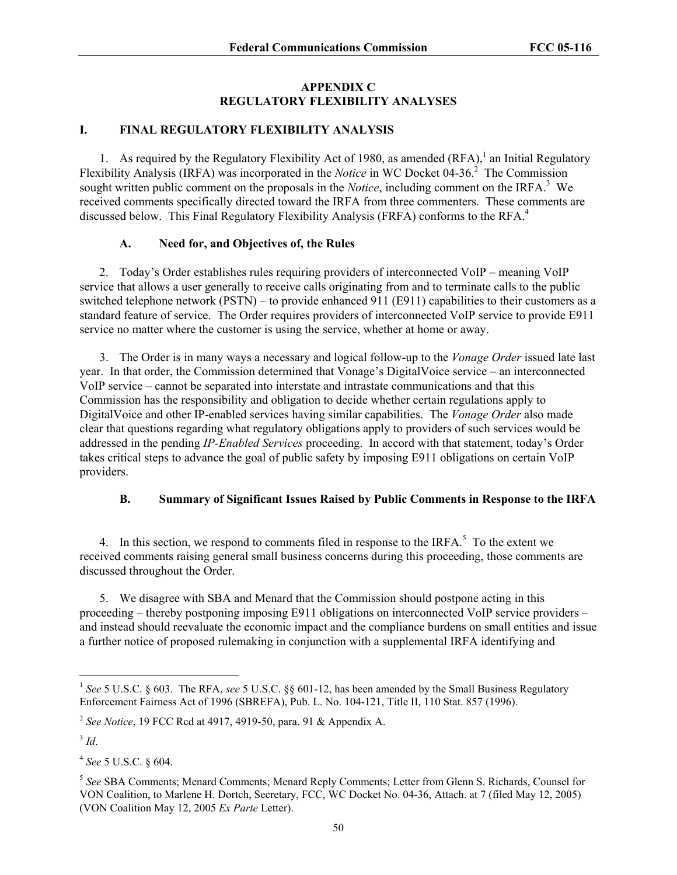#### **APPENDIX C REGULATORY FLEXIBILITY ANALYSES**

## **I. FINAL REGULATORY FLEXIBILITY ANALYSIS**

1. As required by the Regulatory Flexibility Act of 1980, as amended  $(RFA)$ ,<sup>1</sup> an Initial Regulatory Flexibility Analysis (IRFA) was incorporated in the *Notice* in WC Docket 04-36.<sup>2</sup> The Commission sought written public comment on the proposals in the *Notice*, including comment on the IRFA.<sup>3</sup> We received comments specifically directed toward the IRFA from three commenters. These comments are discussed below. This Final Regulatory Flexibility Analysis (FRFA) conforms to the RFA.<sup>4</sup>

## **A. Need for, and Objectives of, the Rules**

2. Today's Order establishes rules requiring providers of interconnected VoIP – meaning VoIP service that allows a user generally to receive calls originating from and to terminate calls to the public switched telephone network (PSTN) – to provide enhanced 911 (E911) capabilities to their customers as a standard feature of service. The Order requires providers of interconnected VoIP service to provide E911 service no matter where the customer is using the service, whether at home or away.

3. The Order is in many ways a necessary and logical follow-up to the *Vonage Order* issued late last year. In that order, the Commission determined that Vonage's DigitalVoice service – an interconnected VoIP service – cannot be separated into interstate and intrastate communications and that this Commission has the responsibility and obligation to decide whether certain regulations apply to DigitalVoice and other IP-enabled services having similar capabilities. The *Vonage Order* also made clear that questions regarding what regulatory obligations apply to providers of such services would be addressed in the pending *IP-Enabled Services* proceeding. In accord with that statement, today's Order takes critical steps to advance the goal of public safety by imposing E911 obligations on certain VoIP providers.

#### **B. Summary of Significant Issues Raised by Public Comments in Response to the IRFA**

4. In this section, we respond to comments filed in response to the IRFA. $5$  To the extent we received comments raising general small business concerns during this proceeding, those comments are discussed throughout the Order.

5. We disagree with SBA and Menard that the Commission should postpone acting in this proceeding – thereby postponing imposing E911 obligations on interconnected VoIP service providers – and instead should reevaluate the economic impact and the compliance burdens on small entities and issue a further notice of proposed rulemaking in conjunction with a supplemental IRFA identifying and

<sup>&</sup>lt;sup>1</sup> See 5 U.S.C. § 603. The RFA, see 5 U.S.C. §§ 601-12, has been amended by the Small Business Regulatory Enforcement Fairness Act of 1996 (SBREFA), Pub. L. No. 104-121, Title II, 110 Stat. 857 (1996).

<sup>2</sup> *See Notice*, 19 FCC Rcd at 4917, 4919-50, para. 91 & Appendix A.

 $3$  *Id*.

<sup>4</sup> *See* 5 U.S.C. § 604.

<sup>5</sup> *See* SBA Comments; Menard Comments; Menard Reply Comments; Letter from Glenn S. Richards, Counsel for VON Coalition, to Marlene H. Dortch, Secretary, FCC, WC Docket No. 04-36, Attach. at 7 (filed May 12, 2005) (VON Coalition May 12, 2005 *Ex Parte* Letter).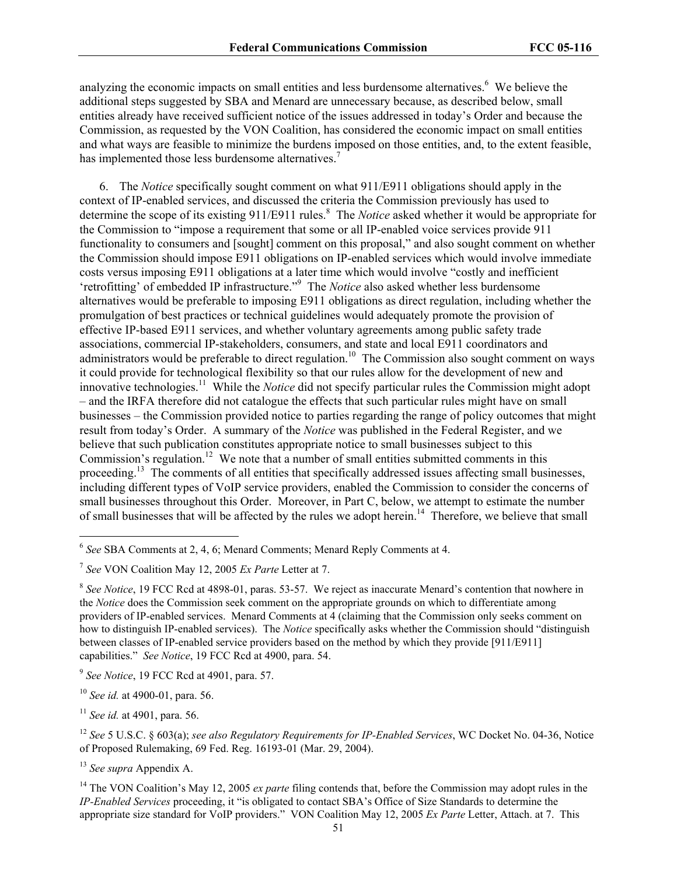analyzing the economic impacts on small entities and less burdensome alternatives.<sup>6</sup> We believe the additional steps suggested by SBA and Menard are unnecessary because, as described below, small entities already have received sufficient notice of the issues addressed in today's Order and because the Commission, as requested by the VON Coalition, has considered the economic impact on small entities and what ways are feasible to minimize the burdens imposed on those entities, and, to the extent feasible, has implemented those less burdensome alternatives.<sup>7</sup>

6. The *Notice* specifically sought comment on what 911/E911 obligations should apply in the context of IP-enabled services, and discussed the criteria the Commission previously has used to determine the scope of its existing 911/E911 rules.<sup>8</sup> The *Notice* asked whether it would be appropriate for the Commission to "impose a requirement that some or all IP-enabled voice services provide 911 functionality to consumers and [sought] comment on this proposal," and also sought comment on whether the Commission should impose E911 obligations on IP-enabled services which would involve immediate costs versus imposing E911 obligations at a later time which would involve "costly and inefficient 'retrofitting' of embedded IP infrastructure."<sup>9</sup> The *Notice* also asked whether less burdensome alternatives would be preferable to imposing E911 obligations as direct regulation, including whether the promulgation of best practices or technical guidelines would adequately promote the provision of effective IP-based E911 services, and whether voluntary agreements among public safety trade associations, commercial IP-stakeholders, consumers, and state and local E911 coordinators and administrators would be preferable to direct regulation.<sup>10</sup> The Commission also sought comment on ways it could provide for technological flexibility so that our rules allow for the development of new and innovative technologies.<sup>11</sup> While the *Notice* did not specify particular rules the Commission might adopt – and the IRFA therefore did not catalogue the effects that such particular rules might have on small businesses – the Commission provided notice to parties regarding the range of policy outcomes that might result from today's Order. A summary of the *Notice* was published in the Federal Register, and we believe that such publication constitutes appropriate notice to small businesses subject to this Commission's regulation.<sup>12</sup> We note that a number of small entities submitted comments in this proceeding.<sup>13</sup> The comments of all entities that specifically addressed issues affecting small businesses, including different types of VoIP service providers, enabled the Commission to consider the concerns of small businesses throughout this Order. Moreover, in Part C, below, we attempt to estimate the number of small businesses that will be affected by the rules we adopt herein.<sup>14</sup> Therefore, we believe that small

<sup>6</sup> *See* SBA Comments at 2, 4, 6; Menard Comments; Menard Reply Comments at 4.

<sup>7</sup> *See* VON Coalition May 12, 2005 *Ex Parte* Letter at 7.

<sup>8</sup> *See Notice*, 19 FCC Rcd at 4898-01, paras. 53-57. We reject as inaccurate Menard's contention that nowhere in the *Notice* does the Commission seek comment on the appropriate grounds on which to differentiate among providers of IP-enabled services. Menard Comments at 4 (claiming that the Commission only seeks comment on how to distinguish IP-enabled services). The *Notice* specifically asks whether the Commission should "distinguish between classes of IP-enabled service providers based on the method by which they provide [911/E911] capabilities." *See Notice*, 19 FCC Rcd at 4900, para. 54.

<sup>9</sup> *See Notice*, 19 FCC Rcd at 4901, para. 57.

<sup>10</sup> *See id.* at 4900-01, para. 56.

<sup>11</sup> *See id.* at 4901, para. 56.

<sup>12</sup> *See* 5 U.S.C. § 603(a); *see also Regulatory Requirements for IP-Enabled Services*, WC Docket No. 04-36, Notice of Proposed Rulemaking, 69 Fed. Reg. 16193-01 (Mar. 29, 2004).

<sup>13</sup> *See supra* Appendix A.

<sup>&</sup>lt;sup>14</sup> The VON Coalition's May 12, 2005 *ex parte* filing contends that, before the Commission may adopt rules in the *IP-Enabled Services* proceeding, it "is obligated to contact SBA's Office of Size Standards to determine the appropriate size standard for VoIP providers." VON Coalition May 12, 2005 *Ex Parte* Letter, Attach. at 7. This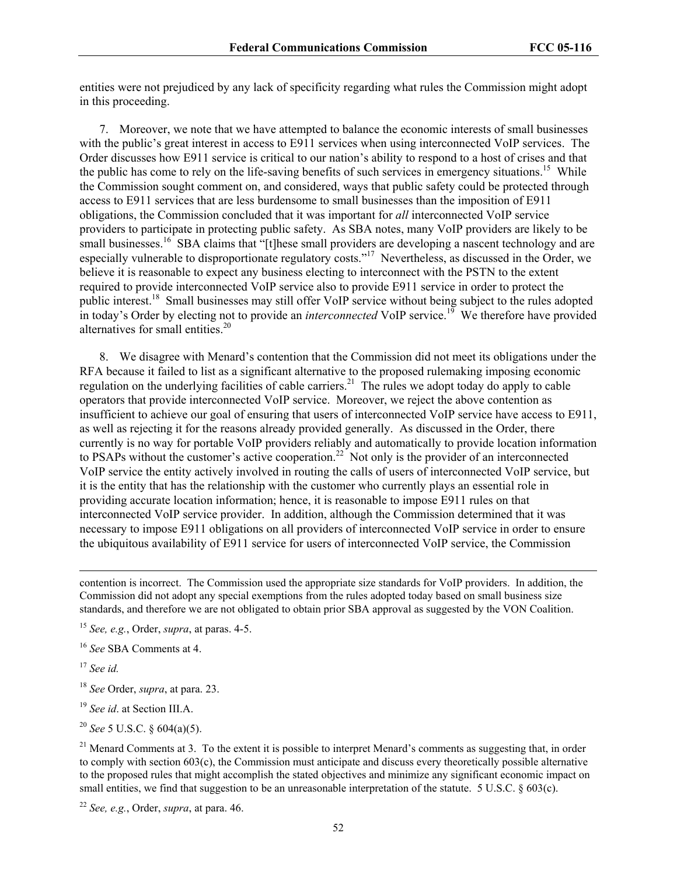entities were not prejudiced by any lack of specificity regarding what rules the Commission might adopt in this proceeding.

7. Moreover, we note that we have attempted to balance the economic interests of small businesses with the public's great interest in access to E911 services when using interconnected VoIP services. The Order discusses how E911 service is critical to our nation's ability to respond to a host of crises and that the public has come to rely on the life-saving benefits of such services in emergency situations.<sup>15</sup> While the Commission sought comment on, and considered, ways that public safety could be protected through access to E911 services that are less burdensome to small businesses than the imposition of E911 obligations, the Commission concluded that it was important for *all* interconnected VoIP service providers to participate in protecting public safety. As SBA notes, many VoIP providers are likely to be small businesses.<sup>16</sup> SBA claims that "[t]hese small providers are developing a nascent technology and are especially vulnerable to disproportionate regulatory costs."17 Nevertheless, as discussed in the Order, we believe it is reasonable to expect any business electing to interconnect with the PSTN to the extent required to provide interconnected VoIP service also to provide E911 service in order to protect the public interest.18 Small businesses may still offer VoIP service without being subject to the rules adopted in today's Order by electing not to provide an *interconnected* VoIP service.<sup>19</sup> We therefore have provided alternatives for small entities.<sup>20</sup>

8. We disagree with Menard's contention that the Commission did not meet its obligations under the RFA because it failed to list as a significant alternative to the proposed rulemaking imposing economic regulation on the underlying facilities of cable carriers.<sup>21</sup> The rules we adopt today do apply to cable operators that provide interconnected VoIP service. Moreover, we reject the above contention as insufficient to achieve our goal of ensuring that users of interconnected VoIP service have access to E911, as well as rejecting it for the reasons already provided generally. As discussed in the Order, there currently is no way for portable VoIP providers reliably and automatically to provide location information to PSAPs without the customer's active cooperation.<sup>22</sup> Not only is the provider of an interconnected VoIP service the entity actively involved in routing the calls of users of interconnected VoIP service, but it is the entity that has the relationship with the customer who currently plays an essential role in providing accurate location information; hence, it is reasonable to impose E911 rules on that interconnected VoIP service provider. In addition, although the Commission determined that it was necessary to impose E911 obligations on all providers of interconnected VoIP service in order to ensure the ubiquitous availability of E911 service for users of interconnected VoIP service, the Commission

contention is incorrect. The Commission used the appropriate size standards for VoIP providers. In addition, the Commission did not adopt any special exemptions from the rules adopted today based on small business size standards, and therefore we are not obligated to obtain prior SBA approval as suggested by the VON Coalition.

<sup>15</sup> *See, e.g.*, Order, *supra*, at paras. 4-5.

<sup>16</sup> *See* SBA Comments at 4.

<sup>17</sup> *See id.* 

 $\overline{a}$ 

<sup>18</sup> *See* Order, *supra*, at para. 23.

<sup>19</sup> *See id*. at Section III.A.

<sup>20</sup> *See* 5 U.S.C. § 604(a)(5).

 $21$  Menard Comments at 3. To the extent it is possible to interpret Menard's comments as suggesting that, in order to comply with section 603(c), the Commission must anticipate and discuss every theoretically possible alternative to the proposed rules that might accomplish the stated objectives and minimize any significant economic impact on small entities, we find that suggestion to be an unreasonable interpretation of the statute. 5 U.S.C. § 603(c).

<sup>22</sup> *See, e.g.*, Order, *supra*, at para. 46.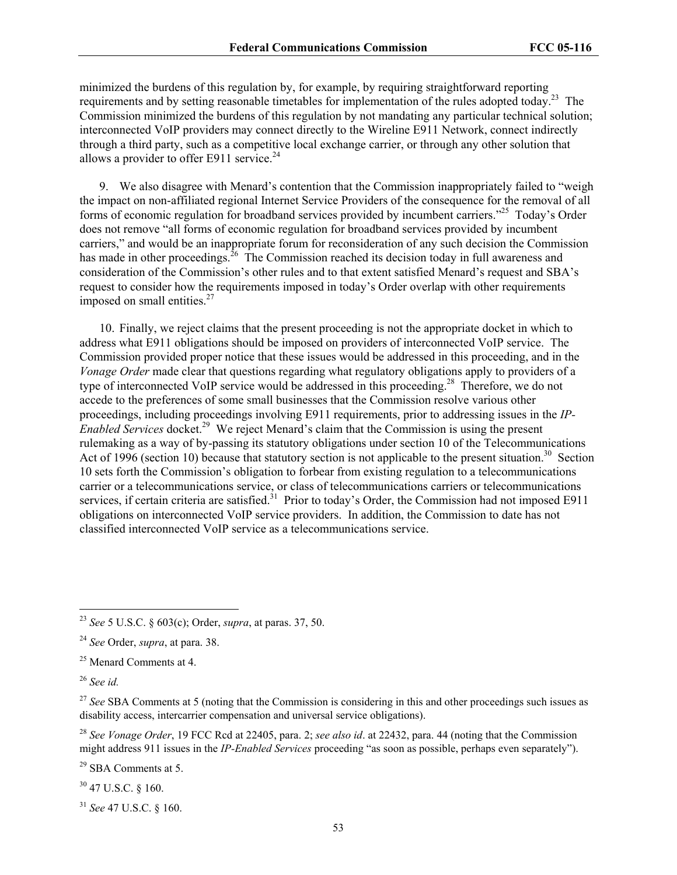minimized the burdens of this regulation by, for example, by requiring straightforward reporting requirements and by setting reasonable timetables for implementation of the rules adopted today.<sup>23</sup> The Commission minimized the burdens of this regulation by not mandating any particular technical solution; interconnected VoIP providers may connect directly to the Wireline E911 Network, connect indirectly through a third party, such as a competitive local exchange carrier, or through any other solution that allows a provider to offer E911 service. $24$ 

9. We also disagree with Menard's contention that the Commission inappropriately failed to "weigh the impact on non-affiliated regional Internet Service Providers of the consequence for the removal of all forms of economic regulation for broadband services provided by incumbent carriers."25 Today's Order does not remove "all forms of economic regulation for broadband services provided by incumbent carriers," and would be an inappropriate forum for reconsideration of any such decision the Commission has made in other proceedings.<sup>26</sup> The Commission reached its decision today in full awareness and consideration of the Commission's other rules and to that extent satisfied Menard's request and SBA's request to consider how the requirements imposed in today's Order overlap with other requirements imposed on small entities. $27$ 

10. Finally, we reject claims that the present proceeding is not the appropriate docket in which to address what E911 obligations should be imposed on providers of interconnected VoIP service. The Commission provided proper notice that these issues would be addressed in this proceeding, and in the *Vonage Order* made clear that questions regarding what regulatory obligations apply to providers of a type of interconnected VoIP service would be addressed in this proceeding.<sup>28</sup> Therefore, we do not accede to the preferences of some small businesses that the Commission resolve various other proceedings, including proceedings involving E911 requirements, prior to addressing issues in the *IP-Enabled Services* docket.29 We reject Menard's claim that the Commission is using the present rulemaking as a way of by-passing its statutory obligations under section 10 of the Telecommunications Act of 1996 (section 10) because that statutory section is not applicable to the present situation.<sup>30</sup> Section 10 sets forth the Commission's obligation to forbear from existing regulation to a telecommunications carrier or a telecommunications service, or class of telecommunications carriers or telecommunications services, if certain criteria are satisfied.<sup>31</sup> Prior to today's Order, the Commission had not imposed E911 obligations on interconnected VoIP service providers. In addition, the Commission to date has not classified interconnected VoIP service as a telecommunications service.

 $\overline{a}$ 

<sup>28</sup> *See Vonage Order*, 19 FCC Rcd at 22405, para. 2; *see also id*. at 22432, para. 44 (noting that the Commission might address 911 issues in the *IP-Enabled Services* proceeding "as soon as possible, perhaps even separately").

29 SBA Comments at 5.

30 47 U.S.C. § 160.

<sup>31</sup> *See* 47 U.S.C. § 160.

<sup>23</sup> *See* 5 U.S.C. § 603(c); Order, *supra*, at paras. 37, 50.

<sup>24</sup> *See* Order, *supra*, at para. 38.

<sup>&</sup>lt;sup>25</sup> Menard Comments at 4.

<sup>26</sup> *See id.* 

<sup>&</sup>lt;sup>27</sup> See SBA Comments at 5 (noting that the Commission is considering in this and other proceedings such issues as disability access, intercarrier compensation and universal service obligations).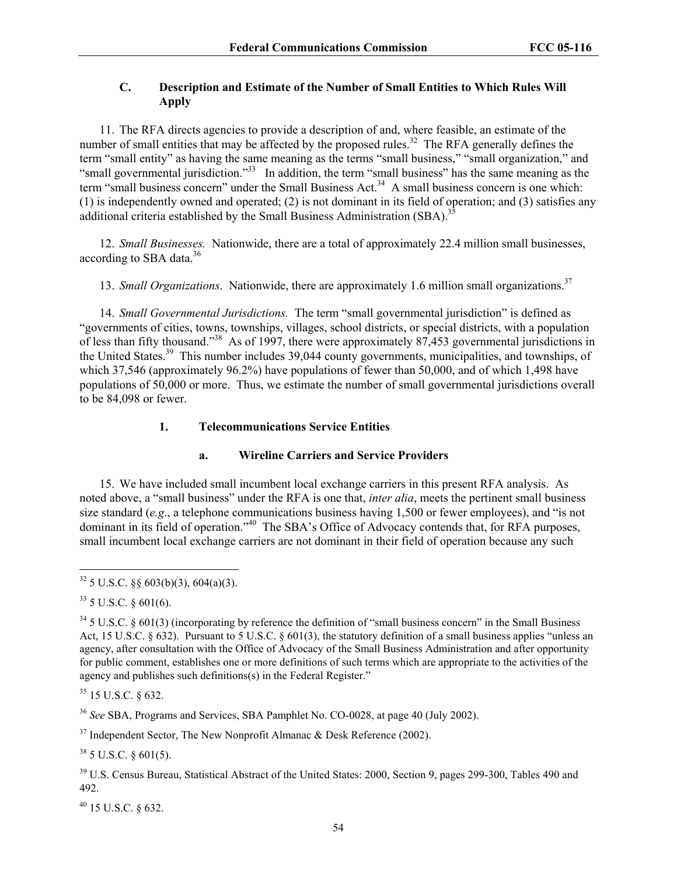# **C. Description and Estimate of the Number of Small Entities to Which Rules Will Apply**

11. The RFA directs agencies to provide a description of and, where feasible, an estimate of the number of small entities that may be affected by the proposed rules.<sup>32</sup> The RFA generally defines the term "small entity" as having the same meaning as the terms "small business," "small organization," and "small governmental jurisdiction."<sup>33</sup> In addition, the term "small business" has the same meaning as the term "small business concern" under the Small Business Act.<sup>34</sup> A small business concern is one which: (1) is independently owned and operated; (2) is not dominant in its field of operation; and (3) satisfies any additional criteria established by the Small Business Administration  $(SBA)$ .<sup>35</sup>

12. *Small Businesses.* Nationwide, there are a total of approximately 22.4 million small businesses, according to SBA data.<sup>36</sup>

13. *Small Organizations*. Nationwide, there are approximately 1.6 million small organizations.<sup>37</sup>

14. *Small Governmental Jurisdictions.* The term "small governmental jurisdiction" is defined as "governments of cities, towns, townships, villages, school districts, or special districts, with a population of less than fifty thousand."38 As of 1997, there were approximately 87,453 governmental jurisdictions in the United States.39 This number includes 39,044 county governments, municipalities, and townships, of which 37,546 (approximately 96.2%) have populations of fewer than 50,000, and of which 1,498 have populations of 50,000 or more. Thus, we estimate the number of small governmental jurisdictions overall to be 84,098 or fewer.

## **1. Telecommunications Service Entities**

#### **a. Wireline Carriers and Service Providers**

15. We have included small incumbent local exchange carriers in this present RFA analysis. As noted above, a "small business" under the RFA is one that, *inter alia*, meets the pertinent small business size standard (*e.g*., a telephone communications business having 1,500 or fewer employees), and "is not dominant in its field of operation."<sup>40</sup> The SBA's Office of Advocacy contends that, for RFA purposes, small incumbent local exchange carriers are not dominant in their field of operation because any such

35 15 U.S.C. § 632.

<sup>36</sup> *See* SBA, Programs and Services, SBA Pamphlet No. CO-0028, at page 40 (July 2002).

 $37$  Independent Sector, The New Nonprofit Almanac & Desk Reference (2002).

 $38$  5 U.S.C. § 601(5).

<sup>39</sup> U.S. Census Bureau, Statistical Abstract of the United States: 2000, Section 9, pages 299-300, Tables 490 and 492.

40 15 U.S.C. § 632.

 $\overline{a}$  $32$  5 U.S.C. §§ 603(b)(3), 604(a)(3).

 $33$  5 U.S.C. § 601(6).

 $34$  5 U.S.C. § 601(3) (incorporating by reference the definition of "small business concern" in the Small Business Act, 15 U.S.C. § 632). Pursuant to 5 U.S.C. § 601(3), the statutory definition of a small business applies "unless an agency, after consultation with the Office of Advocacy of the Small Business Administration and after opportunity for public comment, establishes one or more definitions of such terms which are appropriate to the activities of the agency and publishes such definitions(s) in the Federal Register."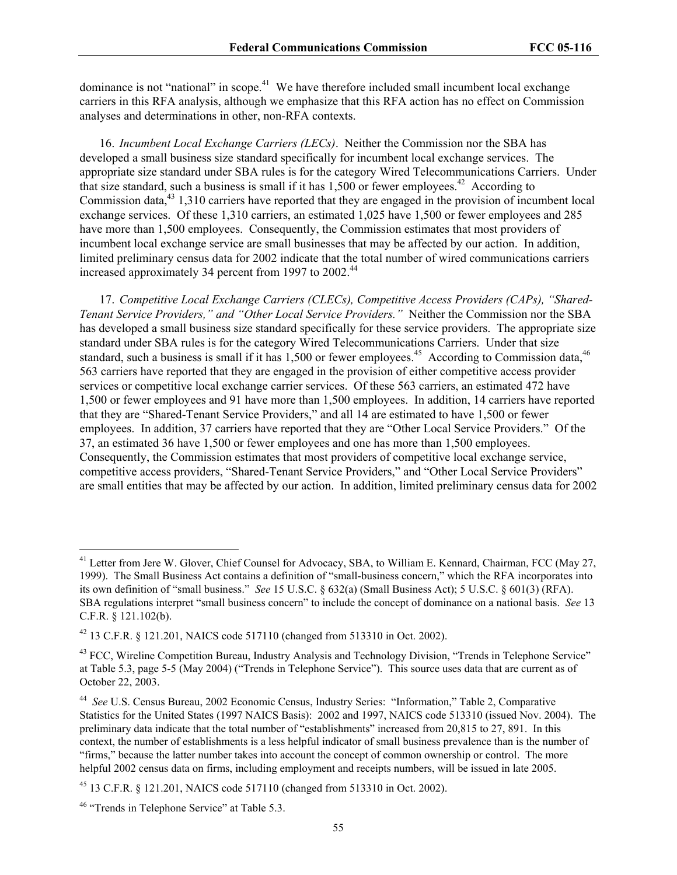dominance is not "national" in scope.<sup>41</sup> We have therefore included small incumbent local exchange carriers in this RFA analysis, although we emphasize that this RFA action has no effect on Commission analyses and determinations in other, non-RFA contexts.

16. *Incumbent Local Exchange Carriers (LECs)*. Neither the Commission nor the SBA has developed a small business size standard specifically for incumbent local exchange services. The appropriate size standard under SBA rules is for the category Wired Telecommunications Carriers. Under that size standard, such a business is small if it has  $1.500$  or fewer employees.<sup>42</sup> According to Commission data,43 1,310 carriers have reported that they are engaged in the provision of incumbent local exchange services. Of these 1,310 carriers, an estimated 1,025 have 1,500 or fewer employees and 285 have more than 1,500 employees. Consequently, the Commission estimates that most providers of incumbent local exchange service are small businesses that may be affected by our action. In addition, limited preliminary census data for 2002 indicate that the total number of wired communications carriers increased approximately 34 percent from 1997 to 2002.<sup>44</sup>

17. *Competitive Local Exchange Carriers (CLECs), Competitive Access Providers (CAPs), "Shared-Tenant Service Providers," and "Other Local Service Providers."*Neither the Commission nor the SBA has developed a small business size standard specifically for these service providers. The appropriate size standard under SBA rules is for the category Wired Telecommunications Carriers. Under that size standard, such a business is small if it has  $1,500$  or fewer employees.<sup>45</sup> According to Commission data,<sup>46</sup> 563 carriers have reported that they are engaged in the provision of either competitive access provider services or competitive local exchange carrier services. Of these 563 carriers, an estimated 472 have 1,500 or fewer employees and 91 have more than 1,500 employees. In addition, 14 carriers have reported that they are "Shared-Tenant Service Providers," and all 14 are estimated to have 1,500 or fewer employees. In addition, 37 carriers have reported that they are "Other Local Service Providers." Of the 37, an estimated 36 have 1,500 or fewer employees and one has more than 1,500 employees. Consequently, the Commission estimates that most providers of competitive local exchange service, competitive access providers, "Shared-Tenant Service Providers," and "Other Local Service Providers" are small entities that may be affected by our action. In addition, limited preliminary census data for 2002

<sup>&</sup>lt;sup>41</sup> Letter from Jere W. Glover, Chief Counsel for Advocacy, SBA, to William E. Kennard, Chairman, FCC (May 27, 1999). The Small Business Act contains a definition of "small-business concern," which the RFA incorporates into its own definition of "small business." *See* 15 U.S.C. § 632(a) (Small Business Act); 5 U.S.C. § 601(3) (RFA). SBA regulations interpret "small business concern" to include the concept of dominance on a national basis. *See* 13 C.F.R. § 121.102(b).

<sup>42 13</sup> C.F.R. § 121.201, NAICS code 517110 (changed from 513310 in Oct. 2002).

<sup>&</sup>lt;sup>43</sup> FCC, Wireline Competition Bureau, Industry Analysis and Technology Division, "Trends in Telephone Service" at Table 5.3, page 5-5 (May 2004) ("Trends in Telephone Service"). This source uses data that are current as of October 22, 2003.

<sup>44</sup> *See* U.S. Census Bureau, 2002 Economic Census, Industry Series: "Information," Table 2, Comparative Statistics for the United States (1997 NAICS Basis): 2002 and 1997, NAICS code 513310 (issued Nov. 2004). The preliminary data indicate that the total number of "establishments" increased from 20,815 to 27, 891. In this context, the number of establishments is a less helpful indicator of small business prevalence than is the number of "firms," because the latter number takes into account the concept of common ownership or control. The more helpful 2002 census data on firms, including employment and receipts numbers, will be issued in late 2005.

<sup>45 13</sup> C.F.R. § 121.201, NAICS code 517110 (changed from 513310 in Oct. 2002).

<sup>&</sup>lt;sup>46</sup> "Trends in Telephone Service" at Table 5.3.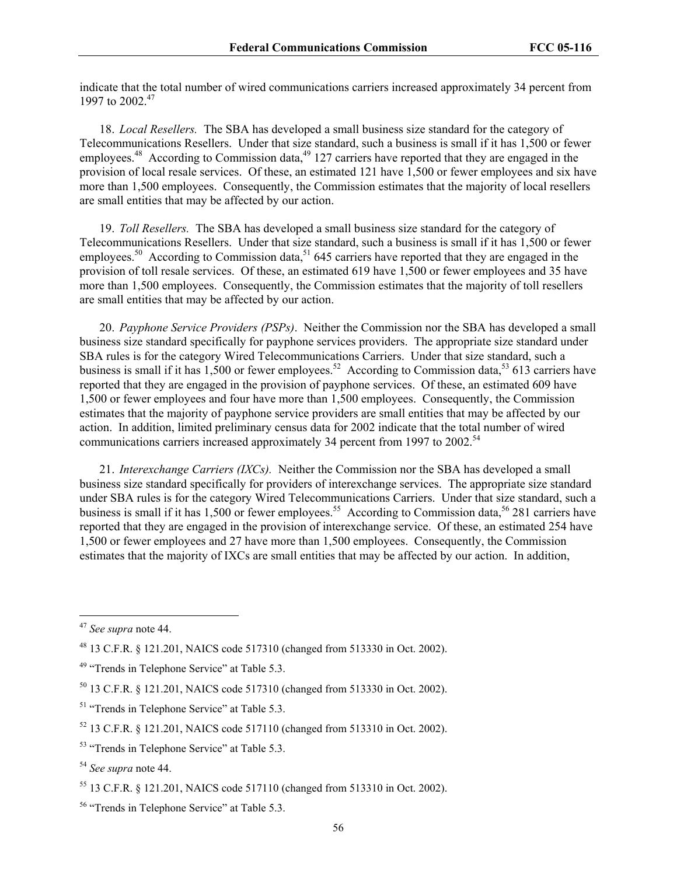indicate that the total number of wired communications carriers increased approximately 34 percent from 1997 to 2002<sup>47</sup>

18. *Local Resellers.* The SBA has developed a small business size standard for the category of Telecommunications Resellers. Under that size standard, such a business is small if it has 1,500 or fewer employees.<sup>48</sup> According to Commission data,<sup>49</sup> 127 carriers have reported that they are engaged in the provision of local resale services. Of these, an estimated 121 have 1,500 or fewer employees and six have more than 1,500 employees. Consequently, the Commission estimates that the majority of local resellers are small entities that may be affected by our action.

19. *Toll Resellers.* The SBA has developed a small business size standard for the category of Telecommunications Resellers. Under that size standard, such a business is small if it has 1,500 or fewer employees.<sup>50</sup> According to Commission data,<sup>51</sup> 645 carriers have reported that they are engaged in the provision of toll resale services. Of these, an estimated 619 have 1,500 or fewer employees and 35 have more than 1,500 employees. Consequently, the Commission estimates that the majority of toll resellers are small entities that may be affected by our action.

20. *Payphone Service Providers (PSPs)*. Neither the Commission nor the SBA has developed a small business size standard specifically for payphone services providers. The appropriate size standard under SBA rules is for the category Wired Telecommunications Carriers. Under that size standard, such a business is small if it has 1,500 or fewer employees.<sup>52</sup> According to Commission data,<sup>53</sup> 613 carriers have reported that they are engaged in the provision of payphone services. Of these, an estimated 609 have 1,500 or fewer employees and four have more than 1,500 employees. Consequently, the Commission estimates that the majority of payphone service providers are small entities that may be affected by our action. In addition, limited preliminary census data for 2002 indicate that the total number of wired communications carriers increased approximately 34 percent from 1997 to 2002.<sup>54</sup>

21. *Interexchange Carriers (IXCs).* Neither the Commission nor the SBA has developed a small business size standard specifically for providers of interexchange services. The appropriate size standard under SBA rules is for the category Wired Telecommunications Carriers. Under that size standard, such a business is small if it has 1,500 or fewer employees.<sup>55</sup> According to Commission data,<sup>56</sup> 281 carriers have reported that they are engaged in the provision of interexchange service. Of these, an estimated 254 have 1,500 or fewer employees and 27 have more than 1,500 employees. Consequently, the Commission estimates that the majority of IXCs are small entities that may be affected by our action. In addition,

<sup>47</sup> *See supra* note 44.

<sup>48 13</sup> C.F.R. § 121.201, NAICS code 517310 (changed from 513330 in Oct. 2002).

<sup>&</sup>lt;sup>49</sup> "Trends in Telephone Service" at Table 5.3.

<sup>50 13</sup> C.F.R. § 121.201, NAICS code 517310 (changed from 513330 in Oct. 2002).

<sup>&</sup>lt;sup>51</sup> "Trends in Telephone Service" at Table 5.3.

<sup>52 13</sup> C.F.R. § 121.201, NAICS code 517110 (changed from 513310 in Oct. 2002).

<sup>&</sup>lt;sup>53</sup> "Trends in Telephone Service" at Table 5.3.

<sup>54</sup> *See supra* note 44.

<sup>55 13</sup> C.F.R. § 121.201, NAICS code 517110 (changed from 513310 in Oct. 2002).

<sup>56 &</sup>quot;Trends in Telephone Service" at Table 5.3.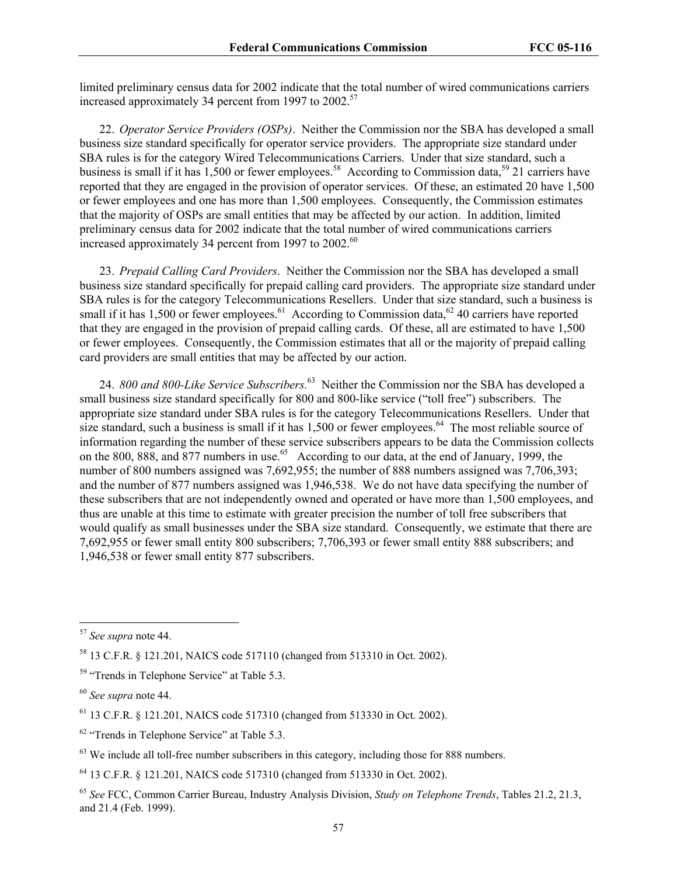limited preliminary census data for 2002 indicate that the total number of wired communications carriers increased approximately 34 percent from 1997 to  $2002$ <sup>57</sup>

22. *Operator Service Providers (OSPs)*. Neither the Commission nor the SBA has developed a small business size standard specifically for operator service providers. The appropriate size standard under SBA rules is for the category Wired Telecommunications Carriers. Under that size standard, such a business is small if it has 1,500 or fewer employees.<sup>58</sup> According to Commission data,<sup>59</sup> 21 carriers have reported that they are engaged in the provision of operator services. Of these, an estimated 20 have 1,500 or fewer employees and one has more than 1,500 employees. Consequently, the Commission estimates that the majority of OSPs are small entities that may be affected by our action. In addition, limited preliminary census data for 2002 indicate that the total number of wired communications carriers increased approximately 34 percent from 1997 to  $2002^{60}$ 

23. *Prepaid Calling Card Providers*. Neither the Commission nor the SBA has developed a small business size standard specifically for prepaid calling card providers. The appropriate size standard under SBA rules is for the category Telecommunications Resellers. Under that size standard, such a business is small if it has 1,500 or fewer employees.<sup>61</sup> According to Commission data,<sup>62</sup> 40 carriers have reported that they are engaged in the provision of prepaid calling cards. Of these, all are estimated to have 1,500 or fewer employees. Consequently, the Commission estimates that all or the majority of prepaid calling card providers are small entities that may be affected by our action.

24. *800 and 800-Like Service Subscribers.*<sup>63</sup> Neither the Commission nor the SBA has developed a small business size standard specifically for 800 and 800-like service ("toll free") subscribers. The appropriate size standard under SBA rules is for the category Telecommunications Resellers. Under that size standard, such a business is small if it has 1,500 or fewer employees.<sup>64</sup> The most reliable source of information regarding the number of these service subscribers appears to be data the Commission collects on the 800, 888, and 877 numbers in use.<sup>65</sup> According to our data, at the end of January, 1999, the number of 800 numbers assigned was 7,692,955; the number of 888 numbers assigned was 7,706,393; and the number of 877 numbers assigned was 1,946,538. We do not have data specifying the number of these subscribers that are not independently owned and operated or have more than 1,500 employees, and thus are unable at this time to estimate with greater precision the number of toll free subscribers that would qualify as small businesses under the SBA size standard. Consequently, we estimate that there are 7,692,955 or fewer small entity 800 subscribers; 7,706,393 or fewer small entity 888 subscribers; and 1,946,538 or fewer small entity 877 subscribers.

<sup>57</sup> *See supra* note 44.

<sup>58 13</sup> C.F.R. § 121.201, NAICS code 517110 (changed from 513310 in Oct. 2002).

<sup>&</sup>lt;sup>59</sup> "Trends in Telephone Service" at Table 5.3.

<sup>60</sup> *See supra* note 44.

<sup>61 13</sup> C.F.R. § 121.201, NAICS code 517310 (changed from 513330 in Oct. 2002).

<sup>&</sup>lt;sup>62</sup> "Trends in Telephone Service" at Table 5.3.

 $63$  We include all toll-free number subscribers in this category, including those for 888 numbers.

<sup>64 13</sup> C.F.R. § 121.201, NAICS code 517310 (changed from 513330 in Oct. 2002).

<sup>65</sup> *See* FCC, Common Carrier Bureau, Industry Analysis Division, *Study on Telephone Trends*, Tables 21.2, 21.3, and 21.4 (Feb. 1999).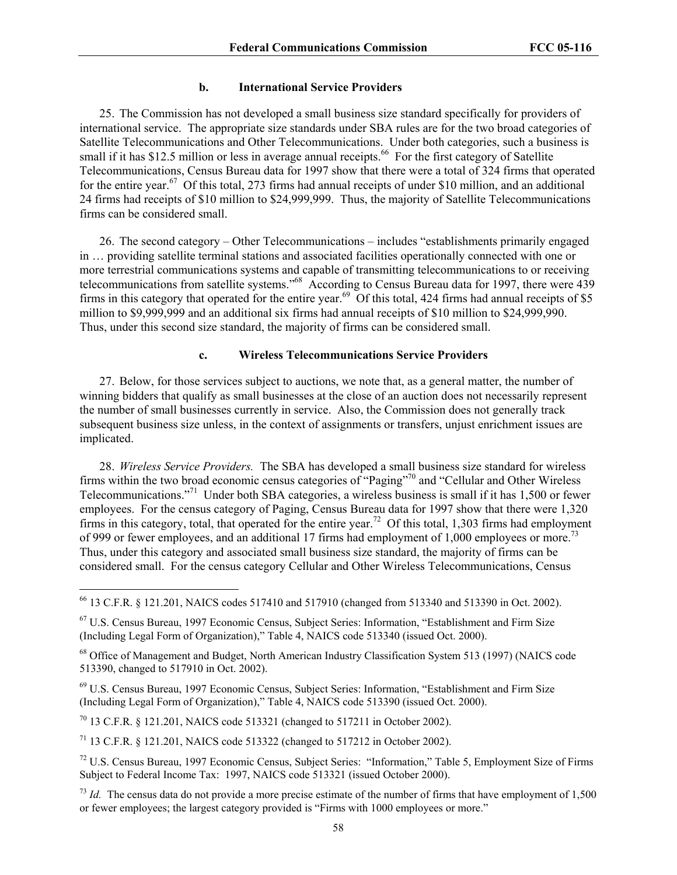#### **b. International Service Providers**

25. The Commission has not developed a small business size standard specifically for providers of international service. The appropriate size standards under SBA rules are for the two broad categories of Satellite Telecommunications and Other Telecommunications. Under both categories, such a business is small if it has \$12.5 million or less in average annual receipts.<sup>66</sup> For the first category of Satellite Telecommunications, Census Bureau data for 1997 show that there were a total of 324 firms that operated for the entire year.<sup>67</sup> Of this total, 273 firms had annual receipts of under \$10 million, and an additional 24 firms had receipts of \$10 million to \$24,999,999. Thus, the majority of Satellite Telecommunications firms can be considered small.

26. The second category – Other Telecommunications – includes "establishments primarily engaged in … providing satellite terminal stations and associated facilities operationally connected with one or more terrestrial communications systems and capable of transmitting telecommunications to or receiving telecommunications from satellite systems."68 According to Census Bureau data for 1997, there were 439 firms in this category that operated for the entire year.<sup>69</sup> Of this total, 424 firms had annual receipts of \$5 million to \$9,999,999 and an additional six firms had annual receipts of \$10 million to \$24,999,990. Thus, under this second size standard, the majority of firms can be considered small.

#### **c. Wireless Telecommunications Service Providers**

27. Below, for those services subject to auctions, we note that, as a general matter, the number of winning bidders that qualify as small businesses at the close of an auction does not necessarily represent the number of small businesses currently in service. Also, the Commission does not generally track subsequent business size unless, in the context of assignments or transfers, unjust enrichment issues are implicated.

28. *Wireless Service Providers.* The SBA has developed a small business size standard for wireless firms within the two broad economic census categories of "Paging"70 and "Cellular and Other Wireless Telecommunications."71 Under both SBA categories, a wireless business is small if it has 1,500 or fewer employees. For the census category of Paging, Census Bureau data for 1997 show that there were 1,320 firms in this category, total, that operated for the entire year.<sup>72</sup> Of this total, 1,303 firms had employment of 999 or fewer employees, and an additional 17 firms had employment of 1,000 employees or more.<sup>73</sup> Thus, under this category and associated small business size standard, the majority of firms can be considered small. For the census category Cellular and Other Wireless Telecommunications, Census

70 13 C.F.R. § 121.201, NAICS code 513321 (changed to 517211 in October 2002).

 $\overline{a}$ 

71 13 C.F.R. § 121.201, NAICS code 513322 (changed to 517212 in October 2002).

<sup>66 13</sup> C.F.R. § 121.201, NAICS codes 517410 and 517910 (changed from 513340 and 513390 in Oct. 2002).

<sup>67</sup> U.S. Census Bureau, 1997 Economic Census, Subject Series: Information, "Establishment and Firm Size (Including Legal Form of Organization)," Table 4, NAICS code 513340 (issued Oct. 2000).

<sup>&</sup>lt;sup>68</sup> Office of Management and Budget, North American Industry Classification System 513 (1997) (NAICS code 513390, changed to 517910 in Oct. 2002).

<sup>69</sup> U.S. Census Bureau, 1997 Economic Census, Subject Series: Information, "Establishment and Firm Size (Including Legal Form of Organization)," Table 4, NAICS code 513390 (issued Oct. 2000).

<sup>72</sup> U.S. Census Bureau, 1997 Economic Census, Subject Series: "Information," Table 5, Employment Size of Firms Subject to Federal Income Tax: 1997, NAICS code 513321 (issued October 2000).

 $^{73}$  *Id.* The census data do not provide a more precise estimate of the number of firms that have employment of 1,500 or fewer employees; the largest category provided is "Firms with 1000 employees or more."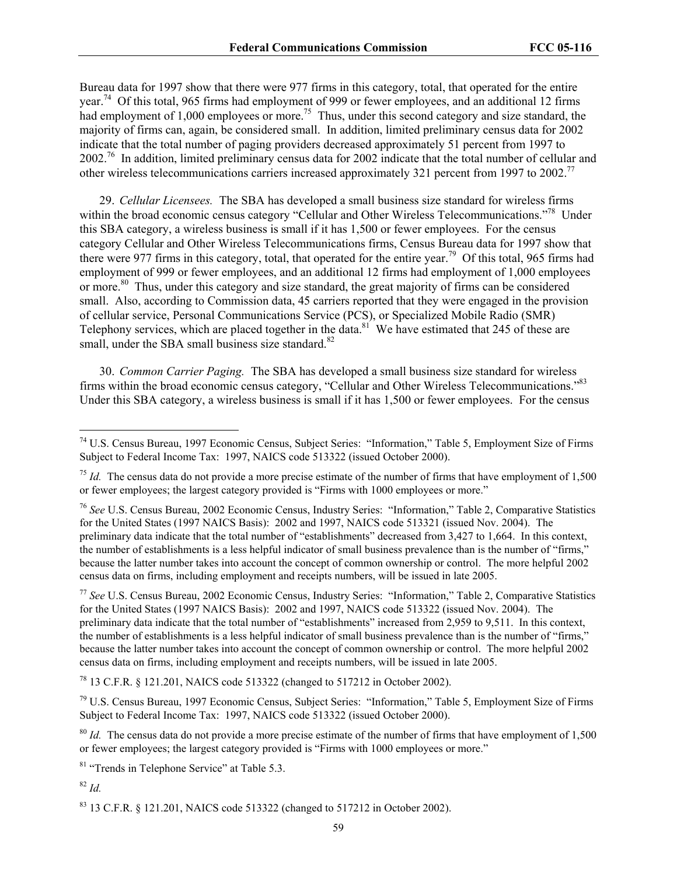Bureau data for 1997 show that there were 977 firms in this category, total, that operated for the entire year.<sup>74</sup> Of this total, 965 firms had employment of 999 or fewer employees, and an additional 12 firms had employment of 1,000 employees or more.<sup>75</sup> Thus, under this second category and size standard, the majority of firms can, again, be considered small. In addition, limited preliminary census data for 2002 indicate that the total number of paging providers decreased approximately 51 percent from 1997 to 2002.<sup>76</sup> In addition, limited preliminary census data for 2002 indicate that the total number of cellular and other wireless telecommunications carriers increased approximately 321 percent from 1997 to 2002.77

29. *Cellular Licensees.* The SBA has developed a small business size standard for wireless firms within the broad economic census category "Cellular and Other Wireless Telecommunications."<sup>78</sup> Under this SBA category, a wireless business is small if it has 1,500 or fewer employees. For the census category Cellular and Other Wireless Telecommunications firms, Census Bureau data for 1997 show that there were 977 firms in this category, total, that operated for the entire year.<sup>79</sup> Of this total, 965 firms had employment of 999 or fewer employees, and an additional 12 firms had employment of 1,000 employees or more.80 Thus, under this category and size standard, the great majority of firms can be considered small. Also, according to Commission data, 45 carriers reported that they were engaged in the provision of cellular service, Personal Communications Service (PCS), or Specialized Mobile Radio (SMR) Telephony services, which are placed together in the data.<sup>81</sup> We have estimated that 245 of these are small, under the SBA small business size standard. $82$ 

30. *Common Carrier Paging.* The SBA has developed a small business size standard for wireless firms within the broad economic census category, "Cellular and Other Wireless Telecommunications."83 Under this SBA category, a wireless business is small if it has 1,500 or fewer employees. For the census

78 13 C.F.R. § 121.201, NAICS code 513322 (changed to 517212 in October 2002).

79 U.S. Census Bureau, 1997 Economic Census, Subject Series: "Information," Table 5, Employment Size of Firms Subject to Federal Income Tax: 1997, NAICS code 513322 (issued October 2000).

<sup>80</sup> *Id.* The census data do not provide a more precise estimate of the number of firms that have employment of 1,500 or fewer employees; the largest category provided is "Firms with 1000 employees or more."

<sup>81</sup> "Trends in Telephone Service" at Table 5.3.

<sup>82</sup> *Id.*

 $\overline{a}$ 

83 13 C.F.R. § 121.201, NAICS code 513322 (changed to 517212 in October 2002).

<sup>74</sup> U.S. Census Bureau, 1997 Economic Census, Subject Series: "Information," Table 5, Employment Size of Firms Subject to Federal Income Tax: 1997, NAICS code 513322 (issued October 2000).

 $^{75}$  *Id.* The census data do not provide a more precise estimate of the number of firms that have employment of 1,500 or fewer employees; the largest category provided is "Firms with 1000 employees or more."

<sup>76</sup> *See* U.S. Census Bureau, 2002 Economic Census, Industry Series: "Information," Table 2, Comparative Statistics for the United States (1997 NAICS Basis): 2002 and 1997, NAICS code 513321 (issued Nov. 2004). The preliminary data indicate that the total number of "establishments" decreased from 3,427 to 1,664. In this context, the number of establishments is a less helpful indicator of small business prevalence than is the number of "firms," because the latter number takes into account the concept of common ownership or control. The more helpful 2002 census data on firms, including employment and receipts numbers, will be issued in late 2005.

<sup>77</sup> *See* U.S. Census Bureau, 2002 Economic Census, Industry Series: "Information," Table 2, Comparative Statistics for the United States (1997 NAICS Basis): 2002 and 1997, NAICS code 513322 (issued Nov. 2004). The preliminary data indicate that the total number of "establishments" increased from 2,959 to 9,511. In this context, the number of establishments is a less helpful indicator of small business prevalence than is the number of "firms," because the latter number takes into account the concept of common ownership or control. The more helpful 2002 census data on firms, including employment and receipts numbers, will be issued in late 2005.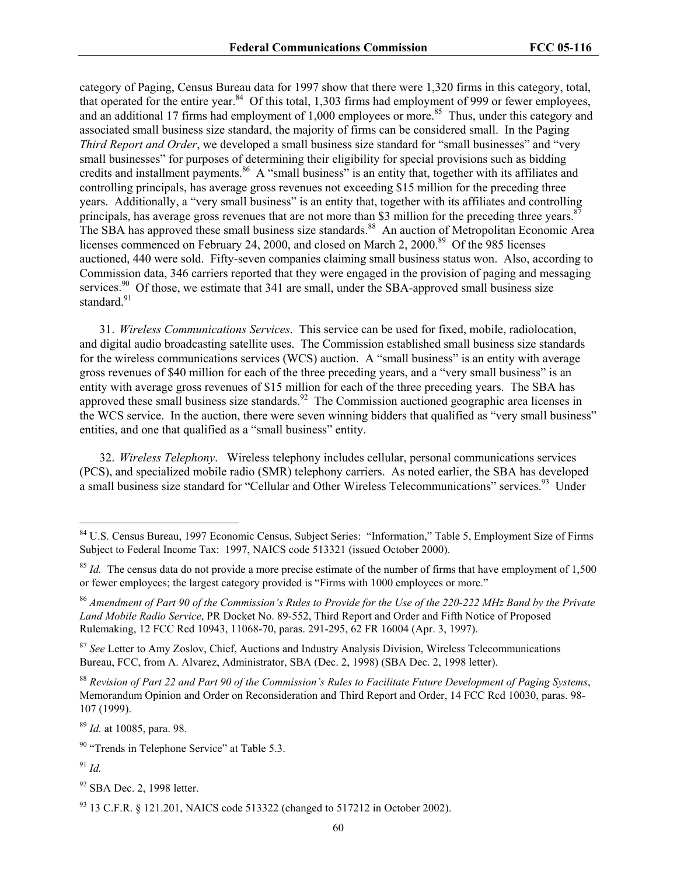category of Paging, Census Bureau data for 1997 show that there were 1,320 firms in this category, total, that operated for the entire year.<sup>84</sup> Of this total, 1,303 firms had employment of 999 or fewer employees, and an additional 17 firms had employment of 1,000 employees or more.<sup>85</sup> Thus, under this category and associated small business size standard, the majority of firms can be considered small. In the Paging *Third Report and Order*, we developed a small business size standard for "small businesses" and "very small businesses" for purposes of determining their eligibility for special provisions such as bidding credits and installment payments.<sup>86</sup> A "small business" is an entity that, together with its affiliates and controlling principals, has average gross revenues not exceeding \$15 million for the preceding three years. Additionally, a "very small business" is an entity that, together with its affiliates and controlling principals, has average gross revenues that are not more than \$3 million for the preceding three years.<sup>8</sup> The SBA has approved these small business size standards.<sup>88</sup> An auction of Metropolitan Economic Area licenses commenced on February 24, 2000, and closed on March 2, 2000.<sup>89</sup> Of the 985 licenses auctioned, 440 were sold. Fifty-seven companies claiming small business status won. Also, according to Commission data, 346 carriers reported that they were engaged in the provision of paging and messaging services.<sup>90</sup> Of those, we estimate that  $341$  are small, under the SBA-approved small business size standard $\frac{91}{2}$ 

31. *Wireless Communications Services*. This service can be used for fixed, mobile, radiolocation, and digital audio broadcasting satellite uses. The Commission established small business size standards for the wireless communications services (WCS) auction. A "small business" is an entity with average gross revenues of \$40 million for each of the three preceding years, and a "very small business" is an entity with average gross revenues of \$15 million for each of the three preceding years. The SBA has approved these small business size standards.<sup>92</sup> The Commission auctioned geographic area licenses in the WCS service. In the auction, there were seven winning bidders that qualified as "very small business" entities, and one that qualified as a "small business" entity.

32. *Wireless Telephony*. Wireless telephony includes cellular, personal communications services (PCS), and specialized mobile radio (SMR) telephony carriers. As noted earlier, the SBA has developed a small business size standard for "Cellular and Other Wireless Telecommunications" services.<sup>93</sup> Under

<sup>89</sup> *Id.* at 10085, para. 98.

 $^{91}$  *Id.* 

<sup>84</sup> U.S. Census Bureau, 1997 Economic Census, Subject Series: "Information," Table 5, Employment Size of Firms Subject to Federal Income Tax: 1997, NAICS code 513321 (issued October 2000).

 $85$  *Id.* The census data do not provide a more precise estimate of the number of firms that have employment of 1,500 or fewer employees; the largest category provided is "Firms with 1000 employees or more."

<sup>86</sup> *Amendment of Part 90 of the Commission's Rules to Provide for the Use of the 220-222 MHz Band by the Private Land Mobile Radio Service*, PR Docket No. 89-552, Third Report and Order and Fifth Notice of Proposed Rulemaking, 12 FCC Rcd 10943, 11068-70, paras. 291-295, 62 FR 16004 (Apr. 3, 1997).

<sup>&</sup>lt;sup>87</sup> See Letter to Amy Zoslov, Chief, Auctions and Industry Analysis Division, Wireless Telecommunications Bureau, FCC, from A. Alvarez, Administrator, SBA (Dec. 2, 1998) (SBA Dec. 2, 1998 letter).

<sup>88</sup> *Revision of Part 22 and Part 90 of the Commission's Rules to Facilitate Future Development of Paging Systems*, Memorandum Opinion and Order on Reconsideration and Third Report and Order, 14 FCC Rcd 10030, paras. 98- 107 (1999).

<sup>&</sup>lt;sup>90</sup> "Trends in Telephone Service" at Table 5.3.

 $92$  SBA Dec. 2, 1998 letter.

 $93$  13 C.F.R. § 121.201, NAICS code 513322 (changed to 517212 in October 2002).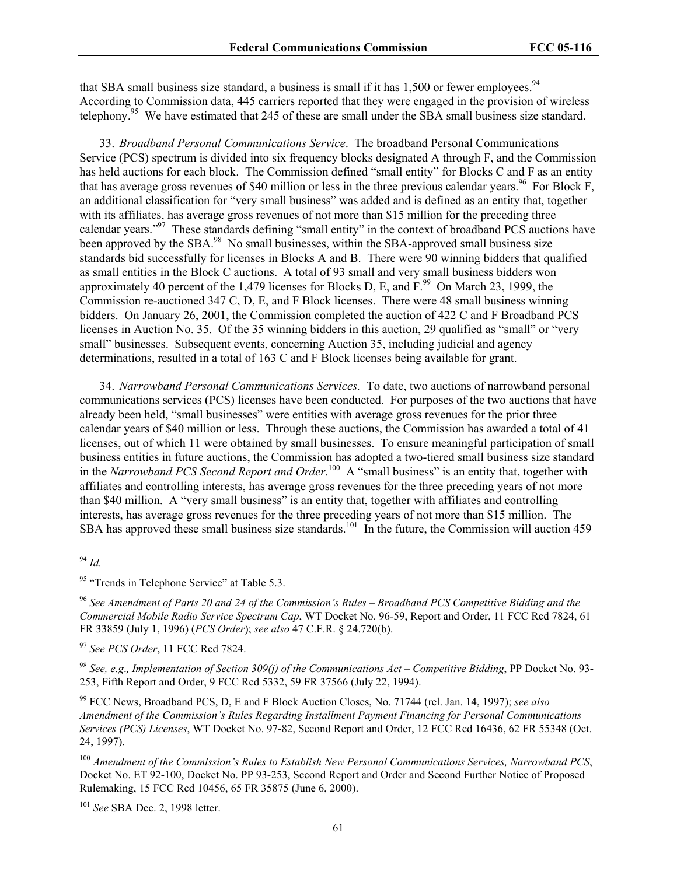that SBA small business size standard, a business is small if it has  $1.500$  or fewer employees.<sup>94</sup> According to Commission data, 445 carriers reported that they were engaged in the provision of wireless telephony.<sup>95</sup> We have estimated that 245 of these are small under the SBA small business size standard.

33. *Broadband Personal Communications Service*. The broadband Personal Communications Service (PCS) spectrum is divided into six frequency blocks designated A through F, and the Commission has held auctions for each block. The Commission defined "small entity" for Blocks C and F as an entity that has average gross revenues of \$40 million or less in the three previous calendar years.<sup>96</sup> For Block F, an additional classification for "very small business" was added and is defined as an entity that, together with its affiliates, has average gross revenues of not more than \$15 million for the preceding three calendar years."97 These standards defining "small entity" in the context of broadband PCS auctions have been approved by the SBA.<sup>98</sup> No small businesses, within the SBA-approved small business size standards bid successfully for licenses in Blocks A and B. There were 90 winning bidders that qualified as small entities in the Block C auctions. A total of 93 small and very small business bidders won approximately 40 percent of the 1,479 licenses for Blocks D, E, and  $\overline{F}^{99}$  On March 23, 1999, the Commission re-auctioned 347 C, D, E, and F Block licenses. There were 48 small business winning bidders. On January 26, 2001, the Commission completed the auction of 422 C and F Broadband PCS licenses in Auction No. 35. Of the 35 winning bidders in this auction, 29 qualified as "small" or "very small" businesses. Subsequent events, concerning Auction 35, including judicial and agency determinations, resulted in a total of 163 C and F Block licenses being available for grant.

34. *Narrowband Personal Communications Services.* To date, two auctions of narrowband personal communications services (PCS) licenses have been conducted. For purposes of the two auctions that have already been held, "small businesses" were entities with average gross revenues for the prior three calendar years of \$40 million or less. Through these auctions, the Commission has awarded a total of 41 licenses, out of which 11 were obtained by small businesses. To ensure meaningful participation of small business entities in future auctions, the Commission has adopted a two-tiered small business size standard in the *Narrowband PCS Second Report and Order*.<sup>100</sup> A "small business" is an entity that, together with affiliates and controlling interests, has average gross revenues for the three preceding years of not more than \$40 million. A "very small business" is an entity that, together with affiliates and controlling interests, has average gross revenues for the three preceding years of not more than \$15 million. The SBA has approved these small business size standards.<sup>101</sup> In the future, the Commission will auction 459

 $\overline{a}$ 

<sup>97</sup> *See PCS Order*, 11 FCC Rcd 7824.

<sup>98</sup> *See, e.g*.*, Implementation of Section 309(j) of the Communications Act – Competitive Bidding*, PP Docket No. 93- 253, Fifth Report and Order, 9 FCC Rcd 5332, 59 FR 37566 (July 22, 1994).

99 FCC News, Broadband PCS, D, E and F Block Auction Closes, No. 71744 (rel. Jan. 14, 1997); *see also Amendment of the Commission's Rules Regarding Installment Payment Financing for Personal Communications Services (PCS) Licenses*, WT Docket No. 97-82, Second Report and Order, 12 FCC Rcd 16436, 62 FR 55348 (Oct. 24, 1997).

<sup>101</sup> *See* SBA Dec. 2, 1998 letter.

<sup>94</sup> *Id.*

<sup>&</sup>lt;sup>95</sup> "Trends in Telephone Service" at Table 5.3.

<sup>96</sup> *See Amendment of Parts 20 and 24 of the Commission's Rules – Broadband PCS Competitive Bidding and the Commercial Mobile Radio Service Spectrum Cap*, WT Docket No. 96-59, Report and Order, 11 FCC Rcd 7824, 61 FR 33859 (July 1, 1996) (*PCS Order*); *see also* 47 C.F.R. § 24.720(b).

<sup>100</sup> *Amendment of the Commission's Rules to Establish New Personal Communications Services, Narrowband PCS*, Docket No. ET 92-100, Docket No. PP 93-253, Second Report and Order and Second Further Notice of Proposed Rulemaking, 15 FCC Rcd 10456, 65 FR 35875 (June 6, 2000).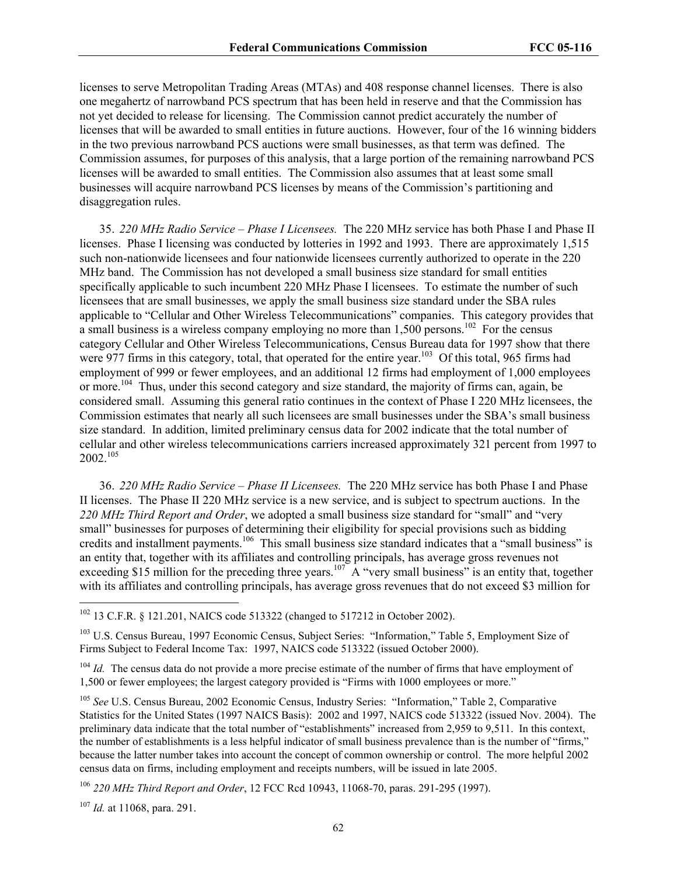licenses to serve Metropolitan Trading Areas (MTAs) and 408 response channel licenses. There is also one megahertz of narrowband PCS spectrum that has been held in reserve and that the Commission has not yet decided to release for licensing. The Commission cannot predict accurately the number of licenses that will be awarded to small entities in future auctions. However, four of the 16 winning bidders in the two previous narrowband PCS auctions were small businesses, as that term was defined. The Commission assumes, for purposes of this analysis, that a large portion of the remaining narrowband PCS licenses will be awarded to small entities. The Commission also assumes that at least some small businesses will acquire narrowband PCS licenses by means of the Commission's partitioning and disaggregation rules.

35. *220 MHz Radio Service – Phase I Licensees.* The 220 MHz service has both Phase I and Phase II licenses. Phase I licensing was conducted by lotteries in 1992 and 1993. There are approximately 1,515 such non-nationwide licensees and four nationwide licensees currently authorized to operate in the 220 MHz band. The Commission has not developed a small business size standard for small entities specifically applicable to such incumbent 220 MHz Phase I licensees. To estimate the number of such licensees that are small businesses, we apply the small business size standard under the SBA rules applicable to "Cellular and Other Wireless Telecommunications" companies. This category provides that a small business is a wireless company employing no more than  $1,500$  persons.<sup>102</sup> For the census category Cellular and Other Wireless Telecommunications, Census Bureau data for 1997 show that there were 977 firms in this category, total, that operated for the entire year.<sup>103</sup> Of this total, 965 firms had employment of 999 or fewer employees, and an additional 12 firms had employment of 1,000 employees or more.<sup>104</sup> Thus, under this second category and size standard, the majority of firms can, again, be considered small. Assuming this general ratio continues in the context of Phase I 220 MHz licensees, the Commission estimates that nearly all such licensees are small businesses under the SBA's small business size standard. In addition, limited preliminary census data for 2002 indicate that the total number of cellular and other wireless telecommunications carriers increased approximately 321 percent from 1997 to 2002.<sup>105</sup>

36. *220 MHz Radio Service – Phase II Licensees.*The 220 MHz service has both Phase I and Phase II licenses. The Phase II 220 MHz service is a new service, and is subject to spectrum auctions. In the *220 MHz Third Report and Order*, we adopted a small business size standard for "small" and "very small" businesses for purposes of determining their eligibility for special provisions such as bidding credits and installment payments.<sup>106</sup> This small business size standard indicates that a "small business" is an entity that, together with its affiliates and controlling principals, has average gross revenues not exceeding \$15 million for the preceding three years.<sup>107</sup> A "very small business" is an entity that, together with its affiliates and controlling principals, has average gross revenues that do not exceed \$3 million for

<sup>107</sup> *Id.* at 11068, para. 291.

<sup>102 13</sup> C.F.R. § 121.201, NAICS code 513322 (changed to 517212 in October 2002).

<sup>103</sup> U.S. Census Bureau, 1997 Economic Census, Subject Series: "Information," Table 5, Employment Size of Firms Subject to Federal Income Tax: 1997, NAICS code 513322 (issued October 2000).

<sup>&</sup>lt;sup>104</sup> *Id.* The census data do not provide a more precise estimate of the number of firms that have employment of 1,500 or fewer employees; the largest category provided is "Firms with 1000 employees or more."

<sup>105</sup> *See* U.S. Census Bureau, 2002 Economic Census, Industry Series: "Information," Table 2, Comparative Statistics for the United States (1997 NAICS Basis): 2002 and 1997, NAICS code 513322 (issued Nov. 2004). The preliminary data indicate that the total number of "establishments" increased from 2,959 to 9,511. In this context, the number of establishments is a less helpful indicator of small business prevalence than is the number of "firms," because the latter number takes into account the concept of common ownership or control. The more helpful 2002 census data on firms, including employment and receipts numbers, will be issued in late 2005.

<sup>106</sup> *220 MHz Third Report and Order*, 12 FCC Rcd 10943, 11068-70, paras. 291-295 (1997).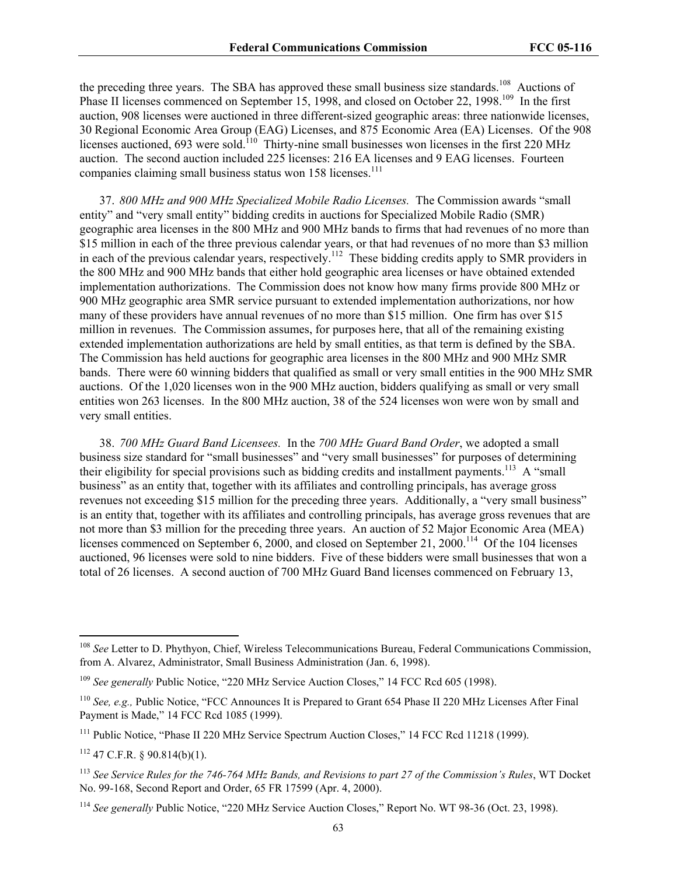the preceding three years. The SBA has approved these small business size standards.<sup>108</sup> Auctions of Phase II licenses commenced on September 15, 1998, and closed on October 22, 1998.<sup>109</sup> In the first auction, 908 licenses were auctioned in three different-sized geographic areas: three nationwide licenses, 30 Regional Economic Area Group (EAG) Licenses, and 875 Economic Area (EA) Licenses. Of the 908 licenses auctioned, 693 were sold.<sup>110</sup> Thirty-nine small businesses won licenses in the first 220 MHz auction. The second auction included 225 licenses: 216 EA licenses and 9 EAG licenses. Fourteen companies claiming small business status won 158 licenses.<sup>111</sup>

37. *800 MHz and 900 MHz Specialized Mobile Radio Licenses.*The Commission awards "small entity" and "very small entity" bidding credits in auctions for Specialized Mobile Radio (SMR) geographic area licenses in the 800 MHz and 900 MHz bands to firms that had revenues of no more than \$15 million in each of the three previous calendar years, or that had revenues of no more than \$3 million in each of the previous calendar years, respectively.<sup>112</sup> These bidding credits apply to SMR providers in the 800 MHz and 900 MHz bands that either hold geographic area licenses or have obtained extended implementation authorizations. The Commission does not know how many firms provide 800 MHz or 900 MHz geographic area SMR service pursuant to extended implementation authorizations, nor how many of these providers have annual revenues of no more than \$15 million. One firm has over \$15 million in revenues. The Commission assumes, for purposes here, that all of the remaining existing extended implementation authorizations are held by small entities, as that term is defined by the SBA. The Commission has held auctions for geographic area licenses in the 800 MHz and 900 MHz SMR bands. There were 60 winning bidders that qualified as small or very small entities in the 900 MHz SMR auctions. Of the 1,020 licenses won in the 900 MHz auction, bidders qualifying as small or very small entities won 263 licenses. In the 800 MHz auction, 38 of the 524 licenses won were won by small and very small entities.

38. *700 MHz Guard Band Licensees.* In the *700 MHz Guard Band Order*, we adopted a small business size standard for "small businesses" and "very small businesses" for purposes of determining their eligibility for special provisions such as bidding credits and installment payments.<sup>113</sup> A "small" business" as an entity that, together with its affiliates and controlling principals, has average gross revenues not exceeding \$15 million for the preceding three years. Additionally, a "very small business" is an entity that, together with its affiliates and controlling principals, has average gross revenues that are not more than \$3 million for the preceding three years. An auction of 52 Major Economic Area (MEA) licenses commenced on September 6, 2000, and closed on September 21, 2000.<sup>114</sup> Of the 104 licenses auctioned, 96 licenses were sold to nine bidders. Five of these bidders were small businesses that won a total of 26 licenses. A second auction of 700 MHz Guard Band licenses commenced on February 13,

<sup>108</sup> *See* Letter to D. Phythyon, Chief, Wireless Telecommunications Bureau, Federal Communications Commission, from A. Alvarez, Administrator, Small Business Administration (Jan. 6, 1998).

<sup>&</sup>lt;sup>109</sup> *See generally* Public Notice, "220 MHz Service Auction Closes," 14 FCC Rcd 605 (1998).

<sup>110</sup> *See, e.g.,* Public Notice, "FCC Announces It is Prepared to Grant 654 Phase II 220 MHz Licenses After Final Payment is Made," 14 FCC Rcd 1085 (1999).

<sup>&</sup>lt;sup>111</sup> Public Notice, "Phase II 220 MHz Service Spectrum Auction Closes," 14 FCC Rcd 11218 (1999).

 $112$  47 C.F.R. § 90.814(b)(1).

<sup>113</sup> *See Service Rules for the 746-764 MHz Bands, and Revisions to part 27 of the Commission's Rules*, WT Docket No. 99-168, Second Report and Order, 65 FR 17599 (Apr. 4, 2000).

<sup>&</sup>lt;sup>114</sup> See generally Public Notice, "220 MHz Service Auction Closes," Report No. WT 98-36 (Oct. 23, 1998).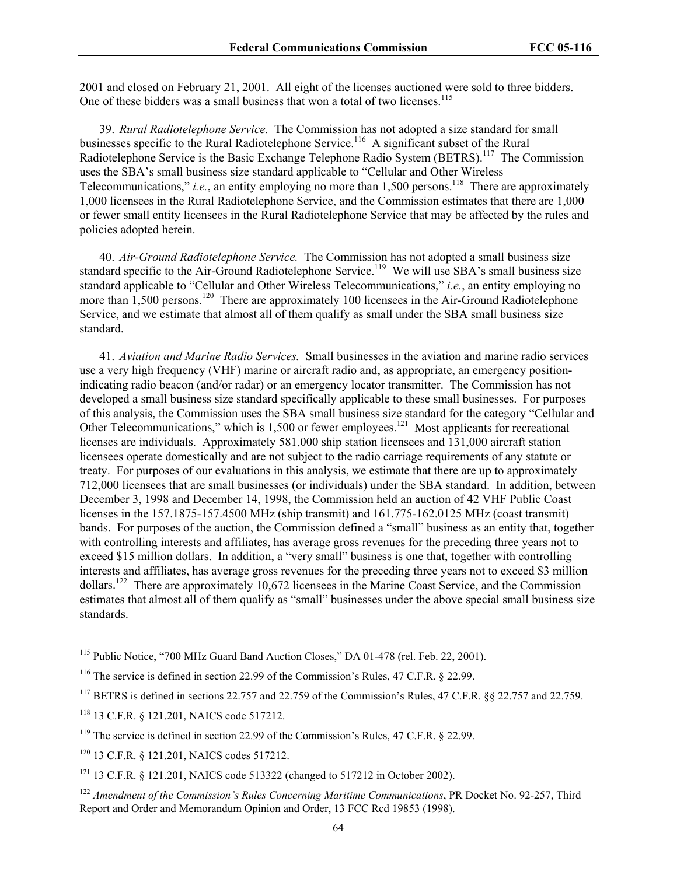2001 and closed on February 21, 2001. All eight of the licenses auctioned were sold to three bidders. One of these bidders was a small business that won a total of two licenses.<sup>115</sup>

39. *Rural Radiotelephone Service.* The Commission has not adopted a size standard for small businesses specific to the Rural Radiotelephone Service.<sup>116</sup> A significant subset of the Rural Radiotelephone Service is the Basic Exchange Telephone Radio System (BETRS).<sup>117</sup> The Commission uses the SBA's small business size standard applicable to "Cellular and Other Wireless Telecommunications," *i.e.*, an entity employing no more than 1,500 persons.<sup>118</sup> There are approximately 1,000 licensees in the Rural Radiotelephone Service, and the Commission estimates that there are 1,000 or fewer small entity licensees in the Rural Radiotelephone Service that may be affected by the rules and policies adopted herein.

40. *Air-Ground Radiotelephone Service.* The Commission has not adopted a small business size standard specific to the Air-Ground Radiotelephone Service.<sup>119</sup> We will use SBA's small business size standard applicable to "Cellular and Other Wireless Telecommunications," *i.e.*, an entity employing no more than  $1,500$  persons.<sup>120</sup> There are approximately 100 licensees in the Air-Ground Radiotelephone Service, and we estimate that almost all of them qualify as small under the SBA small business size standard.

41. *Aviation and Marine Radio Services.* Small businesses in the aviation and marine radio services use a very high frequency (VHF) marine or aircraft radio and, as appropriate, an emergency positionindicating radio beacon (and/or radar) or an emergency locator transmitter. The Commission has not developed a small business size standard specifically applicable to these small businesses. For purposes of this analysis, the Commission uses the SBA small business size standard for the category "Cellular and Other Telecommunications," which is 1,500 or fewer employees.<sup>121</sup> Most applicants for recreational licenses are individuals. Approximately 581,000 ship station licensees and 131,000 aircraft station licensees operate domestically and are not subject to the radio carriage requirements of any statute or treaty. For purposes of our evaluations in this analysis, we estimate that there are up to approximately 712,000 licensees that are small businesses (or individuals) under the SBA standard. In addition, between December 3, 1998 and December 14, 1998, the Commission held an auction of 42 VHF Public Coast licenses in the 157.1875-157.4500 MHz (ship transmit) and 161.775-162.0125 MHz (coast transmit) bands. For purposes of the auction, the Commission defined a "small" business as an entity that, together with controlling interests and affiliates, has average gross revenues for the preceding three years not to exceed \$15 million dollars. In addition, a "very small" business is one that, together with controlling interests and affiliates, has average gross revenues for the preceding three years not to exceed \$3 million dollars.122 There are approximately 10,672 licensees in the Marine Coast Service, and the Commission estimates that almost all of them qualify as "small" businesses under the above special small business size standards.

<sup>&</sup>lt;sup>115</sup> Public Notice, "700 MHz Guard Band Auction Closes," DA 01-478 (rel. Feb. 22, 2001).

<sup>116</sup> The service is defined in section 22.99 of the Commission's Rules, 47 C.F.R. § 22.99.

<sup>&</sup>lt;sup>117</sup> BETRS is defined in sections 22.757 and 22.759 of the Commission's Rules, 47 C.F.R. §§ 22.757 and 22.759.

<sup>118 13</sup> C.F.R. § 121.201, NAICS code 517212.

<sup>&</sup>lt;sup>119</sup> The service is defined in section 22.99 of the Commission's Rules, 47 C.F.R. § 22.99.

<sup>120 13</sup> C.F.R. § 121.201, NAICS codes 517212.

<sup>121 13</sup> C.F.R. § 121.201, NAICS code 513322 (changed to 517212 in October 2002).

<sup>122</sup> *Amendment of the Commission's Rules Concerning Maritime Communications*, PR Docket No. 92-257, Third Report and Order and Memorandum Opinion and Order, 13 FCC Rcd 19853 (1998).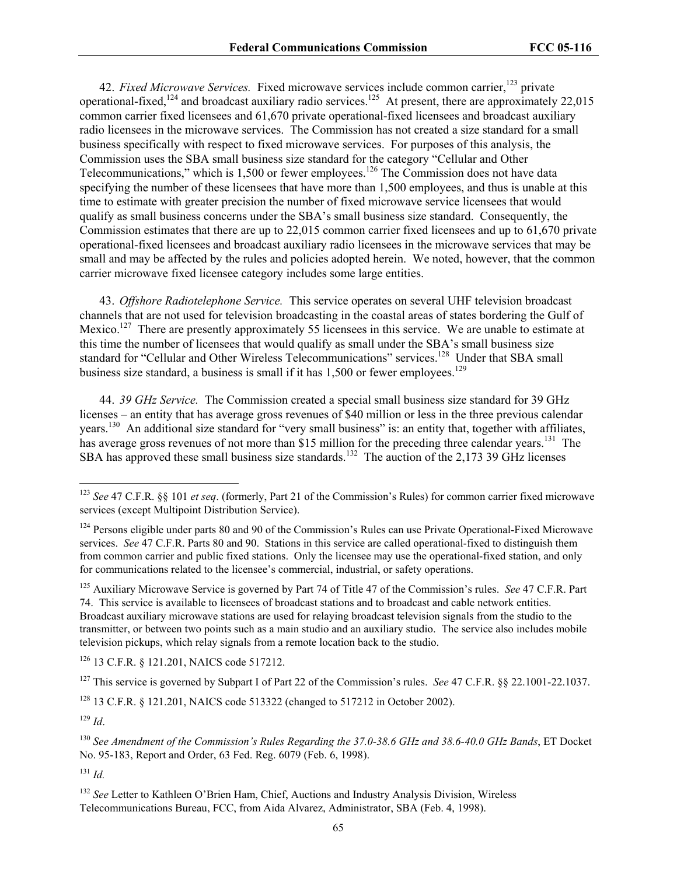42. *Fixed Microwave Services*. Fixed microwave services include common carrier,<sup>123</sup> private operational-fixed,<sup>124</sup> and broadcast auxiliary radio services.<sup>125</sup> At present, there are approximately 22,015 common carrier fixed licensees and 61,670 private operational-fixed licensees and broadcast auxiliary radio licensees in the microwave services. The Commission has not created a size standard for a small business specifically with respect to fixed microwave services. For purposes of this analysis, the Commission uses the SBA small business size standard for the category "Cellular and Other Telecommunications," which is 1,500 or fewer employees.<sup>126</sup> The Commission does not have data specifying the number of these licensees that have more than 1,500 employees, and thus is unable at this time to estimate with greater precision the number of fixed microwave service licensees that would qualify as small business concerns under the SBA's small business size standard. Consequently, the Commission estimates that there are up to 22,015 common carrier fixed licensees and up to 61,670 private operational-fixed licensees and broadcast auxiliary radio licensees in the microwave services that may be small and may be affected by the rules and policies adopted herein. We noted, however, that the common carrier microwave fixed licensee category includes some large entities.

43. *Offshore Radiotelephone Service.* This service operates on several UHF television broadcast channels that are not used for television broadcasting in the coastal areas of states bordering the Gulf of Mexico.<sup>127</sup> There are presently approximately 55 licensees in this service. We are unable to estimate at this time the number of licensees that would qualify as small under the SBA's small business size standard for "Cellular and Other Wireless Telecommunications" services.<sup>128</sup> Under that SBA small business size standard, a business is small if it has  $1,500$  or fewer employees.<sup>129</sup>

44. *39 GHz Service.* The Commission created a special small business size standard for 39 GHz licenses – an entity that has average gross revenues of \$40 million or less in the three previous calendar years.130 An additional size standard for "very small business" is: an entity that, together with affiliates, has average gross revenues of not more than \$15 million for the preceding three calendar years.<sup>131</sup> The SBA has approved these small business size standards.<sup>132</sup> The auction of the 2,173 39 GHz licenses

125 Auxiliary Microwave Service is governed by Part 74 of Title 47 of the Commission's rules. *See* 47 C.F.R. Part 74. This service is available to licensees of broadcast stations and to broadcast and cable network entities. Broadcast auxiliary microwave stations are used for relaying broadcast television signals from the studio to the transmitter, or between two points such as a main studio and an auxiliary studio. The service also includes mobile television pickups, which relay signals from a remote location back to the studio.

126 13 C.F.R. § 121.201, NAICS code 517212.

127 This service is governed by Subpart I of Part 22 of the Commission's rules. *See* 47 C.F.R. §§ 22.1001-22.1037.

128 13 C.F.R. § 121.201, NAICS code 513322 (changed to 517212 in October 2002).

 $129$  *Id.* 

 $\overline{a}$ 

<sup>131</sup> *Id.*

<sup>123</sup> *See* 47 C.F.R. §§ 101 *et seq*. (formerly, Part 21 of the Commission's Rules) for common carrier fixed microwave services (except Multipoint Distribution Service).

<sup>&</sup>lt;sup>124</sup> Persons eligible under parts 80 and 90 of the Commission's Rules can use Private Operational-Fixed Microwave services. *See* 47 C.F.R. Parts 80 and 90. Stations in this service are called operational-fixed to distinguish them from common carrier and public fixed stations. Only the licensee may use the operational-fixed station, and only for communications related to the licensee's commercial, industrial, or safety operations.

<sup>130</sup> *See Amendment of the Commission's Rules Regarding the 37.0-38.6 GHz and 38.6-40.0 GHz Bands*, ET Docket No. 95-183, Report and Order, 63 Fed. Reg. 6079 (Feb. 6, 1998).

<sup>&</sup>lt;sup>132</sup> See Letter to Kathleen O'Brien Ham, Chief, Auctions and Industry Analysis Division, Wireless Telecommunications Bureau, FCC, from Aida Alvarez, Administrator, SBA (Feb. 4, 1998).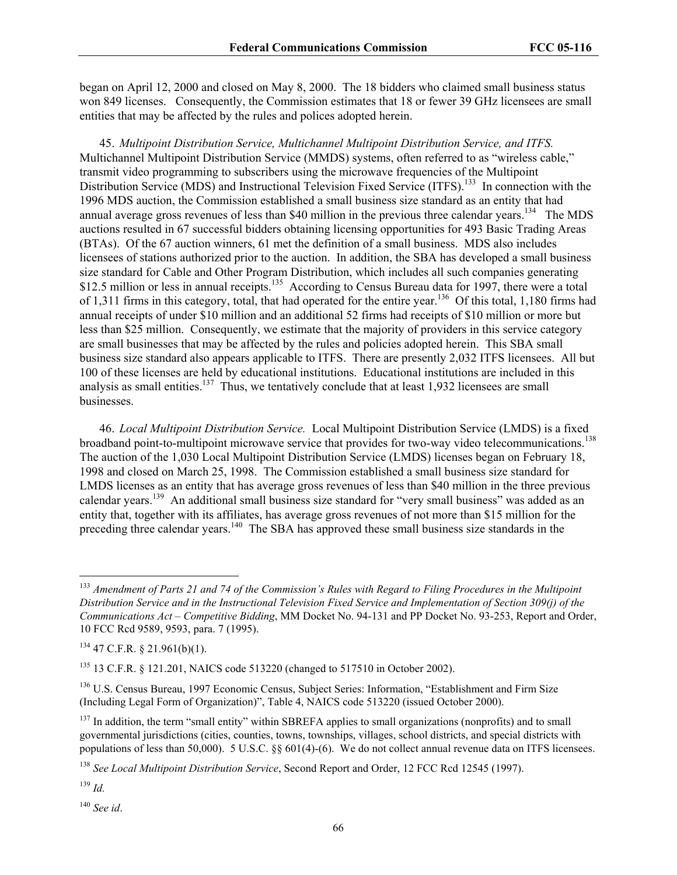began on April 12, 2000 and closed on May 8, 2000. The 18 bidders who claimed small business status won 849 licenses. Consequently, the Commission estimates that 18 or fewer 39 GHz licensees are small entities that may be affected by the rules and polices adopted herein.

45. *Multipoint Distribution Service, Multichannel Multipoint Distribution Service, and ITFS.*  Multichannel Multipoint Distribution Service (MMDS) systems, often referred to as "wireless cable," transmit video programming to subscribers using the microwave frequencies of the Multipoint Distribution Service (MDS) and Instructional Television Fixed Service (ITFS).<sup>133</sup> In connection with the 1996 MDS auction, the Commission established a small business size standard as an entity that had annual average gross revenues of less than \$40 million in the previous three calendar years.<sup>134</sup> The MDS auctions resulted in 67 successful bidders obtaining licensing opportunities for 493 Basic Trading Areas (BTAs). Of the 67 auction winners, 61 met the definition of a small business. MDS also includes licensees of stations authorized prior to the auction. In addition, the SBA has developed a small business size standard for Cable and Other Program Distribution, which includes all such companies generating \$12.5 million or less in annual receipts.<sup>135</sup> According to Census Bureau data for 1997, there were a total of 1,311 firms in this category, total, that had operated for the entire year.136 Of this total, 1,180 firms had annual receipts of under \$10 million and an additional 52 firms had receipts of \$10 million or more but less than \$25 million. Consequently, we estimate that the majority of providers in this service category are small businesses that may be affected by the rules and policies adopted herein. This SBA small business size standard also appears applicable to ITFS. There are presently 2,032 ITFS licensees. All but 100 of these licenses are held by educational institutions. Educational institutions are included in this analysis as small entities.<sup>137</sup> Thus, we tentatively conclude that at least 1,932 licensees are small businesses.

46. *Local Multipoint Distribution Service.* Local Multipoint Distribution Service (LMDS) is a fixed broadband point-to-multipoint microwave service that provides for two-way video telecommunications.<sup>138</sup> The auction of the 1,030 Local Multipoint Distribution Service (LMDS) licenses began on February 18, 1998 and closed on March 25, 1998. The Commission established a small business size standard for LMDS licenses as an entity that has average gross revenues of less than \$40 million in the three previous calendar years.<sup>139</sup> An additional small business size standard for "very small business" was added as an entity that, together with its affiliates, has average gross revenues of not more than \$15 million for the preceding three calendar years.<sup>140</sup> The SBA has approved these small business size standards in the

<sup>139</sup> *Id.*

 $\overline{a}$ 

<sup>140</sup> *See id*.

<sup>133</sup> *Amendment of Parts 21 and 74 of the Commission's Rules with Regard to Filing Procedures in the Multipoint Distribution Service and in the Instructional Television Fixed Service and Implementation of Section 309(j) of the Communications Act – Competitive Bidding*, MM Docket No. 94-131 and PP Docket No. 93-253, Report and Order, 10 FCC Rcd 9589, 9593, para. 7 (1995).

 $134$  47 C.F.R. § 21.961(b)(1).

<sup>135 13</sup> C.F.R. § 121.201, NAICS code 513220 (changed to 517510 in October 2002).

<sup>136</sup> U.S. Census Bureau, 1997 Economic Census, Subject Series: Information, "Establishment and Firm Size (Including Legal Form of Organization)", Table 4, NAICS code 513220 (issued October 2000).

<sup>&</sup>lt;sup>137</sup> In addition, the term "small entity" within SBREFA applies to small organizations (nonprofits) and to small governmental jurisdictions (cities, counties, towns, townships, villages, school districts, and special districts with populations of less than 50,000). 5 U.S.C. §§ 601(4)-(6). We do not collect annual revenue data on ITFS licensees.

<sup>138</sup> *See Local Multipoint Distribution Service*, Second Report and Order, 12 FCC Rcd 12545 (1997).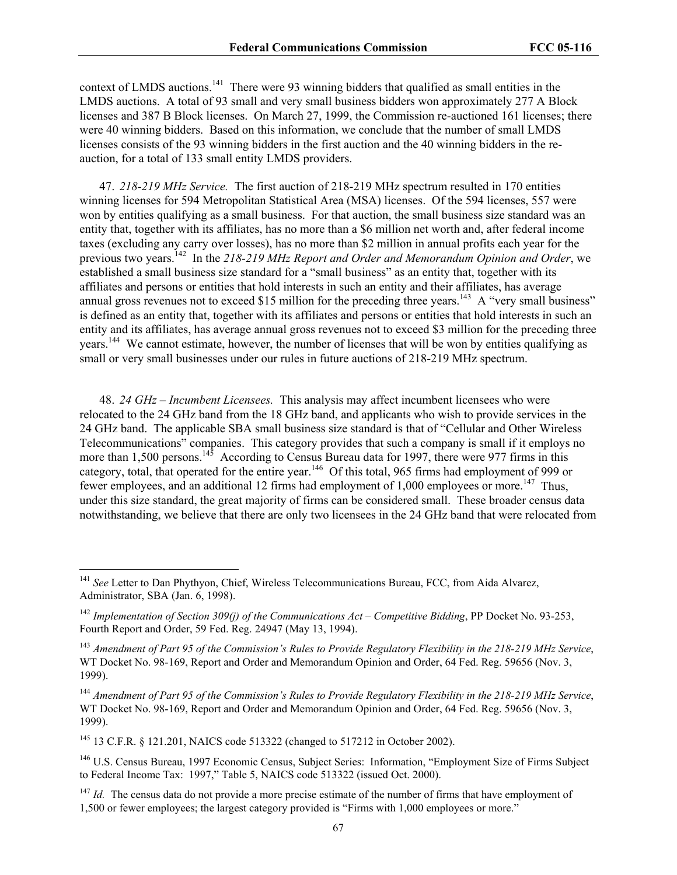context of LMDS auctions.<sup>141</sup> There were 93 winning bidders that qualified as small entities in the LMDS auctions. A total of 93 small and very small business bidders won approximately 277 A Block licenses and 387 B Block licenses. On March 27, 1999, the Commission re-auctioned 161 licenses; there were 40 winning bidders. Based on this information, we conclude that the number of small LMDS licenses consists of the 93 winning bidders in the first auction and the 40 winning bidders in the reauction, for a total of 133 small entity LMDS providers.

47. *218-219 MHz Service.* The first auction of 218-219 MHz spectrum resulted in 170 entities winning licenses for 594 Metropolitan Statistical Area (MSA) licenses. Of the 594 licenses, 557 were won by entities qualifying as a small business. For that auction, the small business size standard was an entity that, together with its affiliates, has no more than a \$6 million net worth and, after federal income taxes (excluding any carry over losses), has no more than \$2 million in annual profits each year for the previous two years.142 In the *218-219 MHz Report and Order and Memorandum Opinion and Order*, we established a small business size standard for a "small business" as an entity that, together with its affiliates and persons or entities that hold interests in such an entity and their affiliates, has average annual gross revenues not to exceed \$15 million for the preceding three years.<sup>143</sup> A "very small business" is defined as an entity that, together with its affiliates and persons or entities that hold interests in such an entity and its affiliates, has average annual gross revenues not to exceed \$3 million for the preceding three years.144 We cannot estimate, however, the number of licenses that will be won by entities qualifying as small or very small businesses under our rules in future auctions of 218-219 MHz spectrum.

48. *24 GHz – Incumbent Licensees.* This analysis may affect incumbent licensees who were relocated to the 24 GHz band from the 18 GHz band, and applicants who wish to provide services in the 24 GHz band. The applicable SBA small business size standard is that of "Cellular and Other Wireless Telecommunications" companies. This category provides that such a company is small if it employs no more than 1,500 persons.<sup>145</sup> According to Census Bureau data for 1997, there were 977 firms in this category, total, that operated for the entire year.<sup>146</sup> Of this total, 965 firms had employment of 999 or fewer employees, and an additional 12 firms had employment of 1,000 employees or more.<sup>147</sup> Thus, under this size standard, the great majority of firms can be considered small. These broader census data notwithstanding, we believe that there are only two licensees in the 24 GHz band that were relocated from

145 13 C.F.R. § 121.201, NAICS code 513322 (changed to 517212 in October 2002).

 $\overline{a}$ 

<sup>146</sup> U.S. Census Bureau, 1997 Economic Census, Subject Series: Information, "Employment Size of Firms Subject to Federal Income Tax: 1997," Table 5, NAICS code 513322 (issued Oct. 2000).

<sup>147</sup> *Id.* The census data do not provide a more precise estimate of the number of firms that have employment of 1,500 or fewer employees; the largest category provided is "Firms with 1,000 employees or more."

<sup>&</sup>lt;sup>141</sup> See Letter to Dan Phythyon, Chief, Wireless Telecommunications Bureau, FCC, from Aida Alvarez, Administrator, SBA (Jan. 6, 1998).

<sup>142</sup> *Implementation of Section 309(j) of the Communications Act – Competitive Bidding*, PP Docket No. 93-253, Fourth Report and Order, 59 Fed. Reg. 24947 (May 13, 1994).

<sup>143</sup> *Amendment of Part 95 of the Commission's Rules to Provide Regulatory Flexibility in the 218-219 MHz Service*, WT Docket No. 98-169, Report and Order and Memorandum Opinion and Order, 64 Fed. Reg. 59656 (Nov. 3, 1999).

<sup>144</sup> *Amendment of Part 95 of the Commission's Rules to Provide Regulatory Flexibility in the 218-219 MHz Service*, WT Docket No. 98-169, Report and Order and Memorandum Opinion and Order, 64 Fed. Reg. 59656 (Nov. 3, 1999).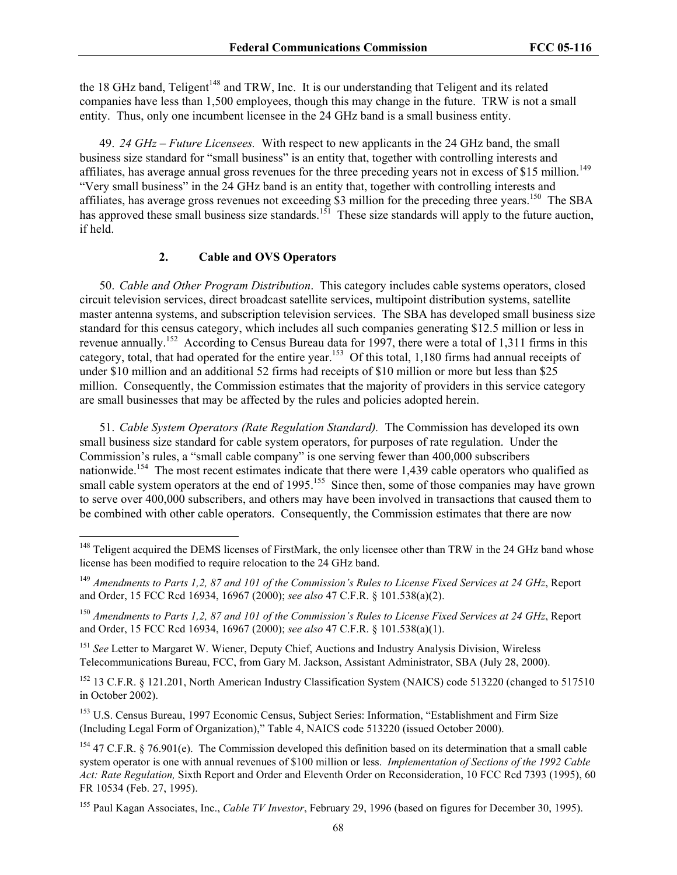the 18 GHz band, Teligent<sup>148</sup> and TRW, Inc. It is our understanding that Teligent and its related companies have less than 1,500 employees, though this may change in the future. TRW is not a small entity. Thus, only one incumbent licensee in the 24 GHz band is a small business entity.

49. *24 GHz – Future Licensees.*With respect to new applicants in the 24 GHz band, the small business size standard for "small business" is an entity that, together with controlling interests and affiliates, has average annual gross revenues for the three preceding years not in excess of \$15 million.<sup>149</sup> "Very small business" in the 24 GHz band is an entity that, together with controlling interests and affiliates, has average gross revenues not exceeding \$3 million for the preceding three years.<sup>150</sup> The SBA has approved these small business size standards.<sup>151</sup> These size standards will apply to the future auction, if held.

#### **2. Cable and OVS Operators**

 $\overline{a}$ 

50. *Cable and Other Program Distribution*. This category includes cable systems operators, closed circuit television services, direct broadcast satellite services, multipoint distribution systems, satellite master antenna systems, and subscription television services. The SBA has developed small business size standard for this census category, which includes all such companies generating \$12.5 million or less in revenue annually.<sup>152</sup> According to Census Bureau data for 1997, there were a total of 1,311 firms in this category, total, that had operated for the entire year.153 Of this total, 1,180 firms had annual receipts of under \$10 million and an additional 52 firms had receipts of \$10 million or more but less than \$25 million. Consequently, the Commission estimates that the majority of providers in this service category are small businesses that may be affected by the rules and policies adopted herein.

51. *Cable System Operators (Rate Regulation Standard).* The Commission has developed its own small business size standard for cable system operators, for purposes of rate regulation. Under the Commission's rules, a "small cable company" is one serving fewer than 400,000 subscribers nationwide.<sup>154</sup> The most recent estimates indicate that there were 1,439 cable operators who qualified as small cable system operators at the end of 1995.<sup>155</sup> Since then, some of those companies may have grown to serve over 400,000 subscribers, and others may have been involved in transactions that caused them to be combined with other cable operators. Consequently, the Commission estimates that there are now

<sup>151</sup> See Letter to Margaret W. Wiener, Deputy Chief, Auctions and Industry Analysis Division, Wireless Telecommunications Bureau, FCC, from Gary M. Jackson, Assistant Administrator, SBA (July 28, 2000).

<sup>152</sup> 13 C.F.R. § 121.201, North American Industry Classification System (NAICS) code 513220 (changed to 517510 in October 2002).

<sup>153</sup> U.S. Census Bureau, 1997 Economic Census, Subject Series: Information, "Establishment and Firm Size (Including Legal Form of Organization)," Table 4, NAICS code 513220 (issued October 2000).

<sup>&</sup>lt;sup>148</sup> Teligent acquired the DEMS licenses of FirstMark, the only licensee other than TRW in the 24 GHz band whose license has been modified to require relocation to the 24 GHz band.

<sup>149</sup> *Amendments to Parts 1,2, 87 and 101 of the Commission's Rules to License Fixed Services at 24 GHz*, Report and Order, 15 FCC Rcd 16934, 16967 (2000); *see also* 47 C.F.R. § 101.538(a)(2).

<sup>150</sup> *Amendments to Parts 1,2, 87 and 101 of the Commission's Rules to License Fixed Services at 24 GHz*, Report and Order, 15 FCC Rcd 16934, 16967 (2000); *see also* 47 C.F.R. § 101.538(a)(1).

 $154$  47 C.F.R. § 76.901(e). The Commission developed this definition based on its determination that a small cable system operator is one with annual revenues of \$100 million or less. *Implementation of Sections of the 1992 Cable Act: Rate Regulation,* Sixth Report and Order and Eleventh Order on Reconsideration, 10 FCC Rcd 7393 (1995), 60 FR 10534 (Feb. 27, 1995).

<sup>155</sup> Paul Kagan Associates, Inc., *Cable TV Investor*, February 29, 1996 (based on figures for December 30, 1995).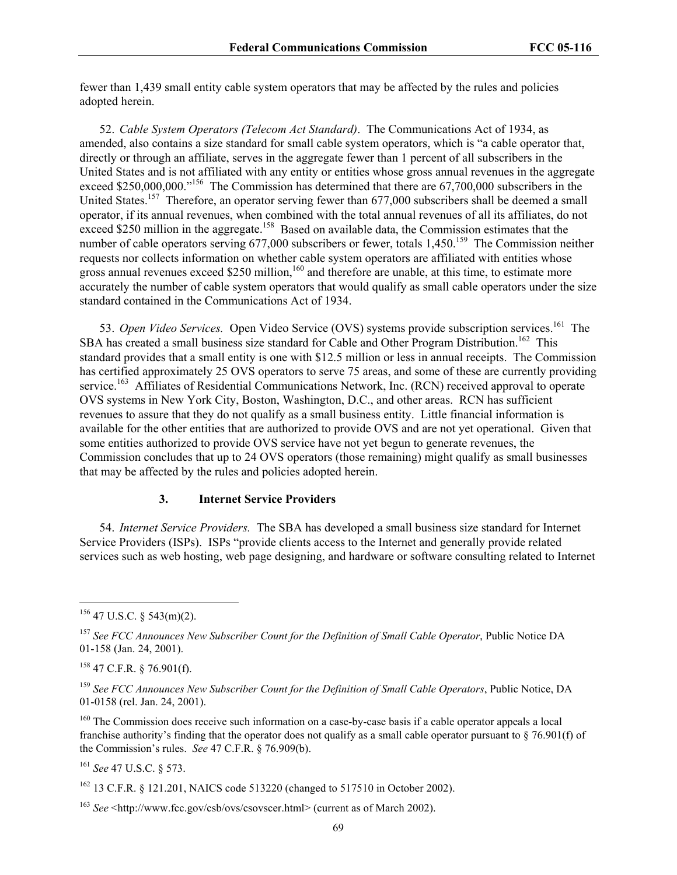fewer than 1,439 small entity cable system operators that may be affected by the rules and policies adopted herein.

52. *Cable System Operators (Telecom Act Standard)*.The Communications Act of 1934, as amended, also contains a size standard for small cable system operators, which is "a cable operator that, directly or through an affiliate, serves in the aggregate fewer than 1 percent of all subscribers in the United States and is not affiliated with any entity or entities whose gross annual revenues in the aggregate exceed \$250,000,000."<sup>156</sup> The Commission has determined that there are 67,700,000 subscribers in the United States.<sup>157</sup> Therefore, an operator serving fewer than 677,000 subscribers shall be deemed a small operator, if its annual revenues, when combined with the total annual revenues of all its affiliates, do not exceed \$250 million in the aggregate.<sup>158</sup> Based on available data, the Commission estimates that the number of cable operators serving  $677,000$  subscribers or fewer, totals  $1,450$ .<sup>159</sup> The Commission neither requests nor collects information on whether cable system operators are affiliated with entities whose gross annual revenues exceed \$250 million,<sup>160</sup> and therefore are unable, at this time, to estimate more accurately the number of cable system operators that would qualify as small cable operators under the size standard contained in the Communications Act of 1934.

53. *Open Video Services*. Open Video Service (OVS) systems provide subscription services.<sup>161</sup> The SBA has created a small business size standard for Cable and Other Program Distribution.<sup>162</sup> This standard provides that a small entity is one with \$12.5 million or less in annual receipts. The Commission has certified approximately 25 OVS operators to serve 75 areas, and some of these are currently providing service.<sup>163</sup> Affiliates of Residential Communications Network, Inc. (RCN) received approval to operate OVS systems in New York City, Boston, Washington, D.C., and other areas. RCN has sufficient revenues to assure that they do not qualify as a small business entity. Little financial information is available for the other entities that are authorized to provide OVS and are not yet operational. Given that some entities authorized to provide OVS service have not yet begun to generate revenues, the Commission concludes that up to 24 OVS operators (those remaining) might qualify as small businesses that may be affected by the rules and policies adopted herein.

#### **3. Internet Service Providers**

54. *Internet Service Providers.*The SBA has developed a small business size standard for Internet Service Providers (ISPs). ISPs "provide clients access to the Internet and generally provide related services such as web hosting, web page designing, and hardware or software consulting related to Internet

 $\overline{a}$ 

<sup>161</sup> *See* 47 U.S.C. § 573.

162 13 C.F.R. § 121.201, NAICS code 513220 (changed to 517510 in October 2002).

 $156$  47 U.S.C. § 543(m)(2).

<sup>157</sup> *See FCC Announces New Subscriber Count for the Definition of Small Cable Operator*, Public Notice DA 01-158 (Jan. 24, 2001).

 $158$  47 C.F.R. § 76.901(f).

<sup>159</sup> *See FCC Announces New Subscriber Count for the Definition of Small Cable Operators*, Public Notice, DA 01-0158 (rel. Jan. 24, 2001).

<sup>&</sup>lt;sup>160</sup> The Commission does receive such information on a case-by-case basis if a cable operator appeals a local franchise authority's finding that the operator does not qualify as a small cable operator pursuant to  $\S$  76.901(f) of the Commission's rules. *See* 47 C.F.R. § 76.909(b).

<sup>163</sup> *See* <http://www.fcc.gov/csb/ovs/csovscer.html> (current as of March 2002).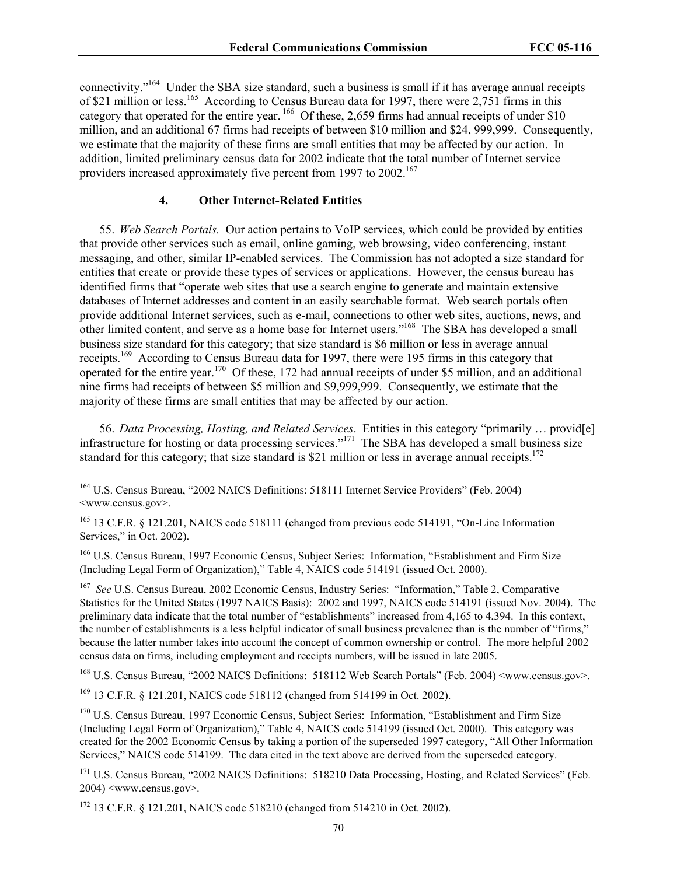connectivity."164 Under the SBA size standard, such a business is small if it has average annual receipts of \$21 million or less.<sup>165</sup> According to Census Bureau data for 1997, there were 2,751 firms in this category that operated for the entire year. <sup>166</sup> Of these, 2,659 firms had annual receipts of under \$10 million, and an additional 67 firms had receipts of between \$10 million and \$24, 999,999. Consequently, we estimate that the majority of these firms are small entities that may be affected by our action. In addition, limited preliminary census data for 2002 indicate that the total number of Internet service providers increased approximately five percent from 1997 to 2002.<sup>167</sup>

#### **4. Other Internet-Related Entities**

55. *Web Search Portals.* Our action pertains to VoIP services, which could be provided by entities that provide other services such as email, online gaming, web browsing, video conferencing, instant messaging, and other, similar IP-enabled services. The Commission has not adopted a size standard for entities that create or provide these types of services or applications. However, the census bureau has identified firms that "operate web sites that use a search engine to generate and maintain extensive databases of Internet addresses and content in an easily searchable format. Web search portals often provide additional Internet services, such as e-mail, connections to other web sites, auctions, news, and other limited content, and serve as a home base for Internet users."168 The SBA has developed a small business size standard for this category; that size standard is \$6 million or less in average annual receipts.<sup>169</sup> According to Census Bureau data for 1997, there were 195 firms in this category that operated for the entire year.170 Of these, 172 had annual receipts of under \$5 million, and an additional nine firms had receipts of between \$5 million and \$9,999,999. Consequently, we estimate that the majority of these firms are small entities that may be affected by our action.

56. *Data Processing, Hosting, and Related Services*. Entities in this category "primarily … provid[e] infrastructure for hosting or data processing services."<sup>171</sup> The SBA has developed a small business size standard for this category; that size standard is \$21 million or less in average annual receipts.<sup>172</sup>

164 U.S. Census Bureau, "2002 NAICS Definitions: 518111 Internet Service Providers" (Feb. 2004) <www.census.gov>.

 $\overline{a}$ 

<sup>165</sup> 13 C.F.R. § 121.201, NAICS code 518111 (changed from previous code 514191, "On-Line Information Services," in Oct. 2002).

<sup>166</sup> U.S. Census Bureau, 1997 Economic Census, Subject Series: Information, "Establishment and Firm Size (Including Legal Form of Organization)," Table 4, NAICS code 514191 (issued Oct. 2000).

167 *See* U.S. Census Bureau, 2002 Economic Census, Industry Series: "Information," Table 2, Comparative Statistics for the United States (1997 NAICS Basis): 2002 and 1997, NAICS code 514191 (issued Nov. 2004). The preliminary data indicate that the total number of "establishments" increased from 4,165 to 4,394. In this context, the number of establishments is a less helpful indicator of small business prevalence than is the number of "firms," because the latter number takes into account the concept of common ownership or control. The more helpful 2002 census data on firms, including employment and receipts numbers, will be issued in late 2005.

<sup>168</sup> U.S. Census Bureau, "2002 NAICS Definitions: 518112 Web Search Portals" (Feb. 2004) <www.census.gov>.

169 13 C.F.R. § 121.201, NAICS code 518112 (changed from 514199 in Oct. 2002).

<sup>170</sup> U.S. Census Bureau, 1997 Economic Census, Subject Series: Information, "Establishment and Firm Size (Including Legal Form of Organization)," Table 4, NAICS code 514199 (issued Oct. 2000). This category was created for the 2002 Economic Census by taking a portion of the superseded 1997 category, "All Other Information Services," NAICS code 514199. The data cited in the text above are derived from the superseded category.

<sup>171</sup> U.S. Census Bureau, "2002 NAICS Definitions: 518210 Data Processing, Hosting, and Related Services" (Feb.  $2004$ )  $\leq$ www.census.gov $\geq$ .

172 13 C.F.R. § 121.201, NAICS code 518210 (changed from 514210 in Oct. 2002).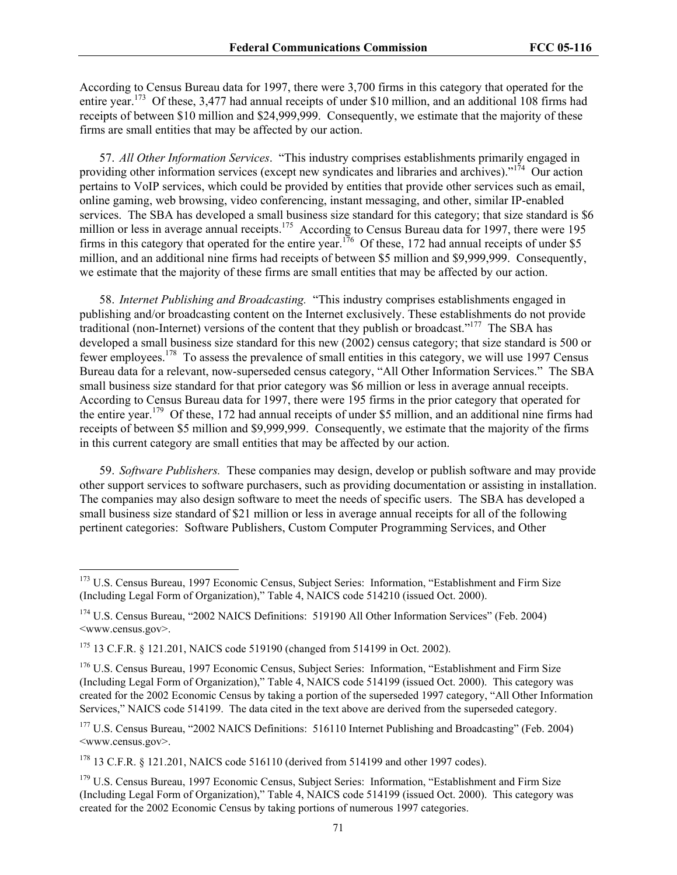According to Census Bureau data for 1997, there were 3,700 firms in this category that operated for the entire year.<sup>173</sup> Of these, 3,477 had annual receipts of under \$10 million, and an additional 108 firms had receipts of between \$10 million and \$24,999,999. Consequently, we estimate that the majority of these firms are small entities that may be affected by our action.

57. *All Other Information Services*. "This industry comprises establishments primarily engaged in providing other information services (except new syndicates and libraries and archives)."<sup>174</sup> Our action pertains to VoIP services, which could be provided by entities that provide other services such as email, online gaming, web browsing, video conferencing, instant messaging, and other, similar IP-enabled services. The SBA has developed a small business size standard for this category; that size standard is \$6 million or less in average annual receipts.<sup>175</sup> According to Census Bureau data for 1997, there were 195 firms in this category that operated for the entire year.<sup>176</sup> Of these, 172 had annual receipts of under \$5 million, and an additional nine firms had receipts of between \$5 million and \$9,999,999. Consequently, we estimate that the majority of these firms are small entities that may be affected by our action.

58. *Internet Publishing and Broadcasting.* "This industry comprises establishments engaged in publishing and/or broadcasting content on the Internet exclusively. These establishments do not provide traditional (non-Internet) versions of the content that they publish or broadcast."<sup>177</sup> The SBA has developed a small business size standard for this new (2002) census category; that size standard is 500 or fewer employees.178 To assess the prevalence of small entities in this category, we will use 1997 Census Bureau data for a relevant, now-superseded census category, "All Other Information Services." The SBA small business size standard for that prior category was \$6 million or less in average annual receipts. According to Census Bureau data for 1997, there were 195 firms in the prior category that operated for the entire year.179 Of these, 172 had annual receipts of under \$5 million, and an additional nine firms had receipts of between \$5 million and \$9,999,999. Consequently, we estimate that the majority of the firms in this current category are small entities that may be affected by our action.

59. *Software Publishers.* These companies may design, develop or publish software and may provide other support services to software purchasers, such as providing documentation or assisting in installation. The companies may also design software to meet the needs of specific users. The SBA has developed a small business size standard of \$21 million or less in average annual receipts for all of the following pertinent categories: Software Publishers, Custom Computer Programming Services, and Other

<sup>&</sup>lt;sup>173</sup> U.S. Census Bureau, 1997 Economic Census, Subject Series: Information, "Establishment and Firm Size (Including Legal Form of Organization)," Table 4, NAICS code 514210 (issued Oct. 2000).

<sup>&</sup>lt;sup>174</sup> U.S. Census Bureau, "2002 NAICS Definitions: 519190 All Other Information Services" (Feb. 2004) <www.census.gov>.

<sup>175 13</sup> C.F.R. § 121.201, NAICS code 519190 (changed from 514199 in Oct. 2002).

<sup>&</sup>lt;sup>176</sup> U.S. Census Bureau, 1997 Economic Census, Subject Series: Information, "Establishment and Firm Size (Including Legal Form of Organization)," Table 4, NAICS code 514199 (issued Oct. 2000). This category was created for the 2002 Economic Census by taking a portion of the superseded 1997 category, "All Other Information Services," NAICS code 514199. The data cited in the text above are derived from the superseded category.

<sup>&</sup>lt;sup>177</sup> U.S. Census Bureau, "2002 NAICS Definitions: 516110 Internet Publishing and Broadcasting" (Feb. 2004) <www.census.gov>.

 $178$  13 C.F.R. § 121.201, NAICS code 516110 (derived from 514199 and other 1997 codes).

<sup>&</sup>lt;sup>179</sup> U.S. Census Bureau, 1997 Economic Census, Subject Series: Information, "Establishment and Firm Size (Including Legal Form of Organization)," Table 4, NAICS code 514199 (issued Oct. 2000). This category was created for the 2002 Economic Census by taking portions of numerous 1997 categories.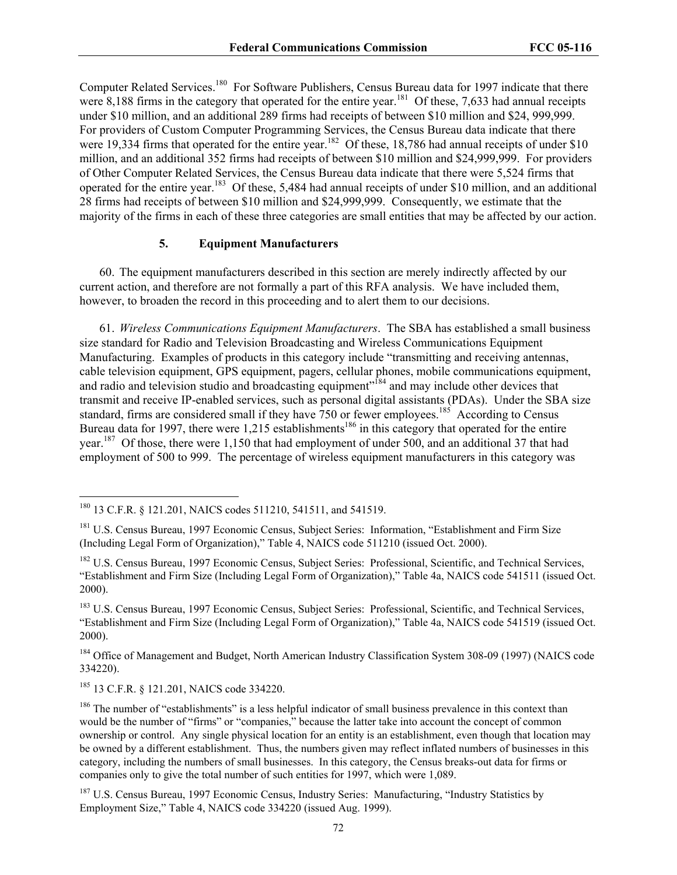Computer Related Services.<sup>180</sup> For Software Publishers, Census Bureau data for 1997 indicate that there were 8,188 firms in the category that operated for the entire year.<sup>181</sup> Of these, 7,633 had annual receipts under \$10 million, and an additional 289 firms had receipts of between \$10 million and \$24, 999,999. For providers of Custom Computer Programming Services, the Census Bureau data indicate that there were 19,334 firms that operated for the entire year.<sup>182</sup> Of these, 18,786 had annual receipts of under \$10 million, and an additional 352 firms had receipts of between \$10 million and \$24,999,999. For providers of Other Computer Related Services, the Census Bureau data indicate that there were 5,524 firms that operated for the entire year.183 Of these, 5,484 had annual receipts of under \$10 million, and an additional 28 firms had receipts of between \$10 million and \$24,999,999. Consequently, we estimate that the majority of the firms in each of these three categories are small entities that may be affected by our action.

#### **5. Equipment Manufacturers**

60. The equipment manufacturers described in this section are merely indirectly affected by our current action, and therefore are not formally a part of this RFA analysis. We have included them, however, to broaden the record in this proceeding and to alert them to our decisions.

61. *Wireless Communications Equipment Manufacturers*. The SBA has established a small business size standard for Radio and Television Broadcasting and Wireless Communications Equipment Manufacturing. Examples of products in this category include "transmitting and receiving antennas, cable television equipment, GPS equipment, pagers, cellular phones, mobile communications equipment, and radio and television studio and broadcasting equipment"<sup>184</sup> and may include other devices that transmit and receive IP-enabled services, such as personal digital assistants (PDAs). Under the SBA size standard, firms are considered small if they have  $750$  or fewer employees.<sup>185</sup> According to Census Bureau data for 1997, there were 1,215 establishments<sup>186</sup> in this category that operated for the entire year.<sup>187</sup> Of those, there were 1,150 that had employment of under 500, and an additional 37 that had employment of 500 to 999. The percentage of wireless equipment manufacturers in this category was

<sup>184</sup> Office of Management and Budget, North American Industry Classification System 308-09 (1997) (NAICS code 334220).

185 13 C.F.R. § 121.201, NAICS code 334220.

 $\overline{a}$ 

<sup>187</sup> U.S. Census Bureau, 1997 Economic Census, Industry Series: Manufacturing, "Industry Statistics by Employment Size," Table 4, NAICS code 334220 (issued Aug. 1999).

<sup>180 13</sup> C.F.R. § 121.201, NAICS codes 511210, 541511, and 541519.

<sup>&</sup>lt;sup>181</sup> U.S. Census Bureau, 1997 Economic Census, Subject Series: Information, "Establishment and Firm Size (Including Legal Form of Organization)," Table 4, NAICS code 511210 (issued Oct. 2000).

<sup>&</sup>lt;sup>182</sup> U.S. Census Bureau, 1997 Economic Census, Subject Series: Professional, Scientific, and Technical Services, "Establishment and Firm Size (Including Legal Form of Organization)," Table 4a, NAICS code 541511 (issued Oct. 2000).

<sup>&</sup>lt;sup>183</sup> U.S. Census Bureau, 1997 Economic Census, Subject Series: Professional, Scientific, and Technical Services, "Establishment and Firm Size (Including Legal Form of Organization)," Table 4a, NAICS code 541519 (issued Oct. 2000).

<sup>&</sup>lt;sup>186</sup> The number of "establishments" is a less helpful indicator of small business prevalence in this context than would be the number of "firms" or "companies," because the latter take into account the concept of common ownership or control. Any single physical location for an entity is an establishment, even though that location may be owned by a different establishment. Thus, the numbers given may reflect inflated numbers of businesses in this category, including the numbers of small businesses. In this category, the Census breaks-out data for firms or companies only to give the total number of such entities for 1997, which were 1,089.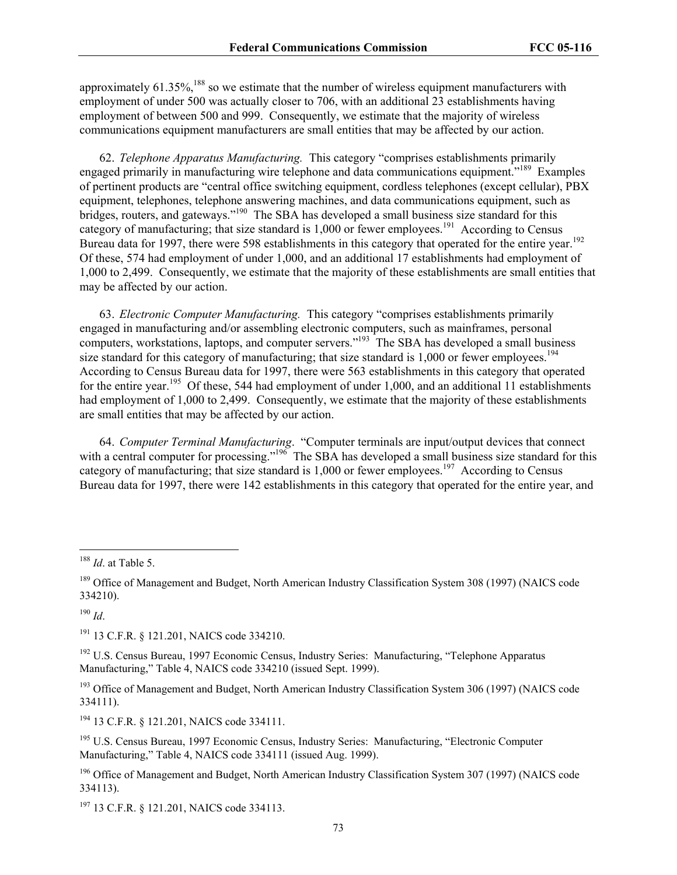approximately 61.35%,<sup>188</sup> so we estimate that the number of wireless equipment manufacturers with employment of under 500 was actually closer to 706, with an additional 23 establishments having employment of between 500 and 999. Consequently, we estimate that the majority of wireless communications equipment manufacturers are small entities that may be affected by our action.

62. *Telephone Apparatus Manufacturing.* This category "comprises establishments primarily engaged primarily in manufacturing wire telephone and data communications equipment."189 Examples of pertinent products are "central office switching equipment, cordless telephones (except cellular), PBX equipment, telephones, telephone answering machines, and data communications equipment, such as bridges, routers, and gateways."<sup>190</sup> The SBA has developed a small business size standard for this category of manufacturing; that size standard is  $1,000$  or fewer employees.<sup>191</sup> According to Census Bureau data for 1997, there were 598 establishments in this category that operated for the entire year.<sup>192</sup> Of these, 574 had employment of under 1,000, and an additional 17 establishments had employment of 1,000 to 2,499. Consequently, we estimate that the majority of these establishments are small entities that may be affected by our action.

63. *Electronic Computer Manufacturing.* This category "comprises establishments primarily engaged in manufacturing and/or assembling electronic computers, such as mainframes, personal computers, workstations, laptops, and computer servers."<sup>193</sup> The SBA has developed a small business size standard for this category of manufacturing; that size standard is  $1,000$  or fewer employees.<sup>194</sup> According to Census Bureau data for 1997, there were 563 establishments in this category that operated for the entire year.<sup>195</sup> Of these, 544 had employment of under 1,000, and an additional 11 establishments had employment of 1,000 to 2,499. Consequently, we estimate that the majority of these establishments are small entities that may be affected by our action.

64. *Computer Terminal Manufacturing*. "Computer terminals are input/output devices that connect with a central computer for processing."<sup>196</sup> The SBA has developed a small business size standard for this category of manufacturing; that size standard is 1,000 or fewer employees.<sup>197</sup> According to Census Bureau data for 1997, there were 142 establishments in this category that operated for the entire year, and

<sup>190</sup> *Id*.

 $\overline{a}$ 

<sup>191</sup> 13 C.F.R. § 121.201, NAICS code 334210.

<sup>192</sup> U.S. Census Bureau, 1997 Economic Census, Industry Series: Manufacturing, "Telephone Apparatus Manufacturing," Table 4, NAICS code 334210 (issued Sept. 1999).

<sup>193</sup> Office of Management and Budget, North American Industry Classification System 306 (1997) (NAICS code 334111).

194 13 C.F.R. § 121.201, NAICS code 334111.

<sup>195</sup> U.S. Census Bureau, 1997 Economic Census, Industry Series: Manufacturing, "Electronic Computer Manufacturing," Table 4, NAICS code 334111 (issued Aug. 1999).

<sup>196</sup> Office of Management and Budget, North American Industry Classification System 307 (1997) (NAICS code 334113).

<sup>197</sup> 13 C.F.R. § 121.201, NAICS code 334113.

<sup>188</sup> *Id*. at Table 5.

<sup>&</sup>lt;sup>189</sup> Office of Management and Budget, North American Industry Classification System 308 (1997) (NAICS code 334210).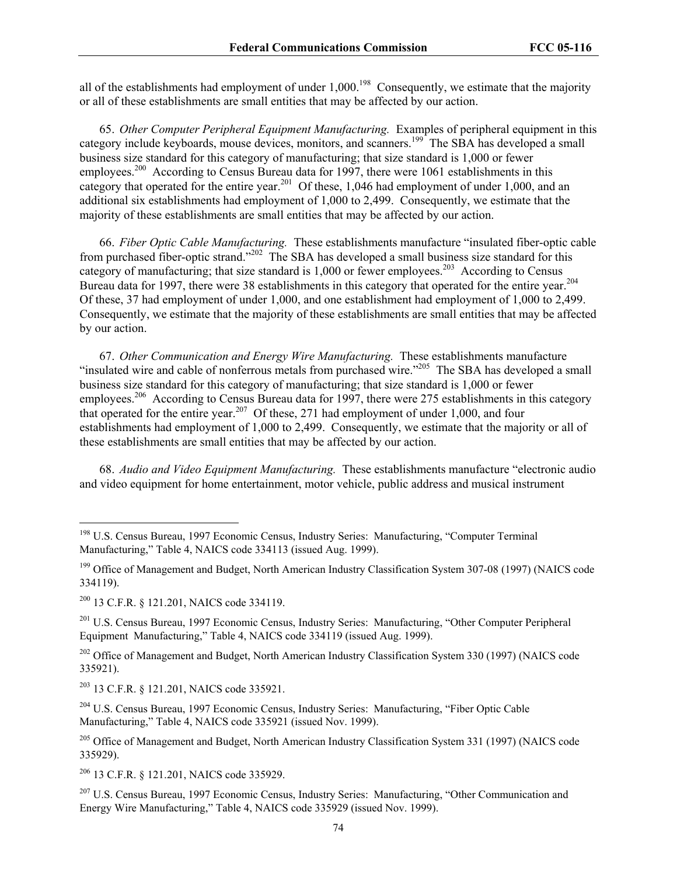all of the establishments had employment of under 1,000.<sup>198</sup> Consequently, we estimate that the majority or all of these establishments are small entities that may be affected by our action.

65. *Other Computer Peripheral Equipment Manufacturing.*Examples of peripheral equipment in this category include keyboards, mouse devices, monitors, and scanners.<sup>199</sup> The SBA has developed a small business size standard for this category of manufacturing; that size standard is 1,000 or fewer employees.<sup>200</sup> According to Census Bureau data for 1997, there were 1061 establishments in this category that operated for the entire year.<sup>201</sup> Of these, 1,046 had employment of under 1,000, and an additional six establishments had employment of 1,000 to 2,499. Consequently, we estimate that the majority of these establishments are small entities that may be affected by our action.

66. *Fiber Optic Cable Manufacturing.* These establishments manufacture "insulated fiber-optic cable from purchased fiber-optic strand."<sup>202</sup> The SBA has developed a small business size standard for this category of manufacturing; that size standard is  $1,000$  or fewer employees.<sup>203</sup> According to Census Bureau data for 1997, there were 38 establishments in this category that operated for the entire year.<sup>204</sup> Of these, 37 had employment of under 1,000, and one establishment had employment of 1,000 to 2,499. Consequently, we estimate that the majority of these establishments are small entities that may be affected by our action.

67. *Other Communication and Energy Wire Manufacturing.* These establishments manufacture "insulated wire and cable of nonferrous metals from purchased wire."<sup>205</sup> The SBA has developed a small business size standard for this category of manufacturing; that size standard is 1,000 or fewer employees.<sup>206</sup> According to Census Bureau data for 1997, there were 275 establishments in this category that operated for the entire year.<sup>207</sup> Of these, 271 had employment of under 1,000, and four establishments had employment of 1,000 to 2,499. Consequently, we estimate that the majority or all of these establishments are small entities that may be affected by our action.

68. *Audio and Video Equipment Manufacturing.* These establishments manufacture "electronic audio and video equipment for home entertainment, motor vehicle, public address and musical instrument

 $\overline{a}$ 

<sup>202</sup> Office of Management and Budget, North American Industry Classification System 330 (1997) (NAICS code 335921).

203 13 C.F.R. § 121.201, NAICS code 335921.

206 13 C.F.R. § 121.201, NAICS code 335929.

<sup>207</sup> U.S. Census Bureau, 1997 Economic Census, Industry Series: Manufacturing, "Other Communication and Energy Wire Manufacturing," Table 4, NAICS code 335929 (issued Nov. 1999).

<sup>&</sup>lt;sup>198</sup> U.S. Census Bureau, 1997 Economic Census, Industry Series: Manufacturing, "Computer Terminal Manufacturing," Table 4, NAICS code 334113 (issued Aug. 1999).

<sup>&</sup>lt;sup>199</sup> Office of Management and Budget, North American Industry Classification System 307-08 (1997) (NAICS code 334119).

<sup>200 13</sup> C.F.R. § 121.201, NAICS code 334119.

<sup>201</sup> U.S. Census Bureau, 1997 Economic Census, Industry Series: Manufacturing, "Other Computer Peripheral Equipment Manufacturing," Table 4, NAICS code 334119 (issued Aug. 1999).

<sup>&</sup>lt;sup>204</sup> U.S. Census Bureau, 1997 Economic Census, Industry Series: Manufacturing, "Fiber Optic Cable Manufacturing," Table 4, NAICS code 335921 (issued Nov. 1999).

<sup>&</sup>lt;sup>205</sup> Office of Management and Budget, North American Industry Classification System 331 (1997) (NAICS code 335929).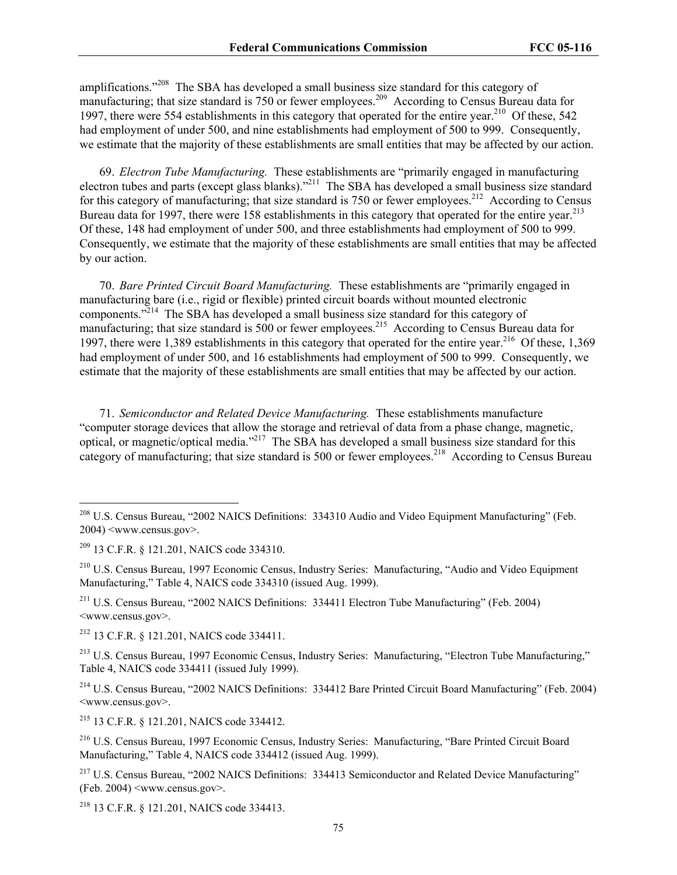amplifications."208 The SBA has developed a small business size standard for this category of manufacturing; that size standard is 750 or fewer employees.<sup>209</sup> According to Census Bureau data for 1997, there were 554 establishments in this category that operated for the entire year.<sup>210</sup> Of these, 542 had employment of under 500, and nine establishments had employment of 500 to 999. Consequently, we estimate that the majority of these establishments are small entities that may be affected by our action.

69. *Electron Tube Manufacturing.*These establishments are "primarily engaged in manufacturing electron tubes and parts (except glass blanks)."<sup>211</sup> The SBA has developed a small business size standard for this category of manufacturing; that size standard is 750 or fewer employees.<sup>212</sup> According to Census Bureau data for 1997, there were 158 establishments in this category that operated for the entire year.<sup>213</sup> Of these, 148 had employment of under 500, and three establishments had employment of 500 to 999. Consequently, we estimate that the majority of these establishments are small entities that may be affected by our action.

70. *Bare Printed Circuit Board Manufacturing.* These establishments are "primarily engaged in manufacturing bare (i.e., rigid or flexible) printed circuit boards without mounted electronic components."214 The SBA has developed a small business size standard for this category of manufacturing; that size standard is  $500$  or fewer employees.<sup>215</sup> According to Census Bureau data for 1997, there were 1,389 establishments in this category that operated for the entire year.<sup>216</sup> Of these, 1,369 had employment of under 500, and 16 establishments had employment of 500 to 999. Consequently, we estimate that the majority of these establishments are small entities that may be affected by our action.

71. *Semiconductor and Related Device Manufacturing.* These establishments manufacture "computer storage devices that allow the storage and retrieval of data from a phase change, magnetic, optical, or magnetic/optical media."217 The SBA has developed a small business size standard for this category of manufacturing; that size standard is 500 or fewer employees.<sup>218</sup> According to Census Bureau

 $\overline{a}$ 

211 U.S. Census Bureau, "2002 NAICS Definitions: 334411 Electron Tube Manufacturing" (Feb. 2004) <www.census.gov>.

212 13 C.F.R. § 121.201, NAICS code 334411.

213 U.S. Census Bureau, 1997 Economic Census, Industry Series: Manufacturing, "Electron Tube Manufacturing," Table 4, NAICS code 334411 (issued July 1999).

214 U.S. Census Bureau, "2002 NAICS Definitions: 334412 Bare Printed Circuit Board Manufacturing" (Feb. 2004) <www.census.gov>.

215 13 C.F.R. § 121.201, NAICS code 334412.

216 U.S. Census Bureau, 1997 Economic Census, Industry Series: Manufacturing, "Bare Printed Circuit Board Manufacturing," Table 4, NAICS code 334412 (issued Aug. 1999).

<sup>217</sup> U.S. Census Bureau, "2002 NAICS Definitions: 334413 Semiconductor and Related Device Manufacturing" (Feb. 2004) <www.census.gov>.

218 13 C.F.R. § 121.201, NAICS code 334413.

<sup>&</sup>lt;sup>208</sup> U.S. Census Bureau, "2002 NAICS Definitions: 334310 Audio and Video Equipment Manufacturing" (Feb. 2004) <www.census.gov>.

<sup>209 13</sup> C.F.R. § 121.201, NAICS code 334310.

<sup>210</sup> U.S. Census Bureau, 1997 Economic Census, Industry Series: Manufacturing, "Audio and Video Equipment Manufacturing," Table 4, NAICS code 334310 (issued Aug. 1999).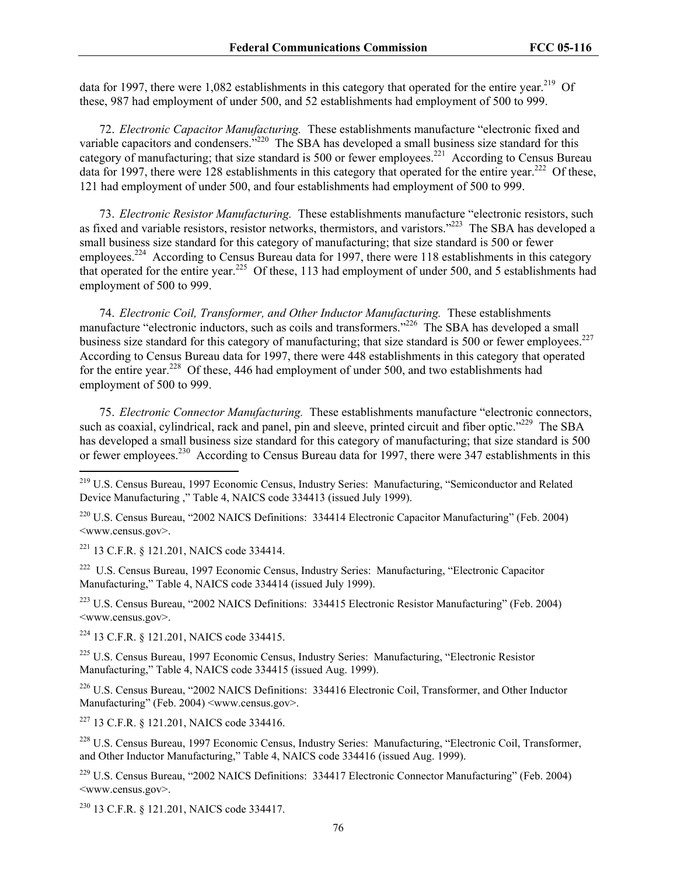data for 1997, there were 1,082 establishments in this category that operated for the entire year.<sup>219</sup> Of these, 987 had employment of under 500, and 52 establishments had employment of 500 to 999.

72. *Electronic Capacitor Manufacturing.*These establishments manufacture "electronic fixed and variable capacitors and condensers.<sup>5220</sup> The SBA has developed a small business size standard for this category of manufacturing; that size standard is 500 or fewer employees.<sup>221</sup> According to Census Bureau data for 1997, there were 128 establishments in this category that operated for the entire year.222 Of these, 121 had employment of under 500, and four establishments had employment of 500 to 999.

73. *Electronic Resistor Manufacturing.* These establishments manufacture "electronic resistors, such as fixed and variable resistors, resistor networks, thermistors, and varistors."<sup>223</sup> The SBA has developed a small business size standard for this category of manufacturing; that size standard is 500 or fewer employees.<sup>224</sup> According to Census Bureau data for 1997, there were 118 establishments in this category that operated for the entire year.225 Of these, 113 had employment of under 500, and 5 establishments had employment of 500 to 999.

74. *Electronic Coil, Transformer, and Other Inductor Manufacturing.* These establishments manufacture "electronic inductors, such as coils and transformers."<sup>226</sup> The SBA has developed a small business size standard for this category of manufacturing; that size standard is 500 or fewer employees.<sup>227</sup> According to Census Bureau data for 1997, there were 448 establishments in this category that operated for the entire year.<sup>228</sup> Of these, 446 had employment of under 500, and two establishments had employment of 500 to 999.

75. *Electronic Connector Manufacturing.* These establishments manufacture "electronic connectors, such as coaxial, cylindrical, rack and panel, pin and sleeve, printed circuit and fiber optic."<sup>229</sup> The SBA has developed a small business size standard for this category of manufacturing; that size standard is 500 or fewer employees.<sup>230</sup> According to Census Bureau data for 1997, there were 347 establishments in this

220 U.S. Census Bureau, "2002 NAICS Definitions: 334414 Electronic Capacitor Manufacturing" (Feb. 2004) <www.census.gov>.

221 13 C.F.R. § 121.201, NAICS code 334414.

 $\overline{a}$ 

222 U.S. Census Bureau, 1997 Economic Census, Industry Series: Manufacturing, "Electronic Capacitor Manufacturing," Table 4, NAICS code 334414 (issued July 1999).

223 U.S. Census Bureau, "2002 NAICS Definitions: 334415 Electronic Resistor Manufacturing" (Feb. 2004) <www.census.gov>.

224 13 C.F.R. § 121.201, NAICS code 334415.

225 U.S. Census Bureau, 1997 Economic Census, Industry Series: Manufacturing, "Electronic Resistor Manufacturing," Table 4, NAICS code 334415 (issued Aug. 1999).

226 U.S. Census Bureau, "2002 NAICS Definitions: 334416 Electronic Coil, Transformer, and Other Inductor Manufacturing" (Feb. 2004) <www.census.gov>.

227 13 C.F.R. § 121.201, NAICS code 334416.

228 U.S. Census Bureau, 1997 Economic Census, Industry Series: Manufacturing, "Electronic Coil, Transformer, and Other Inductor Manufacturing," Table 4, NAICS code 334416 (issued Aug. 1999).

229 U.S. Census Bureau, "2002 NAICS Definitions: 334417 Electronic Connector Manufacturing" (Feb. 2004) <www.census.gov>.

230 13 C.F.R. § 121.201, NAICS code 334417.

<sup>&</sup>lt;sup>219</sup> U.S. Census Bureau, 1997 Economic Census, Industry Series: Manufacturing, "Semiconductor and Related Device Manufacturing ," Table 4, NAICS code 334413 (issued July 1999).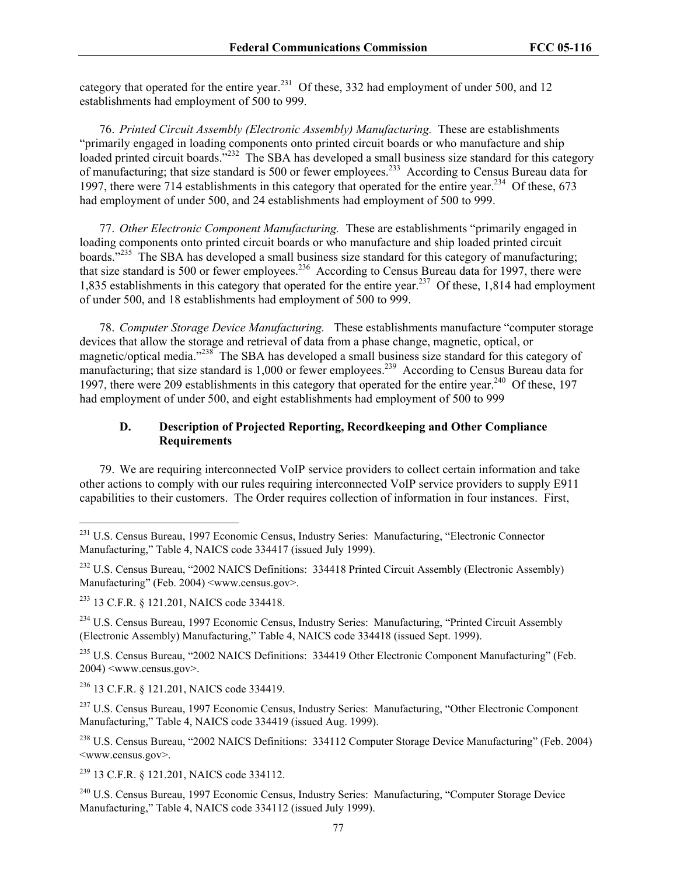category that operated for the entire year.<sup>231</sup> Of these, 332 had employment of under 500, and 12 establishments had employment of 500 to 999.

76. *Printed Circuit Assembly (Electronic Assembly) Manufacturing.*These are establishments "primarily engaged in loading components onto printed circuit boards or who manufacture and ship loaded printed circuit boards."<sup>232</sup> The SBA has developed a small business size standard for this category of manufacturing; that size standard is 500 or fewer employees.233 According to Census Bureau data for 1997, there were 714 establishments in this category that operated for the entire year.<sup>234</sup> Of these, 673 had employment of under 500, and 24 establishments had employment of 500 to 999.

77. *Other Electronic Component Manufacturing.* These are establishments "primarily engaged in loading components onto printed circuit boards or who manufacture and ship loaded printed circuit boards."<sup>235</sup> The SBA has developed a small business size standard for this category of manufacturing; that size standard is 500 or fewer employees.<sup>236</sup> According to Census Bureau data for 1997, there were 1,835 establishments in this category that operated for the entire year.<sup>237</sup> Of these, 1,814 had employment of under 500, and 18 establishments had employment of 500 to 999.

78. *Computer Storage Device Manufacturing.* These establishments manufacture "computer storage devices that allow the storage and retrieval of data from a phase change, magnetic, optical, or magnetic/optical media."238 The SBA has developed a small business size standard for this category of manufacturing; that size standard is 1,000 or fewer employees.<sup>239</sup> According to Census Bureau data for 1997, there were 209 establishments in this category that operated for the entire year.<sup>240</sup> Of these, 197 had employment of under 500, and eight establishments had employment of 500 to 999

# **D. Description of Projected Reporting, Recordkeeping and Other Compliance Requirements**

79. We are requiring interconnected VoIP service providers to collect certain information and take other actions to comply with our rules requiring interconnected VoIP service providers to supply E911 capabilities to their customers. The Order requires collection of information in four instances. First,

 $\overline{a}$ 

234 U.S. Census Bureau, 1997 Economic Census, Industry Series: Manufacturing, "Printed Circuit Assembly (Electronic Assembly) Manufacturing," Table 4, NAICS code 334418 (issued Sept. 1999).

<sup>235</sup> U.S. Census Bureau, "2002 NAICS Definitions: 334419 Other Electronic Component Manufacturing" (Feb. 2004) <www.census.gov>.

236 13 C.F.R. § 121.201, NAICS code 334419.

<sup>237</sup> U.S. Census Bureau, 1997 Economic Census, Industry Series: Manufacturing, "Other Electronic Component Manufacturing," Table 4, NAICS code 334419 (issued Aug. 1999).

<sup>238</sup> U.S. Census Bureau, "2002 NAICS Definitions: 334112 Computer Storage Device Manufacturing" (Feb. 2004) <www.census.gov>.

239 13 C.F.R. § 121.201, NAICS code 334112.

240 U.S. Census Bureau, 1997 Economic Census, Industry Series: Manufacturing, "Computer Storage Device Manufacturing," Table 4, NAICS code 334112 (issued July 1999).

<sup>&</sup>lt;sup>231</sup> U.S. Census Bureau, 1997 Economic Census, Industry Series: Manufacturing, "Electronic Connector Manufacturing," Table 4, NAICS code 334417 (issued July 1999).

<sup>&</sup>lt;sup>232</sup> U.S. Census Bureau, "2002 NAICS Definitions: 334418 Printed Circuit Assembly (Electronic Assembly) Manufacturing" (Feb. 2004) <www.census.gov>.

<sup>233 13</sup> C.F.R. § 121.201, NAICS code 334418.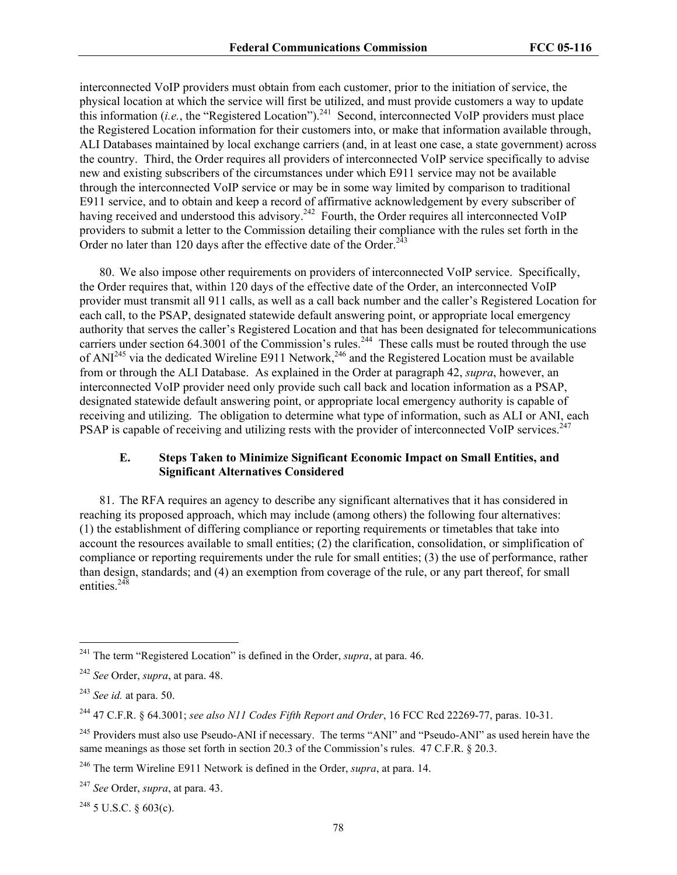interconnected VoIP providers must obtain from each customer, prior to the initiation of service, the physical location at which the service will first be utilized, and must provide customers a way to update this information (*i.e.*, the "Registered Location").<sup>241</sup> Second, interconnected VoIP providers must place the Registered Location information for their customers into, or make that information available through, ALI Databases maintained by local exchange carriers (and, in at least one case, a state government) across the country. Third, the Order requires all providers of interconnected VoIP service specifically to advise new and existing subscribers of the circumstances under which E911 service may not be available through the interconnected VoIP service or may be in some way limited by comparison to traditional E911 service, and to obtain and keep a record of affirmative acknowledgement by every subscriber of having received and understood this advisory.<sup>242</sup> Fourth, the Order requires all interconnected VoIP providers to submit a letter to the Commission detailing their compliance with the rules set forth in the Order no later than 120 days after the effective date of the Order. $^{243}$ 

80. We also impose other requirements on providers of interconnected VoIP service. Specifically, the Order requires that, within 120 days of the effective date of the Order, an interconnected VoIP provider must transmit all 911 calls, as well as a call back number and the caller's Registered Location for each call, to the PSAP, designated statewide default answering point, or appropriate local emergency authority that serves the caller's Registered Location and that has been designated for telecommunications carriers under section 64.3001 of the Commission's rules.<sup>244</sup> These calls must be routed through the use of ANI<sup>245</sup> via the dedicated Wireline E911 Network,<sup>246</sup> and the Registered Location must be available from or through the ALI Database. As explained in the Order at paragraph 42, *supra*, however, an interconnected VoIP provider need only provide such call back and location information as a PSAP, designated statewide default answering point, or appropriate local emergency authority is capable of receiving and utilizing. The obligation to determine what type of information, such as ALI or ANI, each PSAP is capable of receiving and utilizing rests with the provider of interconnected VoIP services.<sup>247</sup>

# **E. Steps Taken to Minimize Significant Economic Impact on Small Entities, and Significant Alternatives Considered**

81. The RFA requires an agency to describe any significant alternatives that it has considered in reaching its proposed approach, which may include (among others) the following four alternatives: (1) the establishment of differing compliance or reporting requirements or timetables that take into account the resources available to small entities; (2) the clarification, consolidation, or simplification of compliance or reporting requirements under the rule for small entities; (3) the use of performance, rather than design, standards; and (4) an exemption from coverage of the rule, or any part thereof, for small entities.<sup>248</sup>

 $\overline{a}$ 

 $^{248}$  5 U.S.C. § 603(c).

<sup>241</sup> The term "Registered Location" is defined in the Order, *supra*, at para. 46.

<sup>242</sup> *See* Order, *supra*, at para. 48.

<sup>243</sup> *See id.* at para. 50.

<sup>244 47</sup> C.F.R. § 64.3001; *see also N11 Codes Fifth Report and Order*, 16 FCC Rcd 22269-77, paras. 10-31.

<sup>&</sup>lt;sup>245</sup> Providers must also use Pseudo-ANI if necessary. The terms "ANI" and "Pseudo-ANI" as used herein have the same meanings as those set forth in section 20.3 of the Commission's rules. 47 C.F.R. § 20.3.

<sup>246</sup> The term Wireline E911 Network is defined in the Order, *supra*, at para. 14.

<sup>247</sup> *See* Order, *supra*, at para. 43.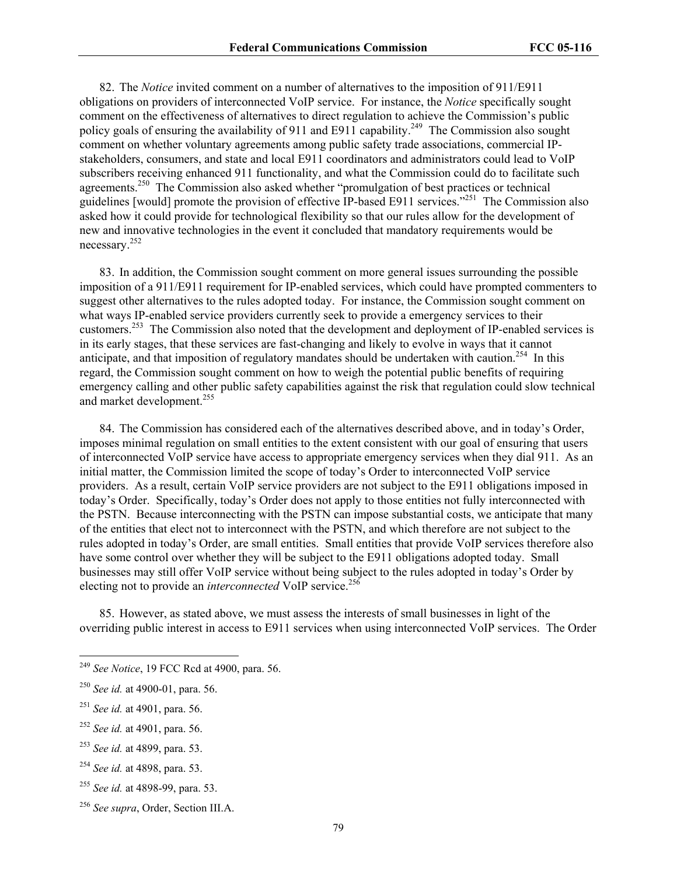82. The *Notice* invited comment on a number of alternatives to the imposition of 911/E911 obligations on providers of interconnected VoIP service. For instance, the *Notice* specifically sought comment on the effectiveness of alternatives to direct regulation to achieve the Commission's public policy goals of ensuring the availability of 911 and E911 capability.<sup>249</sup> The Commission also sought comment on whether voluntary agreements among public safety trade associations, commercial IPstakeholders, consumers, and state and local E911 coordinators and administrators could lead to VoIP subscribers receiving enhanced 911 functionality, and what the Commission could do to facilitate such agreements.<sup>250</sup> The Commission also asked whether "promulgation of best practices or technical guidelines [would] promote the provision of effective IP-based E911 services."<sup>251</sup> The Commission also asked how it could provide for technological flexibility so that our rules allow for the development of new and innovative technologies in the event it concluded that mandatory requirements would be necessary.<sup>252</sup>

83. In addition, the Commission sought comment on more general issues surrounding the possible imposition of a 911/E911 requirement for IP-enabled services, which could have prompted commenters to suggest other alternatives to the rules adopted today. For instance, the Commission sought comment on what ways IP-enabled service providers currently seek to provide a emergency services to their customers.253 The Commission also noted that the development and deployment of IP-enabled services is in its early stages, that these services are fast-changing and likely to evolve in ways that it cannot anticipate, and that imposition of regulatory mandates should be undertaken with caution.<sup>254</sup> In this regard, the Commission sought comment on how to weigh the potential public benefits of requiring emergency calling and other public safety capabilities against the risk that regulation could slow technical and market development.<sup>255</sup>

84. The Commission has considered each of the alternatives described above, and in today's Order, imposes minimal regulation on small entities to the extent consistent with our goal of ensuring that users of interconnected VoIP service have access to appropriate emergency services when they dial 911. As an initial matter, the Commission limited the scope of today's Order to interconnected VoIP service providers. As a result, certain VoIP service providers are not subject to the E911 obligations imposed in today's Order. Specifically, today's Order does not apply to those entities not fully interconnected with the PSTN. Because interconnecting with the PSTN can impose substantial costs, we anticipate that many of the entities that elect not to interconnect with the PSTN, and which therefore are not subject to the rules adopted in today's Order, are small entities. Small entities that provide VoIP services therefore also have some control over whether they will be subject to the E911 obligations adopted today. Small businesses may still offer VoIP service without being subject to the rules adopted in today's Order by electing not to provide an *interconnected* VoIP service.<sup>256</sup>

85. However, as stated above, we must assess the interests of small businesses in light of the overriding public interest in access to E911 services when using interconnected VoIP services. The Order

 $\overline{a}$ 

<sup>249</sup> *See Notice*, 19 FCC Rcd at 4900, para. 56.

<sup>250</sup> *See id.* at 4900-01, para. 56.

<sup>251</sup> *See id.* at 4901, para. 56.

<sup>252</sup> *See id.* at 4901, para. 56.

<sup>253</sup> *See id.* at 4899, para. 53.

<sup>254</sup> *See id.* at 4898, para. 53.

<sup>255</sup> *See id.* at 4898-99, para. 53.

<sup>256</sup> *See supra*, Order, Section III.A.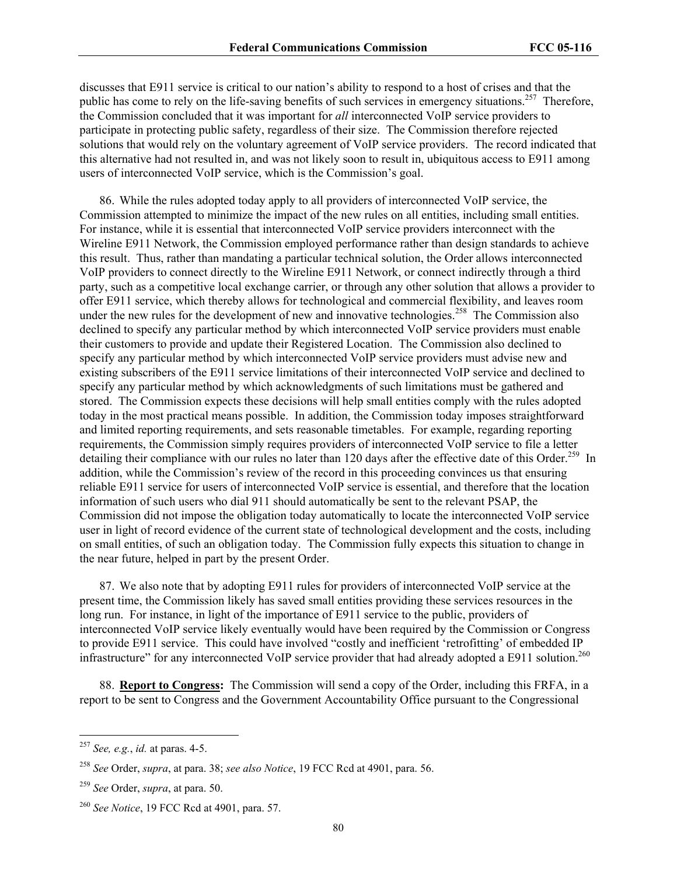discusses that E911 service is critical to our nation's ability to respond to a host of crises and that the public has come to rely on the life-saving benefits of such services in emergency situations.<sup>257</sup> Therefore, the Commission concluded that it was important for *all* interconnected VoIP service providers to participate in protecting public safety, regardless of their size. The Commission therefore rejected solutions that would rely on the voluntary agreement of VoIP service providers. The record indicated that this alternative had not resulted in, and was not likely soon to result in, ubiquitous access to E911 among users of interconnected VoIP service, which is the Commission's goal.

86. While the rules adopted today apply to all providers of interconnected VoIP service, the Commission attempted to minimize the impact of the new rules on all entities, including small entities. For instance, while it is essential that interconnected VoIP service providers interconnect with the Wireline E911 Network, the Commission employed performance rather than design standards to achieve this result. Thus, rather than mandating a particular technical solution, the Order allows interconnected VoIP providers to connect directly to the Wireline E911 Network, or connect indirectly through a third party, such as a competitive local exchange carrier, or through any other solution that allows a provider to offer E911 service, which thereby allows for technological and commercial flexibility, and leaves room under the new rules for the development of new and innovative technologies.<sup>258</sup> The Commission also declined to specify any particular method by which interconnected VoIP service providers must enable their customers to provide and update their Registered Location. The Commission also declined to specify any particular method by which interconnected VoIP service providers must advise new and existing subscribers of the E911 service limitations of their interconnected VoIP service and declined to specify any particular method by which acknowledgments of such limitations must be gathered and stored. The Commission expects these decisions will help small entities comply with the rules adopted today in the most practical means possible. In addition, the Commission today imposes straightforward and limited reporting requirements, and sets reasonable timetables. For example, regarding reporting requirements, the Commission simply requires providers of interconnected VoIP service to file a letter detailing their compliance with our rules no later than 120 days after the effective date of this Order.<sup>259</sup> In addition, while the Commission's review of the record in this proceeding convinces us that ensuring reliable E911 service for users of interconnected VoIP service is essential, and therefore that the location information of such users who dial 911 should automatically be sent to the relevant PSAP, the Commission did not impose the obligation today automatically to locate the interconnected VoIP service user in light of record evidence of the current state of technological development and the costs, including on small entities, of such an obligation today. The Commission fully expects this situation to change in the near future, helped in part by the present Order.

87. We also note that by adopting E911 rules for providers of interconnected VoIP service at the present time, the Commission likely has saved small entities providing these services resources in the long run. For instance, in light of the importance of E911 service to the public, providers of interconnected VoIP service likely eventually would have been required by the Commission or Congress to provide E911 service. This could have involved "costly and inefficient 'retrofitting' of embedded IP infrastructure" for any interconnected VoIP service provider that had already adopted a E911 solution.<sup>260</sup>

88. **Report to Congress:** The Commission will send a copy of the Order, including this FRFA, in a report to be sent to Congress and the Government Accountability Office pursuant to the Congressional

 $\overline{a}$ 

<sup>257</sup> *See, e.g.*, *id.* at paras. 4-5.

<sup>258</sup> *See* Order, *supra*, at para. 38; *see also Notice*, 19 FCC Rcd at 4901, para. 56.

<sup>259</sup> *See* Order, *supra*, at para. 50.

<sup>260</sup> *See Notice*, 19 FCC Rcd at 4901, para. 57.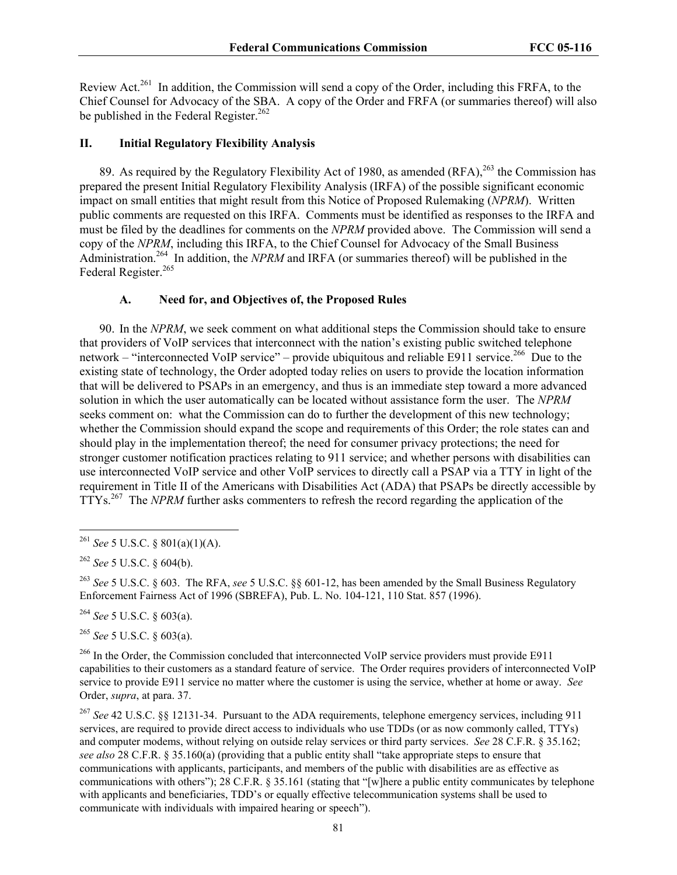Review Act.<sup>261</sup> In addition, the Commission will send a copy of the Order, including this FRFA, to the Chief Counsel for Advocacy of the SBA. A copy of the Order and FRFA (or summaries thereof) will also be published in the Federal Register.<sup>262</sup>

#### **II. Initial Regulatory Flexibility Analysis**

89. As required by the Regulatory Flexibility Act of 1980, as amended (RFA), <sup>263</sup> the Commission has prepared the present Initial Regulatory Flexibility Analysis (IRFA) of the possible significant economic impact on small entities that might result from this Notice of Proposed Rulemaking (*NPRM*). Written public comments are requested on this IRFA. Comments must be identified as responses to the IRFA and must be filed by the deadlines for comments on the *NPRM* provided above. The Commission will send a copy of the *NPRM*, including this IRFA, to the Chief Counsel for Advocacy of the Small Business Administration.<sup>264</sup> In addition, the *NPRM* and IRFA (or summaries thereof) will be published in the Federal Register.<sup>265</sup>

### **A. Need for, and Objectives of, the Proposed Rules**

90. In the *NPRM*, we seek comment on what additional steps the Commission should take to ensure that providers of VoIP services that interconnect with the nation's existing public switched telephone network – "interconnected VoIP service" – provide ubiquitous and reliable E911 service.<sup>266</sup> Due to the existing state of technology, the Order adopted today relies on users to provide the location information that will be delivered to PSAPs in an emergency, and thus is an immediate step toward a more advanced solution in which the user automatically can be located without assistance form the user. The *NPRM* seeks comment on: what the Commission can do to further the development of this new technology; whether the Commission should expand the scope and requirements of this Order; the role states can and should play in the implementation thereof; the need for consumer privacy protections; the need for stronger customer notification practices relating to 911 service; and whether persons with disabilities can use interconnected VoIP service and other VoIP services to directly call a PSAP via a TTY in light of the requirement in Title II of the Americans with Disabilities Act (ADA) that PSAPs be directly accessible by TTYs.267 The *NPRM* further asks commenters to refresh the record regarding the application of the

 $\overline{a}$ 

<sup>263</sup> *See* 5 U.S.C. § 603. The RFA, *see* 5 U.S.C. §§ 601-12, has been amended by the Small Business Regulatory Enforcement Fairness Act of 1996 (SBREFA), Pub. L. No. 104-121, 110 Stat. 857 (1996).

<sup>264</sup> *See* 5 U.S.C. § 603(a).

<sup>265</sup> *See* 5 U.S.C. § 603(a).

<sup>266</sup> In the Order, the Commission concluded that interconnected VoIP service providers must provide E911 capabilities to their customers as a standard feature of service. The Order requires providers of interconnected VoIP service to provide E911 service no matter where the customer is using the service, whether at home or away. *See* Order, *supra*, at para. 37.

<sup>267</sup> *See* 42 U.S.C. §§ 12131-34. Pursuant to the ADA requirements, telephone emergency services, including 911 services, are required to provide direct access to individuals who use TDDs (or as now commonly called, TTYs) and computer modems, without relying on outside relay services or third party services. *See* 28 C.F.R. § 35.162; *see also* 28 C.F.R. § 35.160(a) (providing that a public entity shall "take appropriate steps to ensure that communications with applicants, participants, and members of the public with disabilities are as effective as communications with others"); 28 C.F.R. § 35.161 (stating that "[w]here a public entity communicates by telephone with applicants and beneficiaries, TDD's or equally effective telecommunication systems shall be used to communicate with individuals with impaired hearing or speech").

<sup>261</sup> *See* 5 U.S.C. § 801(a)(1)(A).

<sup>262</sup> *See* 5 U.S.C. § 604(b).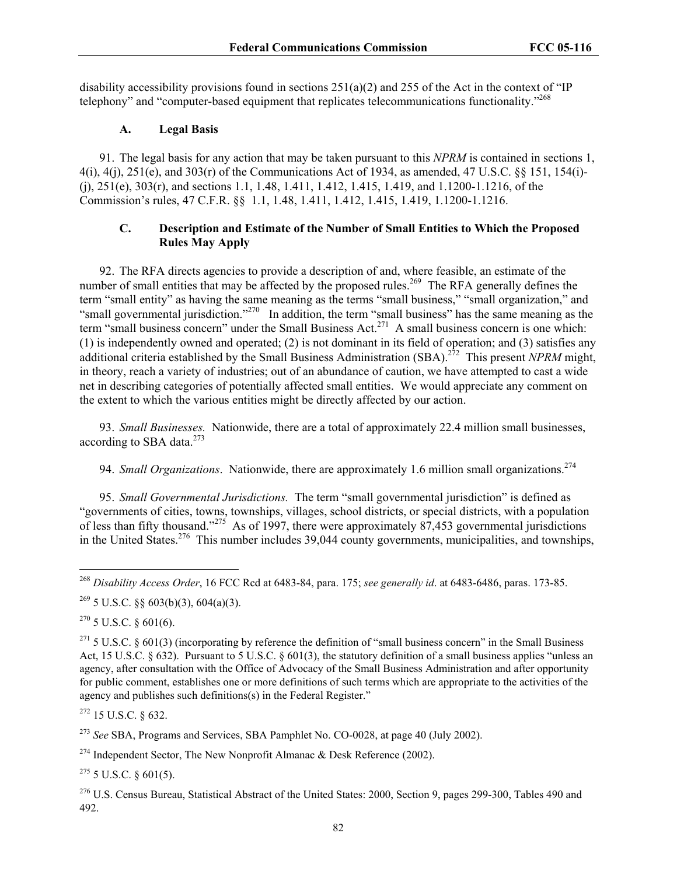disability accessibility provisions found in sections 251(a)(2) and 255 of the Act in the context of "IP telephony" and "computer-based equipment that replicates telecommunications functionality."<sup>268</sup>

# **A. Legal Basis**

91. The legal basis for any action that may be taken pursuant to this *NPRM* is contained in sections 1, 4(i), 4(j), 251(e), and 303(r) of the Communications Act of 1934, as amended, 47 U.S.C. §§ 151, 154(i)- (j), 251(e), 303(r), and sections 1.1, 1.48, 1.411, 1.412, 1.415, 1.419, and 1.1200-1.1216, of the Commission's rules, 47 C.F.R. §§ 1.1, 1.48, 1.411, 1.412, 1.415, 1.419, 1.1200-1.1216.

# **C. Description and Estimate of the Number of Small Entities to Which the Proposed Rules May Apply**

92. The RFA directs agencies to provide a description of and, where feasible, an estimate of the number of small entities that may be affected by the proposed rules.<sup>269</sup> The RFA generally defines the term "small entity" as having the same meaning as the terms "small business," "small organization," and "small governmental jurisdiction."<sup>270</sup> In addition, the term "small business" has the same meaning as the term "small business concern" under the Small Business Act.<sup>271</sup> A small business concern is one which: (1) is independently owned and operated; (2) is not dominant in its field of operation; and (3) satisfies any additional criteria established by the Small Business Administration (SBA).272 This present *NPRM* might, in theory, reach a variety of industries; out of an abundance of caution, we have attempted to cast a wide net in describing categories of potentially affected small entities. We would appreciate any comment on the extent to which the various entities might be directly affected by our action.

93. *Small Businesses.* Nationwide, there are a total of approximately 22.4 million small businesses, according to SBA data. $273$ 

94. *Small Organizations*. Nationwide, there are approximately 1.6 million small organizations.<sup>274</sup>

95. *Small Governmental Jurisdictions.* The term "small governmental jurisdiction" is defined as "governments of cities, towns, townships, villages, school districts, or special districts, with a population of less than fifty thousand."<sup>275</sup> As of 1997, there were approximately 87,453 governmental jurisdictions in the United States.276 This number includes 39,044 county governments, municipalities, and townships,

 $\overline{a}$ 

272 15 U.S.C. § 632.

<sup>273</sup> *See* SBA, Programs and Services, SBA Pamphlet No. CO-0028, at page 40 (July 2002).

<sup>274</sup> Independent Sector, The New Nonprofit Almanac & Desk Reference (2002).

 $275$  5 U.S.C. § 601(5).

<sup>268</sup> *Disability Access Order*, 16 FCC Rcd at 6483-84, para. 175; *see generally id*. at 6483-6486, paras. 173-85.

 $269$  5 U.S.C. §§ 603(b)(3), 604(a)(3).

 $270$  5 U.S.C. § 601(6).

 $271$  5 U.S.C. § 601(3) (incorporating by reference the definition of "small business concern" in the Small Business Act, 15 U.S.C. § 632). Pursuant to 5 U.S.C. § 601(3), the statutory definition of a small business applies "unless an agency, after consultation with the Office of Advocacy of the Small Business Administration and after opportunity for public comment, establishes one or more definitions of such terms which are appropriate to the activities of the agency and publishes such definitions(s) in the Federal Register."

 $^{276}$  U.S. Census Bureau, Statistical Abstract of the United States: 2000, Section 9, pages 299-300, Tables 490 and 492.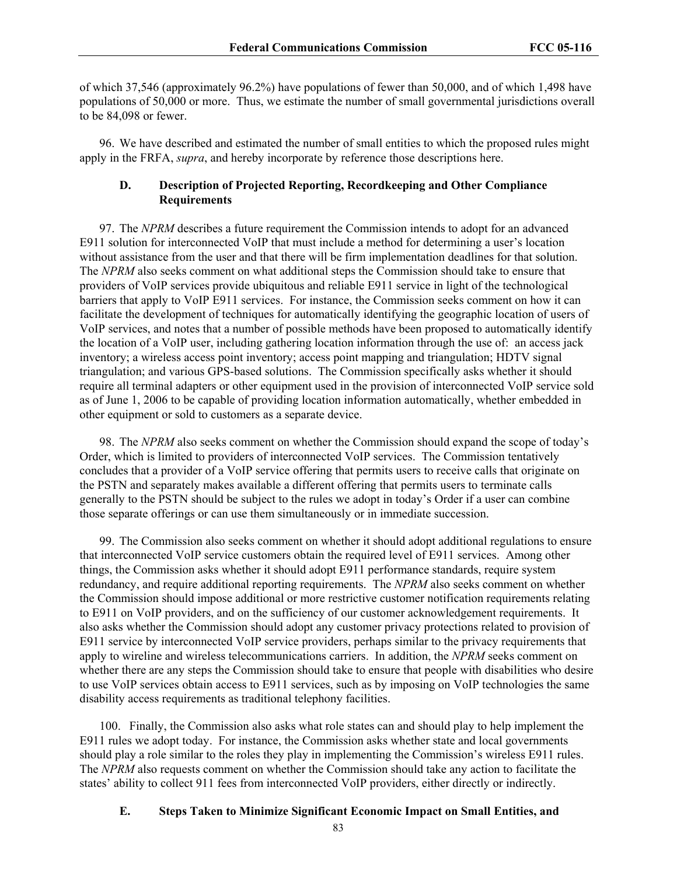of which 37,546 (approximately 96.2%) have populations of fewer than 50,000, and of which 1,498 have populations of 50,000 or more. Thus, we estimate the number of small governmental jurisdictions overall to be 84,098 or fewer.

96. We have described and estimated the number of small entities to which the proposed rules might apply in the FRFA, *supra*, and hereby incorporate by reference those descriptions here.

# **D. Description of Projected Reporting, Recordkeeping and Other Compliance Requirements**

97. The *NPRM* describes a future requirement the Commission intends to adopt for an advanced E911 solution for interconnected VoIP that must include a method for determining a user's location without assistance from the user and that there will be firm implementation deadlines for that solution. The *NPRM* also seeks comment on what additional steps the Commission should take to ensure that providers of VoIP services provide ubiquitous and reliable E911 service in light of the technological barriers that apply to VoIP E911 services. For instance, the Commission seeks comment on how it can facilitate the development of techniques for automatically identifying the geographic location of users of VoIP services, and notes that a number of possible methods have been proposed to automatically identify the location of a VoIP user, including gathering location information through the use of: an access jack inventory; a wireless access point inventory; access point mapping and triangulation; HDTV signal triangulation; and various GPS-based solutions. The Commission specifically asks whether it should require all terminal adapters or other equipment used in the provision of interconnected VoIP service sold as of June 1, 2006 to be capable of providing location information automatically, whether embedded in other equipment or sold to customers as a separate device.

98. The *NPRM* also seeks comment on whether the Commission should expand the scope of today's Order, which is limited to providers of interconnected VoIP services. The Commission tentatively concludes that a provider of a VoIP service offering that permits users to receive calls that originate on the PSTN and separately makes available a different offering that permits users to terminate calls generally to the PSTN should be subject to the rules we adopt in today's Order if a user can combine those separate offerings or can use them simultaneously or in immediate succession.

99. The Commission also seeks comment on whether it should adopt additional regulations to ensure that interconnected VoIP service customers obtain the required level of E911 services. Among other things, the Commission asks whether it should adopt E911 performance standards, require system redundancy, and require additional reporting requirements. The *NPRM* also seeks comment on whether the Commission should impose additional or more restrictive customer notification requirements relating to E911 on VoIP providers, and on the sufficiency of our customer acknowledgement requirements. It also asks whether the Commission should adopt any customer privacy protections related to provision of E911 service by interconnected VoIP service providers, perhaps similar to the privacy requirements that apply to wireline and wireless telecommunications carriers. In addition, the *NPRM* seeks comment on whether there are any steps the Commission should take to ensure that people with disabilities who desire to use VoIP services obtain access to E911 services, such as by imposing on VoIP technologies the same disability access requirements as traditional telephony facilities.

100. Finally, the Commission also asks what role states can and should play to help implement the E911 rules we adopt today. For instance, the Commission asks whether state and local governments should play a role similar to the roles they play in implementing the Commission's wireless E911 rules. The *NPRM* also requests comment on whether the Commission should take any action to facilitate the states' ability to collect 911 fees from interconnected VoIP providers, either directly or indirectly.

#### **E. Steps Taken to Minimize Significant Economic Impact on Small Entities, and**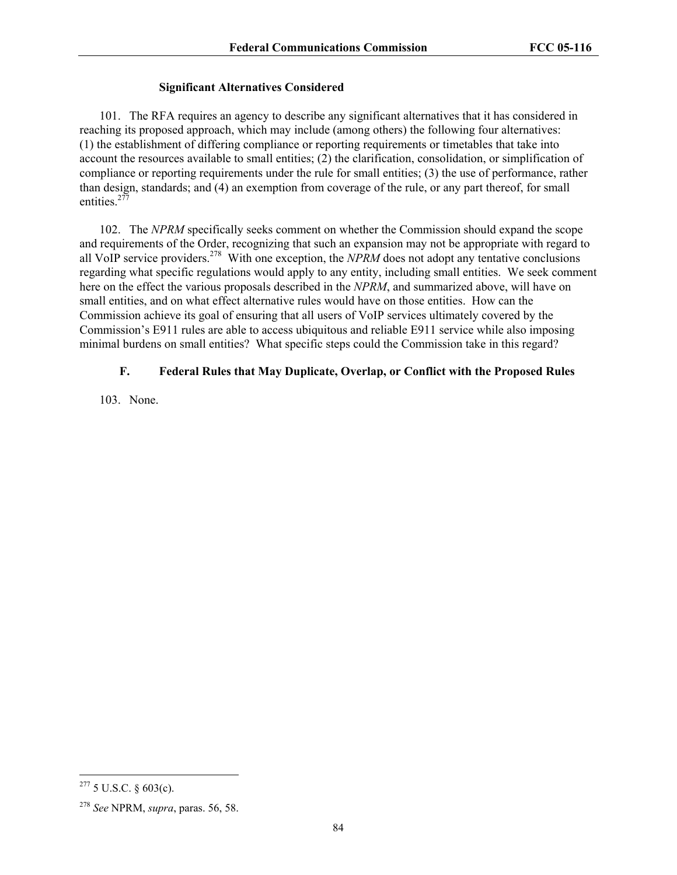# **Significant Alternatives Considered**

101. The RFA requires an agency to describe any significant alternatives that it has considered in reaching its proposed approach, which may include (among others) the following four alternatives: (1) the establishment of differing compliance or reporting requirements or timetables that take into account the resources available to small entities; (2) the clarification, consolidation, or simplification of compliance or reporting requirements under the rule for small entities; (3) the use of performance, rather than design, standards; and (4) an exemption from coverage of the rule, or any part thereof, for small entities. $277$ 

102. The *NPRM* specifically seeks comment on whether the Commission should expand the scope and requirements of the Order, recognizing that such an expansion may not be appropriate with regard to all VoIP service providers.278 With one exception, the *NPRM* does not adopt any tentative conclusions regarding what specific regulations would apply to any entity, including small entities. We seek comment here on the effect the various proposals described in the *NPRM*, and summarized above, will have on small entities, and on what effect alternative rules would have on those entities. How can the Commission achieve its goal of ensuring that all users of VoIP services ultimately covered by the Commission's E911 rules are able to access ubiquitous and reliable E911 service while also imposing minimal burdens on small entities? What specific steps could the Commission take in this regard?

# **F. Federal Rules that May Duplicate, Overlap, or Conflict with the Proposed Rules**

103. None.

 $\overline{a}$ 

<sup>277 5</sup> U.S.C. § 603(c).

<sup>278</sup> *See* NPRM, *supra*, paras. 56, 58.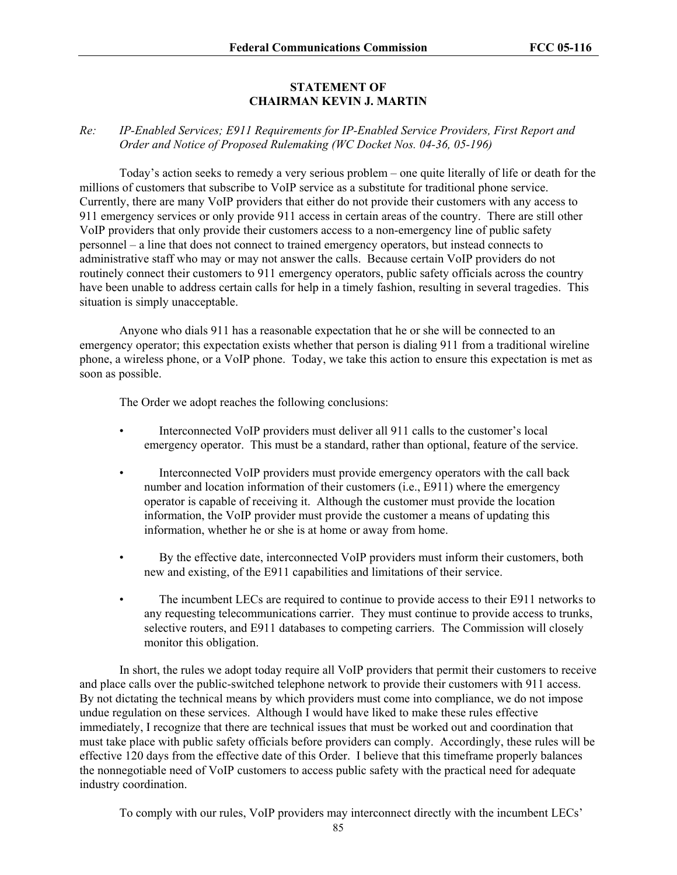# **STATEMENT OF CHAIRMAN KEVIN J. MARTIN**

# *Re: IP-Enabled Services; E911 Requirements for IP-Enabled Service Providers, First Report and Order and Notice of Proposed Rulemaking (WC Docket Nos. 04-36, 05-196)*

Today's action seeks to remedy a very serious problem – one quite literally of life or death for the millions of customers that subscribe to VoIP service as a substitute for traditional phone service. Currently, there are many VoIP providers that either do not provide their customers with any access to 911 emergency services or only provide 911 access in certain areas of the country. There are still other VoIP providers that only provide their customers access to a non-emergency line of public safety personnel – a line that does not connect to trained emergency operators, but instead connects to administrative staff who may or may not answer the calls. Because certain VoIP providers do not routinely connect their customers to 911 emergency operators, public safety officials across the country have been unable to address certain calls for help in a timely fashion, resulting in several tragedies. This situation is simply unacceptable.

Anyone who dials 911 has a reasonable expectation that he or she will be connected to an emergency operator; this expectation exists whether that person is dialing 911 from a traditional wireline phone, a wireless phone, or a VoIP phone. Today, we take this action to ensure this expectation is met as soon as possible.

The Order we adopt reaches the following conclusions:

- Interconnected VoIP providers must deliver all 911 calls to the customer's local emergency operator. This must be a standard, rather than optional, feature of the service.
- Interconnected VoIP providers must provide emergency operators with the call back number and location information of their customers (i.e., E911) where the emergency operator is capable of receiving it. Although the customer must provide the location information, the VoIP provider must provide the customer a means of updating this information, whether he or she is at home or away from home.
- By the effective date, interconnected VoIP providers must inform their customers, both new and existing, of the E911 capabilities and limitations of their service.
- The incumbent LECs are required to continue to provide access to their E911 networks to any requesting telecommunications carrier. They must continue to provide access to trunks, selective routers, and E911 databases to competing carriers. The Commission will closely monitor this obligation.

In short, the rules we adopt today require all VoIP providers that permit their customers to receive and place calls over the public-switched telephone network to provide their customers with 911 access. By not dictating the technical means by which providers must come into compliance, we do not impose undue regulation on these services. Although I would have liked to make these rules effective immediately, I recognize that there are technical issues that must be worked out and coordination that must take place with public safety officials before providers can comply. Accordingly, these rules will be effective 120 days from the effective date of this Order. I believe that this timeframe properly balances the nonnegotiable need of VoIP customers to access public safety with the practical need for adequate industry coordination.

To comply with our rules, VoIP providers may interconnect directly with the incumbent LECs'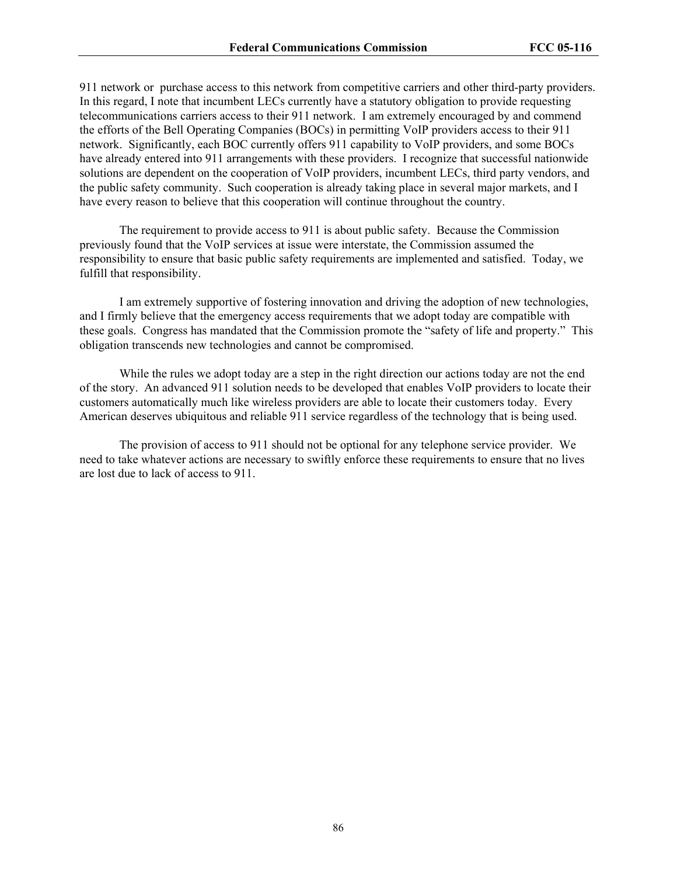911 network or purchase access to this network from competitive carriers and other third-party providers. In this regard, I note that incumbent LECs currently have a statutory obligation to provide requesting telecommunications carriers access to their 911 network. I am extremely encouraged by and commend the efforts of the Bell Operating Companies (BOCs) in permitting VoIP providers access to their 911 network. Significantly, each BOC currently offers 911 capability to VoIP providers, and some BOCs have already entered into 911 arrangements with these providers. I recognize that successful nationwide solutions are dependent on the cooperation of VoIP providers, incumbent LECs, third party vendors, and the public safety community. Such cooperation is already taking place in several major markets, and I have every reason to believe that this cooperation will continue throughout the country.

The requirement to provide access to 911 is about public safety. Because the Commission previously found that the VoIP services at issue were interstate, the Commission assumed the responsibility to ensure that basic public safety requirements are implemented and satisfied. Today, we fulfill that responsibility.

I am extremely supportive of fostering innovation and driving the adoption of new technologies, and I firmly believe that the emergency access requirements that we adopt today are compatible with these goals. Congress has mandated that the Commission promote the "safety of life and property." This obligation transcends new technologies and cannot be compromised.

While the rules we adopt today are a step in the right direction our actions today are not the end of the story. An advanced 911 solution needs to be developed that enables VoIP providers to locate their customers automatically much like wireless providers are able to locate their customers today. Every American deserves ubiquitous and reliable 911 service regardless of the technology that is being used.

The provision of access to 911 should not be optional for any telephone service provider. We need to take whatever actions are necessary to swiftly enforce these requirements to ensure that no lives are lost due to lack of access to 911.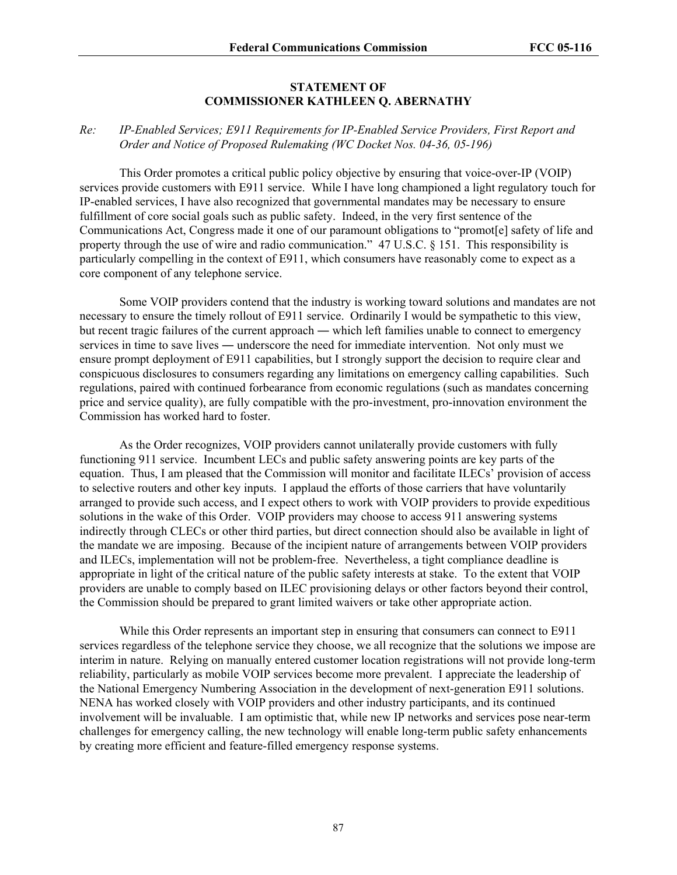### **STATEMENT OF COMMISSIONER KATHLEEN Q. ABERNATHY**

## *Re: IP-Enabled Services; E911 Requirements for IP-Enabled Service Providers, First Report and Order and Notice of Proposed Rulemaking (WC Docket Nos. 04-36, 05-196)*

This Order promotes a critical public policy objective by ensuring that voice-over-IP (VOIP) services provide customers with E911 service. While I have long championed a light regulatory touch for IP-enabled services, I have also recognized that governmental mandates may be necessary to ensure fulfillment of core social goals such as public safety. Indeed, in the very first sentence of the Communications Act, Congress made it one of our paramount obligations to "promot[e] safety of life and property through the use of wire and radio communication." 47 U.S.C. § 151. This responsibility is particularly compelling in the context of E911, which consumers have reasonably come to expect as a core component of any telephone service.

 Some VOIP providers contend that the industry is working toward solutions and mandates are not necessary to ensure the timely rollout of E911 service. Ordinarily I would be sympathetic to this view, but recent tragic failures of the current approach ― which left families unable to connect to emergency services in time to save lives — underscore the need for immediate intervention. Not only must we ensure prompt deployment of E911 capabilities, but I strongly support the decision to require clear and conspicuous disclosures to consumers regarding any limitations on emergency calling capabilities. Such regulations, paired with continued forbearance from economic regulations (such as mandates concerning price and service quality), are fully compatible with the pro-investment, pro-innovation environment the Commission has worked hard to foster.

 As the Order recognizes, VOIP providers cannot unilaterally provide customers with fully functioning 911 service. Incumbent LECs and public safety answering points are key parts of the equation. Thus, I am pleased that the Commission will monitor and facilitate ILECs' provision of access to selective routers and other key inputs. I applaud the efforts of those carriers that have voluntarily arranged to provide such access, and I expect others to work with VOIP providers to provide expeditious solutions in the wake of this Order. VOIP providers may choose to access 911 answering systems indirectly through CLECs or other third parties, but direct connection should also be available in light of the mandate we are imposing. Because of the incipient nature of arrangements between VOIP providers and ILECs, implementation will not be problem-free. Nevertheless, a tight compliance deadline is appropriate in light of the critical nature of the public safety interests at stake. To the extent that VOIP providers are unable to comply based on ILEC provisioning delays or other factors beyond their control, the Commission should be prepared to grant limited waivers or take other appropriate action.

 While this Order represents an important step in ensuring that consumers can connect to E911 services regardless of the telephone service they choose, we all recognize that the solutions we impose are interim in nature. Relying on manually entered customer location registrations will not provide long-term reliability, particularly as mobile VOIP services become more prevalent. I appreciate the leadership of the National Emergency Numbering Association in the development of next-generation E911 solutions. NENA has worked closely with VOIP providers and other industry participants, and its continued involvement will be invaluable. I am optimistic that, while new IP networks and services pose near-term challenges for emergency calling, the new technology will enable long-term public safety enhancements by creating more efficient and feature-filled emergency response systems.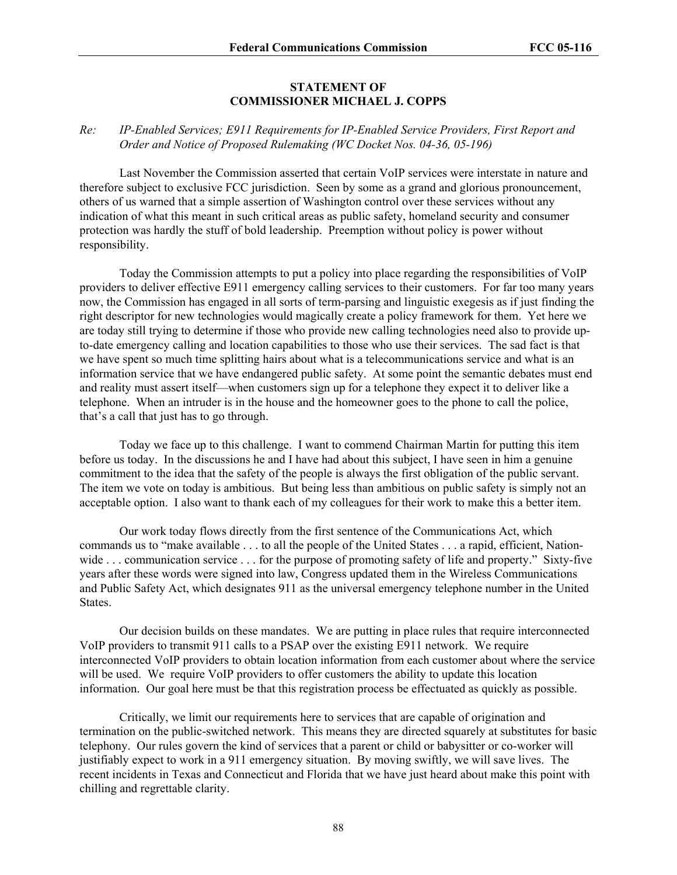### **STATEMENT OF COMMISSIONER MICHAEL J. COPPS**

# *Re: IP-Enabled Services; E911 Requirements for IP-Enabled Service Providers, First Report and Order and Notice of Proposed Rulemaking (WC Docket Nos. 04-36, 05-196)*

Last November the Commission asserted that certain VoIP services were interstate in nature and therefore subject to exclusive FCC jurisdiction. Seen by some as a grand and glorious pronouncement, others of us warned that a simple assertion of Washington control over these services without any indication of what this meant in such critical areas as public safety, homeland security and consumer protection was hardly the stuff of bold leadership. Preemption without policy is power without responsibility.

 Today the Commission attempts to put a policy into place regarding the responsibilities of VoIP providers to deliver effective E911 emergency calling services to their customers. For far too many years now, the Commission has engaged in all sorts of term-parsing and linguistic exegesis as if just finding the right descriptor for new technologies would magically create a policy framework for them. Yet here we are today still trying to determine if those who provide new calling technologies need also to provide upto-date emergency calling and location capabilities to those who use their services. The sad fact is that we have spent so much time splitting hairs about what is a telecommunications service and what is an information service that we have endangered public safety. At some point the semantic debates must end and reality must assert itself—when customers sign up for a telephone they expect it to deliver like a telephone. When an intruder is in the house and the homeowner goes to the phone to call the police, that's a call that just has to go through.

 Today we face up to this challenge. I want to commend Chairman Martin for putting this item before us today. In the discussions he and I have had about this subject, I have seen in him a genuine commitment to the idea that the safety of the people is always the first obligation of the public servant. The item we vote on today is ambitious. But being less than ambitious on public safety is simply not an acceptable option. I also want to thank each of my colleagues for their work to make this a better item.

Our work today flows directly from the first sentence of the Communications Act, which commands us to "make available . . . to all the people of the United States . . . a rapid, efficient, Nationwide ... communication service ... for the purpose of promoting safety of life and property." Sixty-five years after these words were signed into law, Congress updated them in the Wireless Communications and Public Safety Act, which designates 911 as the universal emergency telephone number in the United States.

Our decision builds on these mandates. We are putting in place rules that require interconnected VoIP providers to transmit 911 calls to a PSAP over the existing E911 network. We require interconnected VoIP providers to obtain location information from each customer about where the service will be used. We require VoIP providers to offer customers the ability to update this location information. Our goal here must be that this registration process be effectuated as quickly as possible.

Critically, we limit our requirements here to services that are capable of origination and termination on the public-switched network. This means they are directed squarely at substitutes for basic telephony. Our rules govern the kind of services that a parent or child or babysitter or co-worker will justifiably expect to work in a 911 emergency situation. By moving swiftly, we will save lives. The recent incidents in Texas and Connecticut and Florida that we have just heard about make this point with chilling and regrettable clarity.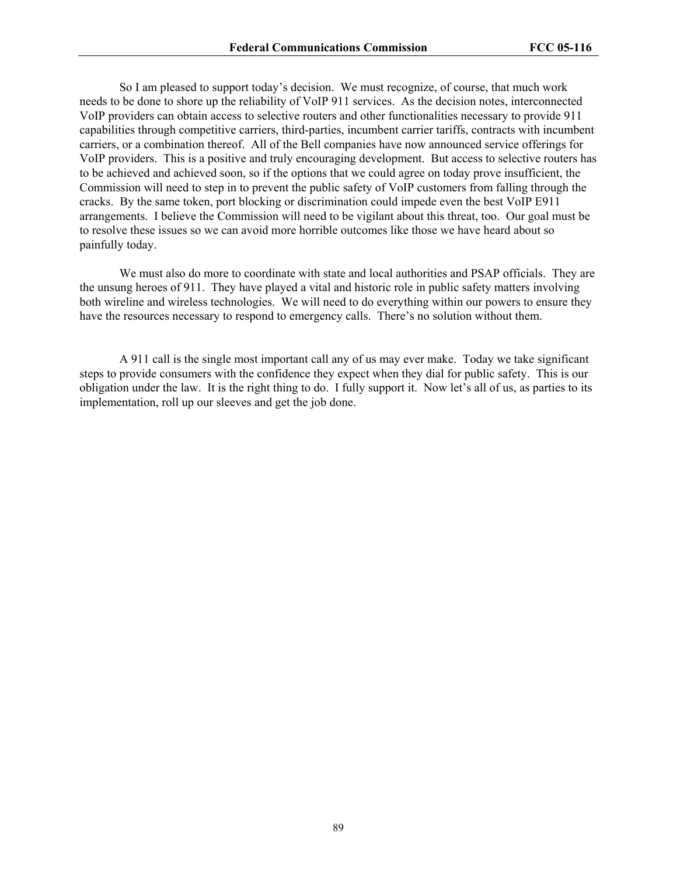So I am pleased to support today's decision. We must recognize, of course, that much work needs to be done to shore up the reliability of VoIP 911 services. As the decision notes, interconnected VoIP providers can obtain access to selective routers and other functionalities necessary to provide 911 capabilities through competitive carriers, third-parties, incumbent carrier tariffs, contracts with incumbent carriers, or a combination thereof. All of the Bell companies have now announced service offerings for VoIP providers. This is a positive and truly encouraging development. But access to selective routers has to be achieved and achieved soon, so if the options that we could agree on today prove insufficient, the Commission will need to step in to prevent the public safety of VoIP customers from falling through the cracks. By the same token, port blocking or discrimination could impede even the best VoIP E911 arrangements. I believe the Commission will need to be vigilant about this threat, too. Our goal must be to resolve these issues so we can avoid more horrible outcomes like those we have heard about so painfully today.

 We must also do more to coordinate with state and local authorities and PSAP officials. They are the unsung heroes of 911. They have played a vital and historic role in public safety matters involving both wireline and wireless technologies. We will need to do everything within our powers to ensure they have the resources necessary to respond to emergency calls. There's no solution without them.

 A 911 call is the single most important call any of us may ever make. Today we take significant steps to provide consumers with the confidence they expect when they dial for public safety. This is our obligation under the law. It is the right thing to do. I fully support it. Now let's all of us, as parties to its implementation, roll up our sleeves and get the job done.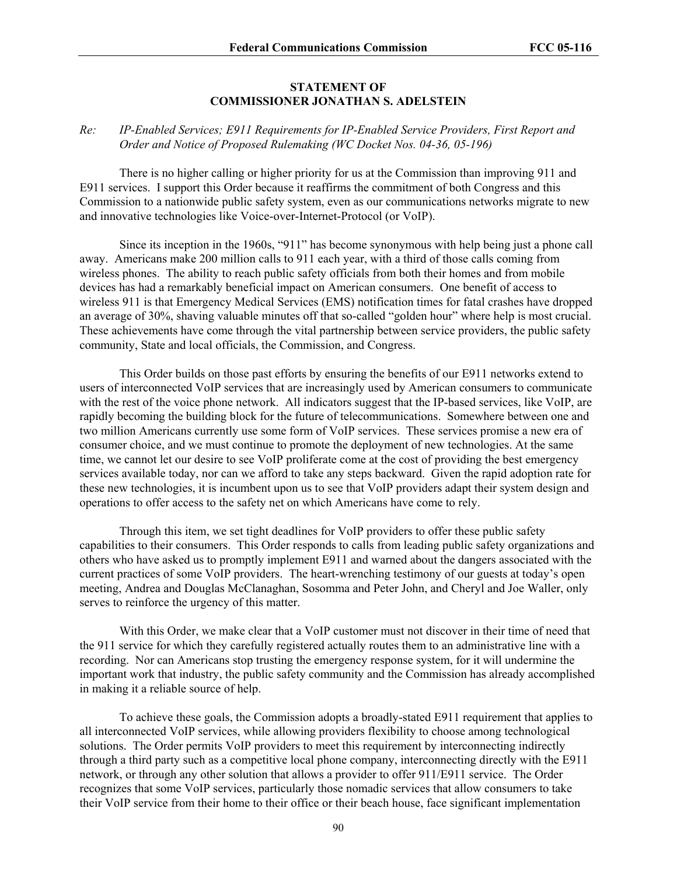#### **STATEMENT OF COMMISSIONER JONATHAN S. ADELSTEIN**

### *Re: IP-Enabled Services; E911 Requirements for IP-Enabled Service Providers, First Report and Order and Notice of Proposed Rulemaking (WC Docket Nos. 04-36, 05-196)*

There is no higher calling or higher priority for us at the Commission than improving 911 and E911 services. I support this Order because it reaffirms the commitment of both Congress and this Commission to a nationwide public safety system, even as our communications networks migrate to new and innovative technologies like Voice-over-Internet-Protocol (or VoIP).

Since its inception in the 1960s, "911" has become synonymous with help being just a phone call away. Americans make 200 million calls to 911 each year, with a third of those calls coming from wireless phones. The ability to reach public safety officials from both their homes and from mobile devices has had a remarkably beneficial impact on American consumers. One benefit of access to wireless 911 is that Emergency Medical Services (EMS) notification times for fatal crashes have dropped an average of 30%, shaving valuable minutes off that so-called "golden hour" where help is most crucial. These achievements have come through the vital partnership between service providers, the public safety community, State and local officials, the Commission, and Congress.

This Order builds on those past efforts by ensuring the benefits of our E911 networks extend to users of interconnected VoIP services that are increasingly used by American consumers to communicate with the rest of the voice phone network. All indicators suggest that the IP-based services, like VoIP, are rapidly becoming the building block for the future of telecommunications. Somewhere between one and two million Americans currently use some form of VoIP services. These services promise a new era of consumer choice, and we must continue to promote the deployment of new technologies. At the same time, we cannot let our desire to see VoIP proliferate come at the cost of providing the best emergency services available today, nor can we afford to take any steps backward. Given the rapid adoption rate for these new technologies, it is incumbent upon us to see that VoIP providers adapt their system design and operations to offer access to the safety net on which Americans have come to rely.

Through this item, we set tight deadlines for VoIP providers to offer these public safety capabilities to their consumers. This Order responds to calls from leading public safety organizations and others who have asked us to promptly implement E911 and warned about the dangers associated with the current practices of some VoIP providers. The heart-wrenching testimony of our guests at today's open meeting, Andrea and Douglas McClanaghan, Sosomma and Peter John, and Cheryl and Joe Waller, only serves to reinforce the urgency of this matter.

With this Order, we make clear that a VoIP customer must not discover in their time of need that the 911 service for which they carefully registered actually routes them to an administrative line with a recording. Nor can Americans stop trusting the emergency response system, for it will undermine the important work that industry, the public safety community and the Commission has already accomplished in making it a reliable source of help.

To achieve these goals, the Commission adopts a broadly-stated E911 requirement that applies to all interconnected VoIP services, while allowing providers flexibility to choose among technological solutions. The Order permits VoIP providers to meet this requirement by interconnecting indirectly through a third party such as a competitive local phone company, interconnecting directly with the E911 network, or through any other solution that allows a provider to offer 911/E911 service. The Order recognizes that some VoIP services, particularly those nomadic services that allow consumers to take their VoIP service from their home to their office or their beach house, face significant implementation